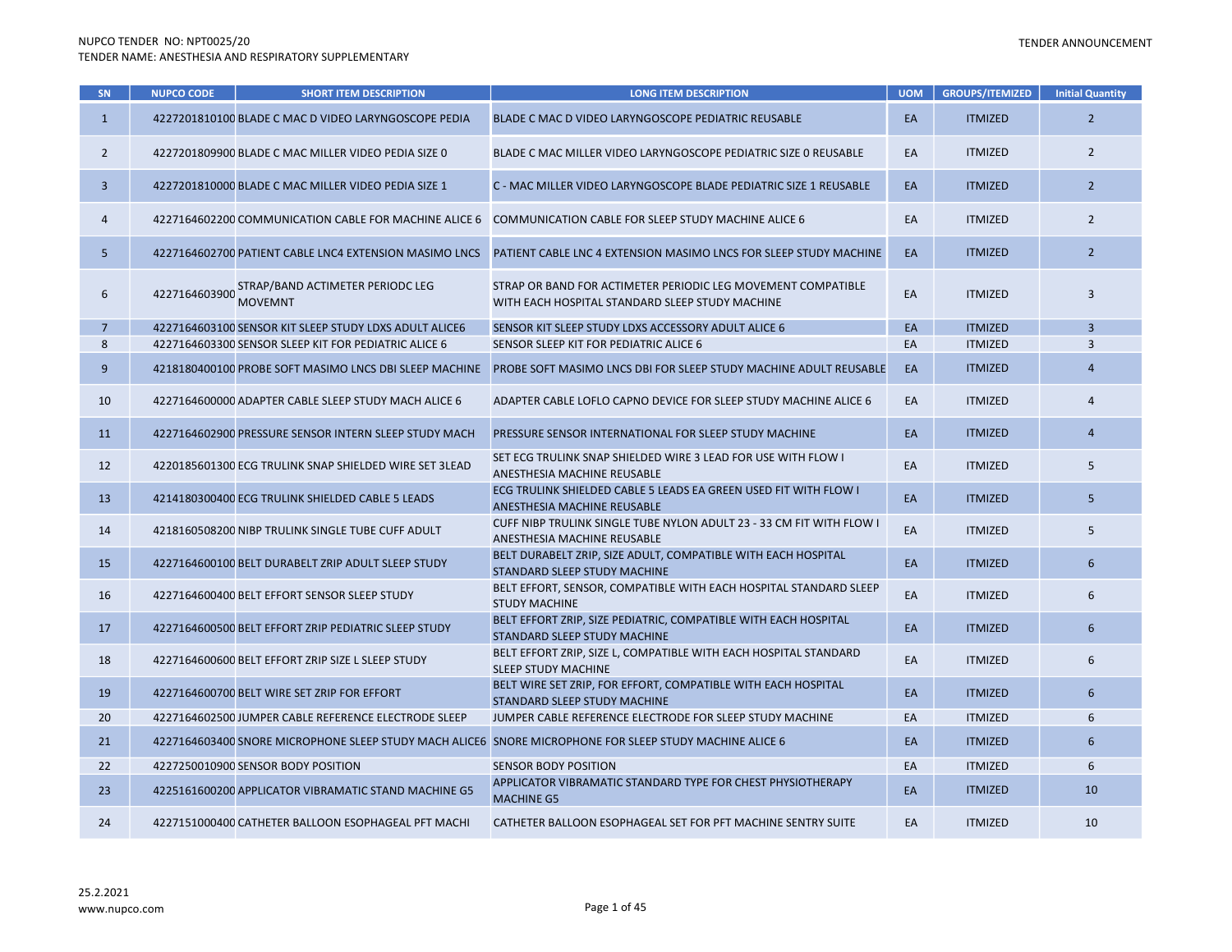| <b>SN</b>      | <b>NUPCO CODE</b> | <b>SHORT ITEM DESCRIPTION</b>                          | <b>LONG ITEM DESCRIPTION</b>                                                                                    | <b>UOM</b> | <b>GROUPS/ITEMIZED</b> | <b>Initial Quantity</b> |
|----------------|-------------------|--------------------------------------------------------|-----------------------------------------------------------------------------------------------------------------|------------|------------------------|-------------------------|
| $\mathbf{1}$   |                   | 4227201810100 BLADE C MAC D VIDEO LARYNGOSCOPE PEDIA   | BLADE C MAC D VIDEO LARYNGOSCOPE PEDIATRIC REUSABLE                                                             | EA         | <b>ITMIZED</b>         | $\overline{2}$          |
| $\overline{2}$ |                   | 4227201809900 BLADE C MAC MILLER VIDEO PEDIA SIZE 0    | BLADE C MAC MILLER VIDEO LARYNGOSCOPE PEDIATRIC SIZE 0 REUSABLE                                                 | EA         | <b>ITMIZED</b>         | $\overline{2}$          |
| $\overline{3}$ |                   | 4227201810000 BLADE C MAC MILLER VIDEO PEDIA SIZE 1    | C - MAC MILLER VIDEO LARYNGOSCOPE BLADE PEDIATRIC SIZE 1 REUSABLE                                               | EA         | <b>ITMIZED</b>         | $\overline{2}$          |
| 4              |                   | 4227164602200 COMMUNICATION CABLE FOR MACHINE ALICE 6  | COMMUNICATION CABLE FOR SLEEP STUDY MACHINE ALICE 6                                                             | EA         | <b>ITMIZED</b>         | $\overline{2}$          |
| 5              |                   | 4227164602700 PATIENT CABLE LNC4 EXTENSION MASIMO LNCS | PATIENT CABLE LNC 4 EXTENSION MASIMO LNCS FOR SLEEP STUDY MACHINE                                               | EA         | <b>ITMIZED</b>         | $\overline{2}$          |
| 6              | 4227164603900     | STRAP/BAND ACTIMETER PERIODC LEG<br><b>MOVEMNT</b>     | STRAP OR BAND FOR ACTIMETER PERIODIC LEG MOVEMENT COMPATIBLE<br>WITH EACH HOSPITAL STANDARD SLEEP STUDY MACHINE | EA         | <b>ITMIZED</b>         | $\overline{3}$          |
| $\overline{7}$ |                   | 4227164603100 SENSOR KIT SLEEP STUDY LDXS ADULT ALICE6 | SENSOR KIT SLEEP STUDY LDXS ACCESSORY ADULT ALICE 6                                                             | EA         | <b>ITMIZED</b>         | $\overline{3}$          |
| 8              |                   | 4227164603300 SENSOR SLEEP KIT FOR PEDIATRIC ALICE 6   | SENSOR SLEEP KIT FOR PEDIATRIC ALICE 6                                                                          | EA         | <b>ITMIZED</b>         | $\overline{3}$          |
| 9              |                   | 4218180400100 PROBE SOFT MASIMO LNCS DBI SLEEP MACHINE | PROBE SOFT MASIMO LNCS DBI FOR SLEEP STUDY MACHINE ADULT REUSABLE                                               | EA         | <b>ITMIZED</b>         | $\overline{4}$          |
| 10             |                   | 4227164600000 ADAPTER CABLE SLEEP STUDY MACH ALICE 6   | ADAPTER CABLE LOFLO CAPNO DEVICE FOR SLEEP STUDY MACHINE ALICE 6                                                | EA         | <b>ITMIZED</b>         | 4                       |
| 11             |                   | 4227164602900 PRESSURE SENSOR INTERN SLEEP STUDY MACH  | PRESSURE SENSOR INTERNATIONAL FOR SLEEP STUDY MACHINE                                                           | EA         | <b>ITMIZED</b>         | $\overline{4}$          |
| 12             |                   | 4220185601300 ECG TRULINK SNAP SHIELDED WIRE SET 3LEAD | SET ECG TRULINK SNAP SHIELDED WIRE 3 LEAD FOR USE WITH FLOW I<br>ANESTHESIA MACHINE REUSABLE                    | EA         | <b>ITMIZED</b>         | 5                       |
| 13             |                   | 4214180300400 ECG TRULINK SHIELDED CABLE 5 LEADS       | ECG TRULINK SHIELDED CABLE 5 LEADS EA GREEN USED FIT WITH FLOW I<br>ANESTHESIA MACHINE REUSABLE                 | EA         | <b>ITMIZED</b>         | 5                       |
| 14             |                   | 4218160508200 NIBP TRULINK SINGLE TUBE CUFF ADULT      | CUFF NIBP TRULINK SINGLE TUBE NYLON ADULT 23 - 33 CM FIT WITH FLOW I<br>ANESTHESIA MACHINE REUSABLE             | EA         | <b>ITMIZED</b>         | 5                       |
| 15             |                   | 4227164600100 BELT DURABELT ZRIP ADULT SLEEP STUDY     | BELT DURABELT ZRIP, SIZE ADULT, COMPATIBLE WITH EACH HOSPITAL<br>STANDARD SLEEP STUDY MACHINE                   | EA         | <b>ITMIZED</b>         | $\boldsymbol{6}$        |
| 16             |                   | 4227164600400 BELT EFFORT SENSOR SLEEP STUDY           | BELT EFFORT, SENSOR, COMPATIBLE WITH EACH HOSPITAL STANDARD SLEEP<br><b>STUDY MACHINE</b>                       | EA         | <b>ITMIZED</b>         | 6                       |
| 17             |                   | 4227164600500 BELT EFFORT ZRIP PEDIATRIC SLEEP STUDY   | BELT EFFORT ZRIP, SIZE PEDIATRIC, COMPATIBLE WITH EACH HOSPITAL<br>STANDARD SLEEP STUDY MACHINE                 | EA         | <b>ITMIZED</b>         | 6                       |
| 18             |                   | 4227164600600 BELT EFFORT ZRIP SIZE L SLEEP STUDY      | BELT EFFORT ZRIP, SIZE L, COMPATIBLE WITH EACH HOSPITAL STANDARD<br><b>SLEEP STUDY MACHINE</b>                  | EA         | <b>ITMIZED</b>         | 6                       |
| 19             |                   | 4227164600700 BELT WIRE SET ZRIP FOR EFFORT            | BELT WIRE SET ZRIP, FOR EFFORT, COMPATIBLE WITH EACH HOSPITAL<br>STANDARD SLEEP STUDY MACHINE                   | EA         | <b>ITMIZED</b>         | 6                       |
| 20             |                   | 4227164602500 JUMPER CABLE REFERENCE ELECTRODE SLEEP   | JUMPER CABLE REFERENCE ELECTRODE FOR SLEEP STUDY MACHINE                                                        | EA         | <b>ITMIZED</b>         | 6                       |
| 21             |                   |                                                        | 4227164603400 SNORE MICROPHONE SLEEP STUDY MACH ALICE6 SNORE MICROPHONE FOR SLEEP STUDY MACHINE ALICE 6         | EA         | <b>ITMIZED</b>         | 6                       |
| 22             |                   | 4227250010900 SENSOR BODY POSITION                     | <b>SENSOR BODY POSITION</b>                                                                                     | EA         | <b>ITMIZED</b>         | 6                       |
| 23             |                   | 4225161600200 APPLICATOR VIBRAMATIC STAND MACHINE G5   | APPLICATOR VIBRAMATIC STANDARD TYPE FOR CHEST PHYSIOTHERAPY<br><b>MACHINE G5</b>                                | EA         | <b>ITMIZED</b>         | 10                      |
| 24             |                   | 4227151000400 CATHETER BALLOON ESOPHAGEAL PFT MACHI    | CATHETER BALLOON ESOPHAGEAL SET FOR PFT MACHINE SENTRY SUITE                                                    | EA         | <b>ITMIZED</b>         | 10                      |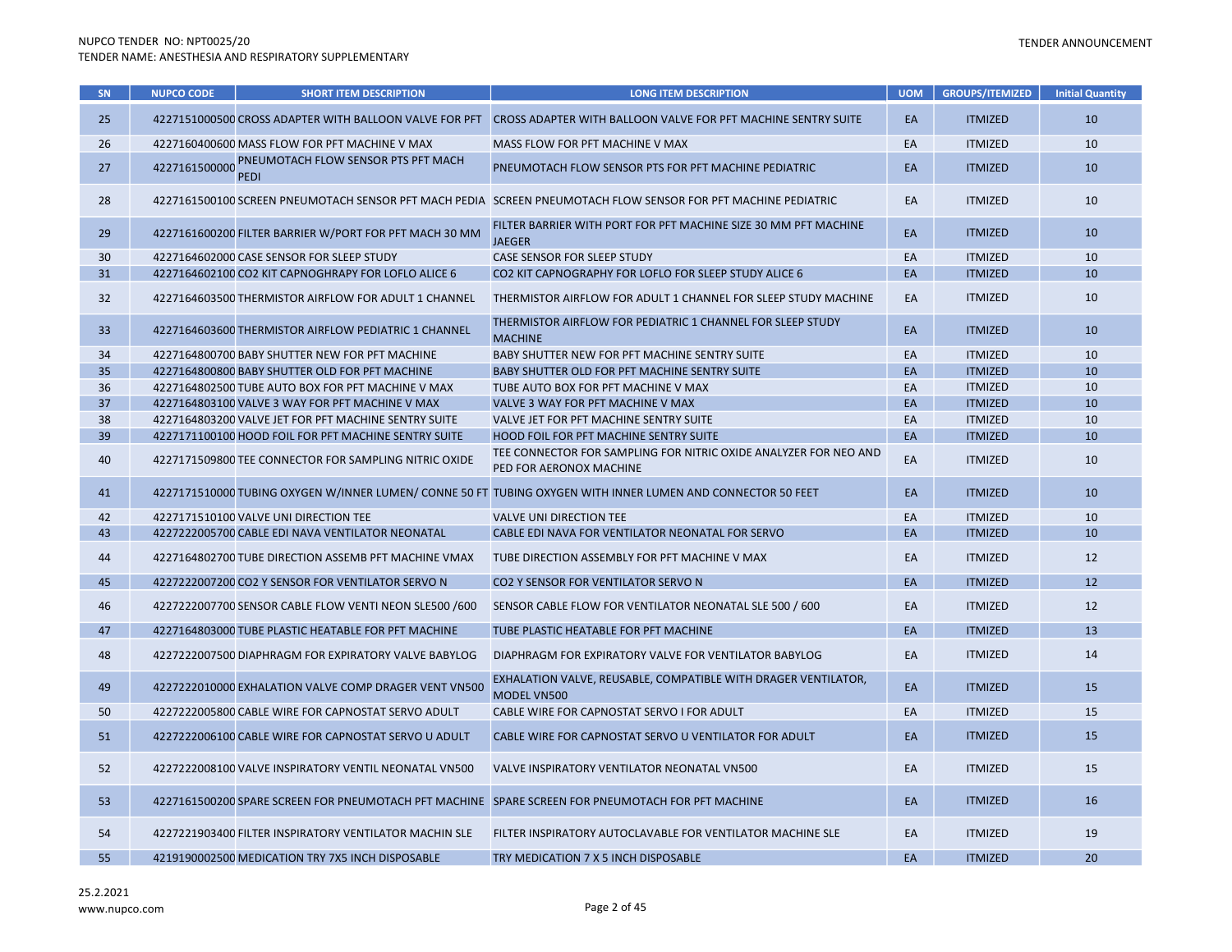| SN | <b>NUPCO CODE</b> | <b>SHORT ITEM DESCRIPTION</b>                          | <b>LONG ITEM DESCRIPTION</b>                                                                                         | <b>UOM</b> | <b>GROUPS/ITEMIZED</b> | <b>Initial Quantity</b> |
|----|-------------------|--------------------------------------------------------|----------------------------------------------------------------------------------------------------------------------|------------|------------------------|-------------------------|
| 25 |                   |                                                        | 4227151000500 CROSS ADAPTER WITH BALLOON VALVE FOR PFT CROSS ADAPTER WITH BALLOON VALVE FOR PFT MACHINE SENTRY SUITE | EA         | <b>ITMIZED</b>         | 10                      |
| 26 |                   | 4227160400600 MASS FLOW FOR PFT MACHINE V MAX          | MASS FLOW FOR PFT MACHINE V MAX                                                                                      | EA         | <b>ITMIZED</b>         | 10                      |
| 27 | 4227161500000     | PNEUMOTACH FLOW SENSOR PTS PFT MACH<br><b>PEDI</b>     | PNEUMOTACH FLOW SENSOR PTS FOR PFT MACHINE PEDIATRIC                                                                 | EA         | <b>ITMIZED</b>         | 10                      |
| 28 |                   |                                                        | 4227161500100 SCREEN PNEUMOTACH SENSOR PFT MACH PEDIA SCREEN PNEUMOTACH FLOW SENSOR FOR PFT MACHINE PEDIATRIC        | EA         | <b>ITMIZED</b>         | 10                      |
| 29 |                   | 4227161600200 FILTER BARRIER W/PORT FOR PFT MACH 30 MM | FILTER BARRIER WITH PORT FOR PFT MACHINE SIZE 30 MM PFT MACHINE<br><b>JAEGER</b>                                     | EA         | <b>ITMIZED</b>         | 10                      |
| 30 |                   | 4227164602000 CASE SENSOR FOR SLEEP STUDY              | CASE SENSOR FOR SLEEP STUDY                                                                                          | EA         | <b>ITMIZED</b>         | 10                      |
| 31 |                   | 4227164602100 CO2 KIT CAPNOGHRAPY FOR LOFLO ALICE 6    | CO2 KIT CAPNOGRAPHY FOR LOFLO FOR SLEEP STUDY ALICE 6                                                                | EA         | <b>ITMIZED</b>         | 10                      |
| 32 |                   | 4227164603500 THERMISTOR AIRFLOW FOR ADULT 1 CHANNEL   | THERMISTOR AIRFLOW FOR ADULT 1 CHANNEL FOR SLEEP STUDY MACHINE                                                       | EA         | <b>ITMIZED</b>         | 10                      |
| 33 |                   | 4227164603600 THERMISTOR AIRFLOW PEDIATRIC 1 CHANNEL   | THERMISTOR AIRFLOW FOR PEDIATRIC 1 CHANNEL FOR SLEEP STUDY<br><b>MACHINE</b>                                         | EA         | <b>ITMIZED</b>         | 10                      |
| 34 |                   | 4227164800700 BABY SHUTTER NEW FOR PFT MACHINE         | BABY SHUTTER NEW FOR PFT MACHINE SENTRY SUITE                                                                        | EA         | <b>ITMIZED</b>         | 10                      |
| 35 |                   | 4227164800800 BABY SHUTTER OLD FOR PFT MACHINE         | BABY SHUTTER OLD FOR PFT MACHINE SENTRY SUITE                                                                        | EA         | <b>ITMIZED</b>         | 10                      |
| 36 |                   | 4227164802500 TUBE AUTO BOX FOR PFT MACHINE V MAX      | TUBE AUTO BOX FOR PFT MACHINE V MAX                                                                                  | EA         | <b>ITMIZED</b>         | 10                      |
| 37 |                   | 4227164803100 VALVE 3 WAY FOR PFT MACHINE V MAX        | VALVE 3 WAY FOR PFT MACHINE V MAX                                                                                    | EA         | <b>ITMIZED</b>         | 10                      |
| 38 |                   | 4227164803200 VALVE JET FOR PFT MACHINE SENTRY SUITE   | VALVE JET FOR PFT MACHINE SENTRY SUITE                                                                               | EA         | <b>ITMIZED</b>         | 10                      |
| 39 |                   | 4227171100100 HOOD FOIL FOR PFT MACHINE SENTRY SUITE   | HOOD FOIL FOR PFT MACHINE SENTRY SUITE                                                                               | EA         | <b>ITMIZED</b>         | 10                      |
| 40 |                   | 4227171509800 TEE CONNECTOR FOR SAMPLING NITRIC OXIDE  | TEE CONNECTOR FOR SAMPLING FOR NITRIC OXIDE ANALYZER FOR NEO AND<br>PED FOR AERONOX MACHINE                          | EA         | <b>ITMIZED</b>         | 10                      |
| 41 |                   |                                                        | 4227171510000 TUBING OXYGEN W/INNER LUMEN/ CONNE 50 FT TUBING OXYGEN WITH INNER LUMEN AND CONNECTOR 50 FEET          | EA         | <b>ITMIZED</b>         | 10                      |
| 42 |                   | 4227171510100 VALVE UNI DIRECTION TEE                  | <b>VALVE UNI DIRECTION TEE</b>                                                                                       | EA         | <b>ITMIZED</b>         | 10                      |
| 43 |                   | 4227222005700 CABLE EDI NAVA VENTILATOR NEONATAL       | CABLE EDI NAVA FOR VENTILATOR NEONATAL FOR SERVO                                                                     | EA         | <b>ITMIZED</b>         | 10                      |
| 44 |                   | 4227164802700 TUBE DIRECTION ASSEMB PFT MACHINE VMAX   | TUBE DIRECTION ASSEMBLY FOR PFT MACHINE V MAX                                                                        | EA         | <b>ITMIZED</b>         | 12                      |
| 45 |                   | 4227222007200 CO2 Y SENSOR FOR VENTILATOR SERVO N      | CO2 Y SENSOR FOR VENTILATOR SERVO N                                                                                  | EA         | <b>ITMIZED</b>         | 12                      |
| 46 |                   | 4227222007700 SENSOR CABLE FLOW VENTI NEON SLE500 /600 | SENSOR CABLE FLOW FOR VENTILATOR NEONATAL SLE 500 / 600                                                              | EA         | <b>ITMIZED</b>         | 12                      |
| 47 |                   | 4227164803000 TUBE PLASTIC HEATABLE FOR PFT MACHINE    | TUBE PLASTIC HEATABLE FOR PFT MACHINE                                                                                | EA         | <b>ITMIZED</b>         | 13                      |
| 48 |                   | 4227222007500 DIAPHRAGM FOR EXPIRATORY VALVE BABYLOG   | DIAPHRAGM FOR EXPIRATORY VALVE FOR VENTILATOR BABYLOG                                                                | EA         | <b>ITMIZED</b>         | 14                      |
| 49 |                   | 4227222010000 EXHALATION VALVE COMP DRAGER VENT VN500  | EXHALATION VALVE, REUSABLE, COMPATIBLE WITH DRAGER VENTILATOR,<br>MODEL VN500                                        | EA         | <b>ITMIZED</b>         | 15                      |
| 50 |                   | 4227222005800 CABLE WIRE FOR CAPNOSTAT SERVO ADULT     | CABLE WIRE FOR CAPNOSTAT SERVO I FOR ADULT                                                                           | EA         | <b>ITMIZED</b>         | 15                      |
| 51 |                   | 4227222006100 CABLE WIRE FOR CAPNOSTAT SERVO U ADULT   | CABLE WIRE FOR CAPNOSTAT SERVO U VENTILATOR FOR ADULT                                                                | EA         | <b>ITMIZED</b>         | 15                      |
| 52 |                   | 4227222008100 VALVE INSPIRATORY VENTIL NEONATAL VN500  | VALVE INSPIRATORY VENTILATOR NEONATAL VN500                                                                          | EA         | <b>ITMIZED</b>         | 15                      |
| 53 |                   |                                                        | 4227161500200 SPARE SCREEN FOR PNEUMOTACH PFT MACHINE SPARE SCREEN FOR PNEUMOTACH FOR PFT MACHINE                    | EA         | <b>ITMIZED</b>         | 16                      |
| 54 |                   | 4227221903400 FILTER INSPIRATORY VENTILATOR MACHIN SLE | FILTER INSPIRATORY AUTOCLAVABLE FOR VENTILATOR MACHINE SLE                                                           | EA         | <b>ITMIZED</b>         | 19                      |
| 55 |                   | 4219190002500 MEDICATION TRY 7X5 INCH DISPOSABLE       | TRY MEDICATION 7 X 5 INCH DISPOSABLE                                                                                 | EA         | <b>ITMIZED</b>         | 20                      |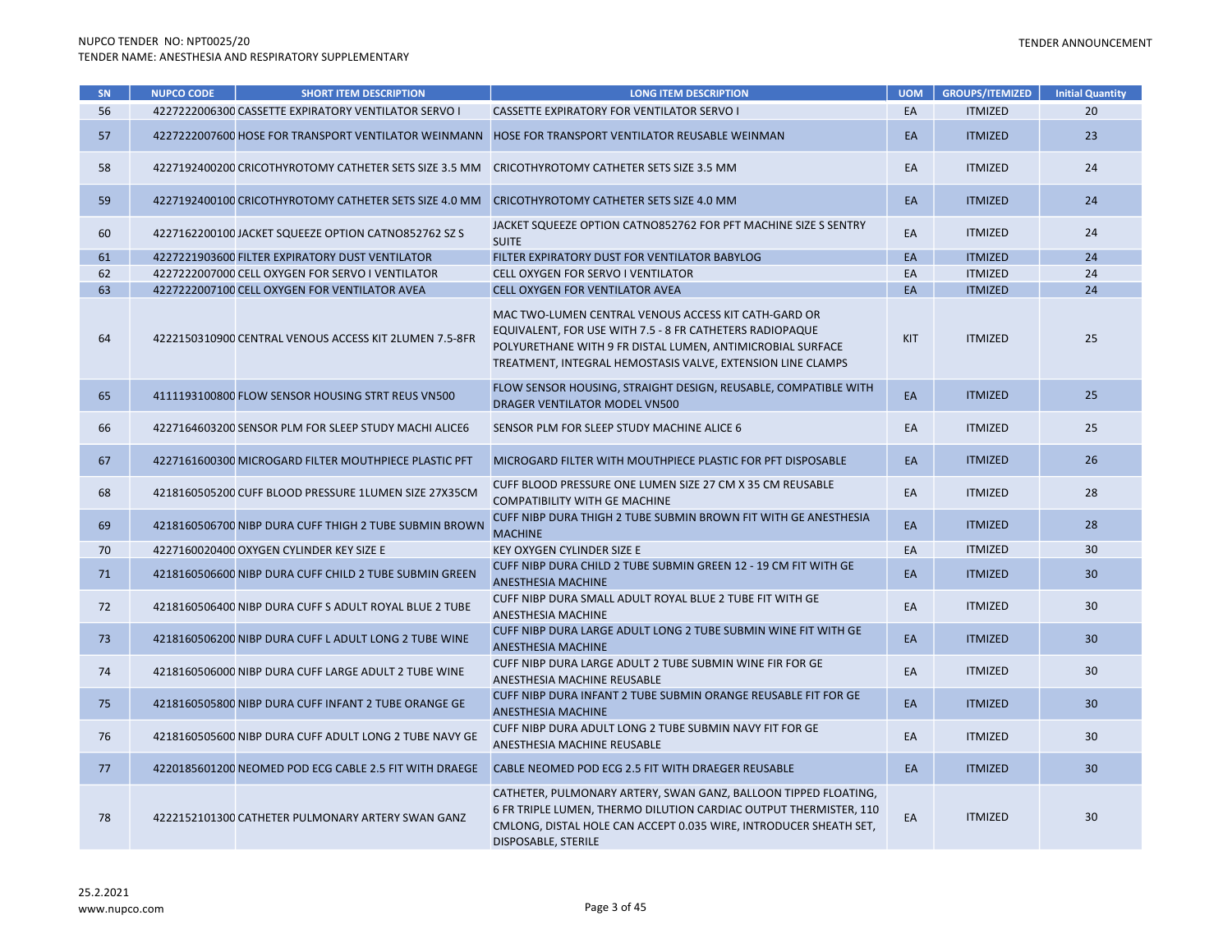| SN | <b>NUPCO CODE</b> | <b>SHORT ITEM DESCRIPTION</b>                          | <b>LONG ITEM DESCRIPTION</b>                                                                                                                                                                                                                  | <b>UOM</b> | <b>GROUPS/ITEMIZED</b> | <b>Initial Quantity</b> |
|----|-------------------|--------------------------------------------------------|-----------------------------------------------------------------------------------------------------------------------------------------------------------------------------------------------------------------------------------------------|------------|------------------------|-------------------------|
| 56 |                   | 4227222006300 CASSETTE EXPIRATORY VENTILATOR SERVO I   | CASSETTE EXPIRATORY FOR VENTILATOR SERVO I                                                                                                                                                                                                    | EA         | <b>ITMIZED</b>         | 20                      |
| 57 |                   | 4227222007600 HOSE FOR TRANSPORT VENTILATOR WEINMANN   | HOSE FOR TRANSPORT VENTILATOR REUSABLE WEINMAN                                                                                                                                                                                                | EA         | <b>ITMIZED</b>         | 23                      |
| 58 |                   | 4227192400200 CRICOTHYROTOMY CATHETER SETS SIZE 3.5 MM | CRICOTHYROTOMY CATHETER SETS SIZE 3.5 MM                                                                                                                                                                                                      | EA         | <b>ITMIZED</b>         | 24                      |
| 59 |                   | 4227192400100 CRICOTHYROTOMY CATHETER SETS SIZE 4.0 MM | CRICOTHYROTOMY CATHETER SETS SIZE 4.0 MM                                                                                                                                                                                                      | EA         | <b>ITMIZED</b>         | 24                      |
| 60 |                   | 4227162200100 JACKET SQUEEZE OPTION CATNO852762 SZ S   | JACKET SQUEEZE OPTION CATNO852762 FOR PFT MACHINE SIZE S SENTRY<br><b>SUITE</b>                                                                                                                                                               | EA         | <b>ITMIZED</b>         | 24                      |
| 61 |                   | 4227221903600 FILTER EXPIRATORY DUST VENTILATOR        | FILTER EXPIRATORY DUST FOR VENTILATOR BABYLOG                                                                                                                                                                                                 | EA         | <b>ITMIZED</b>         | 24                      |
| 62 |                   | 4227222007000 CELL OXYGEN FOR SERVO I VENTILATOR       | CELL OXYGEN FOR SERVO I VENTILATOR                                                                                                                                                                                                            | EA         | <b>ITMIZED</b>         | 24                      |
| 63 |                   | 4227222007100 CELL OXYGEN FOR VENTILATOR AVEA          | CELL OXYGEN FOR VENTILATOR AVEA                                                                                                                                                                                                               | EA         | <b>ITMIZED</b>         | 24                      |
| 64 |                   | 4222150310900 CENTRAL VENOUS ACCESS KIT 2LUMEN 7.5-8FR | MAC TWO-LUMEN CENTRAL VENOUS ACCESS KIT CATH-GARD OR<br>EQUIVALENT, FOR USE WITH 7.5 - 8 FR CATHETERS RADIOPAQUE<br>POLYURETHANE WITH 9 FR DISTAL LUMEN, ANTIMICROBIAL SURFACE<br>TREATMENT, INTEGRAL HEMOSTASIS VALVE, EXTENSION LINE CLAMPS | <b>KIT</b> | <b>ITMIZED</b>         | 25                      |
| 65 |                   | 4111193100800 FLOW SENSOR HOUSING STRT REUS VN500      | FLOW SENSOR HOUSING, STRAIGHT DESIGN, REUSABLE, COMPATIBLE WITH<br>DRAGER VENTILATOR MODEL VN500                                                                                                                                              | EA         | <b>ITMIZED</b>         | 25                      |
| 66 |                   | 4227164603200 SENSOR PLM FOR SLEEP STUDY MACHI ALICE6  | SENSOR PLM FOR SLEEP STUDY MACHINE ALICE 6                                                                                                                                                                                                    | EA         | <b>ITMIZED</b>         | 25                      |
| 67 |                   | 4227161600300 MICROGARD FILTER MOUTHPIECE PLASTIC PFT  | MICROGARD FILTER WITH MOUTHPIECE PLASTIC FOR PFT DISPOSABLE                                                                                                                                                                                   | EA         | <b>ITMIZED</b>         | 26                      |
| 68 |                   | 4218160505200 CUFF BLOOD PRESSURE 1LUMEN SIZE 27X35CM  | CUFF BLOOD PRESSURE ONE LUMEN SIZE 27 CM X 35 CM REUSABLE<br><b>COMPATIBILITY WITH GE MACHINE</b>                                                                                                                                             | EA         | <b>ITMIZED</b>         | 28                      |
| 69 |                   | 4218160506700 NIBP DURA CUFF THIGH 2 TUBE SUBMIN BROWN | CUFF NIBP DURA THIGH 2 TUBE SUBMIN BROWN FIT WITH GE ANESTHESIA<br><b>MACHINE</b>                                                                                                                                                             | EA         | <b>ITMIZED</b>         | 28                      |
| 70 |                   | 4227160020400 OXYGEN CYLINDER KEY SIZE E               | KEY OXYGEN CYLINDER SIZE E                                                                                                                                                                                                                    | EA         | <b>ITMIZED</b>         | 30                      |
| 71 |                   | 4218160506600 NIBP DURA CUFF CHILD 2 TUBE SUBMIN GREEN | CUFF NIBP DURA CHILD 2 TUBE SUBMIN GREEN 12 - 19 CM FIT WITH GE<br><b>ANESTHESIA MACHINE</b>                                                                                                                                                  | EA         | <b>ITMIZED</b>         | 30 <sup>°</sup>         |
| 72 |                   | 4218160506400 NIBP DURA CUFF S ADULT ROYAL BLUE 2 TUBE | CUFF NIBP DURA SMALL ADULT ROYAL BLUE 2 TUBE FIT WITH GE<br>ANESTHESIA MACHINE                                                                                                                                                                | EA         | <b>ITMIZED</b>         | 30                      |
| 73 |                   | 4218160506200 NIBP DURA CUFF L ADULT LONG 2 TUBE WINE  | CUFF NIBP DURA LARGE ADULT LONG 2 TUBE SUBMIN WINE FIT WITH GE<br><b>ANESTHESIA MACHINE</b>                                                                                                                                                   | EA         | <b>ITMIZED</b>         | 30 <sup>°</sup>         |
| 74 |                   | 4218160506000 NIBP DURA CUFF LARGE ADULT 2 TUBE WINE   | CUFF NIBP DURA LARGE ADULT 2 TUBE SUBMIN WINE FIR FOR GE<br>ANESTHESIA MACHINE REUSABLE                                                                                                                                                       | EA         | <b>ITMIZED</b>         | 30                      |
| 75 |                   | 4218160505800 NIBP DURA CUFF INFANT 2 TUBE ORANGE GE   | CUFF NIBP DURA INFANT 2 TUBE SUBMIN ORANGE REUSABLE FIT FOR GE<br>ANESTHESIA MACHINE                                                                                                                                                          | EA         | <b>ITMIZED</b>         | 30 <sup>°</sup>         |
| 76 |                   | 4218160505600 NIBP DURA CUFF ADULT LONG 2 TUBE NAVY GE | CUFF NIBP DURA ADULT LONG 2 TUBE SUBMIN NAVY FIT FOR GE<br>ANESTHESIA MACHINE REUSABLE                                                                                                                                                        | EA         | <b>ITMIZED</b>         | 30                      |
| 77 |                   | 4220185601200 NEOMED POD ECG CABLE 2.5 FIT WITH DRAEGE | CABLE NEOMED POD ECG 2.5 FIT WITH DRAEGER REUSABLE                                                                                                                                                                                            | EA         | <b>ITMIZED</b>         | 30                      |
| 78 |                   | 4222152101300 CATHETER PULMONARY ARTERY SWAN GANZ      | CATHETER, PULMONARY ARTERY, SWAN GANZ, BALLOON TIPPED FLOATING,<br>6 FR TRIPLE LUMEN, THERMO DILUTION CARDIAC OUTPUT THERMISTER, 110<br>CMLONG, DISTAL HOLE CAN ACCEPT 0.035 WIRE, INTRODUCER SHEATH SET,<br>DISPOSABLE, STERILE              | EA         | <b>ITMIZED</b>         | 30                      |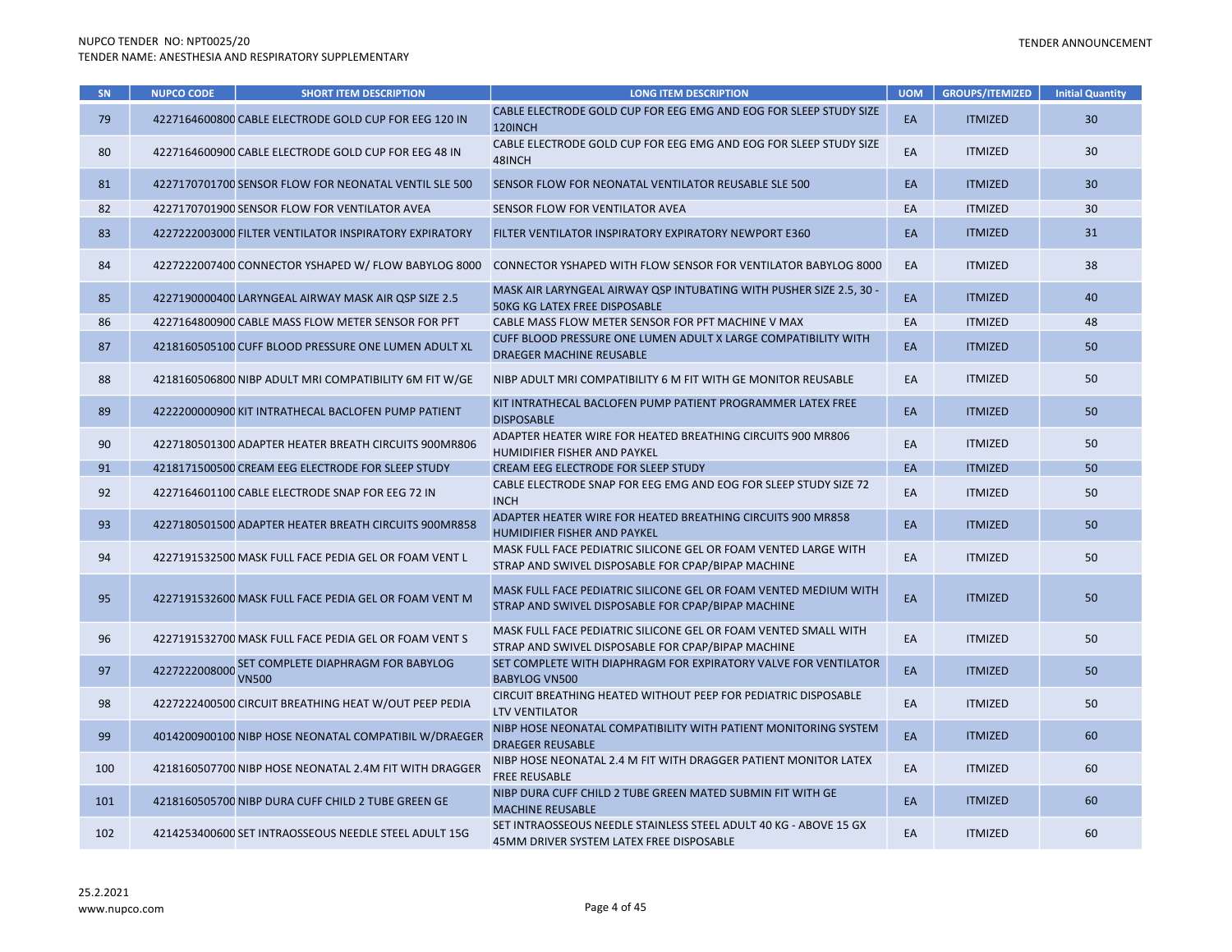### TENDER ANNOUNCEMENT

| SN  | <b>NUPCO CODE</b> | <b>SHORT ITEM DESCRIPTION</b>                          | <b>LONG ITEM DESCRIPTION</b>                                                                                           | <b>UOM</b> | <b>GROUPS/ITEMIZED</b> | <b>Initial Quantity</b> |
|-----|-------------------|--------------------------------------------------------|------------------------------------------------------------------------------------------------------------------------|------------|------------------------|-------------------------|
| 79  |                   | 4227164600800 CABLE ELECTRODE GOLD CUP FOR EEG 120 IN  | CABLE ELECTRODE GOLD CUP FOR EEG EMG AND EOG FOR SLEEP STUDY SIZE<br>120INCH                                           | EA         | <b>ITMIZED</b>         | 30                      |
| 80  |                   | 4227164600900 CABLE ELECTRODE GOLD CUP FOR EEG 48 IN   | CABLE ELECTRODE GOLD CUP FOR EEG EMG AND EOG FOR SLEEP STUDY SIZE<br>48INCH                                            | EA         | <b>ITMIZED</b>         | 30                      |
| 81  |                   | 4227170701700 SENSOR FLOW FOR NEONATAL VENTIL SLE 500  | SENSOR FLOW FOR NEONATAL VENTILATOR REUSABLE SLE 500                                                                   | EA         | <b>ITMIZED</b>         | 30                      |
| 82  |                   | 4227170701900 SENSOR FLOW FOR VENTILATOR AVEA          | SENSOR FLOW FOR VENTILATOR AVEA                                                                                        | EA         | <b>ITMIZED</b>         | 30                      |
| 83  |                   | 4227222003000 FILTER VENTILATOR INSPIRATORY EXPIRATORY | FILTER VENTILATOR INSPIRATORY EXPIRATORY NEWPORT E360                                                                  | EA         | <b>ITMIZED</b>         | 31                      |
| 84  |                   | 4227222007400 CONNECTOR YSHAPED W/ FLOW BABYLOG 8000   | <b>CONNECTOR YSHAPED WITH FLOW SENSOR FOR VENTILATOR BABYLOG 8000</b>                                                  | EA         | <b>ITMIZED</b>         | 38                      |
| 85  |                   | 4227190000400 LARYNGEAL AIRWAY MASK AIR QSP SIZE 2.5   | MASK AIR LARYNGEAL AIRWAY QSP INTUBATING WITH PUSHER SIZE 2.5, 30 -<br><b>50KG KG LATEX FREE DISPOSABLE</b>            | EA         | <b>ITMIZED</b>         | 40                      |
| 86  |                   | 4227164800900 CABLE MASS FLOW METER SENSOR FOR PFT     | CABLE MASS FLOW METER SENSOR FOR PFT MACHINE V MAX                                                                     | EA         | <b>ITMIZED</b>         | 48                      |
| 87  |                   | 4218160505100 CUFF BLOOD PRESSURE ONE LUMEN ADULT XL   | CUFF BLOOD PRESSURE ONE LUMEN ADULT X LARGE COMPATIBILITY WITH<br>DRAEGER MACHINE REUSABLE                             | EA         | <b>ITMIZED</b>         | 50                      |
| 88  |                   | 4218160506800 NIBP ADULT MRI COMPATIBILITY 6M FIT W/GE | NIBP ADULT MRI COMPATIBILITY 6 M FIT WITH GE MONITOR REUSABLE                                                          | EA         | <b>ITMIZED</b>         | 50                      |
| 89  |                   | 4222200000900 KIT INTRATHECAL BACLOFEN PUMP PATIENT    | KIT INTRATHECAL BACLOFEN PUMP PATIENT PROGRAMMER LATEX FREE<br><b>DISPOSABLE</b>                                       | EA         | <b>ITMIZED</b>         | 50                      |
| 90  |                   | 4227180501300 ADAPTER HEATER BREATH CIRCUITS 900MR806  | ADAPTER HEATER WIRE FOR HEATED BREATHING CIRCUITS 900 MR806<br>HUMIDIFIER FISHER AND PAYKEL                            | EA         | <b>ITMIZED</b>         | 50                      |
| 91  |                   | 4218171500500 CREAM EEG ELECTRODE FOR SLEEP STUDY      | CREAM EEG ELECTRODE FOR SLEEP STUDY                                                                                    | EA         | <b>ITMIZED</b>         | 50                      |
| 92  |                   | 4227164601100 CABLE ELECTRODE SNAP FOR EEG 72 IN       | CABLE ELECTRODE SNAP FOR EEG EMG AND EOG FOR SLEEP STUDY SIZE 72<br><b>INCH</b>                                        | EA         | <b>ITMIZED</b>         | 50                      |
| 93  |                   | 4227180501500 ADAPTER HEATER BREATH CIRCUITS 900MR858  | ADAPTER HEATER WIRE FOR HEATED BREATHING CIRCUITS 900 MR858<br>HUMIDIFIER FISHER AND PAYKEL                            | EA         | <b>ITMIZED</b>         | 50                      |
| 94  |                   | 4227191532500 MASK FULL FACE PEDIA GEL OR FOAM VENT L  | MASK FULL FACE PEDIATRIC SILICONE GEL OR FOAM VENTED LARGE WITH<br>STRAP AND SWIVEL DISPOSABLE FOR CPAP/BIPAP MACHINE  | EA         | <b>ITMIZED</b>         | 50                      |
| 95  |                   | 4227191532600 MASK FULL FACE PEDIA GEL OR FOAM VENT M  | MASK FULL FACE PEDIATRIC SILICONE GEL OR FOAM VENTED MEDIUM WITH<br>STRAP AND SWIVEL DISPOSABLE FOR CPAP/BIPAP MACHINE | EA         | <b>ITMIZED</b>         | 50                      |
| 96  |                   | 4227191532700 MASK FULL FACE PEDIA GEL OR FOAM VENT S  | MASK FULL FACE PEDIATRIC SILICONE GEL OR FOAM VENTED SMALL WITH<br>STRAP AND SWIVEL DISPOSABLE FOR CPAP/BIPAP MACHINE  | EA         | <b>ITMIZED</b>         | 50                      |
| 97  | 4227222008000     | SET COMPLETE DIAPHRAGM FOR BABYLOG<br><b>VN500</b>     | SET COMPLETE WITH DIAPHRAGM FOR EXPIRATORY VALVE FOR VENTILATOR<br><b>BABYLOG VN500</b>                                | EA         | <b>ITMIZED</b>         | 50                      |
| 98  |                   | 4227222400500 CIRCUIT BREATHING HEAT W/OUT PEEP PEDIA  | CIRCUIT BREATHING HEATED WITHOUT PEEP FOR PEDIATRIC DISPOSABLE<br><b>LTV VENTILATOR</b>                                | EA         | <b>ITMIZED</b>         | 50                      |
| 99  |                   | 4014200900100 NIBP HOSE NEONATAL COMPATIBIL W/DRAEGER  | NIBP HOSE NEONATAL COMPATIBILITY WITH PATIENT MONITORING SYSTEM<br><b>DRAEGER REUSABLE</b>                             | EA         | <b>ITMIZED</b>         | 60                      |
| 100 |                   | 4218160507700 NIBP HOSE NEONATAL 2.4M FIT WITH DRAGGER | NIBP HOSE NEONATAL 2.4 M FIT WITH DRAGGER PATIENT MONITOR LATEX<br><b>FREE REUSABLE</b>                                | EA         | <b>ITMIZED</b>         | 60                      |
| 101 |                   | 4218160505700 NIBP DURA CUFF CHILD 2 TUBE GREEN GE     | NIBP DURA CUFF CHILD 2 TUBE GREEN MATED SUBMIN FIT WITH GE<br><b>MACHINE REUSABLE</b>                                  | EA         | <b>ITMIZED</b>         | 60                      |
| 102 |                   | 4214253400600 SET INTRAOSSEOUS NEEDLE STEEL ADULT 15G  | SET INTRAOSSEOUS NEEDLE STAINLESS STEEL ADULT 40 KG - ABOVE 15 GX<br>45MM DRIVER SYSTEM LATEX FREE DISPOSABLE          | EA         | <b>ITMIZED</b>         | 60                      |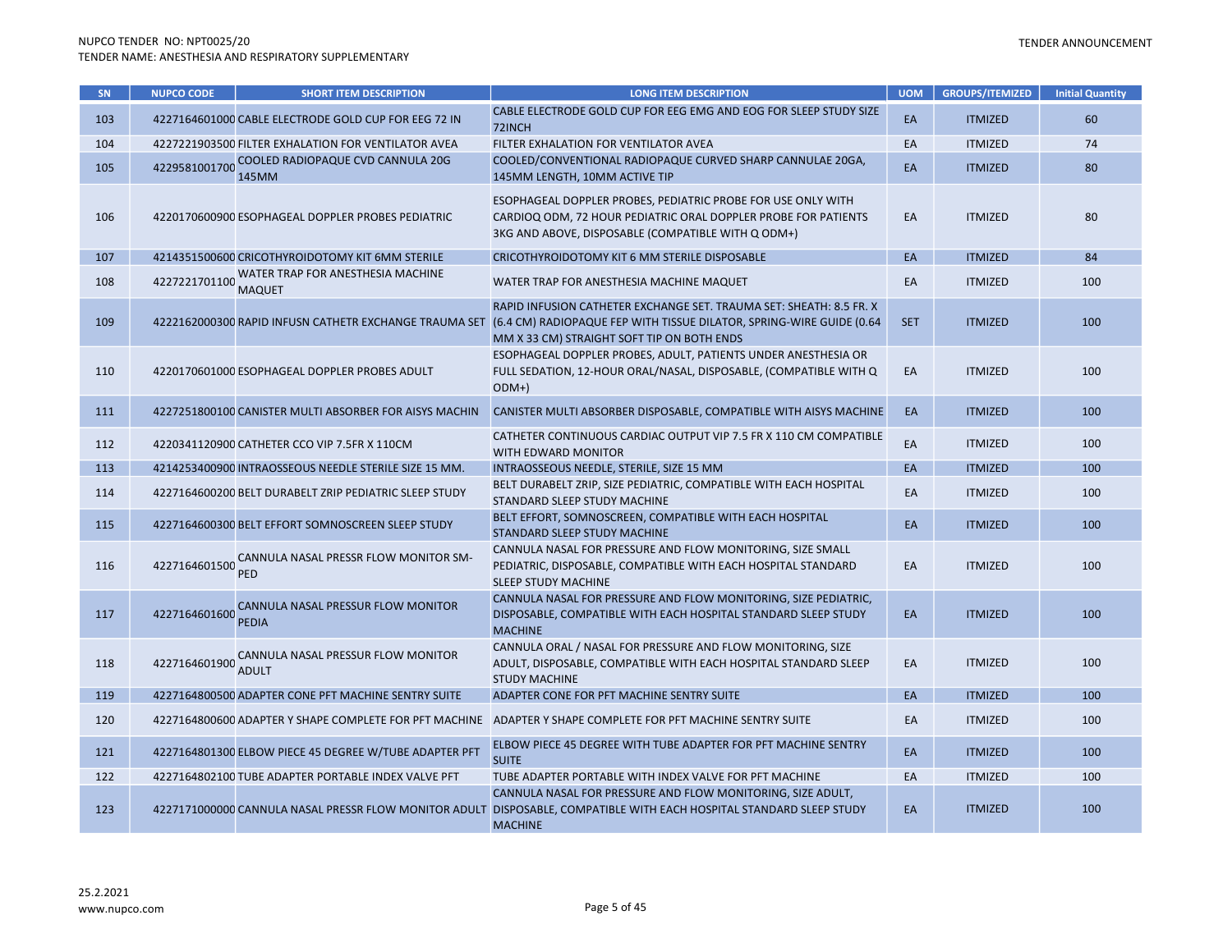| <b>SN</b> | <b>NUPCO CODE</b> | <b>SHORT ITEM DESCRIPTION</b>                          | <b>LONG ITEM DESCRIPTION</b>                                                                                                                                                              | <b>UOM</b> | <b>GROUPS/ITEMIZED</b> | <b>Initial Quantity</b> |
|-----------|-------------------|--------------------------------------------------------|-------------------------------------------------------------------------------------------------------------------------------------------------------------------------------------------|------------|------------------------|-------------------------|
| 103       |                   | 4227164601000 CABLE ELECTRODE GOLD CUP FOR EEG 72 IN   | CABLE ELECTRODE GOLD CUP FOR EEG EMG AND EOG FOR SLEEP STUDY SIZE<br>72INCH                                                                                                               | EA         | <b>ITMIZED</b>         | 60                      |
| 104       |                   | 4227221903500 FILTER EXHALATION FOR VENTILATOR AVEA    | FILTER EXHALATION FOR VENTILATOR AVEA                                                                                                                                                     | EA         | <b>ITMIZED</b>         | 74                      |
| 105       | 4229581001700     | COOLED RADIOPAQUE CVD CANNULA 20G<br>145MM             | COOLED/CONVENTIONAL RADIOPAQUE CURVED SHARP CANNULAE 20GA,<br>145MM LENGTH, 10MM ACTIVE TIP                                                                                               | EA         | <b>ITMIZED</b>         | 80                      |
| 106       |                   | 4220170600900 ESOPHAGEAL DOPPLER PROBES PEDIATRIC      | ESOPHAGEAL DOPPLER PROBES, PEDIATRIC PROBE FOR USE ONLY WITH<br>CARDIOQ ODM, 72 HOUR PEDIATRIC ORAL DOPPLER PROBE FOR PATIENTS<br>3KG AND ABOVE, DISPOSABLE (COMPATIBLE WITH Q ODM+)      | EA         | <b>ITMIZED</b>         | 80                      |
| 107       |                   | 4214351500600 CRICOTHYROIDOTOMY KIT 6MM STERILE        | CRICOTHYROIDOTOMY KIT 6 MM STERILE DISPOSABLE                                                                                                                                             | EA         | <b>ITMIZED</b>         | 84                      |
| 108       | 4227221701100     | WATER TRAP FOR ANESTHESIA MACHINE<br><b>MAQUET</b>     | WATER TRAP FOR ANESTHESIA MACHINE MAQUET                                                                                                                                                  | EA         | <b>ITMIZED</b>         | 100                     |
| 109       |                   | 4222162000300 RAPID INFUSN CATHETR EXCHANGE TRAUMA SET | RAPID INFUSION CATHETER EXCHANGE SET. TRAUMA SET: SHEATH: 8.5 FR. X<br>(6.4 CM) RADIOPAQUE FEP WITH TISSUE DILATOR, SPRING-WIRE GUIDE (0.64<br>MM X 33 CM) STRAIGHT SOFT TIP ON BOTH ENDS | <b>SET</b> | <b>ITMIZED</b>         | 100                     |
| 110       |                   | 4220170601000 ESOPHAGEAL DOPPLER PROBES ADULT          | ESOPHAGEAL DOPPLER PROBES, ADULT, PATIENTS UNDER ANESTHESIA OR<br>FULL SEDATION, 12-HOUR ORAL/NASAL, DISPOSABLE, (COMPATIBLE WITH Q<br>$ODM+$                                             | EA         | <b>ITMIZED</b>         | 100                     |
| 111       |                   | 4227251800100 CANISTER MULTI ABSORBER FOR AISYS MACHIN | CANISTER MULTI ABSORBER DISPOSABLE, COMPATIBLE WITH AISYS MACHINE                                                                                                                         | EA         | <b>ITMIZED</b>         | 100                     |
| 112       |                   | 4220341120900 CATHETER CCO VIP 7.5FR X 110CM           | CATHETER CONTINUOUS CARDIAC OUTPUT VIP 7.5 FR X 110 CM COMPATIBLE<br>WITH EDWARD MONITOR                                                                                                  | EA         | <b>ITMIZED</b>         | 100                     |
| 113       |                   | 4214253400900 INTRAOSSEOUS NEEDLE STERILE SIZE 15 MM.  | INTRAOSSEOUS NEEDLE, STERILE, SIZE 15 MM                                                                                                                                                  | EA         | <b>ITMIZED</b>         | 100                     |
| 114       |                   | 4227164600200 BELT DURABELT ZRIP PEDIATRIC SLEEP STUDY | BELT DURABELT ZRIP, SIZE PEDIATRIC, COMPATIBLE WITH EACH HOSPITAL<br>STANDARD SLEEP STUDY MACHINE                                                                                         | EA         | <b>ITMIZED</b>         | 100                     |
| 115       |                   | 4227164600300 BELT EFFORT SOMNOSCREEN SLEEP STUDY      | BELT EFFORT, SOMNOSCREEN, COMPATIBLE WITH EACH HOSPITAL<br>STANDARD SLEEP STUDY MACHINE                                                                                                   | EA         | <b>ITMIZED</b>         | 100                     |
| 116       | 4227164601500     | CANNULA NASAL PRESSR FLOW MONITOR SM-<br><b>PED</b>    | CANNULA NASAL FOR PRESSURE AND FLOW MONITORING, SIZE SMALL<br>PEDIATRIC, DISPOSABLE, COMPATIBLE WITH EACH HOSPITAL STANDARD<br><b>SLEEP STUDY MACHINE</b>                                 | EA         | <b>ITMIZED</b>         | 100                     |
| 117       | 4227164601600     | CANNULA NASAL PRESSUR FLOW MONITOR<br><b>PEDIA</b>     | CANNULA NASAL FOR PRESSURE AND FLOW MONITORING, SIZE PEDIATRIC,<br>DISPOSABLE, COMPATIBLE WITH EACH HOSPITAL STANDARD SLEEP STUDY<br><b>MACHINE</b>                                       | EA         | <b>ITMIZED</b>         | 100                     |
| 118       | 4227164601900     | CANNULA NASAL PRESSUR FLOW MONITOR<br><b>ADULT</b>     | CANNULA ORAL / NASAL FOR PRESSURE AND FLOW MONITORING, SIZE<br>ADULT, DISPOSABLE, COMPATIBLE WITH EACH HOSPITAL STANDARD SLEEP<br><b>STUDY MACHINE</b>                                    | EA         | <b>ITMIZED</b>         | 100                     |
| 119       |                   | 4227164800500 ADAPTER CONE PFT MACHINE SENTRY SUITE    | ADAPTER CONE FOR PFT MACHINE SENTRY SUITE                                                                                                                                                 | EA         | <b>ITMIZED</b>         | 100                     |
| 120       |                   | 4227164800600 ADAPTER Y SHAPE COMPLETE FOR PFT MACHINE | ADAPTER Y SHAPE COMPLETE FOR PFT MACHINE SENTRY SUITE                                                                                                                                     | EA         | <b>ITMIZED</b>         | 100                     |
| 121       |                   | 4227164801300 ELBOW PIECE 45 DEGREE W/TUBE ADAPTER PFT | ELBOW PIECE 45 DEGREE WITH TUBE ADAPTER FOR PFT MACHINE SENTRY<br><b>SUITE</b>                                                                                                            | EA         | <b>ITMIZED</b>         | 100                     |
| 122       |                   | 4227164802100 TUBE ADAPTER PORTABLE INDEX VALVE PFT    | TUBE ADAPTER PORTABLE WITH INDEX VALVE FOR PFT MACHINE                                                                                                                                    | EA         | <b>ITMIZED</b>         | 100                     |
| 123       |                   | 4227171000000 CANNULA NASAL PRESSR FLOW MONITOR ADULT  | CANNULA NASAL FOR PRESSURE AND FLOW MONITORING, SIZE ADULT,<br>DISPOSABLE, COMPATIBLE WITH EACH HOSPITAL STANDARD SLEEP STUDY<br><b>MACHINE</b>                                           | EA         | <b>ITMIZED</b>         | 100                     |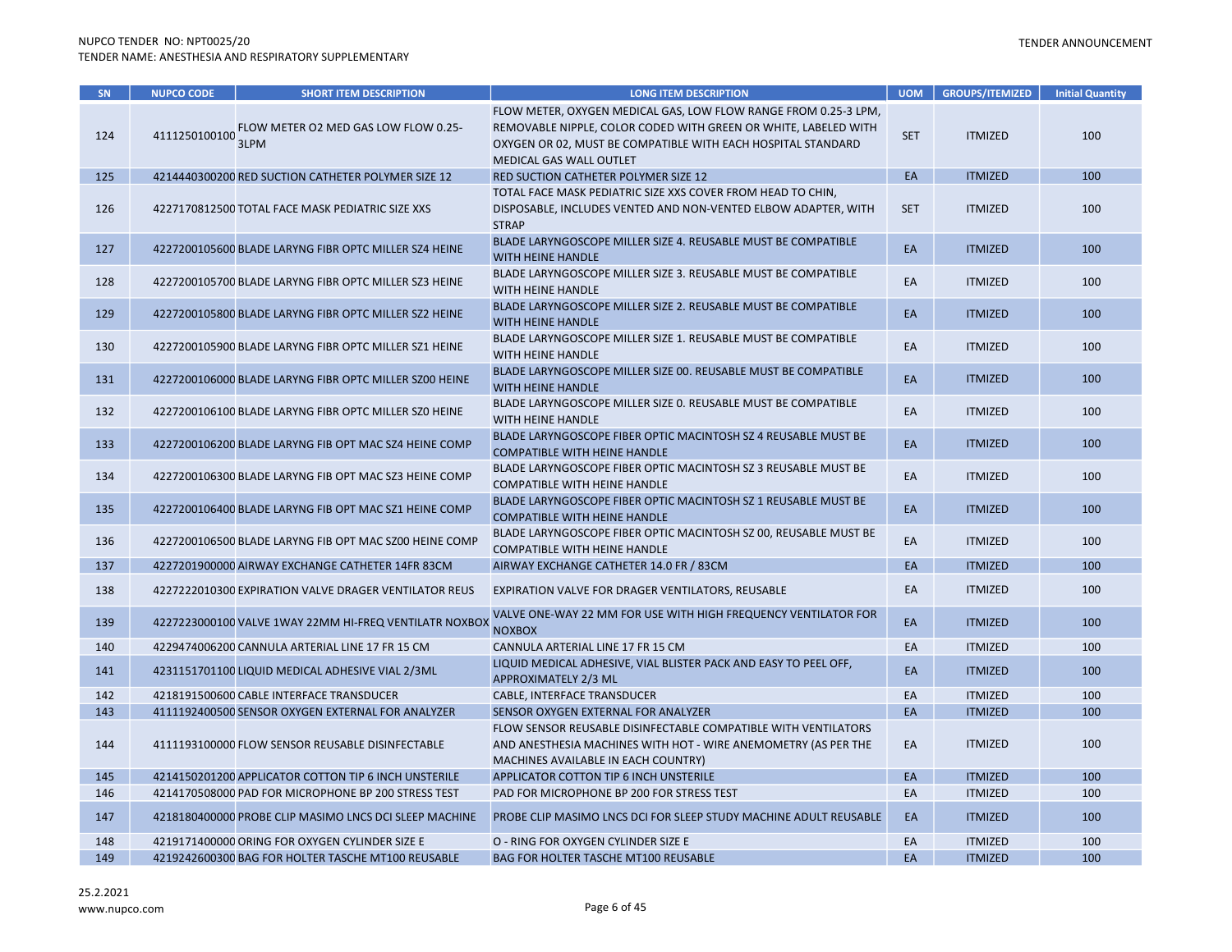| SN  | <b>NUPCO CODE</b>  | <b>SHORT ITEM DESCRIPTION</b>                          | <b>LONG ITEM DESCRIPTION</b>                                                                                                                                                                                                  | <b>UOM</b> | <b>GROUPS/ITEMIZED</b> | <b>Initial Quantity</b> |
|-----|--------------------|--------------------------------------------------------|-------------------------------------------------------------------------------------------------------------------------------------------------------------------------------------------------------------------------------|------------|------------------------|-------------------------|
| 124 | 4111250100100 3LPM | FLOW METER O2 MED GAS LOW FLOW 0.25-                   | FLOW METER, OXYGEN MEDICAL GAS, LOW FLOW RANGE FROM 0.25-3 LPM,<br>REMOVABLE NIPPLE, COLOR CODED WITH GREEN OR WHITE, LABELED WITH<br>OXYGEN OR 02, MUST BE COMPATIBLE WITH EACH HOSPITAL STANDARD<br>MEDICAL GAS WALL OUTLET | <b>SET</b> | <b>ITMIZED</b>         | 100                     |
| 125 |                    | 4214440300200 RED SUCTION CATHETER POLYMER SIZE 12     | RED SUCTION CATHETER POLYMER SIZE 12                                                                                                                                                                                          | EA         | <b>ITMIZED</b>         | 100                     |
| 126 |                    | 4227170812500 TOTAL FACE MASK PEDIATRIC SIZE XXS       | TOTAL FACE MASK PEDIATRIC SIZE XXS COVER FROM HEAD TO CHIN,<br>DISPOSABLE, INCLUDES VENTED AND NON-VENTED ELBOW ADAPTER, WITH<br><b>STRAP</b>                                                                                 | <b>SET</b> | <b>ITMIZED</b>         | 100                     |
| 127 |                    | 4227200105600 BLADE LARYNG FIBR OPTC MILLER SZ4 HEINE  | BLADE LARYNGOSCOPE MILLER SIZE 4. REUSABLE MUST BE COMPATIBLE<br><b>WITH HEINE HANDLE</b>                                                                                                                                     | EA         | <b>ITMIZED</b>         | 100                     |
| 128 |                    | 4227200105700 BLADE LARYNG FIBR OPTC MILLER SZ3 HEINE  | BLADE LARYNGOSCOPE MILLER SIZE 3. REUSABLE MUST BE COMPATIBLE<br>WITH HEINE HANDLE                                                                                                                                            | EA         | <b>ITMIZED</b>         | 100                     |
| 129 |                    | 4227200105800 BLADE LARYNG FIBR OPTC MILLER SZ2 HEINE  | BLADE LARYNGOSCOPE MILLER SIZE 2. REUSABLE MUST BE COMPATIBLE<br>WITH HEINE HANDLE                                                                                                                                            | EA         | <b>ITMIZED</b>         | 100                     |
| 130 |                    | 4227200105900 BLADE LARYNG FIBR OPTC MILLER SZ1 HEINE  | BLADE LARYNGOSCOPE MILLER SIZE 1. REUSABLE MUST BE COMPATIBLE<br>WITH HEINE HANDLE                                                                                                                                            | EA         | <b>ITMIZED</b>         | 100                     |
| 131 |                    | 4227200106000 BLADE LARYNG FIBR OPTC MILLER SZ00 HEINE | BLADE LARYNGOSCOPE MILLER SIZE 00. REUSABLE MUST BE COMPATIBLE<br><b>WITH HEINE HANDLE</b>                                                                                                                                    | EA         | <b>ITMIZED</b>         | 100                     |
| 132 |                    | 4227200106100 BLADE LARYNG FIBR OPTC MILLER SZ0 HEINE  | BLADE LARYNGOSCOPE MILLER SIZE 0. REUSABLE MUST BE COMPATIBLE<br>WITH HEINE HANDLE                                                                                                                                            | EA         | <b>ITMIZED</b>         | 100                     |
| 133 |                    | 4227200106200 BLADE LARYNG FIB OPT MAC SZ4 HEINE COMP  | BLADE LARYNGOSCOPE FIBER OPTIC MACINTOSH SZ 4 REUSABLE MUST BE<br><b>COMPATIBLE WITH HEINE HANDLE</b>                                                                                                                         | EA         | <b>ITMIZED</b>         | 100                     |
| 134 |                    | 4227200106300 BLADE LARYNG FIB OPT MAC SZ3 HEINE COMP  | BLADE LARYNGOSCOPE FIBER OPTIC MACINTOSH SZ 3 REUSABLE MUST BE<br><b>COMPATIBLE WITH HEINE HANDLE</b>                                                                                                                         | EA         | <b>ITMIZED</b>         | 100                     |
| 135 |                    | 4227200106400 BLADE LARYNG FIB OPT MAC SZ1 HEINE COMP  | BLADE LARYNGOSCOPE FIBER OPTIC MACINTOSH SZ 1 REUSABLE MUST BE<br><b>COMPATIBLE WITH HEINE HANDLE</b>                                                                                                                         | EA         | <b>ITMIZED</b>         | 100                     |
| 136 |                    | 4227200106500 BLADE LARYNG FIB OPT MAC SZ00 HEINE COMP | BLADE LARYNGOSCOPE FIBER OPTIC MACINTOSH SZ 00, REUSABLE MUST BE<br><b>COMPATIBLE WITH HEINE HANDLE</b>                                                                                                                       | EA         | <b>ITMIZED</b>         | 100                     |
| 137 |                    | 4227201900000 AIRWAY EXCHANGE CATHETER 14FR 83CM       | AIRWAY EXCHANGE CATHETER 14.0 FR / 83CM                                                                                                                                                                                       | EA         | <b>ITMIZED</b>         | 100                     |
| 138 |                    | 4227222010300 EXPIRATION VALVE DRAGER VENTILATOR REUS  | EXPIRATION VALVE FOR DRAGER VENTILATORS, REUSABLE                                                                                                                                                                             | EA         | <b>ITMIZED</b>         | 100                     |
| 139 |                    | 4227223000100 VALVE 1WAY 22MM HI-FREQ VENTILATR NOXBOX | VALVE ONE-WAY 22 MM FOR USE WITH HIGH FREQUENCY VENTILATOR FOR<br><b>NOXBOX</b>                                                                                                                                               | EA         | <b>ITMIZED</b>         | 100                     |
| 140 |                    | 4229474006200 CANNULA ARTERIAL LINE 17 FR 15 CM        | CANNULA ARTERIAL LINE 17 FR 15 CM                                                                                                                                                                                             | EA         | <b>ITMIZED</b>         | 100                     |
| 141 |                    | 4231151701100 LIQUID MEDICAL ADHESIVE VIAL 2/3ML       | LIQUID MEDICAL ADHESIVE, VIAL BLISTER PACK AND EASY TO PEEL OFF,<br>APPROXIMATELY 2/3 ML                                                                                                                                      | EA         | <b>ITMIZED</b>         | 100                     |
| 142 |                    | 4218191500600 CABLE INTERFACE TRANSDUCER               | CABLE, INTERFACE TRANSDUCER                                                                                                                                                                                                   | EA         | <b>ITMIZED</b>         | 100                     |
| 143 |                    | 4111192400500 SENSOR OXYGEN EXTERNAL FOR ANALYZER      | SENSOR OXYGEN EXTERNAL FOR ANALYZER                                                                                                                                                                                           | EA         | <b>ITMIZED</b>         | 100                     |
| 144 |                    | 4111193100000 FLOW SENSOR REUSABLE DISINFECTABLE       | FLOW SENSOR REUSABLE DISINFECTABLE COMPATIBLE WITH VENTILATORS<br>AND ANESTHESIA MACHINES WITH HOT - WIRE ANEMOMETRY (AS PER THE<br>MACHINES AVAILABLE IN EACH COUNTRY)                                                       | EA         | <b>ITMIZED</b>         | 100                     |
| 145 |                    | 4214150201200 APPLICATOR COTTON TIP 6 INCH UNSTERILE   | APPLICATOR COTTON TIP 6 INCH UNSTERILE                                                                                                                                                                                        | EA         | <b>ITMIZED</b>         | 100                     |
| 146 |                    | 4214170508000 PAD FOR MICROPHONE BP 200 STRESS TEST    | PAD FOR MICROPHONE BP 200 FOR STRESS TEST                                                                                                                                                                                     | EA         | <b>ITMIZED</b>         | 100                     |
| 147 |                    | 4218180400000 PROBE CLIP MASIMO LNCS DCI SLEEP MACHINE | PROBE CLIP MASIMO LNCS DCI FOR SLEEP STUDY MACHINE ADULT REUSABLE                                                                                                                                                             | EA         | <b>ITMIZED</b>         | 100                     |
| 148 |                    | 4219171400000 ORING FOR OXYGEN CYLINDER SIZE E         | O - RING FOR OXYGEN CYLINDER SIZE E                                                                                                                                                                                           | EA         | <b>ITMIZED</b>         | 100                     |
| 149 |                    | 4219242600300 BAG FOR HOLTER TASCHE MT100 REUSABLE     | <b>BAG FOR HOLTER TASCHE MT100 REUSABLE</b>                                                                                                                                                                                   | EA         | <b>ITMIZED</b>         | 100                     |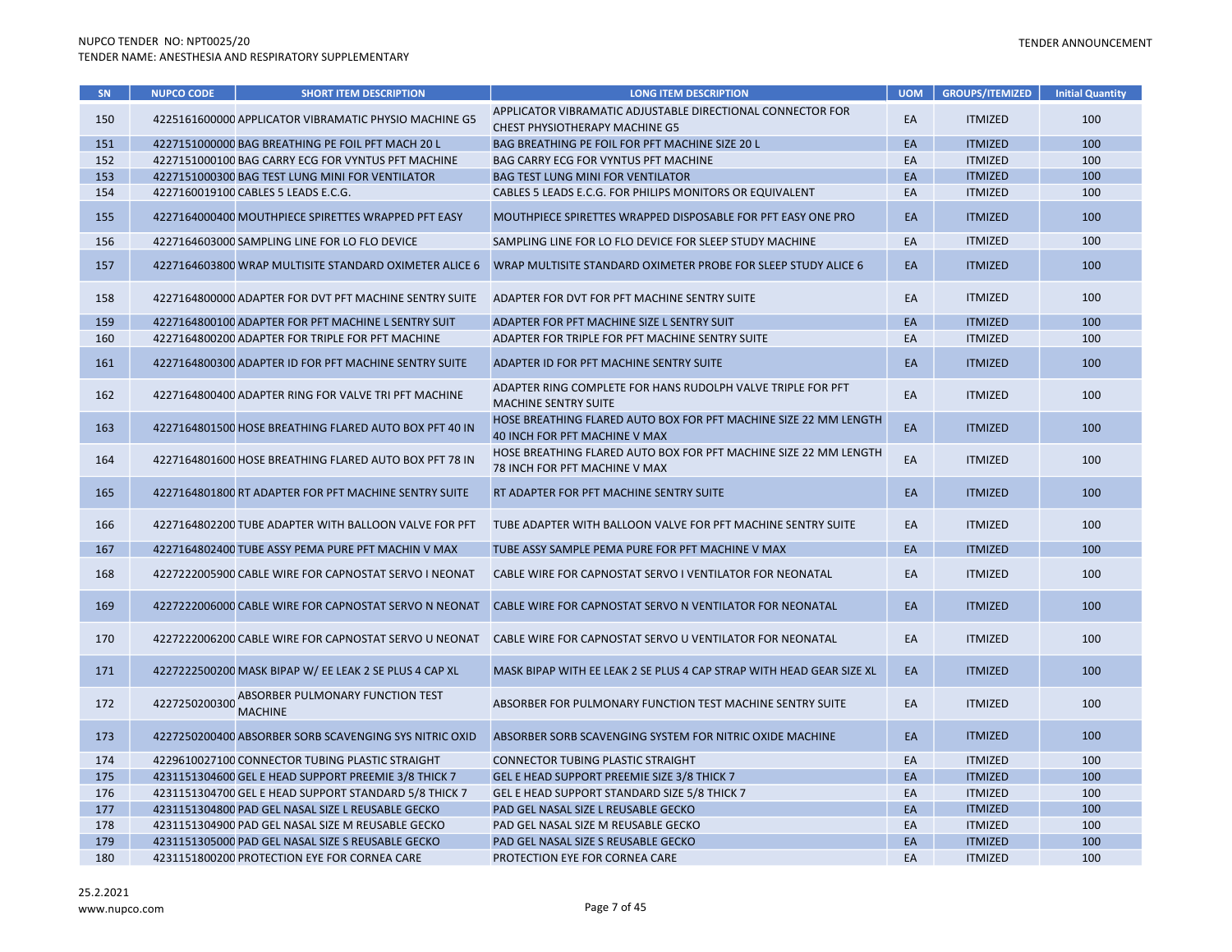| SN  | <b>NUPCO CODE</b> | <b>SHORT ITEM DESCRIPTION</b>                                    | <b>LONG ITEM DESCRIPTION</b>                                                                      | <b>UOM</b> | <b>GROUPS/ITEMIZED</b> | <b>Initial Quantity</b> |
|-----|-------------------|------------------------------------------------------------------|---------------------------------------------------------------------------------------------------|------------|------------------------|-------------------------|
|     |                   |                                                                  | APPLICATOR VIBRAMATIC ADJUSTABLE DIRECTIONAL CONNECTOR FOR                                        |            |                        |                         |
| 150 |                   | 4225161600000 APPLICATOR VIBRAMATIC PHYSIO MACHINE G5            | <b>CHEST PHYSIOTHERAPY MACHINE G5</b>                                                             | EA         | <b>ITMIZED</b>         | 100                     |
| 151 |                   | 4227151000000 BAG BREATHING PE FOIL PFT MACH 20 L                | BAG BREATHING PE FOIL FOR PFT MACHINE SIZE 20 L                                                   | EA         | <b>ITMIZED</b>         | 100                     |
| 152 |                   | 4227151000100 BAG CARRY ECG FOR VYNTUS PFT MACHINE               | BAG CARRY ECG FOR VYNTUS PFT MACHINE                                                              | EA         | <b>ITMIZED</b>         | 100                     |
| 153 |                   | 4227151000300 BAG TEST LUNG MINI FOR VENTILATOR                  | <b>BAG TEST LUNG MINI FOR VENTILATOR</b>                                                          | EA         | <b>ITMIZED</b>         | 100                     |
| 154 |                   | 4227160019100 CABLES 5 LEADS E.C.G.                              | CABLES 5 LEADS E.C.G. FOR PHILIPS MONITORS OR EQUIVALENT                                          | EA         | <b>ITMIZED</b>         | 100                     |
| 155 |                   | 4227164000400 MOUTHPIECE SPIRETTES WRAPPED PFT EASY              | MOUTHPIECE SPIRETTES WRAPPED DISPOSABLE FOR PFT EASY ONE PRO                                      | EA         | <b>ITMIZED</b>         | 100                     |
| 156 |                   | 4227164603000 SAMPLING LINE FOR LO FLO DEVICE                    | SAMPLING LINE FOR LO FLO DEVICE FOR SLEEP STUDY MACHINE                                           | EA         | <b>ITMIZED</b>         | 100                     |
| 157 |                   | 4227164603800 WRAP MULTISITE STANDARD OXIMETER ALICE 6           | WRAP MULTISITE STANDARD OXIMETER PROBE FOR SLEEP STUDY ALICE 6                                    | EA         | <b>ITMIZED</b>         | 100                     |
| 158 |                   | 4227164800000 ADAPTER FOR DVT PFT MACHINE SENTRY SUITE           | ADAPTER FOR DVT FOR PFT MACHINE SENTRY SUITE                                                      | EA         | <b>ITMIZED</b>         | 100                     |
| 159 |                   | 4227164800100 ADAPTER FOR PFT MACHINE L SENTRY SUIT              | ADAPTER FOR PFT MACHINE SIZE L SENTRY SUIT                                                        | EA         | <b>ITMIZED</b>         | 100                     |
| 160 |                   | 4227164800200 ADAPTER FOR TRIPLE FOR PFT MACHINE                 | ADAPTER FOR TRIPLE FOR PFT MACHINE SENTRY SUITE                                                   | EA         | <b>ITMIZED</b>         | 100                     |
| 161 |                   | 4227164800300 ADAPTER ID FOR PFT MACHINE SENTRY SUITE            | ADAPTER ID FOR PFT MACHINE SENTRY SUITE                                                           | EA         | <b>ITMIZED</b>         | 100                     |
| 162 |                   | 4227164800400 ADAPTER RING FOR VALVE TRI PFT MACHINE             | ADAPTER RING COMPLETE FOR HANS RUDOLPH VALVE TRIPLE FOR PFT<br><b>MACHINE SENTRY SUITE</b>        | EA         | <b>ITMIZED</b>         | 100                     |
| 163 |                   | 4227164801500 HOSE BREATHING FLARED AUTO BOX PFT 40 IN           | HOSE BREATHING FLARED AUTO BOX FOR PFT MACHINE SIZE 22 MM LENGTH<br>40 INCH FOR PFT MACHINE V MAX | EA         | <b>ITMIZED</b>         | 100                     |
| 164 |                   | 4227164801600 HOSE BREATHING FLARED AUTO BOX PFT 78 IN           | HOSE BREATHING FLARED AUTO BOX FOR PFT MACHINE SIZE 22 MM LENGTH<br>78 INCH FOR PFT MACHINE V MAX | EA         | <b>ITMIZED</b>         | 100                     |
| 165 |                   | 4227164801800 RT ADAPTER FOR PFT MACHINE SENTRY SUITE            | RT ADAPTER FOR PFT MACHINE SENTRY SUITE                                                           | EA         | <b>ITMIZED</b>         | 100                     |
| 166 |                   | 4227164802200 TUBE ADAPTER WITH BALLOON VALVE FOR PFT            | TUBE ADAPTER WITH BALLOON VALVE FOR PFT MACHINE SENTRY SUITE                                      | EA         | <b>ITMIZED</b>         | 100                     |
| 167 |                   | 4227164802400 TUBE ASSY PEMA PURE PFT MACHIN V MAX               | TUBE ASSY SAMPLE PEMA PURE FOR PFT MACHINE V MAX                                                  | EA         | <b>ITMIZED</b>         | 100                     |
| 168 |                   | 4227222005900 CABLE WIRE FOR CAPNOSTAT SERVO I NEONAT            | CABLE WIRE FOR CAPNOSTAT SERVO I VENTILATOR FOR NEONATAL                                          | EA         | <b>ITMIZED</b>         | 100                     |
| 169 |                   | 4227222006000 CABLE WIRE FOR CAPNOSTAT SERVO N NEONAT            | CABLE WIRE FOR CAPNOSTAT SERVO N VENTILATOR FOR NEONATAL                                          | EA         | <b>ITMIZED</b>         | 100                     |
| 170 |                   | 4227222006200 CABLE WIRE FOR CAPNOSTAT SERVO U NEONAT            | CABLE WIRE FOR CAPNOSTAT SERVO U VENTILATOR FOR NEONATAL                                          | EA         | <b>ITMIZED</b>         | 100                     |
| 171 |                   | 4227222500200 MASK BIPAP W/ EE LEAK 2 SE PLUS 4 CAP XL           | MASK BIPAP WITH EE LEAK 2 SE PLUS 4 CAP STRAP WITH HEAD GEAR SIZE XL                              | EA         | <b>ITMIZED</b>         | 100                     |
| 172 |                   | 4227250200300 ABSORBER PULMONARY FUNCTION TEST<br><b>MACHINE</b> | ABSORBER FOR PULMONARY FUNCTION TEST MACHINE SENTRY SUITE                                         | EA         | <b>ITMIZED</b>         | 100                     |
| 173 |                   | 4227250200400 ABSORBER SORB SCAVENGING SYS NITRIC OXID           | ABSORBER SORB SCAVENGING SYSTEM FOR NITRIC OXIDE MACHINE                                          | EA         | <b>ITMIZED</b>         | 100                     |
| 174 |                   | 4229610027100 CONNECTOR TUBING PLASTIC STRAIGHT                  | CONNECTOR TUBING PLASTIC STRAIGHT                                                                 | EA         | <b>ITMIZED</b>         | 100                     |
| 175 |                   | 4231151304600 GEL E HEAD SUPPORT PREEMIE 3/8 THICK 7             | GEL E HEAD SUPPORT PREEMIE SIZE 3/8 THICK 7                                                       | EA         | <b>ITMIZED</b>         | 100                     |
| 176 |                   | 4231151304700 GEL E HEAD SUPPORT STANDARD 5/8 THICK 7            | GEL E HEAD SUPPORT STANDARD SIZE 5/8 THICK 7                                                      | EA         | <b>ITMIZED</b>         | 100                     |
| 177 |                   | 4231151304800 PAD GEL NASAL SIZE L REUSABLE GECKO                | PAD GEL NASAL SIZE L REUSABLE GECKO                                                               | EA         | <b>ITMIZED</b>         | 100                     |
| 178 |                   | 4231151304900 PAD GEL NASAL SIZE M REUSABLE GECKO                | PAD GEL NASAL SIZE M REUSABLE GECKO                                                               | EA         | <b>ITMIZED</b>         | 100                     |
| 179 |                   | 4231151305000 PAD GEL NASAL SIZE S REUSABLE GECKO                | PAD GEL NASAL SIZE S REUSABLE GECKO                                                               | EA         | <b>ITMIZED</b>         | 100                     |
| 180 |                   | 4231151800200 PROTECTION EYE FOR CORNEA CARE                     | PROTECTION EYE FOR CORNEA CARE                                                                    | EA         | <b>ITMIZED</b>         | 100                     |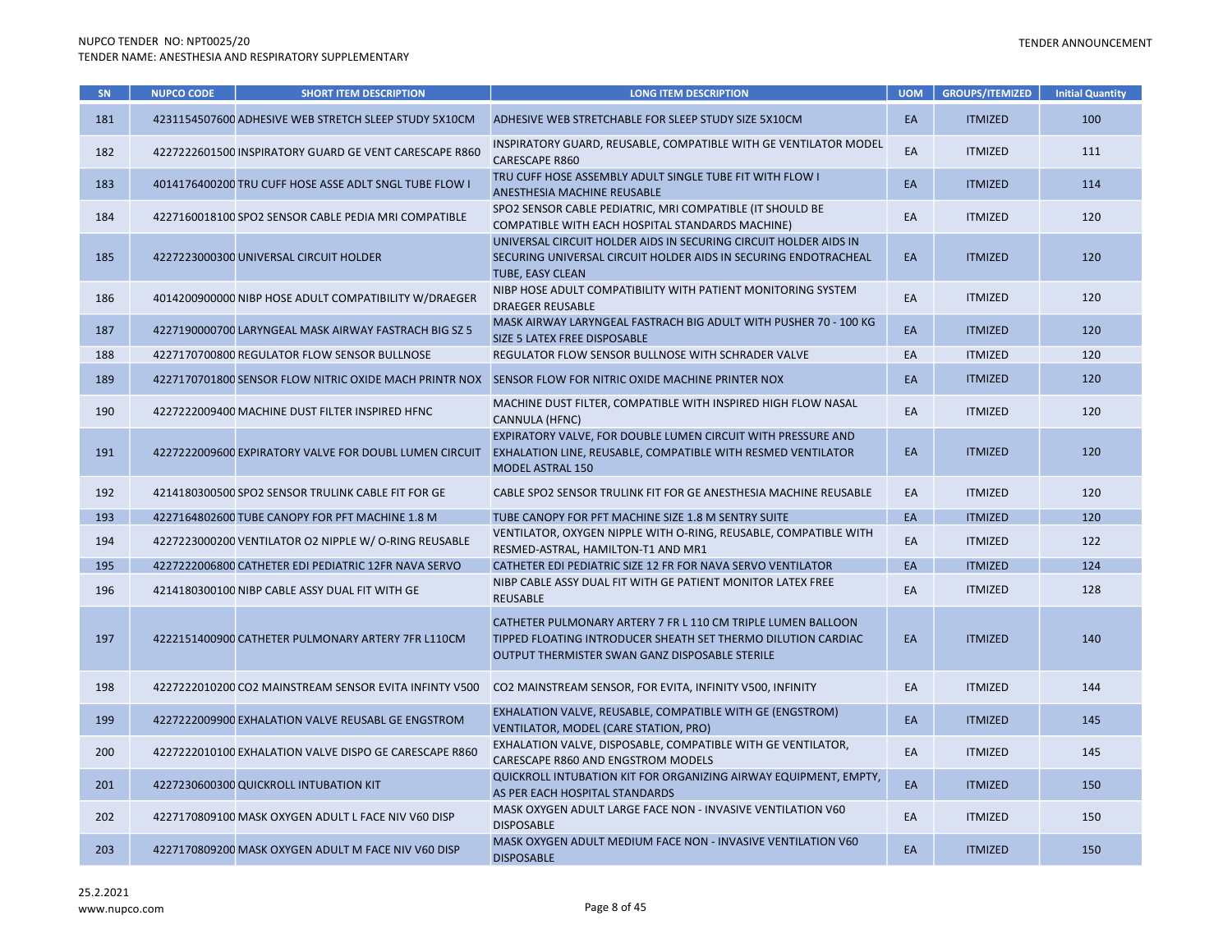### TENDER ANNOUNCEMENT

| SN  | <b>NUPCO CODE</b> | <b>SHORT ITEM DESCRIPTION</b>                          | <b>LONG ITEM DESCRIPTION</b>                                                                                                                                                    | <b>UOM</b> | <b>GROUPS/ITEMIZED</b> | <b>Initial Quantity</b> |
|-----|-------------------|--------------------------------------------------------|---------------------------------------------------------------------------------------------------------------------------------------------------------------------------------|------------|------------------------|-------------------------|
| 181 |                   | 4231154507600 ADHESIVE WEB STRETCH SLEEP STUDY 5X10CM  | ADHESIVE WEB STRETCHABLE FOR SLEEP STUDY SIZE 5X10CM                                                                                                                            | EA         | <b>ITMIZED</b>         | 100                     |
| 182 |                   | 4227222601500 INSPIRATORY GUARD GE VENT CARESCAPE R860 | INSPIRATORY GUARD, REUSABLE, COMPATIBLE WITH GE VENTILATOR MODEL<br><b>CARESCAPE R860</b>                                                                                       | EA         | <b>ITMIZED</b>         | 111                     |
| 183 |                   | 4014176400200 TRU CUFF HOSE ASSE ADLT SNGL TUBE FLOW I | TRU CUFF HOSE ASSEMBLY ADULT SINGLE TUBE FIT WITH FLOW I<br>ANESTHESIA MACHINE REUSABLE                                                                                         | EA         | <b>ITMIZED</b>         | 114                     |
| 184 |                   | 4227160018100 SPO2 SENSOR CABLE PEDIA MRI COMPATIBLE   | SPO2 SENSOR CABLE PEDIATRIC, MRI COMPATIBLE (IT SHOULD BE<br>COMPATIBLE WITH EACH HOSPITAL STANDARDS MACHINE)                                                                   | EA         | <b>ITMIZED</b>         | 120                     |
| 185 |                   | 4227223000300 UNIVERSAL CIRCUIT HOLDER                 | UNIVERSAL CIRCUIT HOLDER AIDS IN SECURING CIRCUIT HOLDER AIDS IN<br>SECURING UNIVERSAL CIRCUIT HOLDER AIDS IN SECURING ENDOTRACHEAL<br>TUBE, EASY CLEAN                         | EA         | <b>ITMIZED</b>         | 120                     |
| 186 |                   | 4014200900000 NIBP HOSE ADULT COMPATIBILITY W/DRAEGER  | NIBP HOSE ADULT COMPATIBILITY WITH PATIENT MONITORING SYSTEM<br><b>DRAEGER REUSABLE</b>                                                                                         | EA         | <b>ITMIZED</b>         | 120                     |
| 187 |                   | 4227190000700 LARYNGEAL MASK AIRWAY FASTRACH BIG SZ 5  | MASK AIRWAY LARYNGEAL FASTRACH BIG ADULT WITH PUSHER 70 - 100 KG<br>SIZE 5 LATEX FREE DISPOSABLE                                                                                | EA         | <b>ITMIZED</b>         | 120                     |
| 188 |                   | 4227170700800 REGULATOR FLOW SENSOR BULLNOSE           | REGULATOR FLOW SENSOR BULLNOSE WITH SCHRADER VALVE                                                                                                                              | EA         | <b>ITMIZED</b>         | 120                     |
| 189 |                   | 4227170701800 SENSOR FLOW NITRIC OXIDE MACH PRINTR NOX | SENSOR FLOW FOR NITRIC OXIDE MACHINE PRINTER NOX                                                                                                                                | EA         | <b>ITMIZED</b>         | 120                     |
| 190 |                   | 4227222009400 MACHINE DUST FILTER INSPIRED HFNC        | MACHINE DUST FILTER, COMPATIBLE WITH INSPIRED HIGH FLOW NASAL<br><b>CANNULA (HFNC)</b>                                                                                          | EA         | <b>ITMIZED</b>         | 120                     |
| 191 |                   | 4227222009600 EXPIRATORY VALVE FOR DOUBL LUMEN CIRCUIT | EXPIRATORY VALVE, FOR DOUBLE LUMEN CIRCUIT WITH PRESSURE AND<br>EXHALATION LINE, REUSABLE, COMPATIBLE WITH RESMED VENTILATOR<br><b>MODEL ASTRAL 150</b>                         | EA         | <b>ITMIZED</b>         | 120                     |
| 192 |                   | 4214180300500 SPO2 SENSOR TRULINK CABLE FIT FOR GE     | CABLE SPO2 SENSOR TRULINK FIT FOR GE ANESTHESIA MACHINE REUSABLE                                                                                                                | EA         | <b>ITMIZED</b>         | 120                     |
| 193 |                   | 4227164802600 TUBE CANOPY FOR PFT MACHINE 1.8 M        | TUBE CANOPY FOR PFT MACHINE SIZE 1.8 M SENTRY SUITE                                                                                                                             | EA         | <b>ITMIZED</b>         | 120                     |
| 194 |                   | 4227223000200 VENTILATOR O2 NIPPLE W/ O-RING REUSABLE  | VENTILATOR, OXYGEN NIPPLE WITH O-RING, REUSABLE, COMPATIBLE WITH<br>RESMED-ASTRAL, HAMILTON-T1 AND MR1                                                                          | EA         | <b>ITMIZED</b>         | 122                     |
| 195 |                   | 4227222006800 CATHETER EDI PEDIATRIC 12FR NAVA SERVO   | CATHETER EDI PEDIATRIC SIZE 12 FR FOR NAVA SERVO VENTILATOR                                                                                                                     | EA         | <b>ITMIZED</b>         | 124                     |
| 196 |                   | 4214180300100 NIBP CABLE ASSY DUAL FIT WITH GE         | NIBP CABLE ASSY DUAL FIT WITH GE PATIENT MONITOR LATEX FREE<br><b>REUSABLE</b>                                                                                                  | EA         | <b>ITMIZED</b>         | 128                     |
| 197 |                   | 4222151400900 CATHETER PULMONARY ARTERY 7FR L110CM     | CATHETER PULMONARY ARTERY 7 FR L 110 CM TRIPLE LUMEN BALLOON<br>TIPPED FLOATING INTRODUCER SHEATH SET THERMO DILUTION CARDIAC<br>OUTPUT THERMISTER SWAN GANZ DISPOSABLE STERILE | EA         | <b>ITMIZED</b>         | 140                     |
| 198 |                   | 4227222010200 CO2 MAINSTREAM SENSOR EVITA INFINTY V500 | CO2 MAINSTREAM SENSOR, FOR EVITA, INFINITY V500, INFINITY                                                                                                                       | EA         | <b>ITMIZED</b>         | 144                     |
| 199 |                   | 4227222009900 EXHALATION VALVE REUSABL GE ENGSTROM     | EXHALATION VALVE, REUSABLE, COMPATIBLE WITH GE (ENGSTROM)<br>VENTILATOR, MODEL (CARE STATION, PRO)                                                                              | EA         | <b>ITMIZED</b>         | 145                     |
| 200 |                   | 4227222010100 EXHALATION VALVE DISPO GE CARESCAPE R860 | EXHALATION VALVE, DISPOSABLE, COMPATIBLE WITH GE VENTILATOR,<br>CARESCAPE R860 AND ENGSTROM MODELS                                                                              | EA         | <b>ITMIZED</b>         | 145                     |
| 201 |                   | 4227230600300 QUICKROLL INTUBATION KIT                 | QUICKROLL INTUBATION KIT FOR ORGANIZING AIRWAY EQUIPMENT, EMPTY,<br>AS PER EACH HOSPITAL STANDARDS                                                                              | EA         | <b>ITMIZED</b>         | 150                     |
| 202 |                   | 4227170809100 MASK OXYGEN ADULT L FACE NIV V60 DISP    | MASK OXYGEN ADULT LARGE FACE NON - INVASIVE VENTILATION V60<br><b>DISPOSABLE</b>                                                                                                | EA         | <b>ITMIZED</b>         | 150                     |
| 203 |                   | 4227170809200 MASK OXYGEN ADULT M FACE NIV V60 DISP    | MASK OXYGEN ADULT MEDIUM FACE NON - INVASIVE VENTILATION V60<br><b>DISPOSABLE</b>                                                                                               | EA         | <b>ITMIZED</b>         | 150                     |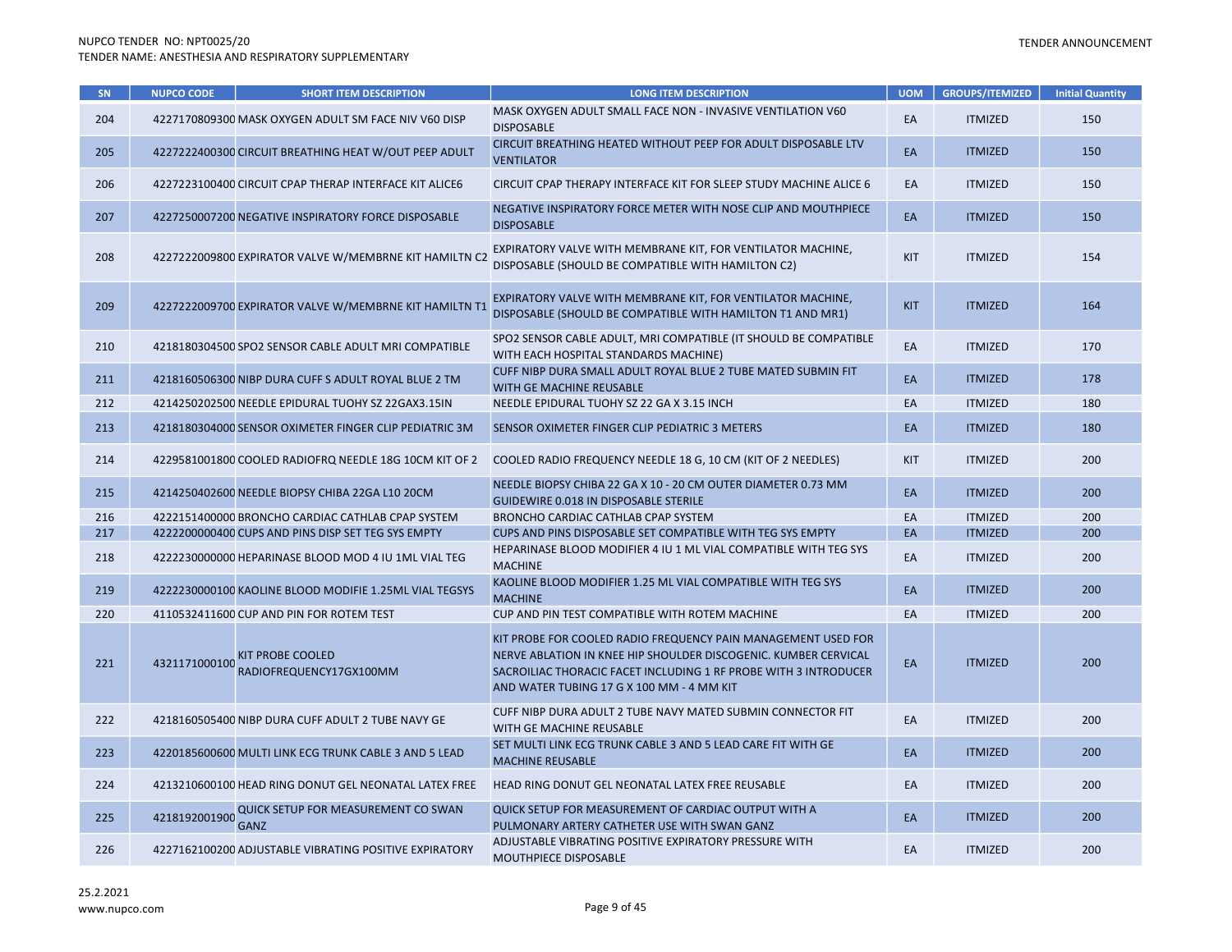| SN  | <b>NUPCO CODE</b> | <b>SHORT ITEM DESCRIPTION</b>                          | <b>LONG ITEM DESCRIPTION</b>                                                                                                                                                                                                                      | <b>UOM</b> | <b>GROUPS/ITEMIZED</b> | <b>Initial Quantity</b> |
|-----|-------------------|--------------------------------------------------------|---------------------------------------------------------------------------------------------------------------------------------------------------------------------------------------------------------------------------------------------------|------------|------------------------|-------------------------|
| 204 |                   | 4227170809300 MASK OXYGEN ADULT SM FACE NIV V60 DISP   | MASK OXYGEN ADULT SMALL FACE NON - INVASIVE VENTILATION V60<br><b>DISPOSABLE</b>                                                                                                                                                                  | EA         | <b>ITMIZED</b>         | 150                     |
| 205 |                   | 4227222400300 CIRCUIT BREATHING HEAT W/OUT PEEP ADULT  | CIRCUIT BREATHING HEATED WITHOUT PEEP FOR ADULT DISPOSABLE LTV<br><b>VENTILATOR</b>                                                                                                                                                               | EA         | <b>ITMIZED</b>         | 150                     |
| 206 |                   | 4227223100400 CIRCUIT CPAP THERAP INTERFACE KIT ALICE6 | CIRCUIT CPAP THERAPY INTERFACE KIT FOR SLEEP STUDY MACHINE ALICE 6                                                                                                                                                                                | EA         | <b>ITMIZED</b>         | 150                     |
| 207 |                   | 4227250007200 NEGATIVE INSPIRATORY FORCE DISPOSABLE    | NEGATIVE INSPIRATORY FORCE METER WITH NOSE CLIP AND MOUTHPIECE<br><b>DISPOSABLE</b>                                                                                                                                                               | EA         | <b>ITMIZED</b>         | 150                     |
| 208 |                   | 4227222009800 EXPIRATOR VALVE W/MEMBRNE KIT HAMILTN C2 | EXPIRATORY VALVE WITH MEMBRANE KIT, FOR VENTILATOR MACHINE,<br>DISPOSABLE (SHOULD BE COMPATIBLE WITH HAMILTON C2)                                                                                                                                 | <b>KIT</b> | <b>ITMIZED</b>         | 154                     |
| 209 |                   | 4227222009700 EXPIRATOR VALVE W/MEMBRNE KIT HAMILTN T1 | EXPIRATORY VALVE WITH MEMBRANE KIT, FOR VENTILATOR MACHINE,<br>DISPOSABLE (SHOULD BE COMPATIBLE WITH HAMILTON T1 AND MR1)                                                                                                                         | <b>KIT</b> | <b>ITMIZED</b>         | 164                     |
| 210 |                   | 4218180304500 SPO2 SENSOR CABLE ADULT MRI COMPATIBLE   | SPO2 SENSOR CABLE ADULT, MRI COMPATIBLE (IT SHOULD BE COMPATIBLE<br>WITH EACH HOSPITAL STANDARDS MACHINE)                                                                                                                                         | EA         | <b>ITMIZED</b>         | 170                     |
| 211 |                   | 4218160506300 NIBP DURA CUFF S ADULT ROYAL BLUE 2 TM   | CUFF NIBP DURA SMALL ADULT ROYAL BLUE 2 TUBE MATED SUBMIN FIT<br>WITH GE MACHINE REUSABLE                                                                                                                                                         | EA         | <b>ITMIZED</b>         | 178                     |
| 212 |                   | 4214250202500 NEEDLE EPIDURAL TUOHY SZ 22GAX3.15IN     | NEEDLE EPIDURAL TUOHY SZ 22 GA X 3.15 INCH                                                                                                                                                                                                        | EA         | <b>ITMIZED</b>         | 180                     |
| 213 |                   | 4218180304000 SENSOR OXIMETER FINGER CLIP PEDIATRIC 3M | SENSOR OXIMETER FINGER CLIP PEDIATRIC 3 METERS                                                                                                                                                                                                    | EA         | <b>ITMIZED</b>         | 180                     |
| 214 |                   | 4229581001800 COOLED RADIOFRQ NEEDLE 18G 10CM KIT OF 2 | COOLED RADIO FREQUENCY NEEDLE 18 G, 10 CM (KIT OF 2 NEEDLES)                                                                                                                                                                                      | <b>KIT</b> | <b>ITMIZED</b>         | 200                     |
| 215 |                   | 4214250402600 NEEDLE BIOPSY CHIBA 22GA L10 20CM        | NEEDLE BIOPSY CHIBA 22 GA X 10 - 20 CM OUTER DIAMETER 0.73 MM<br><b>GUIDEWIRE 0.018 IN DISPOSABLE STERILE</b>                                                                                                                                     | EA         | <b>ITMIZED</b>         | 200                     |
| 216 |                   | 4222151400000 BRONCHO CARDIAC CATHLAB CPAP SYSTEM      | BRONCHO CARDIAC CATHLAB CPAP SYSTEM                                                                                                                                                                                                               | EA         | <b>ITMIZED</b>         | 200                     |
| 217 |                   | 4222200000400 CUPS AND PINS DISP SET TEG SYS EMPTY     | CUPS AND PINS DISPOSABLE SET COMPATIBLE WITH TEG SYS EMPTY                                                                                                                                                                                        | EA         | <b>ITMIZED</b>         | 200                     |
| 218 |                   | 4222230000000 HEPARINASE BLOOD MOD 4 IU 1ML VIAL TEG   | HEPARINASE BLOOD MODIFIER 4 IU 1 ML VIAL COMPATIBLE WITH TEG SYS<br><b>MACHINE</b>                                                                                                                                                                | EA         | <b>ITMIZED</b>         | 200                     |
| 219 |                   | 4222230000100 KAOLINE BLOOD MODIFIE 1.25ML VIAL TEGSYS | KAOLINE BLOOD MODIFIER 1.25 ML VIAL COMPATIBLE WITH TEG SYS<br><b>MACHINE</b>                                                                                                                                                                     | EA         | <b>ITMIZED</b>         | 200                     |
| 220 |                   | 4110532411600 CUP AND PIN FOR ROTEM TEST               | CUP AND PIN TEST COMPATIBLE WITH ROTEM MACHINE                                                                                                                                                                                                    | EA         | <b>ITMIZED</b>         | 200                     |
| 221 | 4321171000100     | <b>KIT PROBE COOLED</b><br>RADIOFREQUENCY17GX100MM     | KIT PROBE FOR COOLED RADIO FREQUENCY PAIN MANAGEMENT USED FOR<br>NERVE ABLATION IN KNEE HIP SHOULDER DISCOGENIC. KUMBER CERVICAL<br>SACROILIAC THORACIC FACET INCLUDING 1 RF PROBE WITH 3 INTRODUCER<br>AND WATER TUBING 17 G X 100 MM - 4 MM KIT | EA         | <b>ITMIZED</b>         | 200                     |
| 222 |                   | 4218160505400 NIBP DURA CUFF ADULT 2 TUBE NAVY GE      | CUFF NIBP DURA ADULT 2 TUBE NAVY MATED SUBMIN CONNECTOR FIT<br>WITH GE MACHINE REUSABLE                                                                                                                                                           | EA         | <b>ITMIZED</b>         | 200                     |
| 223 |                   | 4220185600600 MULTI LINK ECG TRUNK CABLE 3 AND 5 LEAD  | SET MULTI LINK ECG TRUNK CABLE 3 AND 5 LEAD CARE FIT WITH GE<br><b>MACHINE REUSABLE</b>                                                                                                                                                           | EA         | <b>ITMIZED</b>         | 200                     |
| 224 |                   | 4213210600100 HEAD RING DONUT GEL NEONATAL LATEX FREE  | HEAD RING DONUT GEL NEONATAL LATEX FREE REUSABLE                                                                                                                                                                                                  | EA         | <b>ITMIZED</b>         | 200                     |
| 225 | 4218192001900     | QUICK SETUP FOR MEASUREMENT CO SWAN<br><b>GANZ</b>     | QUICK SETUP FOR MEASUREMENT OF CARDIAC OUTPUT WITH A<br>PULMONARY ARTERY CATHETER USE WITH SWAN GANZ                                                                                                                                              | EA         | <b>ITMIZED</b>         | 200                     |
| 226 |                   | 4227162100200 ADJUSTABLE VIBRATING POSITIVE EXPIRATORY | ADJUSTABLE VIBRATING POSITIVE EXPIRATORY PRESSURE WITH<br>MOUTHPIECE DISPOSABLE                                                                                                                                                                   | EA         | <b>ITMIZED</b>         | 200                     |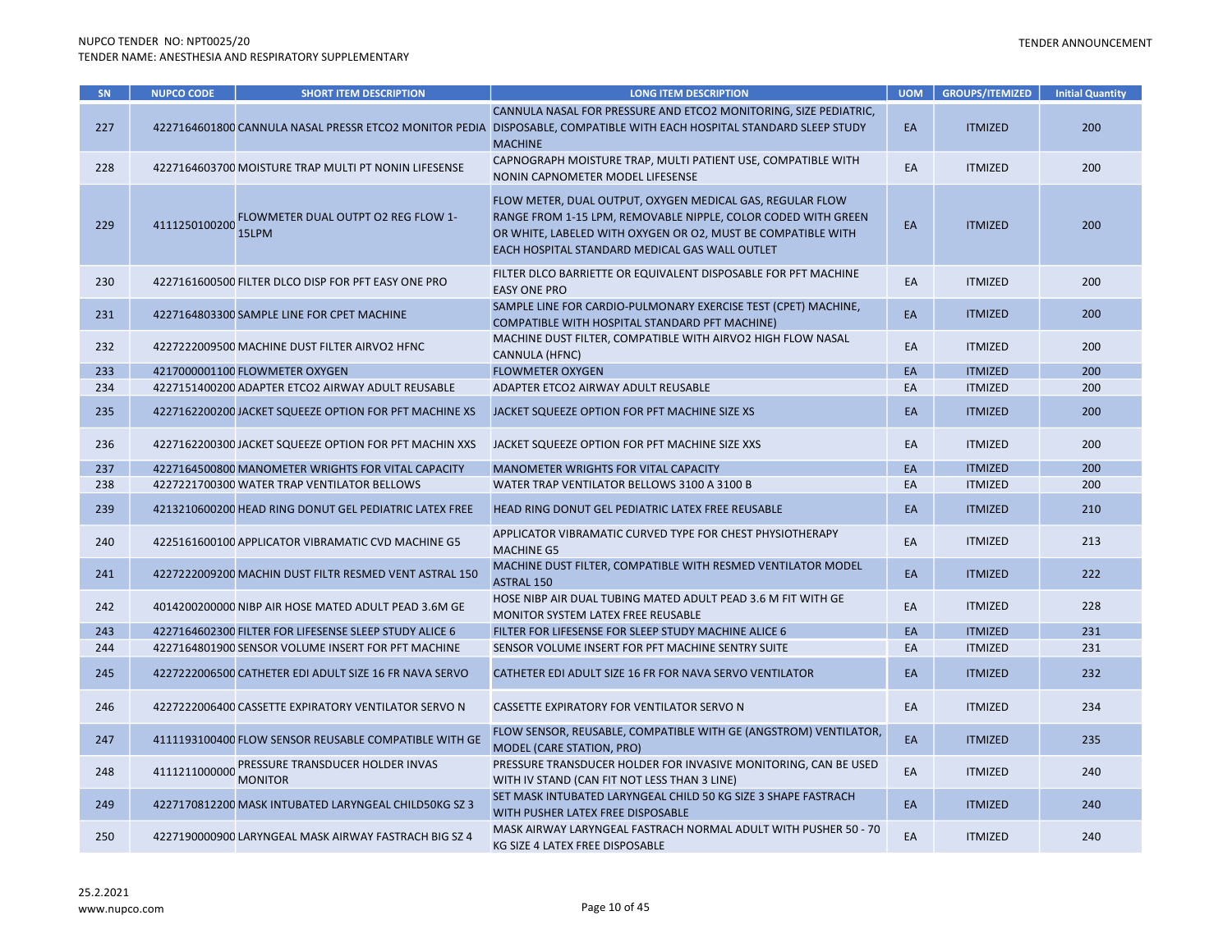| SN  | <b>NUPCO CODE</b> | <b>SHORT ITEM DESCRIPTION</b>                          | <b>LONG ITEM DESCRIPTION</b>                                                                                                                                                                                                                 | <b>UOM</b> | <b>GROUPS/ITEMIZED</b> | <b>Initial Quantity</b> |
|-----|-------------------|--------------------------------------------------------|----------------------------------------------------------------------------------------------------------------------------------------------------------------------------------------------------------------------------------------------|------------|------------------------|-------------------------|
| 227 |                   |                                                        | CANNULA NASAL FOR PRESSURE AND ETCO2 MONITORING, SIZE PEDIATRIC,<br>4227164601800 CANNULA NASAL PRESSR ETCO2 MONITOR PEDIA DISPOSABLE, COMPATIBLE WITH EACH HOSPITAL STANDARD SLEEP STUDY<br><b>MACHINE</b>                                  | EA         | <b>ITMIZED</b>         | 200                     |
| 228 |                   | 4227164603700 MOISTURE TRAP MULTI PT NONIN LIFESENSE   | CAPNOGRAPH MOISTURE TRAP, MULTI PATIENT USE, COMPATIBLE WITH<br>NONIN CAPNOMETER MODEL LIFESENSE                                                                                                                                             | EA         | <b>ITMIZED</b>         | 200                     |
| 229 | 4111250100200     | FLOWMETER DUAL OUTPT 02 REG FLOW 1-<br>15LPM           | FLOW METER, DUAL OUTPUT, OXYGEN MEDICAL GAS, REGULAR FLOW<br>RANGE FROM 1-15 LPM, REMOVABLE NIPPLE, COLOR CODED WITH GREEN<br>OR WHITE, LABELED WITH OXYGEN OR O2, MUST BE COMPATIBLE WITH<br>EACH HOSPITAL STANDARD MEDICAL GAS WALL OUTLET | EA         | <b>ITMIZED</b>         | 200                     |
| 230 |                   | 4227161600500 FILTER DLCO DISP FOR PFT EASY ONE PRO    | FILTER DLCO BARRIETTE OR EQUIVALENT DISPOSABLE FOR PFT MACHINE<br><b>EASY ONE PRO</b>                                                                                                                                                        | EA         | <b>ITMIZED</b>         | 200                     |
| 231 |                   | 4227164803300 SAMPLE LINE FOR CPET MACHINE             | SAMPLE LINE FOR CARDIO-PULMONARY EXERCISE TEST (CPET) MACHINE,<br>COMPATIBLE WITH HOSPITAL STANDARD PFT MACHINE)                                                                                                                             | EA         | <b>ITMIZED</b>         | 200                     |
| 232 |                   | 4227222009500 MACHINE DUST FILTER AIRVO2 HFNC          | MACHINE DUST FILTER, COMPATIBLE WITH AIRVO2 HIGH FLOW NASAL<br>CANNULA (HFNC)                                                                                                                                                                | EA         | <b>ITMIZED</b>         | 200                     |
| 233 |                   | 4217000001100 FLOWMETER OXYGEN                         | <b>FLOWMETER OXYGEN</b>                                                                                                                                                                                                                      | EA         | <b>ITMIZED</b>         | 200                     |
| 234 |                   | 4227151400200 ADAPTER ETCO2 AIRWAY ADULT REUSABLE      | ADAPTER ETCO2 AIRWAY ADULT REUSABLE                                                                                                                                                                                                          | EA         | <b>ITMIZED</b>         | 200                     |
| 235 |                   | 4227162200200 JACKET SQUEEZE OPTION FOR PFT MACHINE XS | JACKET SQUEEZE OPTION FOR PFT MACHINE SIZE XS                                                                                                                                                                                                | EA         | <b>ITMIZED</b>         | 200                     |
| 236 |                   | 4227162200300 JACKET SQUEEZE OPTION FOR PFT MACHIN XXS | JACKET SQUEEZE OPTION FOR PFT MACHINE SIZE XXS                                                                                                                                                                                               | EA         | <b>ITMIZED</b>         | 200                     |
| 237 |                   | 4227164500800 MANOMETER WRIGHTS FOR VITAL CAPACITY     | MANOMETER WRIGHTS FOR VITAL CAPACITY                                                                                                                                                                                                         | EA         | <b>ITMIZED</b>         | 200                     |
| 238 |                   | 4227221700300 WATER TRAP VENTILATOR BELLOWS            | WATER TRAP VENTILATOR BELLOWS 3100 A 3100 B                                                                                                                                                                                                  | EA         | <b>ITMIZED</b>         | 200                     |
| 239 |                   | 4213210600200 HEAD RING DONUT GEL PEDIATRIC LATEX FREE | HEAD RING DONUT GEL PEDIATRIC LATEX FREE REUSABLE                                                                                                                                                                                            | EA         | <b>ITMIZED</b>         | 210                     |
| 240 |                   | 4225161600100 APPLICATOR VIBRAMATIC CVD MACHINE G5     | APPLICATOR VIBRAMATIC CURVED TYPE FOR CHEST PHYSIOTHERAPY<br><b>MACHINE G5</b>                                                                                                                                                               | EA         | <b>ITMIZED</b>         | 213                     |
| 241 |                   | 4227222009200 MACHIN DUST FILTR RESMED VENT ASTRAL 150 | MACHINE DUST FILTER, COMPATIBLE WITH RESMED VENTILATOR MODEL<br><b>ASTRAL 150</b>                                                                                                                                                            | EA         | <b>ITMIZED</b>         | 222                     |
| 242 |                   | 4014200200000 NIBP AIR HOSE MATED ADULT PEAD 3.6M GE   | HOSE NIBP AIR DUAL TUBING MATED ADULT PEAD 3.6 M FIT WITH GE<br>MONITOR SYSTEM LATEX FREE REUSABLE                                                                                                                                           | EA         | <b>ITMIZED</b>         | 228                     |
| 243 |                   | 4227164602300 FILTER FOR LIFESENSE SLEEP STUDY ALICE 6 | FILTER FOR LIFESENSE FOR SLEEP STUDY MACHINE ALICE 6                                                                                                                                                                                         | EA         | <b>ITMIZED</b>         | 231                     |
| 244 |                   | 4227164801900 SENSOR VOLUME INSERT FOR PFT MACHINE     | SENSOR VOLUME INSERT FOR PFT MACHINE SENTRY SUITE                                                                                                                                                                                            | EA         | <b>ITMIZED</b>         | 231                     |
| 245 |                   | 4227222006500 CATHETER EDI ADULT SIZE 16 FR NAVA SERVO | CATHETER EDI ADULT SIZE 16 FR FOR NAVA SERVO VENTILATOR                                                                                                                                                                                      | EA         | <b>ITMIZED</b>         | 232                     |
| 246 |                   | 4227222006400 CASSETTE EXPIRATORY VENTILATOR SERVO N   | CASSETTE EXPIRATORY FOR VENTILATOR SERVO N                                                                                                                                                                                                   | EA         | <b>ITMIZED</b>         | 234                     |
| 247 |                   | 4111193100400 FLOW SENSOR REUSABLE COMPATIBLE WITH GE  | FLOW SENSOR, REUSABLE, COMPATIBLE WITH GE (ANGSTROM) VENTILATOR,<br>MODEL (CARE STATION, PRO)                                                                                                                                                | EA         | <b>ITMIZED</b>         | 235                     |
| 248 | 4111211000000     | PRESSURE TRANSDUCER HOLDER INVAS<br><b>MONITOR</b>     | PRESSURE TRANSDUCER HOLDER FOR INVASIVE MONITORING, CAN BE USED<br>WITH IV STAND (CAN FIT NOT LESS THAN 3 LINE)                                                                                                                              | EA         | <b>ITMIZED</b>         | 240                     |
| 249 |                   | 4227170812200 MASK INTUBATED LARYNGEAL CHILD50KG SZ 3  | SET MASK INTUBATED LARYNGEAL CHILD 50 KG SIZE 3 SHAPE FASTRACH<br>WITH PUSHER LATEX FREE DISPOSABLE                                                                                                                                          | EA         | <b>ITMIZED</b>         | 240                     |
| 250 |                   | 4227190000900 LARYNGEAL MASK AIRWAY FASTRACH BIG SZ 4  | MASK AIRWAY LARYNGEAL FASTRACH NORMAL ADULT WITH PUSHER 50 - 70<br>KG SIZE 4 LATEX FREE DISPOSABLE                                                                                                                                           | EA         | <b>ITMIZED</b>         | 240                     |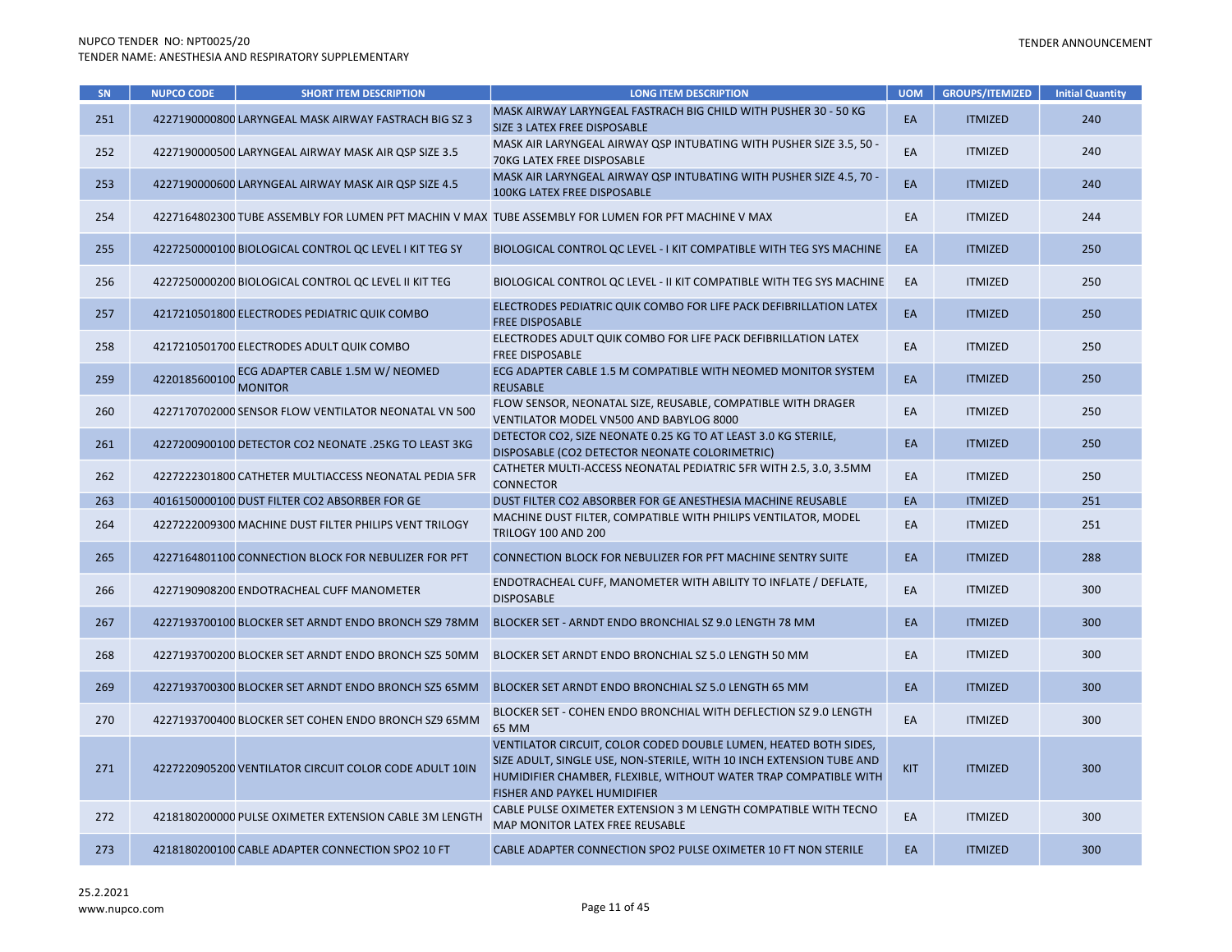| <b>SN</b> | <b>NUPCO CODE</b> | <b>SHORT ITEM DESCRIPTION</b>                          | <b>LONG ITEM DESCRIPTION</b>                                                                                                                                                                                                                 | <b>UOM</b> | <b>GROUPS/ITEMIZED</b> | <b>Initial Quantity</b> |
|-----------|-------------------|--------------------------------------------------------|----------------------------------------------------------------------------------------------------------------------------------------------------------------------------------------------------------------------------------------------|------------|------------------------|-------------------------|
| 251       |                   | 4227190000800 LARYNGEAL MASK AIRWAY FASTRACH BIG SZ 3  | MASK AIRWAY LARYNGEAL FASTRACH BIG CHILD WITH PUSHER 30 - 50 KG<br>SIZE 3 LATEX FREE DISPOSABLE                                                                                                                                              | EA         | <b>ITMIZED</b>         | 240                     |
| 252       |                   | 4227190000500 LARYNGEAL AIRWAY MASK AIR QSP SIZE 3.5   | MASK AIR LARYNGEAL AIRWAY QSP INTUBATING WITH PUSHER SIZE 3.5, 50 -<br>70KG LATEX FREE DISPOSABLE                                                                                                                                            | EA         | <b>ITMIZED</b>         | 240                     |
| 253       |                   | 4227190000600 LARYNGEAL AIRWAY MASK AIR QSP SIZE 4.5   | MASK AIR LARYNGEAL AIRWAY QSP INTUBATING WITH PUSHER SIZE 4.5, 70 -<br><b>100KG LATEX FREE DISPOSABLE</b>                                                                                                                                    | EA         | <b>ITMIZED</b>         | 240                     |
| 254       |                   |                                                        | 4227164802300 TUBE ASSEMBLY FOR LUMEN PFT MACHIN V MAX TUBE ASSEMBLY FOR LUMEN FOR PFT MACHINE V MAX                                                                                                                                         | EA         | <b>ITMIZED</b>         | 244                     |
| 255       |                   | 4227250000100 BIOLOGICAL CONTROL QC LEVEL I KIT TEG SY | BIOLOGICAL CONTROL QC LEVEL - I KIT COMPATIBLE WITH TEG SYS MACHINE                                                                                                                                                                          | EA         | <b>ITMIZED</b>         | 250                     |
| 256       |                   | 4227250000200 BIOLOGICAL CONTROL QC LEVEL II KIT TEG   | BIOLOGICAL CONTROL QC LEVEL - II KIT COMPATIBLE WITH TEG SYS MACHINE                                                                                                                                                                         | EA         | <b>ITMIZED</b>         | 250                     |
| 257       |                   | 4217210501800 ELECTRODES PEDIATRIC QUIK COMBO          | ELECTRODES PEDIATRIC QUIK COMBO FOR LIFE PACK DEFIBRILLATION LATEX<br><b>FREE DISPOSABLE</b>                                                                                                                                                 | EA         | <b>ITMIZED</b>         | 250                     |
| 258       |                   | 4217210501700 ELECTRODES ADULT QUIK COMBO              | ELECTRODES ADULT QUIK COMBO FOR LIFE PACK DEFIBRILLATION LATEX<br><b>FREE DISPOSABLE</b>                                                                                                                                                     | EA         | <b>ITMIZED</b>         | 250                     |
| 259       | 4220185600100     | ECG ADAPTER CABLE 1.5M W/ NEOMED<br><b>MONITOR</b>     | ECG ADAPTER CABLE 1.5 M COMPATIBLE WITH NEOMED MONITOR SYSTEM<br><b>REUSABLE</b>                                                                                                                                                             | EA         | <b>ITMIZED</b>         | 250                     |
| 260       |                   | 4227170702000 SENSOR FLOW VENTILATOR NEONATAL VN 500   | FLOW SENSOR, NEONATAL SIZE, REUSABLE, COMPATIBLE WITH DRAGER<br>VENTILATOR MODEL VN500 AND BABYLOG 8000                                                                                                                                      | EA         | <b>ITMIZED</b>         | 250                     |
| 261       |                   | 4227200900100 DETECTOR CO2 NEONATE .25KG TO LEAST 3KG  | DETECTOR CO2, SIZE NEONATE 0.25 KG TO AT LEAST 3.0 KG STERILE,<br>DISPOSABLE (CO2 DETECTOR NEONATE COLORIMETRIC)                                                                                                                             | EA         | <b>ITMIZED</b>         | 250                     |
| 262       |                   | 4227222301800 CATHETER MULTIACCESS NEONATAL PEDIA 5FR  | CATHETER MULTI-ACCESS NEONATAL PEDIATRIC 5FR WITH 2.5, 3.0, 3.5MM<br><b>CONNECTOR</b>                                                                                                                                                        | EA         | <b>ITMIZED</b>         | 250                     |
| 263       |                   | 4016150000100 DUST FILTER CO2 ABSORBER FOR GE          | DUST FILTER CO2 ABSORBER FOR GE ANESTHESIA MACHINE REUSABLE                                                                                                                                                                                  | EA         | <b>ITMIZED</b>         | 251                     |
| 264       |                   | 4227222009300 MACHINE DUST FILTER PHILIPS VENT TRILOGY | MACHINE DUST FILTER, COMPATIBLE WITH PHILIPS VENTILATOR, MODEL<br><b>TRILOGY 100 AND 200</b>                                                                                                                                                 | EA         | <b>ITMIZED</b>         | 251                     |
| 265       |                   | 4227164801100 CONNECTION BLOCK FOR NEBULIZER FOR PFT   | <b>CONNECTION BLOCK FOR NEBULIZER FOR PFT MACHINE SENTRY SUITE</b>                                                                                                                                                                           | EA         | <b>ITMIZED</b>         | 288                     |
| 266       |                   | 4227190908200 ENDOTRACHEAL CUFF MANOMETER              | ENDOTRACHEAL CUFF, MANOMETER WITH ABILITY TO INFLATE / DEFLATE,<br><b>DISPOSABLE</b>                                                                                                                                                         | EA         | <b>ITMIZED</b>         | 300                     |
| 267       |                   | 4227193700100 BLOCKER SET ARNDT ENDO BRONCH SZ9 78MM   | BLOCKER SET - ARNDT ENDO BRONCHIAL SZ 9.0 LENGTH 78 MM                                                                                                                                                                                       | EA         | <b>ITMIZED</b>         | 300                     |
| 268       |                   | 4227193700200 BLOCKER SET ARNDT ENDO BRONCH SZ5 50MM   | BLOCKER SET ARNDT ENDO BRONCHIAL SZ 5.0 LENGTH 50 MM                                                                                                                                                                                         | EA         | <b>ITMIZED</b>         | 300                     |
| 269       |                   | 4227193700300 BLOCKER SET ARNDT ENDO BRONCH SZ5 65MM   | BLOCKER SET ARNDT ENDO BRONCHIAL SZ 5.0 LENGTH 65 MM                                                                                                                                                                                         | EA         | <b>ITMIZED</b>         | 300                     |
| 270       |                   | 4227193700400 BLOCKER SET COHEN ENDO BRONCH SZ9 65MM   | BLOCKER SET - COHEN ENDO BRONCHIAL WITH DEFLECTION SZ 9.0 LENGTH<br>65 MM                                                                                                                                                                    | EA         | <b>ITMIZED</b>         | 300                     |
| 271       |                   | 4227220905200 VENTILATOR CIRCUIT COLOR CODE ADULT 10IN | VENTILATOR CIRCUIT, COLOR CODED DOUBLE LUMEN, HEATED BOTH SIDES,<br>SIZE ADULT, SINGLE USE, NON-STERILE, WITH 10 INCH EXTENSION TUBE AND<br>HUMIDIFIER CHAMBER, FLEXIBLE, WITHOUT WATER TRAP COMPATIBLE WITH<br>FISHER AND PAYKEL HUMIDIFIER | <b>KIT</b> | <b>ITMIZED</b>         | 300                     |
| 272       |                   | 4218180200000 PULSE OXIMETER EXTENSION CABLE 3M LENGTH | CABLE PULSE OXIMETER EXTENSION 3 M LENGTH COMPATIBLE WITH TECNO<br>MAP MONITOR LATEX FREE REUSABLE                                                                                                                                           | EA         | <b>ITMIZED</b>         | 300                     |
| 273       |                   | 4218180200100 CABLE ADAPTER CONNECTION SPO2 10 FT      | CABLE ADAPTER CONNECTION SPO2 PULSE OXIMETER 10 FT NON STERILE                                                                                                                                                                               | EA         | <b>ITMIZED</b>         | 300                     |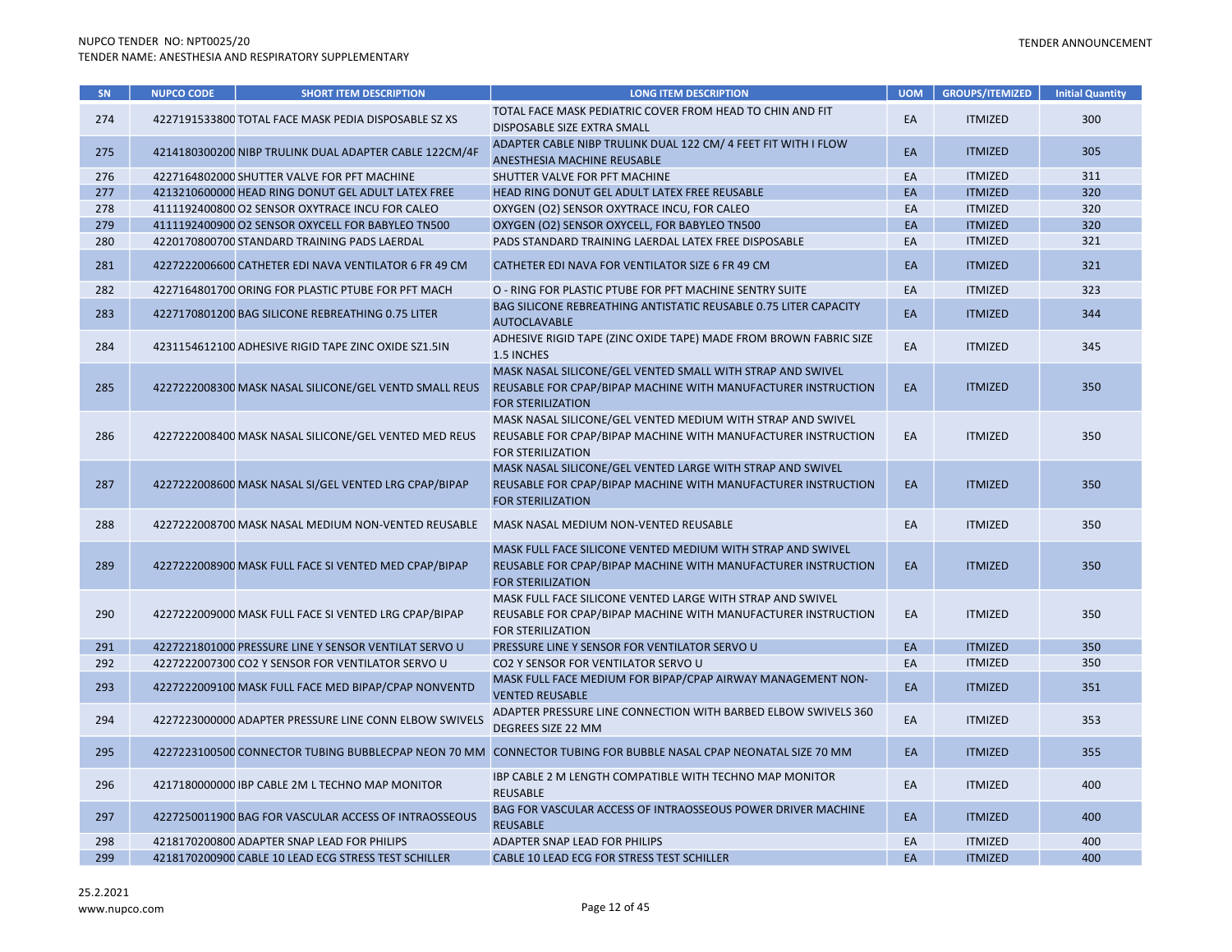| SN. | <b>NUPCO CODE</b> | <b>SHORT ITEM DESCRIPTION</b>                          | <b>LONG ITEM DESCRIPTION</b>                                                                                                                             | <b>UOM</b> | <b>GROUPS/ITEMIZED</b> | <b>Initial Quantity</b> |
|-----|-------------------|--------------------------------------------------------|----------------------------------------------------------------------------------------------------------------------------------------------------------|------------|------------------------|-------------------------|
| 274 |                   | 4227191533800 TOTAL FACE MASK PEDIA DISPOSABLE SZ XS   | TOTAL FACE MASK PEDIATRIC COVER FROM HEAD TO CHIN AND FIT<br>DISPOSABLE SIZE EXTRA SMALL                                                                 | EA         | <b>ITMIZED</b>         | 300                     |
| 275 |                   | 4214180300200 NIBP TRULINK DUAL ADAPTER CABLE 122CM/4F | ADAPTER CABLE NIBP TRULINK DUAL 122 CM/ 4 FEET FIT WITH I FLOW<br>ANESTHESIA MACHINE REUSABLE                                                            | EA         | <b>ITMIZED</b>         | 305                     |
| 276 |                   | 4227164802000 SHUTTER VALVE FOR PFT MACHINE            | SHUTTER VALVE FOR PFT MACHINE                                                                                                                            | EA         | <b>ITMIZED</b>         | 311                     |
| 277 |                   | 4213210600000 HEAD RING DONUT GEL ADULT LATEX FREE     | HEAD RING DONUT GEL ADULT LATEX FREE REUSABLE                                                                                                            | EA         | <b>ITMIZED</b>         | 320                     |
| 278 |                   | 4111192400800 O2 SENSOR OXYTRACE INCU FOR CALEO        | OXYGEN (O2) SENSOR OXYTRACE INCU, FOR CALEO                                                                                                              | EA         | <b>ITMIZED</b>         | 320                     |
| 279 |                   | 4111192400900 O2 SENSOR OXYCELL FOR BABYLEO TN500      | OXYGEN (O2) SENSOR OXYCELL, FOR BABYLEO TN500                                                                                                            | EA         | <b>ITMIZED</b>         | 320                     |
| 280 |                   | 4220170800700 STANDARD TRAINING PADS LAERDAL           | PADS STANDARD TRAINING LAERDAL LATEX FREE DISPOSABLE                                                                                                     | EA         | <b>ITMIZED</b>         | 321                     |
| 281 |                   | 4227222006600 CATHETER EDI NAVA VENTILATOR 6 FR 49 CM  | CATHETER EDI NAVA FOR VENTILATOR SIZE 6 FR 49 CM                                                                                                         | EA         | <b>ITMIZED</b>         | 321                     |
| 282 |                   | 4227164801700 ORING FOR PLASTIC PTUBE FOR PFT MACH     | O - RING FOR PLASTIC PTUBE FOR PFT MACHINE SENTRY SUITE                                                                                                  | EA         | <b>ITMIZED</b>         | 323                     |
| 283 |                   | 4227170801200 BAG SILICONE REBREATHING 0.75 LITER      | <b>BAG SILICONE REBREATHING ANTISTATIC REUSABLE 0.75 LITER CAPACITY</b><br><b>AUTOCLAVABLE</b>                                                           | EA         | <b>ITMIZED</b>         | 344                     |
| 284 |                   | 4231154612100 ADHESIVE RIGID TAPE ZINC OXIDE SZ1.5IN   | ADHESIVE RIGID TAPE (ZINC OXIDE TAPE) MADE FROM BROWN FABRIC SIZE<br>1.5 INCHES                                                                          | EA         | <b>ITMIZED</b>         | 345                     |
| 285 |                   | 4227222008300 MASK NASAL SILICONE/GEL VENTD SMALL REUS | MASK NASAL SILICONE/GEL VENTED SMALL WITH STRAP AND SWIVEL<br>REUSABLE FOR CPAP/BIPAP MACHINE WITH MANUFACTURER INSTRUCTION<br><b>FOR STERILIZATION</b>  | EA         | <b>ITMIZED</b>         | 350                     |
| 286 |                   | 4227222008400 MASK NASAL SILICONE/GEL VENTED MED REUS  | MASK NASAL SILICONE/GEL VENTED MEDIUM WITH STRAP AND SWIVEL<br>REUSABLE FOR CPAP/BIPAP MACHINE WITH MANUFACTURER INSTRUCTION<br><b>FOR STERILIZATION</b> | EA         | <b>ITMIZED</b>         | 350                     |
| 287 |                   | 4227222008600 MASK NASAL SI/GEL VENTED LRG CPAP/BIPAP  | MASK NASAL SILICONE/GEL VENTED LARGE WITH STRAP AND SWIVEL<br>REUSABLE FOR CPAP/BIPAP MACHINE WITH MANUFACTURER INSTRUCTION<br><b>FOR STERILIZATION</b>  | EA         | <b>ITMIZED</b>         | 350                     |
| 288 |                   | 4227222008700 MASK NASAL MEDIUM NON-VENTED REUSABLE    | MASK NASAL MEDIUM NON-VENTED REUSABLE                                                                                                                    | EA         | <b>ITMIZED</b>         | 350                     |
| 289 |                   | 4227222008900 MASK FULL FACE SI VENTED MED CPAP/BIPAP  | MASK FULL FACE SILICONE VENTED MEDIUM WITH STRAP AND SWIVEL<br>REUSABLE FOR CPAP/BIPAP MACHINE WITH MANUFACTURER INSTRUCTION<br><b>FOR STERILIZATION</b> | EA         | <b>ITMIZED</b>         | 350                     |
| 290 |                   | 4227222009000 MASK FULL FACE SI VENTED LRG CPAP/BIPAP  | MASK FULL FACE SILICONE VENTED LARGE WITH STRAP AND SWIVEL<br>REUSABLE FOR CPAP/BIPAP MACHINE WITH MANUFACTURER INSTRUCTION<br><b>FOR STERILIZATION</b>  | EA         | <b>ITMIZED</b>         | 350                     |
| 291 |                   | 4227221801000 PRESSURE LINE Y SENSOR VENTILAT SERVO U  | PRESSURE LINE Y SENSOR FOR VENTILATOR SERVO U                                                                                                            | EA         | <b>ITMIZED</b>         | 350                     |
| 292 |                   | 4227222007300 CO2 Y SENSOR FOR VENTILATOR SERVO U      | CO2 Y SENSOR FOR VENTILATOR SERVO U                                                                                                                      | EA         | <b>ITMIZED</b>         | 350                     |
| 293 |                   | 4227222009100 MASK FULL FACE MED BIPAP/CPAP NONVENTD   | MASK FULL FACE MEDIUM FOR BIPAP/CPAP AIRWAY MANAGEMENT NON-<br><b>VENTED REUSABLE</b>                                                                    | EA         | <b>ITMIZED</b>         | 351                     |
| 294 |                   | 4227223000000 ADAPTER PRESSURE LINE CONN ELBOW SWIVELS | ADAPTER PRESSURE LINE CONNECTION WITH BARBED ELBOW SWIVELS 360<br>DEGREES SIZE 22 MM                                                                     | EA         | <b>ITMIZED</b>         | 353                     |
| 295 |                   | 4227223100500 CONNECTOR TUBING BUBBLECPAP NEON 70 MM   | CONNECTOR TUBING FOR BUBBLE NASAL CPAP NEONATAL SIZE 70 MM                                                                                               | EA         | <b>ITMIZED</b>         | 355                     |
| 296 |                   | 4217180000000 IBP CABLE 2M L TECHNO MAP MONITOR        | IBP CABLE 2 M LENGTH COMPATIBLE WITH TECHNO MAP MONITOR<br><b>REUSABLE</b>                                                                               | EA         | <b>ITMIZED</b>         | 400                     |
| 297 |                   | 4227250011900 BAG FOR VASCULAR ACCESS OF INTRAOSSEOUS  | BAG FOR VASCULAR ACCESS OF INTRAOSSEOUS POWER DRIVER MACHINE<br><b>REUSABLE</b>                                                                          | EA         | <b>ITMIZED</b>         | 400                     |
| 298 |                   | 4218170200800 ADAPTER SNAP LEAD FOR PHILIPS            | ADAPTER SNAP LEAD FOR PHILIPS                                                                                                                            | EA         | <b>ITMIZED</b>         | 400                     |
| 299 |                   | 4218170200900 CABLE 10 LEAD ECG STRESS TEST SCHILLER   | CABLE 10 LEAD ECG FOR STRESS TEST SCHILLER                                                                                                               | EA         | <b>ITMIZED</b>         | 400                     |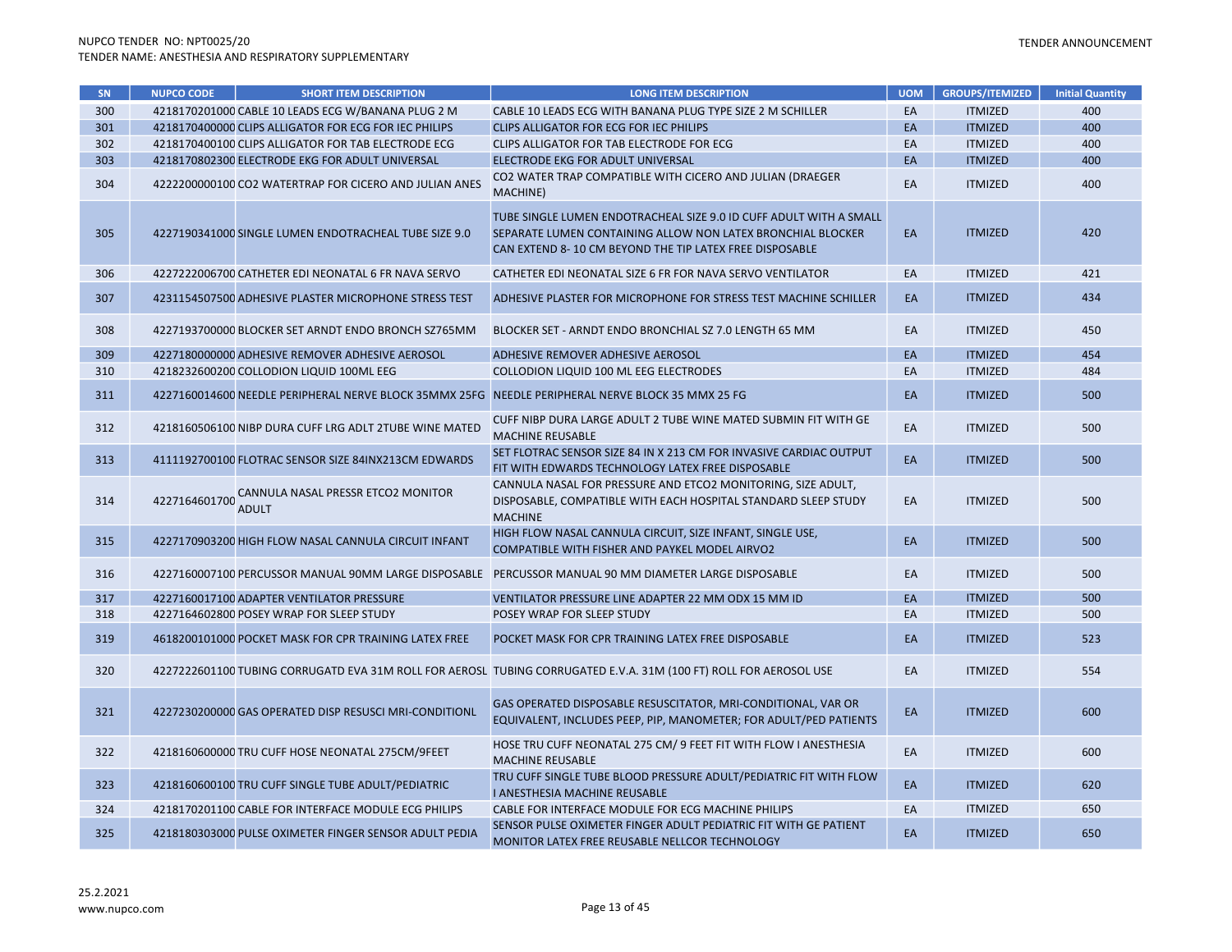| SN <sub>1</sub> | <b>NUPCO CODE</b> | <b>SHORT ITEM DESCRIPTION</b>                          | <b>LONG ITEM DESCRIPTION</b>                                                                                                                                                                 | <b>UOM</b> | <b>GROUPS/ITEMIZED</b> | <b>Initial Quantity</b> |
|-----------------|-------------------|--------------------------------------------------------|----------------------------------------------------------------------------------------------------------------------------------------------------------------------------------------------|------------|------------------------|-------------------------|
| 300             |                   | 4218170201000 CABLE 10 LEADS ECG W/BANANA PLUG 2 M     | CABLE 10 LEADS ECG WITH BANANA PLUG TYPE SIZE 2 M SCHILLER                                                                                                                                   | EA         | <b>ITMIZED</b>         | 400                     |
| 301             |                   | 4218170400000 CLIPS ALLIGATOR FOR ECG FOR IEC PHILIPS  | <b>CLIPS ALLIGATOR FOR ECG FOR IEC PHILIPS</b>                                                                                                                                               | EA         | <b>ITMIZED</b>         | 400                     |
| 302             |                   | 4218170400100 CLIPS ALLIGATOR FOR TAB ELECTRODE ECG    | CLIPS ALLIGATOR FOR TAB ELECTRODE FOR ECG                                                                                                                                                    | EA         | <b>ITMIZED</b>         | 400                     |
| 303             |                   | 4218170802300 ELECTRODE EKG FOR ADULT UNIVERSAL        | ELECTRODE EKG FOR ADULT UNIVERSAL                                                                                                                                                            | EA         | <b>ITMIZED</b>         | 400                     |
| 304             |                   | 4222200000100 CO2 WATERTRAP FOR CICERO AND JULIAN ANES | CO2 WATER TRAP COMPATIBLE WITH CICERO AND JULIAN (DRAEGER<br>MACHINE)                                                                                                                        | EA         | <b>ITMIZED</b>         | 400                     |
| 305             |                   | 4227190341000 SINGLE LUMEN ENDOTRACHEAL TUBE SIZE 9.0  | TUBE SINGLE LUMEN ENDOTRACHEAL SIZE 9.0 ID CUFF ADULT WITH A SMALL<br>SEPARATE LUMEN CONTAINING ALLOW NON LATEX BRONCHIAL BLOCKER<br>CAN EXTEND 8-10 CM BEYOND THE TIP LATEX FREE DISPOSABLE | EA         | <b>ITMIZED</b>         | 420                     |
| 306             |                   | 4227222006700 CATHETER EDI NEONATAL 6 FR NAVA SERVO    | CATHETER EDI NEONATAL SIZE 6 FR FOR NAVA SERVO VENTILATOR                                                                                                                                    | EA         | <b>ITMIZED</b>         | 421                     |
| 307             |                   | 4231154507500 ADHESIVE PLASTER MICROPHONE STRESS TEST  | ADHESIVE PLASTER FOR MICROPHONE FOR STRESS TEST MACHINE SCHILLER                                                                                                                             | EA         | <b>ITMIZED</b>         | 434                     |
| 308             |                   | 4227193700000 BLOCKER SET ARNDT ENDO BRONCH SZ765MM    | BLOCKER SET - ARNDT ENDO BRONCHIAL SZ 7.0 LENGTH 65 MM                                                                                                                                       | EA         | <b>ITMIZED</b>         | 450                     |
| 309             |                   | 4227180000000 ADHESIVE REMOVER ADHESIVE AEROSOL        | ADHESIVE REMOVER ADHESIVE AEROSOL                                                                                                                                                            | EA         | <b>ITMIZED</b>         | 454                     |
| 310             |                   | 4218232600200 COLLODION LIQUID 100ML EEG               | COLLODION LIQUID 100 ML EEG ELECTRODES                                                                                                                                                       | EA         | <b>ITMIZED</b>         | 484                     |
| 311             |                   | 4227160014600 NEEDLE PERIPHERAL NERVE BLOCK 35MMX 25FG | NEEDLE PERIPHERAL NERVE BLOCK 35 MMX 25 FG                                                                                                                                                   | EA         | <b>ITMIZED</b>         | 500                     |
| 312             |                   | 4218160506100 NIBP DURA CUFF LRG ADLT 2TUBE WINE MATED | CUFF NIBP DURA LARGE ADULT 2 TUBE WINE MATED SUBMIN FIT WITH GE<br><b>MACHINE REUSABLE</b>                                                                                                   | EA         | <b>ITMIZED</b>         | 500                     |
| 313             |                   | 4111192700100 FLOTRAC SENSOR SIZE 84INX213CM EDWARDS   | SET FLOTRAC SENSOR SIZE 84 IN X 213 CM FOR INVASIVE CARDIAC OUTPUT<br>FIT WITH EDWARDS TECHNOLOGY LATEX FREE DISPOSABLE                                                                      | EA         | <b>ITMIZED</b>         | 500                     |
| 314             | 4227164601700     | CANNULA NASAL PRESSR ETCO2 MONITOR<br><b>ADULT</b>     | CANNULA NASAL FOR PRESSURE AND ETCO2 MONITORING, SIZE ADULT,<br>DISPOSABLE, COMPATIBLE WITH EACH HOSPITAL STANDARD SLEEP STUDY<br><b>MACHINE</b>                                             | EA         | <b>ITMIZED</b>         | 500                     |
| 315             |                   | 4227170903200 HIGH FLOW NASAL CANNULA CIRCUIT INFANT   | HIGH FLOW NASAL CANNULA CIRCUIT, SIZE INFANT, SINGLE USE,<br>COMPATIBLE WITH FISHER AND PAYKEL MODEL AIRVO2                                                                                  | EA         | <b>ITMIZED</b>         | 500                     |
| 316             |                   | 4227160007100 PERCUSSOR MANUAL 90MM LARGE DISPOSABLE   | PERCUSSOR MANUAL 90 MM DIAMETER LARGE DISPOSABLE                                                                                                                                             | EA         | <b>ITMIZED</b>         | 500                     |
| 317             |                   | 4227160017100 ADAPTER VENTILATOR PRESSURE              | VENTILATOR PRESSURE LINE ADAPTER 22 MM ODX 15 MM ID                                                                                                                                          | EA         | <b>ITMIZED</b>         | 500                     |
| 318             |                   | 4227164602800 POSEY WRAP FOR SLEEP STUDY               | POSEY WRAP FOR SLEEP STUDY                                                                                                                                                                   | EA         | <b>ITMIZED</b>         | 500                     |
| 319             |                   | 4618200101000 POCKET MASK FOR CPR TRAINING LATEX FREE  | POCKET MASK FOR CPR TRAINING LATEX FREE DISPOSABLE                                                                                                                                           | EA         | <b>ITMIZED</b>         | 523                     |
| 320             |                   |                                                        | 4227222601100 TUBING CORRUGATD EVA 31M ROLL FOR AEROSL TUBING CORRUGATED E.V.A. 31M (100 FT) ROLL FOR AEROSOL USE                                                                            | EA         | <b>ITMIZED</b>         | 554                     |
| 321             |                   | 4227230200000 GAS OPERATED DISP RESUSCI MRI-CONDITIONL | GAS OPERATED DISPOSABLE RESUSCITATOR, MRI-CONDITIONAL, VAR OR<br>EQUIVALENT, INCLUDES PEEP, PIP, MANOMETER; FOR ADULT/PED PATIENTS                                                           | EA         | <b>ITMIZED</b>         | 600                     |
| 322             |                   | 4218160600000 TRU CUFF HOSE NEONATAL 275CM/9FEET       | HOSE TRU CUFF NEONATAL 275 CM/ 9 FEET FIT WITH FLOW I ANESTHESIA<br><b>MACHINE REUSABLE</b>                                                                                                  | EA         | <b>ITMIZED</b>         | 600                     |
| 323             |                   | 4218160600100 TRU CUFF SINGLE TUBE ADULT/PEDIATRIC     | TRU CUFF SINGLE TUBE BLOOD PRESSURE ADULT/PEDIATRIC FIT WITH FLOW<br>I ANESTHESIA MACHINE REUSABLE                                                                                           | EA         | <b>ITMIZED</b>         | 620                     |
| 324             |                   | 4218170201100 CABLE FOR INTERFACE MODULE ECG PHILIPS   | CABLE FOR INTERFACE MODULE FOR ECG MACHINE PHILIPS                                                                                                                                           | EA         | <b>ITMIZED</b>         | 650                     |
| 325             |                   | 4218180303000 PULSE OXIMETER FINGER SENSOR ADULT PEDIA | SENSOR PULSE OXIMETER FINGER ADULT PEDIATRIC FIT WITH GE PATIENT<br>MONITOR LATEX FREE REUSABLE NELLCOR TECHNOLOGY                                                                           | EA         | <b>ITMIZED</b>         | 650                     |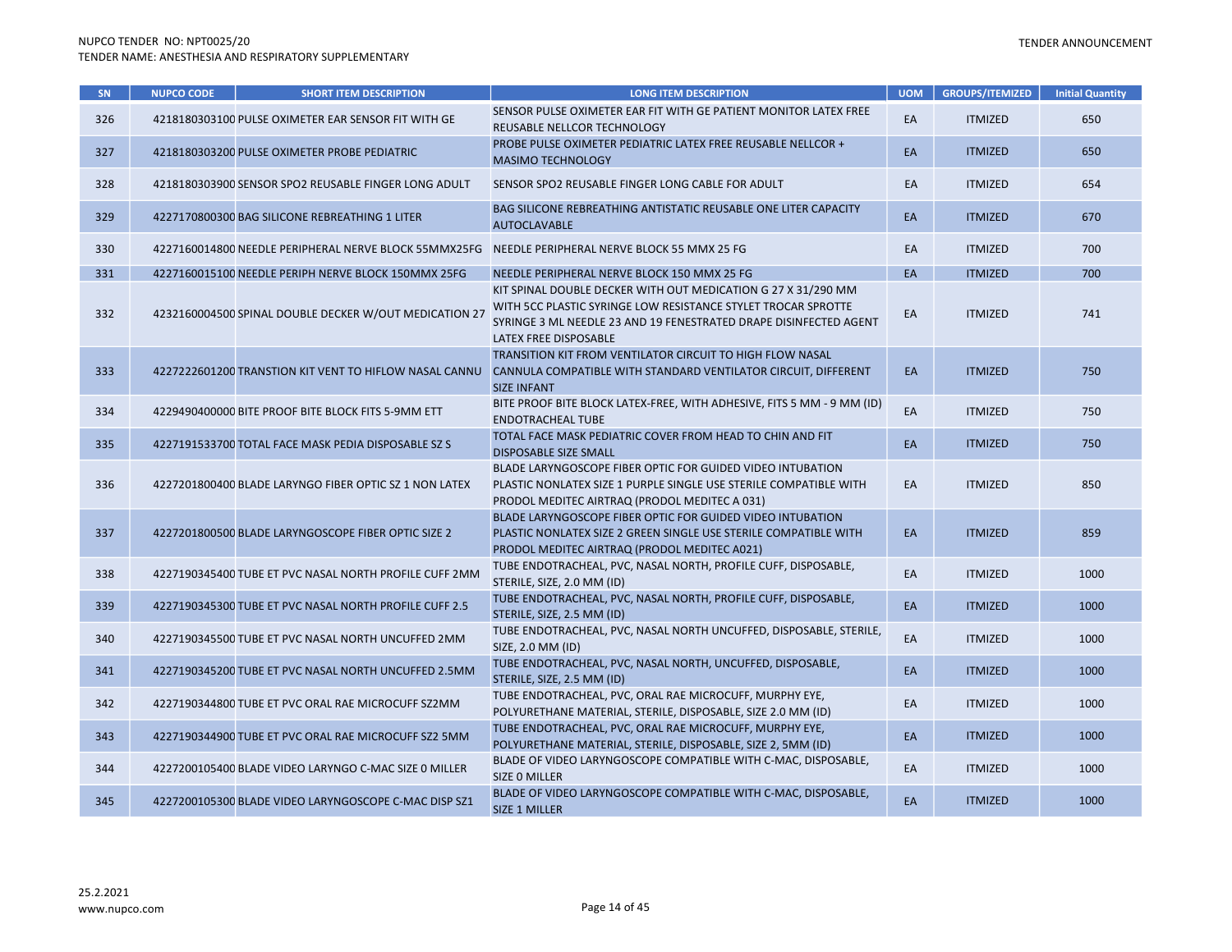| SN  | <b>NUPCO CODE</b> | <b>SHORT ITEM DESCRIPTION</b>                          | <b>LONG ITEM DESCRIPTION</b>                                                                                                                                                                                                 | <b>UOM</b> | <b>GROUPS/ITEMIZED</b> | <b>Initial Quantity</b> |
|-----|-------------------|--------------------------------------------------------|------------------------------------------------------------------------------------------------------------------------------------------------------------------------------------------------------------------------------|------------|------------------------|-------------------------|
| 326 |                   | 4218180303100 PULSE OXIMETER EAR SENSOR FIT WITH GE    | SENSOR PULSE OXIMETER EAR FIT WITH GE PATIENT MONITOR LATEX FREE<br>REUSABLE NELLCOR TECHNOLOGY                                                                                                                              | EA         | <b>ITMIZED</b>         | 650                     |
| 327 |                   | 4218180303200 PULSE OXIMETER PROBE PEDIATRIC           | PROBE PULSE OXIMETER PEDIATRIC LATEX FREE REUSABLE NELLCOR +<br><b>MASIMO TECHNOLOGY</b>                                                                                                                                     | EA         | <b>ITMIZED</b>         | 650                     |
| 328 |                   | 4218180303900 SENSOR SPO2 REUSABLE FINGER LONG ADULT   | SENSOR SPO2 REUSABLE FINGER LONG CABLE FOR ADULT                                                                                                                                                                             | EA         | <b>ITMIZED</b>         | 654                     |
| 329 |                   | 4227170800300 BAG SILICONE REBREATHING 1 LITER         | <b>BAG SILICONE REBREATHING ANTISTATIC REUSABLE ONE LITER CAPACITY</b><br><b>AUTOCLAVABLE</b>                                                                                                                                | EA         | <b>ITMIZED</b>         | 670                     |
| 330 |                   | 4227160014800 NEEDLE PERIPHERAL NERVE BLOCK 55MMX25FG  | NEEDLE PERIPHERAL NERVE BLOCK 55 MMX 25 FG                                                                                                                                                                                   | EA         | <b>ITMIZED</b>         | 700                     |
| 331 |                   | 4227160015100 NEEDLE PERIPH NERVE BLOCK 150MMX 25FG    | NEEDLE PERIPHERAL NERVE BLOCK 150 MMX 25 FG                                                                                                                                                                                  | EA         | <b>ITMIZED</b>         | 700                     |
| 332 |                   | 4232160004500 SPINAL DOUBLE DECKER W/OUT MEDICATION 27 | KIT SPINAL DOUBLE DECKER WITH OUT MEDICATION G 27 X 31/290 MM<br>WITH 5CC PLASTIC SYRINGE LOW RESISTANCE STYLET TROCAR SPROTTE<br>SYRINGE 3 ML NEEDLE 23 AND 19 FENESTRATED DRAPE DISINFECTED AGENT<br>LATEX FREE DISPOSABLE | EA         | <b>ITMIZED</b>         | 741                     |
| 333 |                   | 4227222601200 TRANSTION KIT VENT TO HIFLOW NASAL CANNU | TRANSITION KIT FROM VENTILATOR CIRCUIT TO HIGH FLOW NASAL<br>CANNULA COMPATIBLE WITH STANDARD VENTILATOR CIRCUIT, DIFFERENT<br><b>SIZE INFANT</b>                                                                            | EA         | <b>ITMIZED</b>         | 750                     |
| 334 |                   | 4229490400000 BITE PROOF BITE BLOCK FITS 5-9MM ETT     | BITE PROOF BITE BLOCK LATEX-FREE, WITH ADHESIVE, FITS 5 MM - 9 MM (ID)<br><b>ENDOTRACHEAL TUBE</b>                                                                                                                           | EA         | <b>ITMIZED</b>         | 750                     |
| 335 |                   | 4227191533700 TOTAL FACE MASK PEDIA DISPOSABLE SZ S    | TOTAL FACE MASK PEDIATRIC COVER FROM HEAD TO CHIN AND FIT<br><b>DISPOSABLE SIZE SMALL</b>                                                                                                                                    | EA         | <b>ITMIZED</b>         | 750                     |
| 336 |                   | 4227201800400 BLADE LARYNGO FIBER OPTIC SZ 1 NON LATEX | BLADE LARYNGOSCOPE FIBER OPTIC FOR GUIDED VIDEO INTUBATION<br>PLASTIC NONLATEX SIZE 1 PURPLE SINGLE USE STERILE COMPATIBLE WITH<br>PRODOL MEDITEC AIRTRAQ (PRODOL MEDITEC A 031)                                             | EA         | <b>ITMIZED</b>         | 850                     |
| 337 |                   | 4227201800500 BLADE LARYNGOSCOPE FIBER OPTIC SIZE 2    | BLADE LARYNGOSCOPE FIBER OPTIC FOR GUIDED VIDEO INTUBATION<br>PLASTIC NONLATEX SIZE 2 GREEN SINGLE USE STERILE COMPATIBLE WITH<br>PRODOL MEDITEC AIRTRAQ (PRODOL MEDITEC A021)                                               | EA         | <b>ITMIZED</b>         | 859                     |
| 338 |                   | 4227190345400 TUBE ET PVC NASAL NORTH PROFILE CUFF 2MM | TUBE ENDOTRACHEAL, PVC, NASAL NORTH, PROFILE CUFF, DISPOSABLE,<br>STERILE, SIZE, 2.0 MM (ID)                                                                                                                                 | EA         | <b>ITMIZED</b>         | 1000                    |
| 339 |                   | 4227190345300 TUBE ET PVC NASAL NORTH PROFILE CUFF 2.5 | TUBE ENDOTRACHEAL, PVC, NASAL NORTH, PROFILE CUFF, DISPOSABLE,<br>STERILE, SIZE, 2.5 MM (ID)                                                                                                                                 | EA         | <b>ITMIZED</b>         | 1000                    |
| 340 |                   | 4227190345500 TUBE ET PVC NASAL NORTH UNCUFFED 2MM     | TUBE ENDOTRACHEAL, PVC, NASAL NORTH UNCUFFED, DISPOSABLE, STERILE,<br>SIZE, 2.0 MM (ID)                                                                                                                                      | EA         | <b>ITMIZED</b>         | 1000                    |
| 341 |                   | 4227190345200 TUBE ET PVC NASAL NORTH UNCUFFED 2.5MM   | TUBE ENDOTRACHEAL, PVC, NASAL NORTH, UNCUFFED, DISPOSABLE,<br>STERILE, SIZE, 2.5 MM (ID)                                                                                                                                     | EA         | <b>ITMIZED</b>         | 1000                    |
| 342 |                   | 4227190344800 TUBE ET PVC ORAL RAE MICROCUFF SZ2MM     | TUBE ENDOTRACHEAL, PVC, ORAL RAE MICROCUFF, MURPHY EYE,<br>POLYURETHANE MATERIAL, STERILE, DISPOSABLE, SIZE 2.0 MM (ID)                                                                                                      | EA         | <b>ITMIZED</b>         | 1000                    |
| 343 |                   | 4227190344900 TUBE ET PVC ORAL RAE MICROCUFF SZ2 5MM   | TUBE ENDOTRACHEAL, PVC, ORAL RAE MICROCUFF, MURPHY EYE,<br>POLYURETHANE MATERIAL, STERILE, DISPOSABLE, SIZE 2, 5MM (ID)                                                                                                      | EA         | <b>ITMIZED</b>         | 1000                    |
| 344 |                   | 4227200105400 BLADE VIDEO LARYNGO C-MAC SIZE 0 MILLER  | BLADE OF VIDEO LARYNGOSCOPE COMPATIBLE WITH C-MAC, DISPOSABLE,<br>SIZE O MILLER                                                                                                                                              | EA         | <b>ITMIZED</b>         | 1000                    |
| 345 |                   | 4227200105300 BLADE VIDEO LARYNGOSCOPE C-MAC DISP SZ1  | BLADE OF VIDEO LARYNGOSCOPE COMPATIBLE WITH C-MAC, DISPOSABLE,<br><b>SIZE 1 MILLER</b>                                                                                                                                       | EA         | <b>ITMIZED</b>         | 1000                    |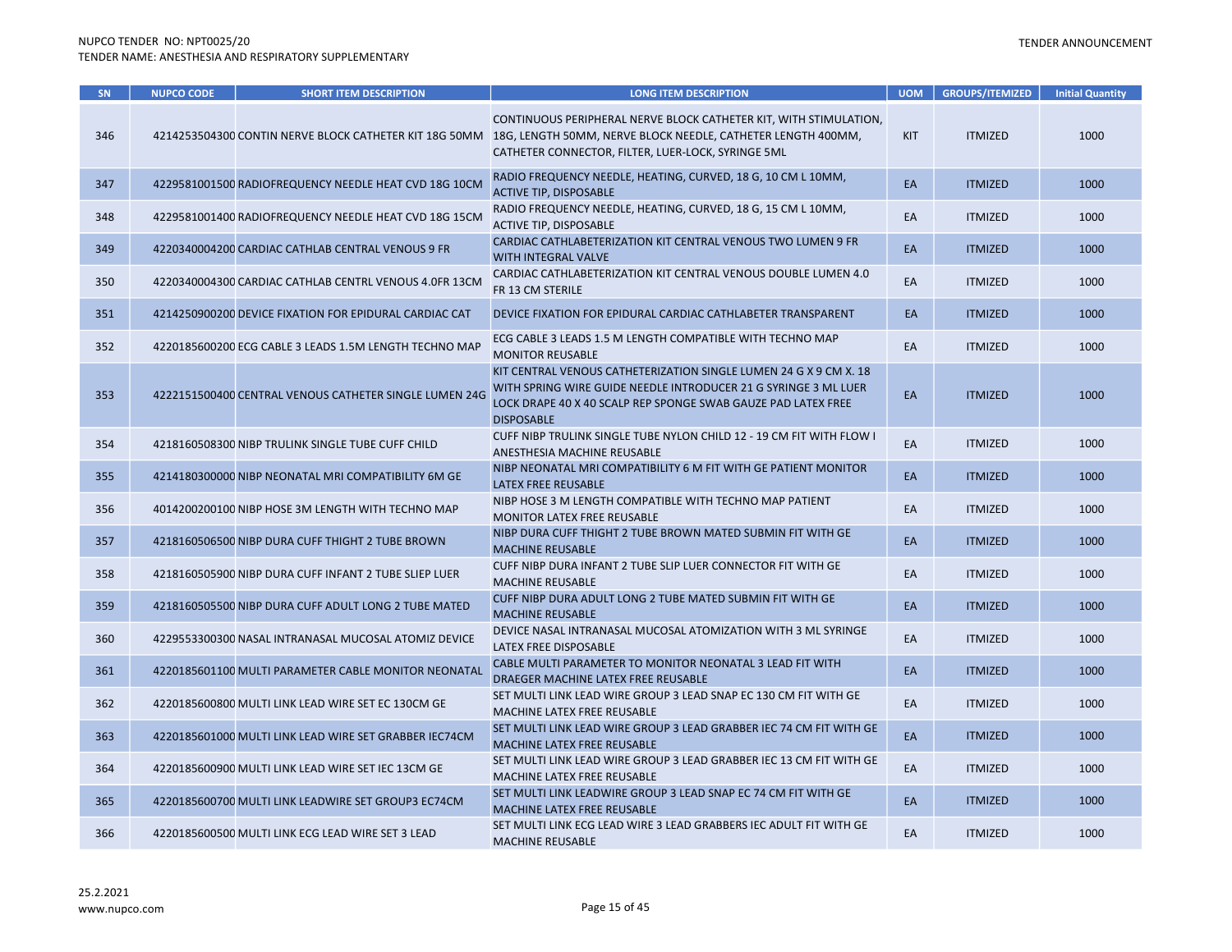| SN  | <b>NUPCO CODE</b> | <b>SHORT ITEM DESCRIPTION</b>                          | <b>LONG ITEM DESCRIPTION</b>                                                                                                                                                                                                                   | <b>UOM</b> | <b>GROUPS/ITEMIZED</b> | <b>Initial Quantity</b> |
|-----|-------------------|--------------------------------------------------------|------------------------------------------------------------------------------------------------------------------------------------------------------------------------------------------------------------------------------------------------|------------|------------------------|-------------------------|
| 346 |                   |                                                        | CONTINUOUS PERIPHERAL NERVE BLOCK CATHETER KIT, WITH STIMULATION,<br>4214253504300 CONTIN NERVE BLOCK CATHETER KIT 18G 50MM 18G, LENGTH 50MM, NERVE BLOCK NEEDLE, CATHETER LENGTH 400MM,<br>CATHETER CONNECTOR, FILTER, LUER-LOCK, SYRINGE 5ML | <b>KIT</b> | <b>ITMIZED</b>         | 1000                    |
| 347 |                   | 4229581001500 RADIOFREQUENCY NEEDLE HEAT CVD 18G 10CM  | RADIO FREQUENCY NEEDLE, HEATING, CURVED, 18 G, 10 CM L 10MM,<br><b>ACTIVE TIP, DISPOSABLE</b>                                                                                                                                                  | EA         | <b>ITMIZED</b>         | 1000                    |
| 348 |                   | 4229581001400 RADIOFREQUENCY NEEDLE HEAT CVD 18G 15CM  | RADIO FREQUENCY NEEDLE, HEATING, CURVED, 18 G, 15 CM L 10MM,<br>ACTIVE TIP, DISPOSABLE                                                                                                                                                         | EA         | <b>ITMIZED</b>         | 1000                    |
| 349 |                   | 4220340004200 CARDIAC CATHLAB CENTRAL VENOUS 9 FR      | CARDIAC CATHLABETERIZATION KIT CENTRAL VENOUS TWO LUMEN 9 FR<br><b>WITH INTEGRAL VALVE</b>                                                                                                                                                     | EA         | <b>ITMIZED</b>         | 1000                    |
| 350 |                   | 4220340004300 CARDIAC CATHLAB CENTRL VENOUS 4.0FR 13CM | CARDIAC CATHLABETERIZATION KIT CENTRAL VENOUS DOUBLE LUMEN 4.0<br>FR 13 CM STERILE                                                                                                                                                             | EA         | <b>ITMIZED</b>         | 1000                    |
| 351 |                   | 4214250900200 DEVICE FIXATION FOR EPIDURAL CARDIAC CAT | DEVICE FIXATION FOR EPIDURAL CARDIAC CATHLABETER TRANSPARENT                                                                                                                                                                                   | EA         | <b>ITMIZED</b>         | 1000                    |
| 352 |                   | 4220185600200 ECG CABLE 3 LEADS 1.5M LENGTH TECHNO MAP | ECG CABLE 3 LEADS 1.5 M LENGTH COMPATIBLE WITH TECHNO MAP<br><b>MONITOR REUSABLE</b>                                                                                                                                                           | EA         | <b>ITMIZED</b>         | 1000                    |
| 353 |                   | 4222151500400 CENTRAL VENOUS CATHETER SINGLE LUMEN 24G | KIT CENTRAL VENOUS CATHETERIZATION SINGLE LUMEN 24 G X 9 CM X. 18<br>WITH SPRING WIRE GUIDE NEEDLE INTRODUCER 21 G SYRINGE 3 ML LUER<br>LOCK DRAPE 40 X 40 SCALP REP SPONGE SWAB GAUZE PAD LATEX FREE<br><b>DISPOSABLE</b>                     | EA         | <b>ITMIZED</b>         | 1000                    |
| 354 |                   | 4218160508300 NIBP TRULINK SINGLE TUBE CUFF CHILD      | CUFF NIBP TRULINK SINGLE TUBE NYLON CHILD 12 - 19 CM FIT WITH FLOW I<br>ANESTHESIA MACHINE REUSABLE                                                                                                                                            | EA         | <b>ITMIZED</b>         | 1000                    |
| 355 |                   | 4214180300000 NIBP NEONATAL MRI COMPATIBILITY 6M GE    | NIBP NEONATAL MRI COMPATIBILITY 6 M FIT WITH GE PATIENT MONITOR<br>LATEX FREE REUSABLE                                                                                                                                                         | EA         | <b>ITMIZED</b>         | 1000                    |
| 356 |                   | 4014200200100 NIBP HOSE 3M LENGTH WITH TECHNO MAP      | NIBP HOSE 3 M LENGTH COMPATIBLE WITH TECHNO MAP PATIENT<br><b>MONITOR LATEX FREE REUSABLE</b>                                                                                                                                                  | EA         | <b>ITMIZED</b>         | 1000                    |
| 357 |                   | 4218160506500 NIBP DURA CUFF THIGHT 2 TUBE BROWN       | NIBP DURA CUFF THIGHT 2 TUBE BROWN MATED SUBMIN FIT WITH GE<br><b>MACHINE REUSABLE</b>                                                                                                                                                         | EA         | <b>ITMIZED</b>         | 1000                    |
| 358 |                   | 4218160505900 NIBP DURA CUFF INFANT 2 TUBE SLIEP LUER  | CUFF NIBP DURA INFANT 2 TUBE SLIP LUER CONNECTOR FIT WITH GE<br><b>MACHINE REUSABLE</b>                                                                                                                                                        | EA         | <b>ITMIZED</b>         | 1000                    |
| 359 |                   | 4218160505500 NIBP DURA CUFF ADULT LONG 2 TUBE MATED   | CUFF NIBP DURA ADULT LONG 2 TUBE MATED SUBMIN FIT WITH GE<br><b>MACHINE REUSABLE</b>                                                                                                                                                           | EA         | <b>ITMIZED</b>         | 1000                    |
| 360 |                   | 4229553300300 NASAL INTRANASAL MUCOSAL ATOMIZ DEVICE   | DEVICE NASAL INTRANASAL MUCOSAL ATOMIZATION WITH 3 ML SYRINGE<br>LATEX FREE DISPOSABLE                                                                                                                                                         | EA         | <b>ITMIZED</b>         | 1000                    |
| 361 |                   | 4220185601100 MULTI PARAMETER CABLE MONITOR NEONATAL   | CABLE MULTI PARAMETER TO MONITOR NEONATAL 3 LEAD FIT WITH<br>DRAEGER MACHINE LATEX FREE REUSABLE                                                                                                                                               | EA         | <b>ITMIZED</b>         | 1000                    |
| 362 |                   | 4220185600800 MULTI LINK LEAD WIRE SET EC 130CM GE     | SET MULTI LINK LEAD WIRE GROUP 3 LEAD SNAP EC 130 CM FIT WITH GE<br>MACHINE LATEX FREE REUSABLE                                                                                                                                                | EA         | <b>ITMIZED</b>         | 1000                    |
| 363 |                   | 4220185601000 MULTI LINK LEAD WIRE SET GRABBER IEC74CM | SET MULTI LINK LEAD WIRE GROUP 3 LEAD GRABBER IEC 74 CM FIT WITH GE<br>MACHINE LATEX FREE REUSABLE                                                                                                                                             | EA         | <b>ITMIZED</b>         | 1000                    |
| 364 |                   | 4220185600900 MULTI LINK LEAD WIRE SET IEC 13CM GE     | SET MULTI LINK LEAD WIRE GROUP 3 LEAD GRABBER IEC 13 CM FIT WITH GE<br>MACHINE LATEX FREE REUSABLE                                                                                                                                             | EA         | <b>ITMIZED</b>         | 1000                    |
| 365 |                   | 4220185600700 MULTI LINK LEADWIRE SET GROUP3 EC74CM    | SET MULTI LINK LEADWIRE GROUP 3 LEAD SNAP EC 74 CM FIT WITH GE<br>MACHINE LATEX FREE REUSABLE                                                                                                                                                  | EA         | <b>ITMIZED</b>         | 1000                    |
| 366 |                   | 4220185600500 MULTI LINK ECG LEAD WIRE SET 3 LEAD      | SET MULTI LINK ECG LEAD WIRE 3 LEAD GRABBERS IEC ADULT FIT WITH GE<br><b>MACHINE REUSABLE</b>                                                                                                                                                  | EA         | <b>ITMIZED</b>         | 1000                    |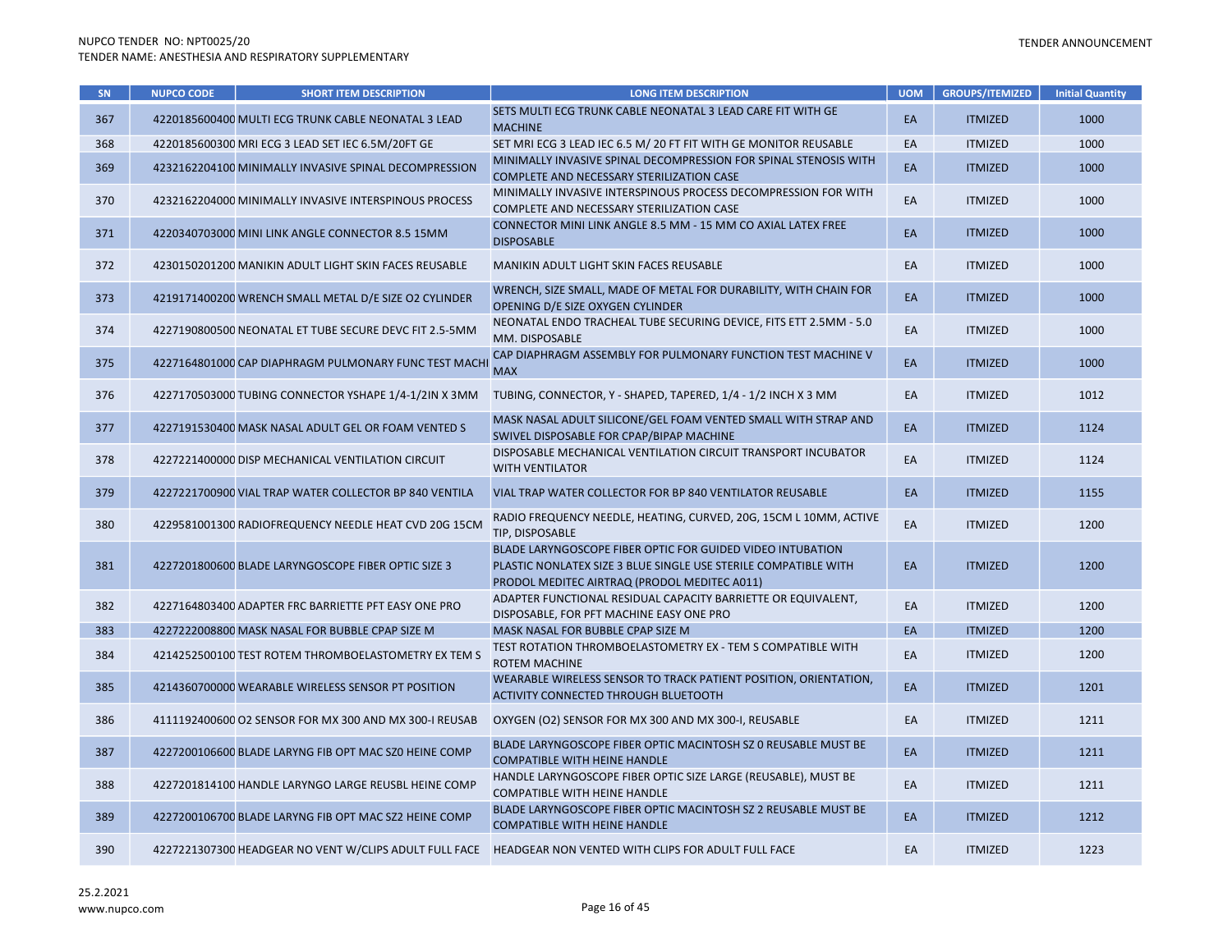| SN  | <b>NUPCO CODE</b> | <b>SHORT ITEM DESCRIPTION</b>                          | <b>LONG ITEM DESCRIPTION</b>                                                                                                                                                  | <b>UOM</b> | <b>GROUPS/ITEMIZED</b> | <b>Initial Quantity</b> |
|-----|-------------------|--------------------------------------------------------|-------------------------------------------------------------------------------------------------------------------------------------------------------------------------------|------------|------------------------|-------------------------|
| 367 |                   | 4220185600400 MULTI ECG TRUNK CABLE NEONATAL 3 LEAD    | SETS MULTI ECG TRUNK CABLE NEONATAL 3 LEAD CARE FIT WITH GE<br><b>MACHINE</b>                                                                                                 | EA         | <b>ITMIZED</b>         | 1000                    |
| 368 |                   | 4220185600300 MRI ECG 3 LEAD SET IEC 6.5M/20FT GE      | SET MRI ECG 3 LEAD IEC 6.5 M/ 20 FT FIT WITH GE MONITOR REUSABLE                                                                                                              | EA         | <b>ITMIZED</b>         | 1000                    |
| 369 |                   | 4232162204100 MINIMALLY INVASIVE SPINAL DECOMPRESSION  | MINIMALLY INVASIVE SPINAL DECOMPRESSION FOR SPINAL STENOSIS WITH<br>COMPLETE AND NECESSARY STERILIZATION CASE                                                                 | EA         | <b>ITMIZED</b>         | 1000                    |
| 370 |                   | 4232162204000 MINIMALLY INVASIVE INTERSPINOUS PROCESS  | MINIMALLY INVASIVE INTERSPINOUS PROCESS DECOMPRESSION FOR WITH<br>COMPLETE AND NECESSARY STERILIZATION CASE                                                                   | EA         | <b>ITMIZED</b>         | 1000                    |
| 371 |                   | 4220340703000 MINI LINK ANGLE CONNECTOR 8.5 15MM       | CONNECTOR MINI LINK ANGLE 8.5 MM - 15 MM CO AXIAL LATEX FREE<br><b>DISPOSABLE</b>                                                                                             | EA         | <b>ITMIZED</b>         | 1000                    |
| 372 |                   | 4230150201200 MANIKIN ADULT LIGHT SKIN FACES REUSABLE  | MANIKIN ADULT LIGHT SKIN FACES REUSABLE                                                                                                                                       | EA         | <b>ITMIZED</b>         | 1000                    |
| 373 |                   | 4219171400200 WRENCH SMALL METAL D/E SIZE O2 CYLINDER  | WRENCH, SIZE SMALL, MADE OF METAL FOR DURABILITY, WITH CHAIN FOR<br>OPENING D/E SIZE OXYGEN CYLINDER                                                                          | EA         | <b>ITMIZED</b>         | 1000                    |
| 374 |                   | 4227190800500 NEONATAL ET TUBE SECURE DEVC FIT 2.5-5MM | NEONATAL ENDO TRACHEAL TUBE SECURING DEVICE, FITS ETT 2.5MM - 5.0<br>MM. DISPOSABLE                                                                                           | EA         | <b>ITMIZED</b>         | 1000                    |
| 375 |                   | 4227164801000 CAP DIAPHRAGM PULMONARY FUNC TEST MACHI  | CAP DIAPHRAGM ASSEMBLY FOR PULMONARY FUNCTION TEST MACHINE V<br><b>MAX</b>                                                                                                    | EA         | <b>ITMIZED</b>         | 1000                    |
| 376 |                   | 4227170503000 TUBING CONNECTOR YSHAPE 1/4-1/2IN X 3MM  | TUBING, CONNECTOR, Y - SHAPED, TAPERED, 1/4 - 1/2 INCH X 3 MM                                                                                                                 | EA         | <b>ITMIZED</b>         | 1012                    |
| 377 |                   | 4227191530400 MASK NASAL ADULT GEL OR FOAM VENTED S    | MASK NASAL ADULT SILICONE/GEL FOAM VENTED SMALL WITH STRAP AND<br>SWIVEL DISPOSABLE FOR CPAP/BIPAP MACHINE                                                                    | EA         | <b>ITMIZED</b>         | 1124                    |
| 378 |                   | 4227221400000 DISP MECHANICAL VENTILATION CIRCUIT      | DISPOSABLE MECHANICAL VENTILATION CIRCUIT TRANSPORT INCUBATOR<br><b>WITH VENTILATOR</b>                                                                                       | EA         | <b>ITMIZED</b>         | 1124                    |
| 379 |                   | 4227221700900 VIAL TRAP WATER COLLECTOR BP 840 VENTILA | VIAL TRAP WATER COLLECTOR FOR BP 840 VENTILATOR REUSABLE                                                                                                                      | EA         | <b>ITMIZED</b>         | 1155                    |
| 380 |                   | 4229581001300 RADIOFREQUENCY NEEDLE HEAT CVD 20G 15CM  | RADIO FREQUENCY NEEDLE, HEATING, CURVED, 20G, 15CM L 10MM, ACTIVE<br>TIP, DISPOSABLE                                                                                          | EA         | <b>ITMIZED</b>         | 1200                    |
| 381 |                   | 4227201800600 BLADE LARYNGOSCOPE FIBER OPTIC SIZE 3    | BLADE LARYNGOSCOPE FIBER OPTIC FOR GUIDED VIDEO INTUBATION<br>PLASTIC NONLATEX SIZE 3 BLUE SINGLE USE STERILE COMPATIBLE WITH<br>PRODOL MEDITEC AIRTRAQ (PRODOL MEDITEC A011) | EA         | <b>ITMIZED</b>         | 1200                    |
| 382 |                   | 4227164803400 ADAPTER FRC BARRIETTE PFT EASY ONE PRO   | ADAPTER FUNCTIONAL RESIDUAL CAPACITY BARRIETTE OR EQUIVALENT,<br>DISPOSABLE, FOR PFT MACHINE EASY ONE PRO                                                                     | EA         | <b>ITMIZED</b>         | 1200                    |
| 383 |                   | 4227222008800 MASK NASAL FOR BUBBLE CPAP SIZE M        | MASK NASAL FOR BUBBLE CPAP SIZE M                                                                                                                                             | EA         | <b>ITMIZED</b>         | 1200                    |
| 384 |                   | 4214252500100 TEST ROTEM THROMBOELASTOMETRY EX TEM S   | TEST ROTATION THROMBOELASTOMETRY EX - TEM S COMPATIBLE WITH<br><b>ROTEM MACHINE</b>                                                                                           | EA         | <b>ITMIZED</b>         | 1200                    |
| 385 |                   | 4214360700000 WEARABLE WIRELESS SENSOR PT POSITION     | WEARABLE WIRELESS SENSOR TO TRACK PATIENT POSITION, ORIENTATION,<br>ACTIVITY CONNECTED THROUGH BLUETOOTH                                                                      | EA         | <b>ITMIZED</b>         | 1201                    |
| 386 |                   | 4111192400600 O2 SENSOR FOR MX 300 AND MX 300-I REUSAB | OXYGEN (O2) SENSOR FOR MX 300 AND MX 300-I, REUSABLE                                                                                                                          | EA         | <b>ITMIZED</b>         | 1211                    |
| 387 |                   | 4227200106600 BLADE LARYNG FIB OPT MAC SZ0 HEINE COMP  | BLADE LARYNGOSCOPE FIBER OPTIC MACINTOSH SZ 0 REUSABLE MUST BE<br><b>COMPATIBLE WITH HEINE HANDLE</b>                                                                         | EA         | <b>ITMIZED</b>         | 1211                    |
| 388 |                   | 4227201814100 HANDLE LARYNGO LARGE REUSBL HEINE COMP   | HANDLE LARYNGOSCOPE FIBER OPTIC SIZE LARGE (REUSABLE), MUST BE<br><b>COMPATIBLE WITH HEINE HANDLE</b>                                                                         | EA         | <b>ITMIZED</b>         | 1211                    |
| 389 |                   | 4227200106700 BLADE LARYNG FIB OPT MAC SZ2 HEINE COMP  | BLADE LARYNGOSCOPE FIBER OPTIC MACINTOSH SZ 2 REUSABLE MUST BE<br><b>COMPATIBLE WITH HEINE HANDLE</b>                                                                         | EA         | <b>ITMIZED</b>         | 1212                    |
| 390 |                   |                                                        | 4227221307300 HEADGEAR NO VENT W/CLIPS ADULT FULL FACE HEADGEAR NON VENTED WITH CLIPS FOR ADULT FULL FACE                                                                     | EA         | <b>ITMIZED</b>         | 1223                    |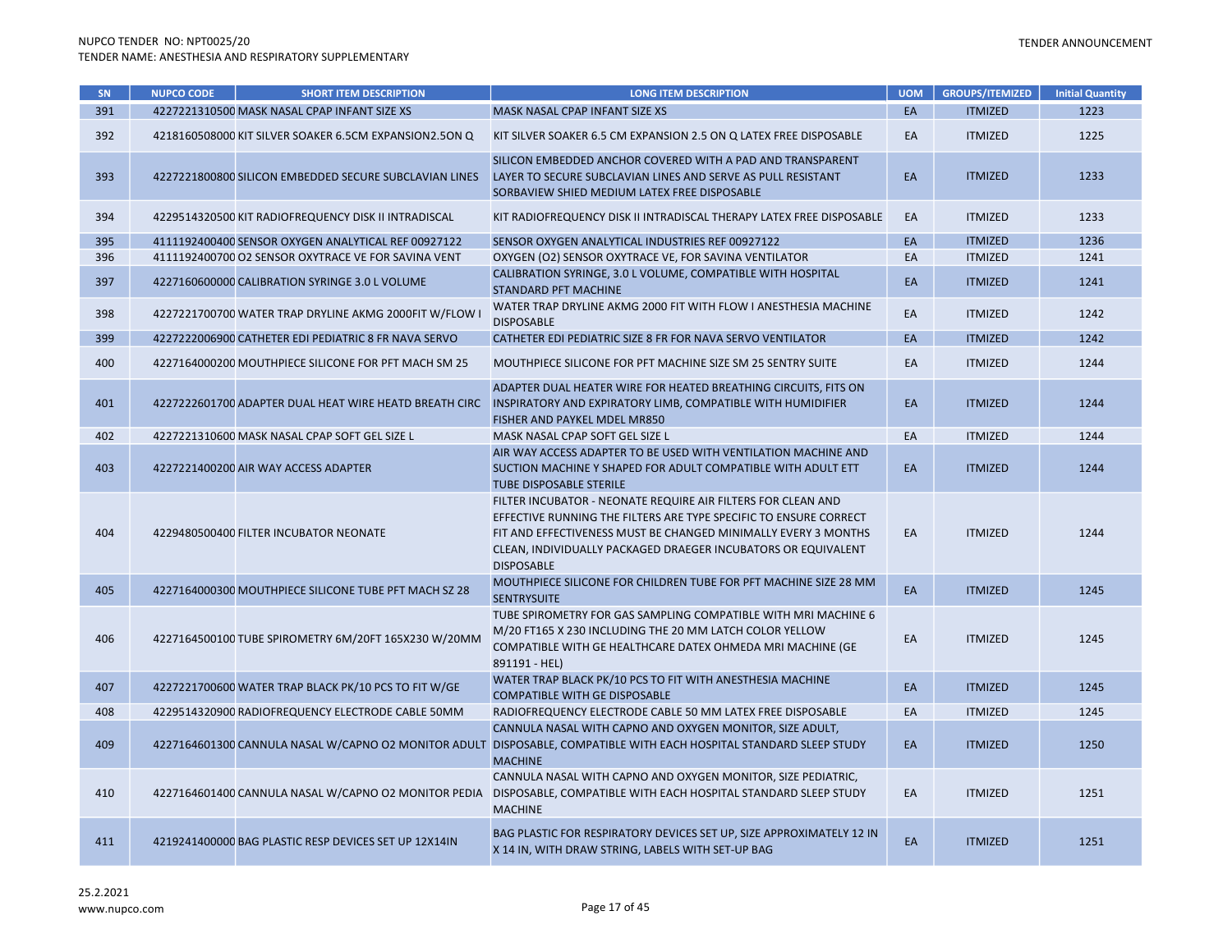| SN  | <b>NUPCO CODE</b> | <b>SHORT ITEM DESCRIPTION</b>                          | <b>LONG ITEM DESCRIPTION</b>                                                                                                                                                                                                                                                              | <b>UOM</b> | <b>GROUPS/ITEMIZED</b> | <b>Initial Quantity</b> |
|-----|-------------------|--------------------------------------------------------|-------------------------------------------------------------------------------------------------------------------------------------------------------------------------------------------------------------------------------------------------------------------------------------------|------------|------------------------|-------------------------|
| 391 |                   | 4227221310500 MASK NASAL CPAP INFANT SIZE XS           | MASK NASAL CPAP INFANT SIZE XS                                                                                                                                                                                                                                                            | EA         | <b>ITMIZED</b>         | 1223                    |
| 392 |                   | 4218160508000 KIT SILVER SOAKER 6.5CM EXPANSION2.5ON Q | KIT SILVER SOAKER 6.5 CM EXPANSION 2.5 ON Q LATEX FREE DISPOSABLE                                                                                                                                                                                                                         | EA         | <b>ITMIZED</b>         | 1225                    |
| 393 |                   | 4227221800800 SILICON EMBEDDED SECURE SUBCLAVIAN LINES | SILICON EMBEDDED ANCHOR COVERED WITH A PAD AND TRANSPARENT<br>LAYER TO SECURE SUBCLAVIAN LINES AND SERVE AS PULL RESISTANT<br>SORBAVIEW SHIED MEDIUM LATEX FREE DISPOSABLE                                                                                                                | EA         | <b>ITMIZED</b>         | 1233                    |
| 394 |                   | 4229514320500 KIT RADIOFREQUENCY DISK II INTRADISCAL   | KIT RADIOFREQUENCY DISK II INTRADISCAL THERAPY LATEX FREE DISPOSABLE                                                                                                                                                                                                                      | EA         | <b>ITMIZED</b>         | 1233                    |
| 395 |                   | 4111192400400 SENSOR OXYGEN ANALYTICAL REF 00927122    | SENSOR OXYGEN ANALYTICAL INDUSTRIES REF 00927122                                                                                                                                                                                                                                          | EA         | <b>ITMIZED</b>         | 1236                    |
| 396 |                   | 4111192400700 O2 SENSOR OXYTRACE VE FOR SAVINA VENT    | OXYGEN (O2) SENSOR OXYTRACE VE, FOR SAVINA VENTILATOR                                                                                                                                                                                                                                     | EA         | <b>ITMIZED</b>         | 1241                    |
| 397 |                   | 4227160600000 CALIBRATION SYRINGE 3.0 L VOLUME         | CALIBRATION SYRINGE, 3.0 L VOLUME, COMPATIBLE WITH HOSPITAL<br><b>STANDARD PFT MACHINE</b>                                                                                                                                                                                                | EA         | <b>ITMIZED</b>         | 1241                    |
| 398 |                   | 4227221700700 WATER TRAP DRYLINE AKMG 2000FIT W/FLOW I | WATER TRAP DRYLINE AKMG 2000 FIT WITH FLOW I ANESTHESIA MACHINE<br><b>DISPOSABLE</b>                                                                                                                                                                                                      | EA         | <b>ITMIZED</b>         | 1242                    |
| 399 |                   | 4227222006900 CATHETER EDI PEDIATRIC 8 FR NAVA SERVO   | CATHETER EDI PEDIATRIC SIZE 8 FR FOR NAVA SERVO VENTILATOR                                                                                                                                                                                                                                | EA         | <b>ITMIZED</b>         | 1242                    |
| 400 |                   | 4227164000200 MOUTHPIECE SILICONE FOR PFT MACH SM 25   | MOUTHPIECE SILICONE FOR PFT MACHINE SIZE SM 25 SENTRY SUITE                                                                                                                                                                                                                               | EA         | <b>ITMIZED</b>         | 1244                    |
| 401 |                   | 4227222601700 ADAPTER DUAL HEAT WIRE HEATD BREATH CIRC | ADAPTER DUAL HEATER WIRE FOR HEATED BREATHING CIRCUITS, FITS ON<br>INSPIRATORY AND EXPIRATORY LIMB, COMPATIBLE WITH HUMIDIFIER<br>FISHER AND PAYKEL MDEL MR850                                                                                                                            | EA         | <b>ITMIZED</b>         | 1244                    |
| 402 |                   | 4227221310600 MASK NASAL CPAP SOFT GEL SIZE L          | MASK NASAL CPAP SOFT GEL SIZE L                                                                                                                                                                                                                                                           | EA         | <b>ITMIZED</b>         | 1244                    |
| 403 |                   | 4227221400200 AIR WAY ACCESS ADAPTER                   | AIR WAY ACCESS ADAPTER TO BE USED WITH VENTILATION MACHINE AND<br>SUCTION MACHINE Y SHAPED FOR ADULT COMPATIBLE WITH ADULT ETT<br><b>TUBE DISPOSABLE STERILE</b>                                                                                                                          | EA         | <b>ITMIZED</b>         | 1244                    |
| 404 |                   | 4229480500400 FILTER INCUBATOR NEONATE                 | FILTER INCUBATOR - NEONATE REQUIRE AIR FILTERS FOR CLEAN AND<br>EFFECTIVE RUNNING THE FILTERS ARE TYPE SPECIFIC TO ENSURE CORRECT<br>FIT AND EFFECTIVENESS MUST BE CHANGED MINIMALLY EVERY 3 MONTHS<br>CLEAN, INDIVIDUALLY PACKAGED DRAEGER INCUBATORS OR EQUIVALENT<br><b>DISPOSABLE</b> | EA         | <b>ITMIZED</b>         | 1244                    |
| 405 |                   | 4227164000300 MOUTHPIECE SILICONE TUBE PFT MACH SZ 28  | MOUTHPIECE SILICONE FOR CHILDREN TUBE FOR PFT MACHINE SIZE 28 MM<br><b>SENTRYSUITE</b>                                                                                                                                                                                                    | EA         | <b>ITMIZED</b>         | 1245                    |
| 406 |                   | 4227164500100 TUBE SPIROMETRY 6M/20FT 165X230 W/20MM   | TUBE SPIROMETRY FOR GAS SAMPLING COMPATIBLE WITH MRI MACHINE 6<br>M/20 FT165 X 230 INCLUDING THE 20 MM LATCH COLOR YELLOW<br>COMPATIBLE WITH GE HEALTHCARE DATEX OHMEDA MRI MACHINE (GE<br>891191 - HEL)                                                                                  | EA         | <b>ITMIZED</b>         | 1245                    |
| 407 |                   | 4227221700600 WATER TRAP BLACK PK/10 PCS TO FIT W/GE   | WATER TRAP BLACK PK/10 PCS TO FIT WITH ANESTHESIA MACHINE<br><b>COMPATIBLE WITH GE DISPOSABLE</b>                                                                                                                                                                                         | EA         | <b>ITMIZED</b>         | 1245                    |
| 408 |                   | 4229514320900 RADIOFREQUENCY ELECTRODE CABLE 50MM      | RADIOFREQUENCY ELECTRODE CABLE 50 MM LATEX FREE DISPOSABLE                                                                                                                                                                                                                                | EA         | <b>ITMIZED</b>         | 1245                    |
| 409 |                   | 4227164601300 CANNULA NASAL W/CAPNO O2 MONITOR ADULT   | CANNULA NASAL WITH CAPNO AND OXYGEN MONITOR, SIZE ADULT,<br>DISPOSABLE, COMPATIBLE WITH EACH HOSPITAL STANDARD SLEEP STUDY<br><b>MACHINE</b>                                                                                                                                              | EA         | <b>ITMIZED</b>         | 1250                    |
| 410 |                   | 4227164601400 CANNULA NASAL W/CAPNO O2 MONITOR PEDIA   | CANNULA NASAL WITH CAPNO AND OXYGEN MONITOR, SIZE PEDIATRIC,<br>DISPOSABLE, COMPATIBLE WITH EACH HOSPITAL STANDARD SLEEP STUDY<br><b>MACHINE</b>                                                                                                                                          | EA         | <b>ITMIZED</b>         | 1251                    |
| 411 |                   | 4219241400000 BAG PLASTIC RESP DEVICES SET UP 12X14IN  | BAG PLASTIC FOR RESPIRATORY DEVICES SET UP, SIZE APPROXIMATELY 12 IN<br>X 14 IN, WITH DRAW STRING, LABELS WITH SET-UP BAG                                                                                                                                                                 | EA         | <b>ITMIZED</b>         | 1251                    |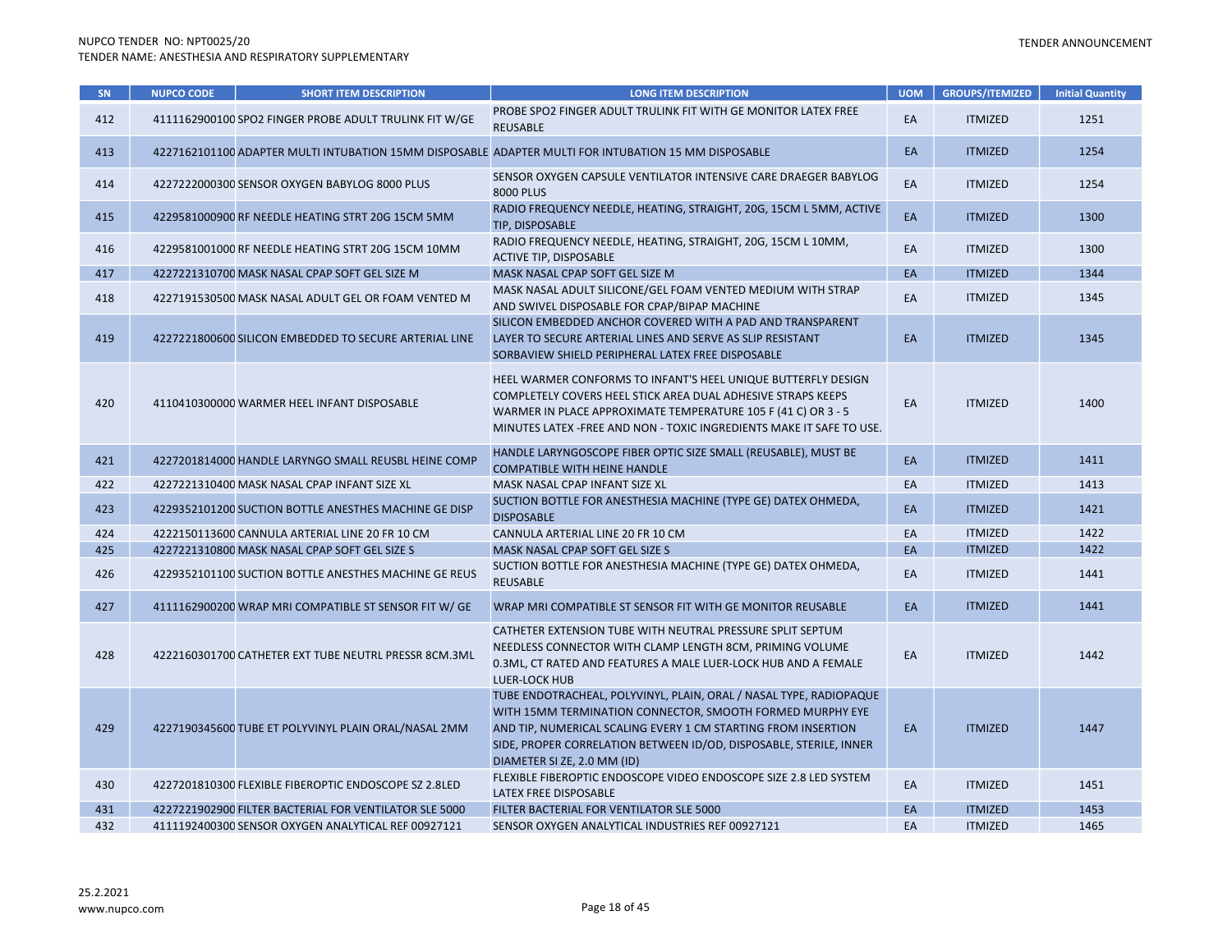| SN  | <b>NUPCO CODE</b> | <b>SHORT ITEM DESCRIPTION</b>                          | <b>LONG ITEM DESCRIPTION</b>                                                                                                                                                                                                                                                                          | <b>UOM</b> | <b>GROUPS/ITEMIZED</b> | <b>Initial Quantity</b> |
|-----|-------------------|--------------------------------------------------------|-------------------------------------------------------------------------------------------------------------------------------------------------------------------------------------------------------------------------------------------------------------------------------------------------------|------------|------------------------|-------------------------|
| 412 |                   | 4111162900100 SPO2 FINGER PROBE ADULT TRULINK FIT W/GE | PROBE SPO2 FINGER ADULT TRULINK FIT WITH GE MONITOR LATEX FREE<br><b>REUSABLE</b>                                                                                                                                                                                                                     | EA         | <b>ITMIZED</b>         | 1251                    |
| 413 |                   |                                                        | 4227162101100 ADAPTER MULTI INTUBATION 15MM DISPOSABLE ADAPTER MULTI FOR INTUBATION 15 MM DISPOSABLE                                                                                                                                                                                                  | EA         | <b>ITMIZED</b>         | 1254                    |
| 414 |                   | 4227222000300 SENSOR OXYGEN BABYLOG 8000 PLUS          | SENSOR OXYGEN CAPSULE VENTILATOR INTENSIVE CARE DRAEGER BABYLOG<br>8000 PLUS                                                                                                                                                                                                                          | EA         | <b>ITMIZED</b>         | 1254                    |
| 415 |                   | 4229581000900 RF NEEDLE HEATING STRT 20G 15CM 5MM      | RADIO FREQUENCY NEEDLE, HEATING, STRAIGHT, 20G, 15CM L 5MM, ACTIVE<br>TIP, DISPOSABLE                                                                                                                                                                                                                 | EA         | <b>ITMIZED</b>         | 1300                    |
| 416 |                   | 4229581001000 RF NEEDLE HEATING STRT 20G 15CM 10MM     | RADIO FREQUENCY NEEDLE, HEATING, STRAIGHT, 20G, 15CM L 10MM,<br>ACTIVE TIP, DISPOSABLE                                                                                                                                                                                                                | EA         | <b>ITMIZED</b>         | 1300                    |
| 417 |                   | 4227221310700 MASK NASAL CPAP SOFT GEL SIZE M          | MASK NASAL CPAP SOFT GEL SIZE M                                                                                                                                                                                                                                                                       | EA         | <b>ITMIZED</b>         | 1344                    |
| 418 |                   | 4227191530500 MASK NASAL ADULT GEL OR FOAM VENTED M    | MASK NASAL ADULT SILICONE/GEL FOAM VENTED MEDIUM WITH STRAP<br>AND SWIVEL DISPOSABLE FOR CPAP/BIPAP MACHINE                                                                                                                                                                                           | EA         | <b>ITMIZED</b>         | 1345                    |
| 419 |                   | 4227221800600 SILICON EMBEDDED TO SECURE ARTERIAL LINE | SILICON EMBEDDED ANCHOR COVERED WITH A PAD AND TRANSPARENT<br>LAYER TO SECURE ARTERIAL LINES AND SERVE AS SLIP RESISTANT<br>SORBAVIEW SHIELD PERIPHERAL LATEX FREE DISPOSABLE                                                                                                                         | EA         | <b>ITMIZED</b>         | 1345                    |
| 420 |                   | 4110410300000 WARMER HEEL INFANT DISPOSABLE            | HEEL WARMER CONFORMS TO INFANT'S HEEL UNIQUE BUTTERFLY DESIGN<br>COMPLETELY COVERS HEEL STICK AREA DUAL ADHESIVE STRAPS KEEPS<br>WARMER IN PLACE APPROXIMATE TEMPERATURE 105 F (41 C) OR 3 - 5<br>MINUTES LATEX - FREE AND NON - TOXIC INGREDIENTS MAKE IT SAFE TO USE.                               | EA         | <b>ITMIZED</b>         | 1400                    |
| 421 |                   | 4227201814000 HANDLE LARYNGO SMALL REUSBL HEINE COMP   | HANDLE LARYNGOSCOPE FIBER OPTIC SIZE SMALL (REUSABLE), MUST BE<br><b>COMPATIBLE WITH HEINE HANDLE</b>                                                                                                                                                                                                 | EA         | <b>ITMIZED</b>         | 1411                    |
| 422 |                   | 4227221310400 MASK NASAL CPAP INFANT SIZE XL           | MASK NASAL CPAP INFANT SIZE XL                                                                                                                                                                                                                                                                        | EA         | <b>ITMIZED</b>         | 1413                    |
| 423 |                   | 4229352101200 SUCTION BOTTLE ANESTHES MACHINE GE DISP  | SUCTION BOTTLE FOR ANESTHESIA MACHINE (TYPE GE) DATEX OHMEDA,<br><b>DISPOSABLE</b>                                                                                                                                                                                                                    | EA         | <b>ITMIZED</b>         | 1421                    |
| 424 |                   | 4222150113600 CANNULA ARTERIAL LINE 20 FR 10 CM        | CANNULA ARTERIAL LINE 20 FR 10 CM                                                                                                                                                                                                                                                                     | EA         | <b>ITMIZED</b>         | 1422                    |
| 425 |                   | 4227221310800 MASK NASAL CPAP SOFT GEL SIZE S          | MASK NASAL CPAP SOFT GEL SIZE S                                                                                                                                                                                                                                                                       | EA         | <b>ITMIZED</b>         | 1422                    |
| 426 |                   | 4229352101100 SUCTION BOTTLE ANESTHES MACHINE GE REUS  | SUCTION BOTTLE FOR ANESTHESIA MACHINE (TYPE GE) DATEX OHMEDA,<br>REUSABLE                                                                                                                                                                                                                             | EA         | <b>ITMIZED</b>         | 1441                    |
| 427 |                   | 4111162900200 WRAP MRI COMPATIBLE ST SENSOR FIT W/ GE  | WRAP MRI COMPATIBLE ST SENSOR FIT WITH GE MONITOR REUSABLE                                                                                                                                                                                                                                            | EA         | <b>ITMIZED</b>         | 1441                    |
| 428 |                   | 4222160301700 CATHETER EXT TUBE NEUTRL PRESSR 8CM.3ML  | CATHETER EXTENSION TUBE WITH NEUTRAL PRESSURE SPLIT SEPTUM<br>NEEDLESS CONNECTOR WITH CLAMP LENGTH 8CM, PRIMING VOLUME<br>0.3ML, CT RATED AND FEATURES A MALE LUER-LOCK HUB AND A FEMALE<br><b>LUER-LOCK HUB</b>                                                                                      | EA         | <b>ITMIZED</b>         | 1442                    |
| 429 |                   | 4227190345600 TUBE ET POLYVINYL PLAIN ORAL/NASAL 2MM   | TUBE ENDOTRACHEAL, POLYVINYL, PLAIN, ORAL / NASAL TYPE, RADIOPAQUE<br>WITH 15MM TERMINATION CONNECTOR, SMOOTH FORMED MURPHY EYE<br>AND TIP, NUMERICAL SCALING EVERY 1 CM STARTING FROM INSERTION<br>SIDE, PROPER CORRELATION BETWEEN ID/OD, DISPOSABLE, STERILE, INNER<br>DIAMETER SI ZE, 2.0 MM (ID) | EA         | <b>ITMIZED</b>         | 1447                    |
| 430 |                   | 4227201810300 FLEXIBLE FIBEROPTIC ENDOSCOPE SZ 2.8LED  | FLEXIBLE FIBEROPTIC ENDOSCOPE VIDEO ENDOSCOPE SIZE 2.8 LED SYSTEM<br>LATEX FREE DISPOSABLE                                                                                                                                                                                                            | EA         | <b>ITMIZED</b>         | 1451                    |
| 431 |                   | 4227221902900 FILTER BACTERIAL FOR VENTILATOR SLE 5000 | FILTER BACTERIAL FOR VENTILATOR SLE 5000                                                                                                                                                                                                                                                              | EA         | <b>ITMIZED</b>         | 1453                    |
| 432 |                   | 4111192400300 SENSOR OXYGEN ANALYTICAL REF 00927121    | SENSOR OXYGEN ANALYTICAL INDUSTRIES REF 00927121                                                                                                                                                                                                                                                      | EA         | <b>ITMIZED</b>         | 1465                    |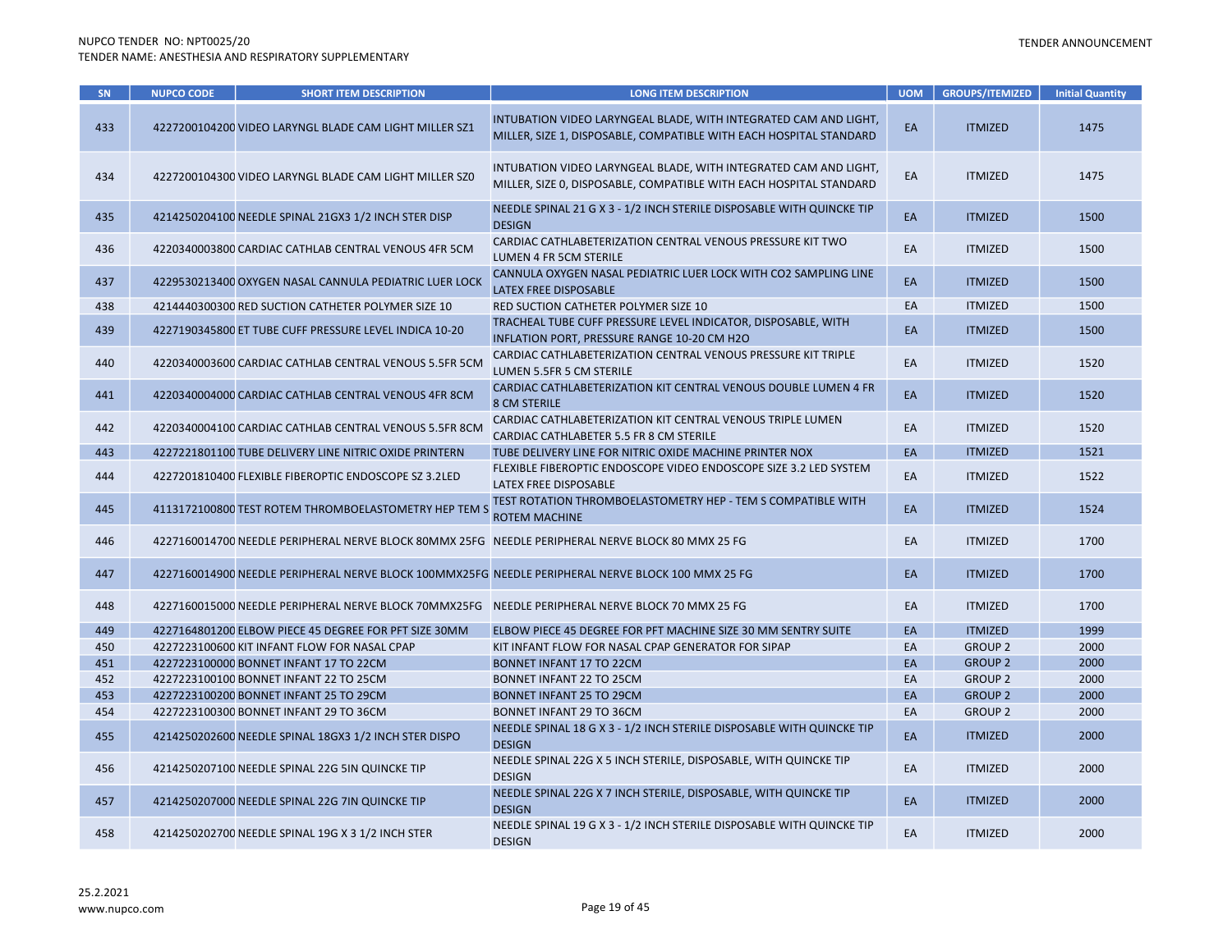| SN  | <b>NUPCO CODE</b> | <b>SHORT ITEM DESCRIPTION</b>                          | <b>LONG ITEM DESCRIPTION</b>                                                                                                           | <b>UOM</b> | <b>GROUPS/ITEMIZED</b> | <b>Initial Quantity</b> |
|-----|-------------------|--------------------------------------------------------|----------------------------------------------------------------------------------------------------------------------------------------|------------|------------------------|-------------------------|
| 433 |                   | 4227200104200 VIDEO LARYNGL BLADE CAM LIGHT MILLER SZ1 | INTUBATION VIDEO LARYNGEAL BLADE, WITH INTEGRATED CAM AND LIGHT,<br>MILLER, SIZE 1, DISPOSABLE, COMPATIBLE WITH EACH HOSPITAL STANDARD | EA         | <b>ITMIZED</b>         | 1475                    |
| 434 |                   | 4227200104300 VIDEO LARYNGL BLADE CAM LIGHT MILLER SZ0 | INTUBATION VIDEO LARYNGEAL BLADE, WITH INTEGRATED CAM AND LIGHT,<br>MILLER, SIZE 0, DISPOSABLE, COMPATIBLE WITH EACH HOSPITAL STANDARD | EA         | <b>ITMIZED</b>         | 1475                    |
| 435 |                   | 4214250204100 NEEDLE SPINAL 21GX3 1/2 INCH STER DISP   | NEEDLE SPINAL 21 G X 3 - 1/2 INCH STERILE DISPOSABLE WITH QUINCKE TIP<br><b>DESIGN</b>                                                 | EA         | <b>ITMIZED</b>         | 1500                    |
| 436 |                   | 4220340003800 CARDIAC CATHLAB CENTRAL VENOUS 4FR 5CM   | CARDIAC CATHLABETERIZATION CENTRAL VENOUS PRESSURE KIT TWO<br>LUMEN 4 FR 5CM STERILE                                                   | EA         | <b>ITMIZED</b>         | 1500                    |
| 437 |                   | 4229530213400 OXYGEN NASAL CANNULA PEDIATRIC LUER LOCK | CANNULA OXYGEN NASAL PEDIATRIC LUER LOCK WITH CO2 SAMPLING LINE<br>LATEX FREE DISPOSABLE                                               | EA         | <b>ITMIZED</b>         | 1500                    |
| 438 |                   | 4214440300300 RED SUCTION CATHETER POLYMER SIZE 10     | RED SUCTION CATHETER POLYMER SIZE 10                                                                                                   | EA         | <b>ITMIZED</b>         | 1500                    |
| 439 |                   | 4227190345800 ET TUBE CUFF PRESSURE LEVEL INDICA 10-20 | TRACHEAL TUBE CUFF PRESSURE LEVEL INDICATOR, DISPOSABLE, WITH<br>INFLATION PORT, PRESSURE RANGE 10-20 CM H2O                           | EA         | <b>ITMIZED</b>         | 1500                    |
| 440 |                   | 4220340003600 CARDIAC CATHLAB CENTRAL VENOUS 5.5FR 5CM | CARDIAC CATHLABETERIZATION CENTRAL VENOUS PRESSURE KIT TRIPLE<br>LUMEN 5.5FR 5 CM STERILE                                              | EA         | <b>ITMIZED</b>         | 1520                    |
| 441 |                   | 4220340004000 CARDIAC CATHLAB CENTRAL VENOUS 4FR 8CM   | CARDIAC CATHLABETERIZATION KIT CENTRAL VENOUS DOUBLE LUMEN 4 FR<br><b>8 CM STERILE</b>                                                 | EA         | <b>ITMIZED</b>         | 1520                    |
| 442 |                   | 4220340004100 CARDIAC CATHLAB CENTRAL VENOUS 5.5FR 8CM | CARDIAC CATHLABETERIZATION KIT CENTRAL VENOUS TRIPLE LUMEN<br>CARDIAC CATHLABETER 5.5 FR 8 CM STERILE                                  | EA         | <b>ITMIZED</b>         | 1520                    |
| 443 |                   | 4227221801100 TUBE DELIVERY LINE NITRIC OXIDE PRINTERN | TUBE DELIVERY LINE FOR NITRIC OXIDE MACHINE PRINTER NOX                                                                                | EA         | <b>ITMIZED</b>         | 1521                    |
| 444 |                   | 4227201810400 FLEXIBLE FIBEROPTIC ENDOSCOPE SZ 3.2LED  | FLEXIBLE FIBEROPTIC ENDOSCOPE VIDEO ENDOSCOPE SIZE 3.2 LED SYSTEM<br>LATEX FREE DISPOSABLE                                             | EA         | <b>ITMIZED</b>         | 1522                    |
| 445 |                   | 4113172100800 TEST ROTEM THROMBOELASTOMETRY HEP TEM S  | TEST ROTATION THROMBOELASTOMETRY HEP - TEM S COMPATIBLE WITH<br><b>ROTEM MACHINE</b>                                                   | EA         | <b>ITMIZED</b>         | 1524                    |
| 446 |                   |                                                        | 4227160014700 NEEDLE PERIPHERAL NERVE BLOCK 80MMX 25FG NEEDLE PERIPHERAL NERVE BLOCK 80 MMX 25 FG                                      | EA         | <b>ITMIZED</b>         | 1700                    |
| 447 |                   |                                                        | 4227160014900 NEEDLE PERIPHERAL NERVE BLOCK 100MMX25FG NEEDLE PERIPHERAL NERVE BLOCK 100 MMX 25 FG                                     | EA         | <b>ITMIZED</b>         | 1700                    |
| 448 |                   |                                                        | 4227160015000 NEEDLE PERIPHERAL NERVE BLOCK 70MMX25FG NEEDLE PERIPHERAL NERVE BLOCK 70 MMX 25 FG                                       | EA         | <b>ITMIZED</b>         | 1700                    |
| 449 |                   | 4227164801200 ELBOW PIECE 45 DEGREE FOR PFT SIZE 30MM  | ELBOW PIECE 45 DEGREE FOR PFT MACHINE SIZE 30 MM SENTRY SUITE                                                                          | EA         | <b>ITMIZED</b>         | 1999                    |
| 450 |                   | 4227223100600 KIT INFANT FLOW FOR NASAL CPAP           | KIT INFANT FLOW FOR NASAL CPAP GENERATOR FOR SIPAP                                                                                     | EA         | <b>GROUP 2</b>         | 2000                    |
| 451 |                   | 4227223100000 BONNET INFANT 17 TO 22CM                 | <b>BONNET INFANT 17 TO 22CM</b>                                                                                                        | EA         | <b>GROUP 2</b>         | 2000                    |
| 452 |                   | 4227223100100 BONNET INFANT 22 TO 25CM                 | BONNET INFANT 22 TO 25CM                                                                                                               | EA         | <b>GROUP 2</b>         | 2000                    |
| 453 |                   | 4227223100200 BONNET INFANT 25 TO 29CM                 | BONNET INFANT 25 TO 29CM                                                                                                               | EA         | <b>GROUP 2</b>         | 2000                    |
| 454 |                   | 4227223100300 BONNET INFANT 29 TO 36CM                 | BONNET INFANT 29 TO 36CM                                                                                                               | EA         | <b>GROUP 2</b>         | 2000                    |
| 455 |                   | 4214250202600 NEEDLE SPINAL 18GX3 1/2 INCH STER DISPO  | NEEDLE SPINAL 18 G X 3 - 1/2 INCH STERILE DISPOSABLE WITH QUINCKE TIP<br><b>DESIGN</b>                                                 | EA         | <b>ITMIZED</b>         | 2000                    |
| 456 |                   | 4214250207100 NEEDLE SPINAL 22G 5IN QUINCKE TIP        | NEEDLE SPINAL 22G X 5 INCH STERILE, DISPOSABLE, WITH QUINCKE TIP<br><b>DESIGN</b>                                                      | EA         | <b>ITMIZED</b>         | 2000                    |
| 457 |                   | 4214250207000 NEEDLE SPINAL 22G 7IN QUINCKE TIP        | NEEDLE SPINAL 22G X 7 INCH STERILE, DISPOSABLE, WITH QUINCKE TIP<br><b>DESIGN</b>                                                      | EA         | <b>ITMIZED</b>         | 2000                    |
| 458 |                   | 4214250202700 NEEDLE SPINAL 19G X 3 1/2 INCH STER      | NEEDLE SPINAL 19 G X 3 - 1/2 INCH STERILE DISPOSABLE WITH QUINCKE TIP<br><b>DESIGN</b>                                                 | EA         | <b>ITMIZED</b>         | 2000                    |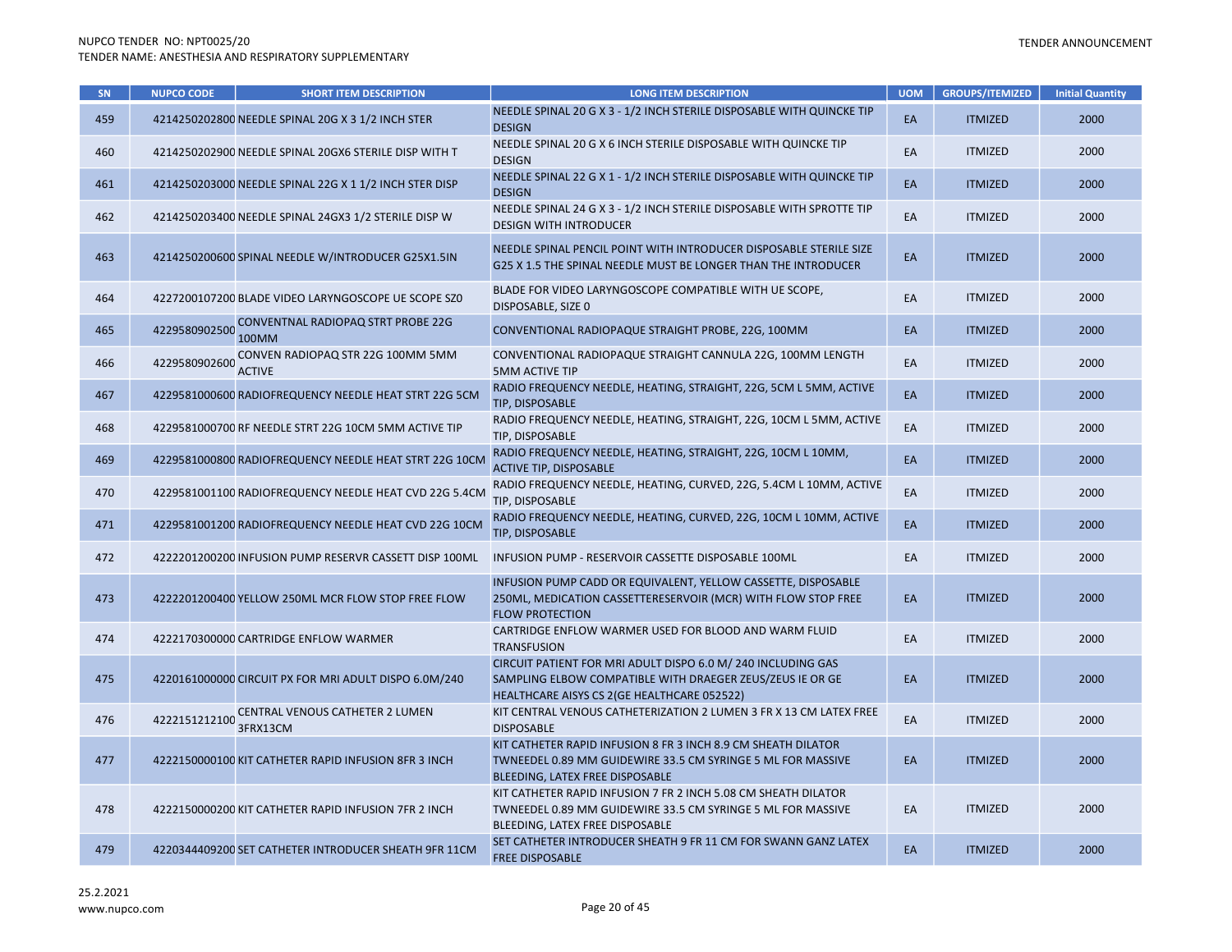| SN  | <b>NUPCO CODE</b> | <b>SHORT ITEM DESCRIPTION</b>                          | <b>LONG ITEM DESCRIPTION</b>                                                                                                                                             | <b>UOM</b> | <b>GROUPS/ITEMIZED</b> | <b>Initial Quantity</b> |
|-----|-------------------|--------------------------------------------------------|--------------------------------------------------------------------------------------------------------------------------------------------------------------------------|------------|------------------------|-------------------------|
| 459 |                   | 4214250202800 NEEDLE SPINAL 20G X 3 1/2 INCH STER      | NEEDLE SPINAL 20 G X 3 - 1/2 INCH STERILE DISPOSABLE WITH QUINCKE TIP<br><b>DESIGN</b>                                                                                   | EA         | <b>ITMIZED</b>         | 2000                    |
| 460 |                   | 4214250202900 NEEDLE SPINAL 20GX6 STERILE DISP WITH T  | NEEDLE SPINAL 20 G X 6 INCH STERILE DISPOSABLE WITH QUINCKE TIP<br><b>DESIGN</b>                                                                                         | EA         | <b>ITMIZED</b>         | 2000                    |
| 461 |                   | 4214250203000 NEEDLE SPINAL 22G X 1 1/2 INCH STER DISP | NEEDLE SPINAL 22 G X 1 - 1/2 INCH STERILE DISPOSABLE WITH QUINCKE TIP<br><b>DESIGN</b>                                                                                   | EA         | <b>ITMIZED</b>         | 2000                    |
| 462 |                   | 4214250203400 NEEDLE SPINAL 24GX3 1/2 STERILE DISP W   | NEEDLE SPINAL 24 G X 3 - 1/2 INCH STERILE DISPOSABLE WITH SPROTTE TIP<br><b>DESIGN WITH INTRODUCER</b>                                                                   | EA         | <b>ITMIZED</b>         | 2000                    |
| 463 |                   | 4214250200600 SPINAL NEEDLE W/INTRODUCER G25X1.5IN     | NEEDLE SPINAL PENCIL POINT WITH INTRODUCER DISPOSABLE STERILE SIZE<br>G25 X 1.5 THE SPINAL NEEDLE MUST BE LONGER THAN THE INTRODUCER                                     | EA         | <b>ITMIZED</b>         | 2000                    |
| 464 |                   | 4227200107200 BLADE VIDEO LARYNGOSCOPE UE SCOPE SZO    | BLADE FOR VIDEO LARYNGOSCOPE COMPATIBLE WITH UE SCOPE,<br>DISPOSABLE, SIZE 0                                                                                             | EA         | <b>ITMIZED</b>         | 2000                    |
| 465 | 4229580902500     | CONVENTNAL RADIOPAQ STRT PROBE 22G<br>100MM            | CONVENTIONAL RADIOPAQUE STRAIGHT PROBE, 22G, 100MM                                                                                                                       | EA         | <b>ITMIZED</b>         | 2000                    |
| 466 | 4229580902600     | CONVEN RADIOPAQ STR 22G 100MM 5MM<br><b>ACTIVE</b>     | CONVENTIONAL RADIOPAQUE STRAIGHT CANNULA 22G, 100MM LENGTH<br><b>5MM ACTIVE TIP</b>                                                                                      | EA         | <b>ITMIZED</b>         | 2000                    |
| 467 |                   | 4229581000600 RADIOFREQUENCY NEEDLE HEAT STRT 22G 5CM  | RADIO FREQUENCY NEEDLE, HEATING, STRAIGHT, 22G, 5CM L 5MM, ACTIVE<br>TIP, DISPOSABLE                                                                                     | EA         | <b>ITMIZED</b>         | 2000                    |
| 468 |                   | 4229581000700 RF NEEDLE STRT 22G 10CM 5MM ACTIVE TIP   | RADIO FREQUENCY NEEDLE, HEATING, STRAIGHT, 22G, 10CM L 5MM, ACTIVE<br>TIP, DISPOSABLE                                                                                    | EA         | <b>ITMIZED</b>         | 2000                    |
| 469 |                   | 4229581000800 RADIOFREQUENCY NEEDLE HEAT STRT 22G 10CM | RADIO FREQUENCY NEEDLE, HEATING, STRAIGHT, 22G, 10CM L 10MM,<br><b>ACTIVE TIP, DISPOSABLE</b>                                                                            | EA         | <b>ITMIZED</b>         | 2000                    |
| 470 |                   | 4229581001100 RADIOFREQUENCY NEEDLE HEAT CVD 22G 5.4CM | RADIO FREQUENCY NEEDLE, HEATING, CURVED, 22G, 5.4CM L 10MM, ACTIVE<br>TIP, DISPOSABLE                                                                                    | EA         | <b>ITMIZED</b>         | 2000                    |
| 471 |                   | 4229581001200 RADIOFREQUENCY NEEDLE HEAT CVD 22G 10CM  | RADIO FREQUENCY NEEDLE, HEATING, CURVED, 22G, 10CM L 10MM, ACTIVE<br>TIP, DISPOSABLE                                                                                     | EA         | <b>ITMIZED</b>         | 2000                    |
| 472 |                   | 4222201200200 INFUSION PUMP RESERVR CASSETT DISP 100ML | INFUSION PUMP - RESERVOIR CASSETTE DISPOSABLE 100ML                                                                                                                      | EA         | <b>ITMIZED</b>         | 2000                    |
| 473 |                   | 4222201200400 YELLOW 250ML MCR FLOW STOP FREE FLOW     | INFUSION PUMP CADD OR EQUIVALENT, YELLOW CASSETTE, DISPOSABLE<br>250ML, MEDICATION CASSETTERESERVOIR (MCR) WITH FLOW STOP FREE<br><b>FLOW PROTECTION</b>                 | EA         | <b>ITMIZED</b>         | 2000                    |
| 474 |                   | 4222170300000 CARTRIDGE ENFLOW WARMER                  | CARTRIDGE ENFLOW WARMER USED FOR BLOOD AND WARM FLUID<br><b>TRANSFUSION</b>                                                                                              | EA         | <b>ITMIZED</b>         | 2000                    |
| 475 |                   | 4220161000000 CIRCUIT PX FOR MRI ADULT DISPO 6.0M/240  | CIRCUIT PATIENT FOR MRI ADULT DISPO 6.0 M/ 240 INCLUDING GAS<br>SAMPLING ELBOW COMPATIBLE WITH DRAEGER ZEUS/ZEUS IE OR GE<br>HEALTHCARE AISYS CS 2(GE HEALTHCARE 052522) | EA         | <b>ITMIZED</b>         | 2000                    |
| 476 | 4222151212100     | CENTRAL VENOUS CATHETER 2 LUMEN<br>3FRX13CM            | KIT CENTRAL VENOUS CATHETERIZATION 2 LUMEN 3 FR X 13 CM LATEX FREE<br><b>DISPOSABLE</b>                                                                                  | EA         | <b>ITMIZED</b>         | 2000                    |
| 477 |                   | 4222150000100 KIT CATHETER RAPID INFUSION 8FR 3 INCH   | KIT CATHETER RAPID INFUSION 8 FR 3 INCH 8.9 CM SHEATH DILATOR<br>TWNEEDEL 0.89 MM GUIDEWIRE 33.5 CM SYRINGE 5 ML FOR MASSIVE<br>BLEEDING, LATEX FREE DISPOSABLE          | EA         | <b>ITMIZED</b>         | 2000                    |
| 478 |                   | 4222150000200 KIT CATHETER RAPID INFUSION 7FR 2 INCH   | KIT CATHETER RAPID INFUSION 7 FR 2 INCH 5.08 CM SHEATH DILATOR<br>TWNEEDEL 0.89 MM GUIDEWIRE 33.5 CM SYRINGE 5 ML FOR MASSIVE<br>BLEEDING, LATEX FREE DISPOSABLE         | EA         | <b>ITMIZED</b>         | 2000                    |
| 479 |                   | 4220344409200 SET CATHETER INTRODUCER SHEATH 9FR 11CM  | SET CATHETER INTRODUCER SHEATH 9 FR 11 CM FOR SWANN GANZ LATEX<br><b>FREE DISPOSABLE</b>                                                                                 | EA         | <b>ITMIZED</b>         | 2000                    |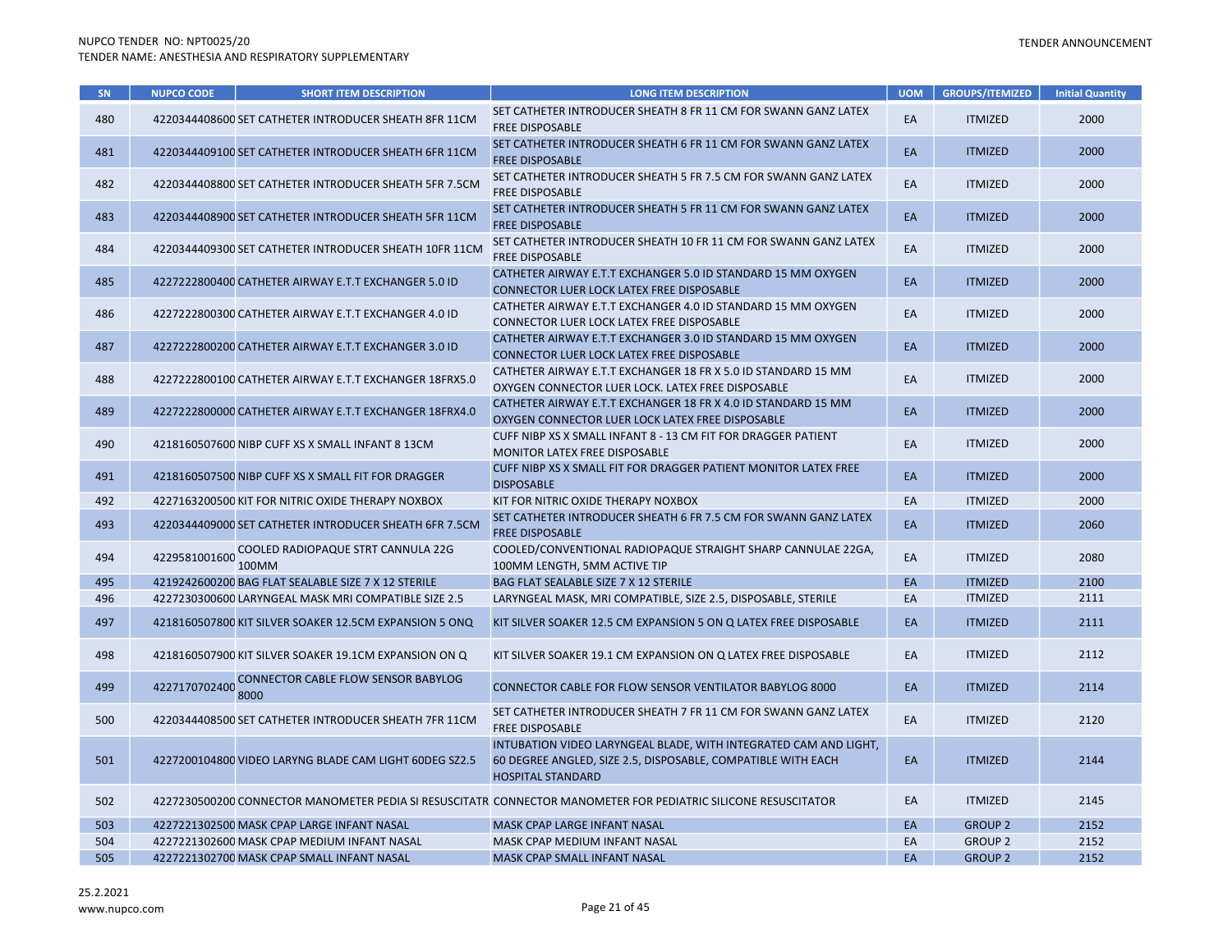| SN  | <b>NUPCO CODE</b> | <b>SHORT ITEM DESCRIPTION</b>                          | <b>LONG ITEM DESCRIPTION</b>                                                                                                                                 | <b>UOM</b> | <b>GROUPS/ITEMIZED</b> | <b>Initial Quantity</b> |
|-----|-------------------|--------------------------------------------------------|--------------------------------------------------------------------------------------------------------------------------------------------------------------|------------|------------------------|-------------------------|
| 480 |                   | 4220344408600 SET CATHETER INTRODUCER SHEATH 8FR 11CM  | SET CATHETER INTRODUCER SHEATH 8 FR 11 CM FOR SWANN GANZ LATEX<br><b>FREE DISPOSABLE</b>                                                                     | EA         | <b>ITMIZED</b>         | 2000                    |
| 481 |                   | 4220344409100 SET CATHETER INTRODUCER SHEATH 6FR 11CM  | SET CATHETER INTRODUCER SHEATH 6 FR 11 CM FOR SWANN GANZ LATEX<br><b>FREE DISPOSABLE</b>                                                                     | <b>EA</b>  | <b>ITMIZED</b>         | 2000                    |
| 482 |                   | 4220344408800 SET CATHETER INTRODUCER SHEATH 5FR 7.5CM | SET CATHETER INTRODUCER SHEATH 5 FR 7.5 CM FOR SWANN GANZ LATEX<br><b>FREE DISPOSABLE</b>                                                                    | EA         | <b>ITMIZED</b>         | 2000                    |
| 483 |                   | 4220344408900 SET CATHETER INTRODUCER SHEATH 5FR 11CM  | SET CATHETER INTRODUCER SHEATH 5 FR 11 CM FOR SWANN GANZ LATEX<br><b>FREE DISPOSABLE</b>                                                                     | EA         | <b>ITMIZED</b>         | 2000                    |
| 484 |                   | 4220344409300 SET CATHETER INTRODUCER SHEATH 10FR 11CM | SET CATHETER INTRODUCER SHEATH 10 FR 11 CM FOR SWANN GANZ LATEX<br><b>FREE DISPOSABLE</b>                                                                    | EA         | <b>ITMIZED</b>         | 2000                    |
| 485 |                   | 4227222800400 CATHETER AIRWAY E.T.T EXCHANGER 5.0 ID   | CATHETER AIRWAY E.T.T EXCHANGER 5.0 ID STANDARD 15 MM OXYGEN<br>CONNECTOR LUER LOCK LATEX FREE DISPOSABLE                                                    | EA         | <b>ITMIZED</b>         | 2000                    |
| 486 |                   | 4227222800300 CATHETER AIRWAY E.T.T EXCHANGER 4.0 ID   | CATHETER AIRWAY E.T.T EXCHANGER 4.0 ID STANDARD 15 MM OXYGEN<br>CONNECTOR LUER LOCK LATEX FREE DISPOSABLE                                                    | EA         | <b>ITMIZED</b>         | 2000                    |
| 487 |                   | 4227222800200 CATHETER AIRWAY E.T.T EXCHANGER 3.0 ID   | CATHETER AIRWAY E.T.T EXCHANGER 3.0 ID STANDARD 15 MM OXYGEN<br>CONNECTOR LUER LOCK LATEX FREE DISPOSABLE                                                    | EA         | <b>ITMIZED</b>         | 2000                    |
| 488 |                   | 4227222800100 CATHETER AIRWAY E.T.T EXCHANGER 18FRX5.0 | CATHETER AIRWAY E.T.T EXCHANGER 18 FR X 5.0 ID STANDARD 15 MM<br>OXYGEN CONNECTOR LUER LOCK. LATEX FREE DISPOSABLE                                           | EA         | <b>ITMIZED</b>         | 2000                    |
| 489 |                   | 4227222800000 CATHETER AIRWAY E.T.T EXCHANGER 18FRX4.0 | CATHETER AIRWAY E.T.T EXCHANGER 18 FR X 4.0 ID STANDARD 15 MM<br>OXYGEN CONNECTOR LUER LOCK LATEX FREE DISPOSABLE                                            | EA         | <b>ITMIZED</b>         | 2000                    |
| 490 |                   | 4218160507600 NIBP CUFF XS X SMALL INFANT 8 13CM       | CUFF NIBP XS X SMALL INFANT 8 - 13 CM FIT FOR DRAGGER PATIENT<br><b>MONITOR LATEX FREE DISPOSABLE</b>                                                        | EA         | <b>ITMIZED</b>         | 2000                    |
| 491 |                   | 4218160507500 NIBP CUFF XS X SMALL FIT FOR DRAGGER     | CUFF NIBP XS X SMALL FIT FOR DRAGGER PATIENT MONITOR LATEX FREE<br><b>DISPOSABLE</b>                                                                         | EA         | <b>ITMIZED</b>         | 2000                    |
| 492 |                   | 4227163200500 KIT FOR NITRIC OXIDE THERAPY NOXBOX      | KIT FOR NITRIC OXIDE THERAPY NOXBOX                                                                                                                          | EA         | <b>ITMIZED</b>         | 2000                    |
| 493 |                   | 4220344409000 SET CATHETER INTRODUCER SHEATH 6FR 7.5CM | SET CATHETER INTRODUCER SHEATH 6 FR 7.5 CM FOR SWANN GANZ LATEX<br><b>FREE DISPOSABLE</b>                                                                    | EA         | <b>ITMIZED</b>         | 2060                    |
| 494 | 4229581001600     | COOLED RADIOPAQUE STRT CANNULA 22G<br>100MM            | COOLED/CONVENTIONAL RADIOPAQUE STRAIGHT SHARP CANNULAE 22GA,<br>100MM LENGTH, 5MM ACTIVE TIP                                                                 | EA         | <b>ITMIZED</b>         | 2080                    |
| 495 |                   | 4219242600200 BAG FLAT SEALABLE SIZE 7 X 12 STERILE    | BAG FLAT SEALABLE SIZE 7 X 12 STERILE                                                                                                                        | EA         | <b>ITMIZED</b>         | 2100                    |
| 496 |                   | 4227230300600 LARYNGEAL MASK MRI COMPATIBLE SIZE 2.5   | LARYNGEAL MASK, MRI COMPATIBLE, SIZE 2.5, DISPOSABLE, STERILE                                                                                                | EA         | <b>ITMIZED</b>         | 2111                    |
| 497 |                   | 4218160507800 KIT SILVER SOAKER 12.5CM EXPANSION 5 ONQ | KIT SILVER SOAKER 12.5 CM EXPANSION 5 ON Q LATEX FREE DISPOSABLE                                                                                             | EA         | <b>ITMIZED</b>         | 2111                    |
| 498 |                   | 4218160507900 KIT SILVER SOAKER 19.1CM EXPANSION ON Q  | KIT SILVER SOAKER 19.1 CM EXPANSION ON Q LATEX FREE DISPOSABLE                                                                                               | EA         | <b>ITMIZED</b>         | 2112                    |
| 499 | 4227170702400     | <b>CONNECTOR CABLE FLOW SENSOR BABYLOG</b><br>8000     | <b>CONNECTOR CABLE FOR FLOW SENSOR VENTILATOR BABYLOG 8000</b>                                                                                               | EA         | <b>ITMIZED</b>         | 2114                    |
| 500 |                   | 4220344408500 SET CATHETER INTRODUCER SHEATH 7FR 11CM  | SET CATHETER INTRODUCER SHEATH 7 FR 11 CM FOR SWANN GANZ LATEX<br>FREE DISPOSABLE                                                                            | EA         | <b>ITMIZED</b>         | 2120                    |
| 501 |                   | 4227200104800 VIDEO LARYNG BLADE CAM LIGHT 60DEG SZ2.5 | INTUBATION VIDEO LARYNGEAL BLADE, WITH INTEGRATED CAM AND LIGHT,<br>60 DEGREE ANGLED, SIZE 2.5, DISPOSABLE, COMPATIBLE WITH EACH<br><b>HOSPITAL STANDARD</b> | EA         | <b>ITMIZED</b>         | 2144                    |
| 502 |                   |                                                        | 4227230500200 CONNECTOR MANOMETER PEDIA SI RESUSCITATR CONNECTOR MANOMETER FOR PEDIATRIC SILICONE RESUSCITATOR                                               | EA         | <b>ITMIZED</b>         | 2145                    |
| 503 |                   | 4227221302500 MASK CPAP LARGE INFANT NASAL             | MASK CPAP LARGE INFANT NASAL                                                                                                                                 | EA         | <b>GROUP 2</b>         | 2152                    |
| 504 |                   | 4227221302600 MASK CPAP MEDIUM INFANT NASAL            | MASK CPAP MEDIUM INFANT NASAL                                                                                                                                | EA         | <b>GROUP 2</b>         | 2152                    |
| 505 |                   | 4227221302700 MASK CPAP SMALL INFANT NASAL             | <b>MASK CPAP SMALL INFANT NASAL</b>                                                                                                                          | EA         | <b>GROUP 2</b>         | 2152                    |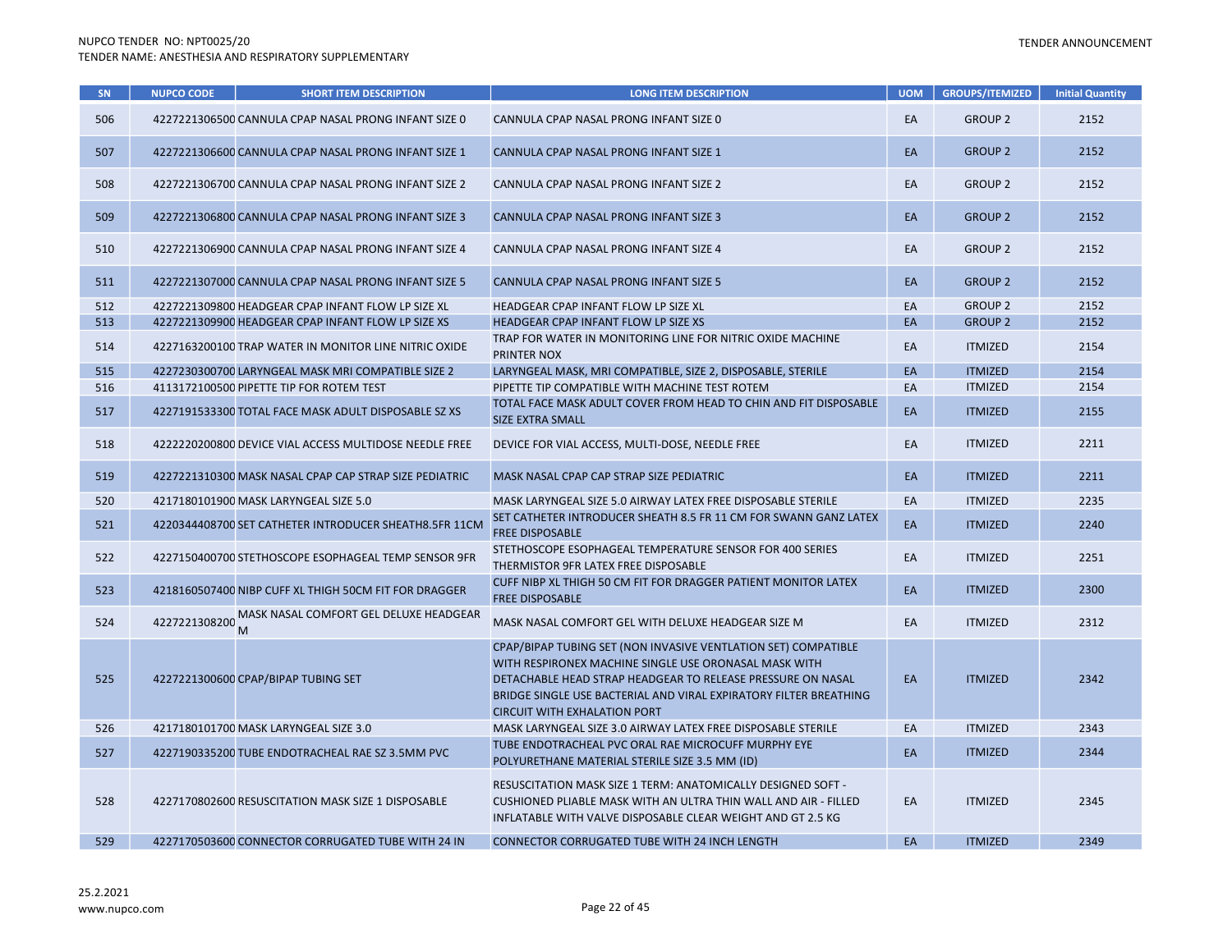| <b>SN</b> | <b>NUPCO CODE</b> | <b>SHORT ITEM DESCRIPTION</b>                          | <b>LONG ITEM DESCRIPTION</b>                                                                                                                                                                                                                                                                       | <b>UOM</b> | <b>GROUPS/ITEMIZED</b> | <b>Initial Quantity</b> |
|-----------|-------------------|--------------------------------------------------------|----------------------------------------------------------------------------------------------------------------------------------------------------------------------------------------------------------------------------------------------------------------------------------------------------|------------|------------------------|-------------------------|
| 506       |                   | 4227221306500 CANNULA CPAP NASAL PRONG INFANT SIZE 0   | CANNULA CPAP NASAL PRONG INFANT SIZE 0                                                                                                                                                                                                                                                             | EA         | <b>GROUP 2</b>         | 2152                    |
| 507       |                   | 4227221306600 CANNULA CPAP NASAL PRONG INFANT SIZE 1   | CANNULA CPAP NASAL PRONG INFANT SIZE 1                                                                                                                                                                                                                                                             | EA         | <b>GROUP 2</b>         | 2152                    |
| 508       |                   | 4227221306700 CANNULA CPAP NASAL PRONG INFANT SIZE 2   | CANNULA CPAP NASAL PRONG INFANT SIZE 2                                                                                                                                                                                                                                                             | EA         | <b>GROUP 2</b>         | 2152                    |
| 509       |                   | 4227221306800 CANNULA CPAP NASAL PRONG INFANT SIZE 3   | CANNULA CPAP NASAL PRONG INFANT SIZE 3                                                                                                                                                                                                                                                             | EA         | <b>GROUP 2</b>         | 2152                    |
| 510       |                   | 4227221306900 CANNULA CPAP NASAL PRONG INFANT SIZE 4   | CANNULA CPAP NASAL PRONG INFANT SIZE 4                                                                                                                                                                                                                                                             | EA         | <b>GROUP 2</b>         | 2152                    |
| 511       |                   | 4227221307000 CANNULA CPAP NASAL PRONG INFANT SIZE 5   | CANNULA CPAP NASAL PRONG INFANT SIZE 5                                                                                                                                                                                                                                                             | EA         | <b>GROUP 2</b>         | 2152                    |
| 512       |                   | 4227221309800 HEADGEAR CPAP INFANT FLOW LP SIZE XL     | HEADGEAR CPAP INFANT FLOW LP SIZE XL                                                                                                                                                                                                                                                               | EA         | <b>GROUP 2</b>         | 2152                    |
| 513       |                   | 4227221309900 HEADGEAR CPAP INFANT FLOW LP SIZE XS     | HEADGEAR CPAP INFANT FLOW LP SIZE XS                                                                                                                                                                                                                                                               | EA         | <b>GROUP 2</b>         | 2152                    |
| 514       |                   | 4227163200100 TRAP WATER IN MONITOR LINE NITRIC OXIDE  | TRAP FOR WATER IN MONITORING LINE FOR NITRIC OXIDE MACHINE<br>PRINTER NOX                                                                                                                                                                                                                          | EA         | <b>ITMIZED</b>         | 2154                    |
| 515       |                   | 4227230300700 LARYNGEAL MASK MRI COMPATIBLE SIZE 2     | LARYNGEAL MASK, MRI COMPATIBLE, SIZE 2, DISPOSABLE, STERILE                                                                                                                                                                                                                                        | EA         | <b>ITMIZED</b>         | 2154                    |
| 516       |                   | 4113172100500 PIPETTE TIP FOR ROTEM TEST               | PIPETTE TIP COMPATIBLE WITH MACHINE TEST ROTEM                                                                                                                                                                                                                                                     | EA         | <b>ITMIZED</b>         | 2154                    |
| 517       |                   | 4227191533300 TOTAL FACE MASK ADULT DISPOSABLE SZ XS   | TOTAL FACE MASK ADULT COVER FROM HEAD TO CHIN AND FIT DISPOSABLE<br><b>SIZE EXTRA SMALL</b>                                                                                                                                                                                                        | EA         | <b>ITMIZED</b>         | 2155                    |
| 518       |                   | 4222220200800 DEVICE VIAL ACCESS MULTIDOSE NEEDLE FREE | DEVICE FOR VIAL ACCESS, MULTI-DOSE, NEEDLE FREE                                                                                                                                                                                                                                                    | EA         | <b>ITMIZED</b>         | 2211                    |
| 519       |                   | 4227221310300 MASK NASAL CPAP CAP STRAP SIZE PEDIATRIC | MASK NASAL CPAP CAP STRAP SIZE PEDIATRIC                                                                                                                                                                                                                                                           | EA         | <b>ITMIZED</b>         | 2211                    |
| 520       |                   | 4217180101900 MASK LARYNGEAL SIZE 5.0                  | MASK LARYNGEAL SIZE 5.0 AIRWAY LATEX FREE DISPOSABLE STERILE                                                                                                                                                                                                                                       | EA         | <b>ITMIZED</b>         | 2235                    |
| 521       |                   | 4220344408700 SET CATHETER INTRODUCER SHEATH8.5FR 11CM | SET CATHETER INTRODUCER SHEATH 8.5 FR 11 CM FOR SWANN GANZ LATEX<br><b>FREE DISPOSABLE</b>                                                                                                                                                                                                         | EA         | <b>ITMIZED</b>         | 2240                    |
| 522       |                   | 4227150400700 STETHOSCOPE ESOPHAGEAL TEMP SENSOR 9FR   | STETHOSCOPE ESOPHAGEAL TEMPERATURE SENSOR FOR 400 SERIES<br>THERMISTOR 9FR LATEX FREE DISPOSABLE                                                                                                                                                                                                   | EA         | <b>ITMIZED</b>         | 2251                    |
| 523       |                   | 4218160507400 NIBP CUFF XL THIGH 50CM FIT FOR DRAGGER  | CUFF NIBP XL THIGH 50 CM FIT FOR DRAGGER PATIENT MONITOR LATEX<br><b>FREE DISPOSABLE</b>                                                                                                                                                                                                           | EA         | <b>ITMIZED</b>         | 2300                    |
| 524       | 4227221308200     | MASK NASAL COMFORT GEL DELUXE HEADGEAR                 | MASK NASAL COMFORT GEL WITH DELUXE HEADGEAR SIZE M                                                                                                                                                                                                                                                 | EA         | <b>ITMIZED</b>         | 2312                    |
| 525       |                   | 4227221300600 CPAP/BIPAP TUBING SET                    | CPAP/BIPAP TUBING SET (NON INVASIVE VENTLATION SET) COMPATIBLE<br>WITH RESPIRONEX MACHINE SINGLE USE ORONASAL MASK WITH<br>DETACHABLE HEAD STRAP HEADGEAR TO RELEASE PRESSURE ON NASAL<br>BRIDGE SINGLE USE BACTERIAL AND VIRAL EXPIRATORY FILTER BREATHING<br><b>CIRCUIT WITH EXHALATION PORT</b> | EA         | <b>ITMIZED</b>         | 2342                    |
| 526       |                   | 4217180101700 MASK LARYNGEAL SIZE 3.0                  | MASK LARYNGEAL SIZE 3.0 AIRWAY LATEX FREE DISPOSABLE STERILE                                                                                                                                                                                                                                       | EA         | <b>ITMIZED</b>         | 2343                    |
| 527       |                   | 4227190335200 TUBE ENDOTRACHEAL RAE SZ 3.5MM PVC       | TUBE ENDOTRACHEAL PVC ORAL RAE MICROCUFF MURPHY EYE<br>POLYURETHANE MATERIAL STERILE SIZE 3.5 MM (ID)                                                                                                                                                                                              | EA         | <b>ITMIZED</b>         | 2344                    |
| 528       |                   | 4227170802600 RESUSCITATION MASK SIZE 1 DISPOSABLE     | RESUSCITATION MASK SIZE 1 TERM: ANATOMICALLY DESIGNED SOFT -<br>CUSHIONED PLIABLE MASK WITH AN ULTRA THIN WALL AND AIR - FILLED<br>INFLATABLE WITH VALVE DISPOSABLE CLEAR WEIGHT AND GT 2.5 KG                                                                                                     | EA         | <b>ITMIZED</b>         | 2345                    |
| 529       |                   | 4227170503600 CONNECTOR CORRUGATED TUBE WITH 24 IN     | <b>CONNECTOR CORRUGATED TUBE WITH 24 INCH LENGTH</b>                                                                                                                                                                                                                                               | EA         | <b>ITMIZED</b>         | 2349                    |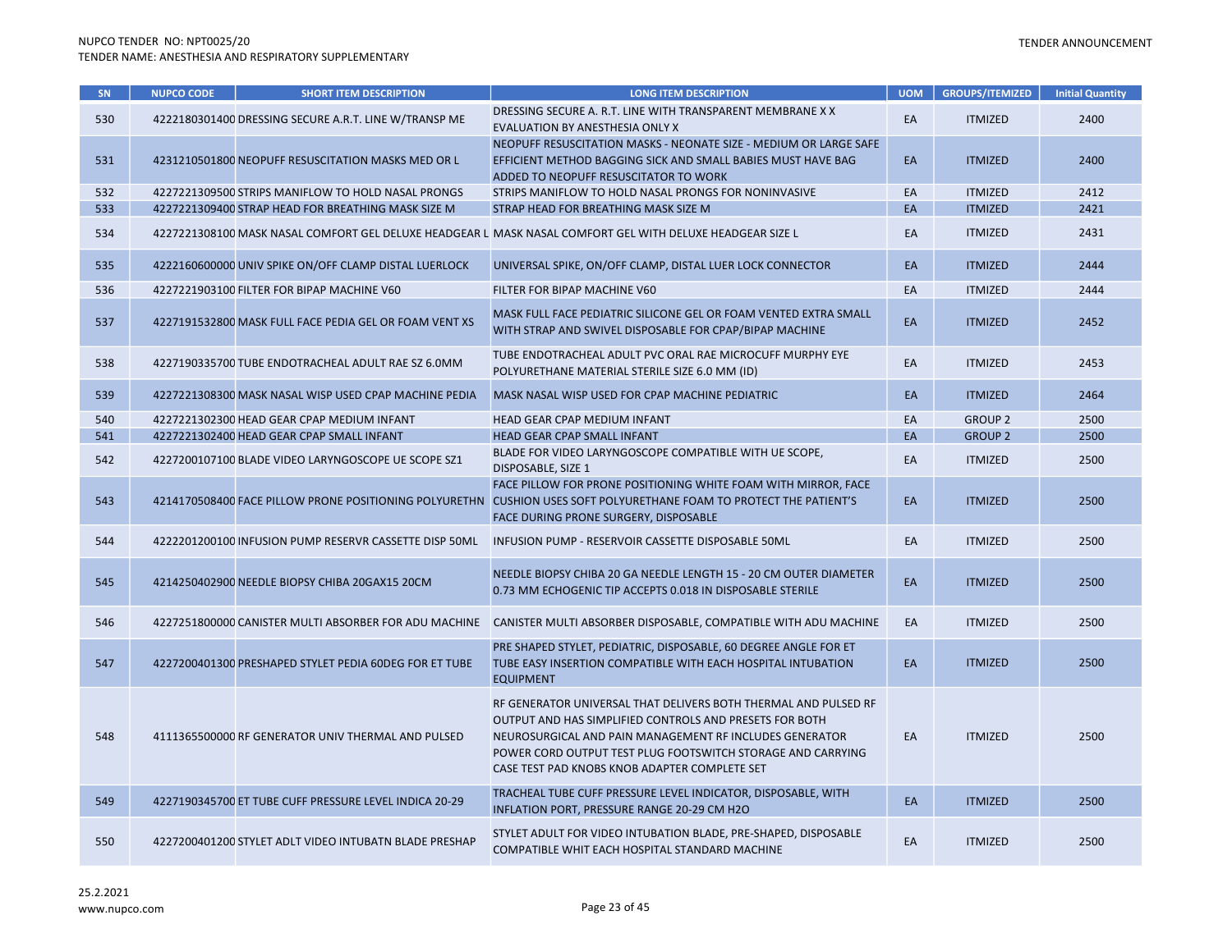| SN  | <b>NUPCO CODE</b> | <b>SHORT ITEM DESCRIPTION</b>                          | <b>LONG ITEM DESCRIPTION</b>                                                                                                                                                                                                                                                                          | <b>UOM</b> | <b>GROUPS/ITEMIZED</b> | <b>Initial Quantity</b> |
|-----|-------------------|--------------------------------------------------------|-------------------------------------------------------------------------------------------------------------------------------------------------------------------------------------------------------------------------------------------------------------------------------------------------------|------------|------------------------|-------------------------|
| 530 |                   | 4222180301400 DRESSING SECURE A.R.T. LINE W/TRANSP ME  | DRESSING SECURE A. R.T. LINE WITH TRANSPARENT MEMBRANE X X<br>EVALUATION BY ANESTHESIA ONLY X                                                                                                                                                                                                         | EA         | <b>ITMIZED</b>         | 2400                    |
| 531 |                   | 4231210501800 NEOPUFF RESUSCITATION MASKS MED OR L     | NEOPUFF RESUSCITATION MASKS - NEONATE SIZE - MEDIUM OR LARGE SAFE<br>EFFICIENT METHOD BAGGING SICK AND SMALL BABIES MUST HAVE BAG<br>ADDED TO NEOPUFF RESUSCITATOR TO WORK                                                                                                                            | EA         | <b>ITMIZED</b>         | 2400                    |
| 532 |                   | 4227221309500 STRIPS MANIFLOW TO HOLD NASAL PRONGS     | STRIPS MANIFLOW TO HOLD NASAL PRONGS FOR NONINVASIVE                                                                                                                                                                                                                                                  | EA         | <b>ITMIZED</b>         | 2412                    |
| 533 |                   | 4227221309400 STRAP HEAD FOR BREATHING MASK SIZE M     | STRAP HEAD FOR BREATHING MASK SIZE M                                                                                                                                                                                                                                                                  | EA         | <b>ITMIZED</b>         | 2421                    |
| 534 |                   |                                                        | 4227221308100 MASK NASAL COMFORT GEL DELUXE HEADGEAR L MASK NASAL COMFORT GEL WITH DELUXE HEADGEAR SIZE L                                                                                                                                                                                             | EA         | <b>ITMIZED</b>         | 2431                    |
| 535 |                   | 4222160600000 UNIV SPIKE ON/OFF CLAMP DISTAL LUERLOCK  | UNIVERSAL SPIKE, ON/OFF CLAMP, DISTAL LUER LOCK CONNECTOR                                                                                                                                                                                                                                             | EA         | <b>ITMIZED</b>         | 2444                    |
| 536 |                   | 4227221903100 FILTER FOR BIPAP MACHINE V60             | FILTER FOR BIPAP MACHINE V60                                                                                                                                                                                                                                                                          | EA         | <b>ITMIZED</b>         | 2444                    |
| 537 |                   | 4227191532800 MASK FULL FACE PEDIA GEL OR FOAM VENT XS | MASK FULL FACE PEDIATRIC SILICONE GEL OR FOAM VENTED EXTRA SMALL<br>WITH STRAP AND SWIVEL DISPOSABLE FOR CPAP/BIPAP MACHINE                                                                                                                                                                           | EA         | <b>ITMIZED</b>         | 2452                    |
| 538 |                   | 4227190335700 TUBE ENDOTRACHEAL ADULT RAE SZ 6.0MM     | TUBE ENDOTRACHEAL ADULT PVC ORAL RAE MICROCUFF MURPHY EYE<br>POLYURETHANE MATERIAL STERILE SIZE 6.0 MM (ID)                                                                                                                                                                                           | EA         | <b>ITMIZED</b>         | 2453                    |
| 539 |                   | 4227221308300 MASK NASAL WISP USED CPAP MACHINE PEDIA  | MASK NASAL WISP USED FOR CPAP MACHINE PEDIATRIC                                                                                                                                                                                                                                                       | EA         | <b>ITMIZED</b>         | 2464                    |
| 540 |                   | 4227221302300 HEAD GEAR CPAP MEDIUM INFANT             | HEAD GEAR CPAP MEDIUM INFANT                                                                                                                                                                                                                                                                          | EA         | <b>GROUP 2</b>         | 2500                    |
| 541 |                   | 4227221302400 HEAD GEAR CPAP SMALL INFANT              | HEAD GEAR CPAP SMALL INFANT                                                                                                                                                                                                                                                                           | EA         | <b>GROUP 2</b>         | 2500                    |
| 542 |                   | 4227200107100 BLADE VIDEO LARYNGOSCOPE UE SCOPE SZ1    | BLADE FOR VIDEO LARYNGOSCOPE COMPATIBLE WITH UE SCOPE,<br>DISPOSABLE, SIZE 1                                                                                                                                                                                                                          | EA         | <b>ITMIZED</b>         | 2500                    |
| 543 |                   | 4214170508400 FACE PILLOW PRONE POSITIONING POLYURETHN | FACE PILLOW FOR PRONE POSITIONING WHITE FOAM WITH MIRROR, FACE<br>CUSHION USES SOFT POLYURETHANE FOAM TO PROTECT THE PATIENT'S<br>FACE DURING PRONE SURGERY, DISPOSABLE                                                                                                                               | EA         | <b>ITMIZED</b>         | 2500                    |
| 544 |                   | 4222201200100 INFUSION PUMP RESERVR CASSETTE DISP 50ML | INFUSION PUMP - RESERVOIR CASSETTE DISPOSABLE 50ML                                                                                                                                                                                                                                                    | EA         | <b>ITMIZED</b>         | 2500                    |
| 545 |                   | 4214250402900 NEEDLE BIOPSY CHIBA 20GAX15 20CM         | NEEDLE BIOPSY CHIBA 20 GA NEEDLE LENGTH 15 - 20 CM OUTER DIAMETER<br>0.73 MM ECHOGENIC TIP ACCEPTS 0.018 IN DISPOSABLE STERILE                                                                                                                                                                        | EA         | <b>ITMIZED</b>         | 2500                    |
| 546 |                   | 4227251800000 CANISTER MULTI ABSORBER FOR ADU MACHINE  | CANISTER MULTI ABSORBER DISPOSABLE, COMPATIBLE WITH ADU MACHINE                                                                                                                                                                                                                                       | EA         | <b>ITMIZED</b>         | 2500                    |
| 547 |                   | 4227200401300 PRESHAPED STYLET PEDIA 60DEG FOR ET TUBE | PRE SHAPED STYLET, PEDIATRIC, DISPOSABLE, 60 DEGREE ANGLE FOR ET<br>TUBE EASY INSERTION COMPATIBLE WITH EACH HOSPITAL INTUBATION<br><b>EQUIPMENT</b>                                                                                                                                                  | EA         | <b>ITMIZED</b>         | 2500                    |
| 548 |                   | 4111365500000 RF GENERATOR UNIV THERMAL AND PULSED     | RF GENERATOR UNIVERSAL THAT DELIVERS BOTH THERMAL AND PULSED RF<br>OUTPUT AND HAS SIMPLIFIED CONTROLS AND PRESETS FOR BOTH<br>NEUROSURGICAL AND PAIN MANAGEMENT RF INCLUDES GENERATOR<br>POWER CORD OUTPUT TEST PLUG FOOTSWITCH STORAGE AND CARRYING<br>CASE TEST PAD KNOBS KNOB ADAPTER COMPLETE SET | EA         | <b>ITMIZED</b>         | 2500                    |
| 549 |                   | 4227190345700 ET TUBE CUFF PRESSURE LEVEL INDICA 20-29 | TRACHEAL TUBE CUFF PRESSURE LEVEL INDICATOR, DISPOSABLE, WITH<br>INFLATION PORT, PRESSURE RANGE 20-29 CM H2O                                                                                                                                                                                          | EA         | <b>ITMIZED</b>         | 2500                    |
| 550 |                   | 4227200401200 STYLET ADLT VIDEO INTUBATN BLADE PRESHAP | STYLET ADULT FOR VIDEO INTUBATION BLADE, PRE-SHAPED, DISPOSABLE<br>COMPATIBLE WHIT EACH HOSPITAL STANDARD MACHINE                                                                                                                                                                                     | EA         | <b>ITMIZED</b>         | 2500                    |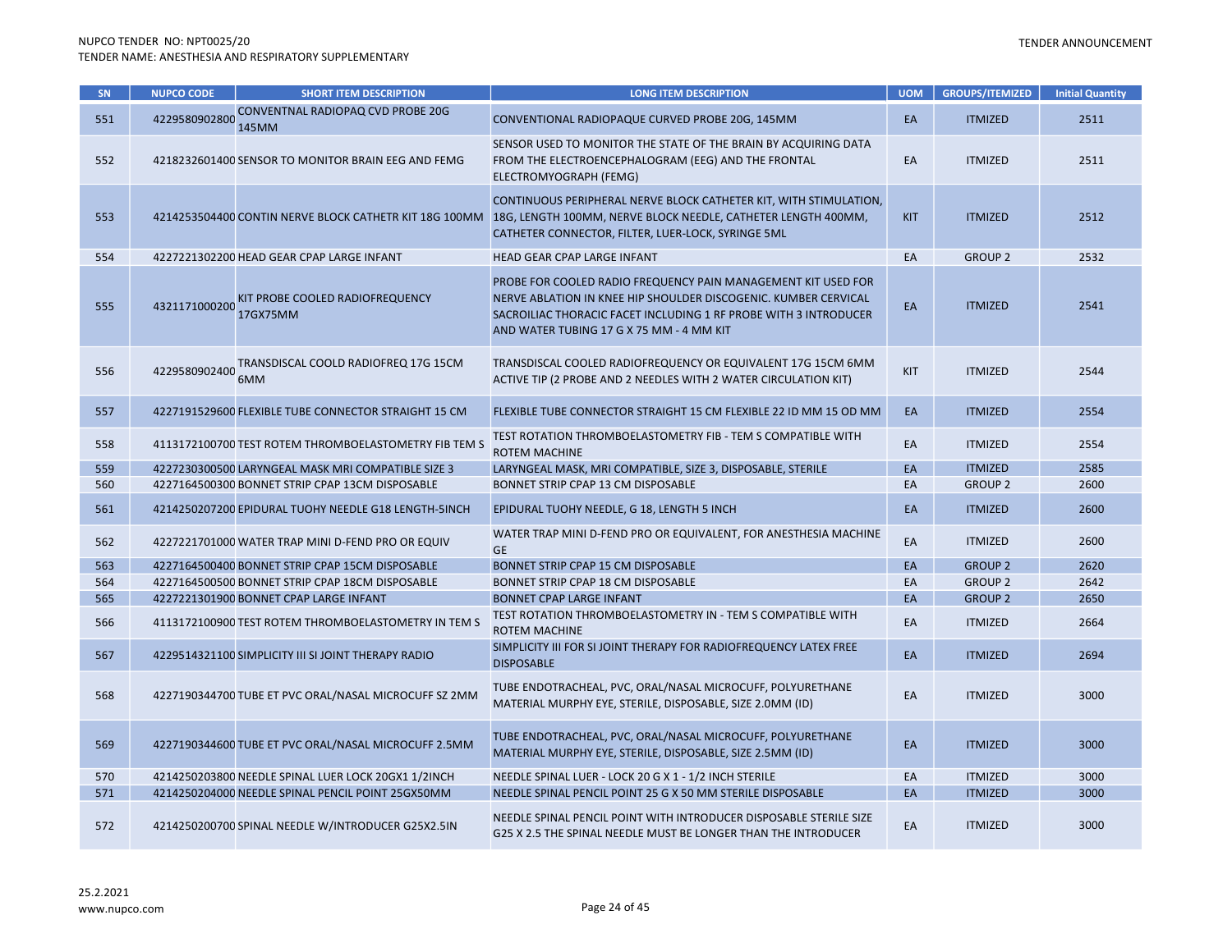| SN  | <b>NUPCO CODE</b> | <b>SHORT ITEM DESCRIPTION</b>                          | <b>LONG ITEM DESCRIPTION</b>                                                                                                                                                                                                                     | <b>UOM</b> | <b>GROUPS/ITEMIZED</b> | <b>Initial Quantity</b> |
|-----|-------------------|--------------------------------------------------------|--------------------------------------------------------------------------------------------------------------------------------------------------------------------------------------------------------------------------------------------------|------------|------------------------|-------------------------|
| 551 | 4229580902800     | CONVENTNAL RADIOPAQ CVD PROBE 20G<br>145MM             | CONVENTIONAL RADIOPAQUE CURVED PROBE 20G, 145MM                                                                                                                                                                                                  | EA         | <b>ITMIZED</b>         | 2511                    |
| 552 |                   | 4218232601400 SENSOR TO MONITOR BRAIN EEG AND FEMG     | SENSOR USED TO MONITOR THE STATE OF THE BRAIN BY ACQUIRING DATA<br>FROM THE ELECTROENCEPHALOGRAM (EEG) AND THE FRONTAL<br>ELECTROMYOGRAPH (FEMG)                                                                                                 | EA         | <b>ITMIZED</b>         | 2511                    |
| 553 |                   | 4214253504400 CONTIN NERVE BLOCK CATHETR KIT 18G 100MM | CONTINUOUS PERIPHERAL NERVE BLOCK CATHETER KIT, WITH STIMULATION,<br>18G, LENGTH 100MM, NERVE BLOCK NEEDLE, CATHETER LENGTH 400MM,<br>CATHETER CONNECTOR, FILTER, LUER-LOCK, SYRINGE 5ML                                                         | <b>KIT</b> | <b>ITMIZED</b>         | 2512                    |
| 554 |                   | 4227221302200 HEAD GEAR CPAP LARGE INFANT              | HEAD GEAR CPAP LARGE INFANT                                                                                                                                                                                                                      | EA         | <b>GROUP 2</b>         | 2532                    |
| 555 | 4321171000200     | KIT PROBE COOLED RADIOFREQUENCY<br>17GX75MM            | PROBE FOR COOLED RADIO FREQUENCY PAIN MANAGEMENT KIT USED FOR<br>NERVE ABLATION IN KNEE HIP SHOULDER DISCOGENIC. KUMBER CERVICAL<br>SACROILIAC THORACIC FACET INCLUDING 1 RF PROBE WITH 3 INTRODUCER<br>AND WATER TUBING 17 G X 75 MM - 4 MM KIT | EA         | <b>ITMIZED</b>         | 2541                    |
| 556 | 4229580902400     | TRANSDISCAL COOLD RADIOFREQ 17G 15CM<br>6MM            | TRANSDISCAL COOLED RADIOFREQUENCY OR EQUIVALENT 17G 15CM 6MM<br>ACTIVE TIP (2 PROBE AND 2 NEEDLES WITH 2 WATER CIRCULATION KIT)                                                                                                                  | KIT        | <b>ITMIZED</b>         | 2544                    |
| 557 |                   | 4227191529600 FLEXIBLE TUBE CONNECTOR STRAIGHT 15 CM   | FLEXIBLE TUBE CONNECTOR STRAIGHT 15 CM FLEXIBLE 22 ID MM 15 OD MM                                                                                                                                                                                | EA         | <b>ITMIZED</b>         | 2554                    |
| 558 |                   | 4113172100700 TEST ROTEM THROMBOELASTOMETRY FIB TEM S  | TEST ROTATION THROMBOELASTOMETRY FIB - TEM S COMPATIBLE WITH<br><b>ROTEM MACHINE</b>                                                                                                                                                             | EA         | <b>ITMIZED</b>         | 2554                    |
| 559 |                   | 4227230300500 LARYNGEAL MASK MRI COMPATIBLE SIZE 3     | LARYNGEAL MASK, MRI COMPATIBLE, SIZE 3, DISPOSABLE, STERILE                                                                                                                                                                                      | EA         | <b>ITMIZED</b>         | 2585                    |
| 560 |                   | 4227164500300 BONNET STRIP CPAP 13CM DISPOSABLE        | BONNET STRIP CPAP 13 CM DISPOSABLE                                                                                                                                                                                                               | EA         | <b>GROUP 2</b>         | 2600                    |
| 561 |                   | 4214250207200 EPIDURAL TUOHY NEEDLE G18 LENGTH-5INCH   | EPIDURAL TUOHY NEEDLE, G 18, LENGTH 5 INCH                                                                                                                                                                                                       | EA         | <b>ITMIZED</b>         | 2600                    |
| 562 |                   | 4227221701000 WATER TRAP MINI D-FEND PRO OR EQUIV      | WATER TRAP MINI D-FEND PRO OR EQUIVALENT, FOR ANESTHESIA MACHINE<br><b>GE</b>                                                                                                                                                                    | EA         | <b>ITMIZED</b>         | 2600                    |
| 563 |                   | 4227164500400 BONNET STRIP CPAP 15CM DISPOSABLE        | BONNET STRIP CPAP 15 CM DISPOSABLE                                                                                                                                                                                                               | EA         | <b>GROUP 2</b>         | 2620                    |
| 564 |                   | 4227164500500 BONNET STRIP CPAP 18CM DISPOSABLE        | BONNET STRIP CPAP 18 CM DISPOSABLE                                                                                                                                                                                                               | EA         | <b>GROUP 2</b>         | 2642                    |
| 565 |                   | 4227221301900 BONNET CPAP LARGE INFANT                 | <b>BONNET CPAP LARGE INFANT</b>                                                                                                                                                                                                                  | EA         | <b>GROUP 2</b>         | 2650                    |
| 566 |                   | 4113172100900 TEST ROTEM THROMBOELASTOMETRY IN TEM S   | TEST ROTATION THROMBOELASTOMETRY IN - TEM S COMPATIBLE WITH<br><b>ROTEM MACHINE</b>                                                                                                                                                              | EA         | <b>ITMIZED</b>         | 2664                    |
| 567 |                   | 4229514321100 SIMPLICITY III SI JOINT THERAPY RADIO    | SIMPLICITY III FOR SI JOINT THERAPY FOR RADIOFREQUENCY LATEX FREE<br><b>DISPOSABLE</b>                                                                                                                                                           | EA         | <b>ITMIZED</b>         | 2694                    |
| 568 |                   | 4227190344700 TUBE ET PVC ORAL/NASAL MICROCUFF SZ 2MM  | TUBE ENDOTRACHEAL, PVC, ORAL/NASAL MICROCUFF, POLYURETHANE<br>MATERIAL MURPHY EYE, STERILE, DISPOSABLE, SIZE 2.0MM (ID)                                                                                                                          | EA         | <b>ITMIZED</b>         | 3000                    |
| 569 |                   | 4227190344600 TUBE ET PVC ORAL/NASAL MICROCUFF 2.5MM   | TUBE ENDOTRACHEAL, PVC, ORAL/NASAL MICROCUFF, POLYURETHANE<br>MATERIAL MURPHY EYE, STERILE, DISPOSABLE, SIZE 2.5MM (ID)                                                                                                                          | EA         | <b>ITMIZED</b>         | 3000                    |
| 570 |                   | 4214250203800 NEEDLE SPINAL LUER LOCK 20GX1 1/2INCH    | NEEDLE SPINAL LUER - LOCK 20 G X 1 - 1/2 INCH STERILE                                                                                                                                                                                            | EA         | <b>ITMIZED</b>         | 3000                    |
| 571 |                   | 4214250204000 NEEDLE SPINAL PENCIL POINT 25GX50MM      | NEEDLE SPINAL PENCIL POINT 25 G X 50 MM STERILE DISPOSABLE                                                                                                                                                                                       | EA         | <b>ITMIZED</b>         | 3000                    |
| 572 |                   | 4214250200700 SPINAL NEEDLE W/INTRODUCER G25X2.5IN     | NEEDLE SPINAL PENCIL POINT WITH INTRODUCER DISPOSABLE STERILE SIZE<br>G25 X 2.5 THE SPINAL NEEDLE MUST BE LONGER THAN THE INTRODUCER                                                                                                             | EA         | <b>ITMIZED</b>         | 3000                    |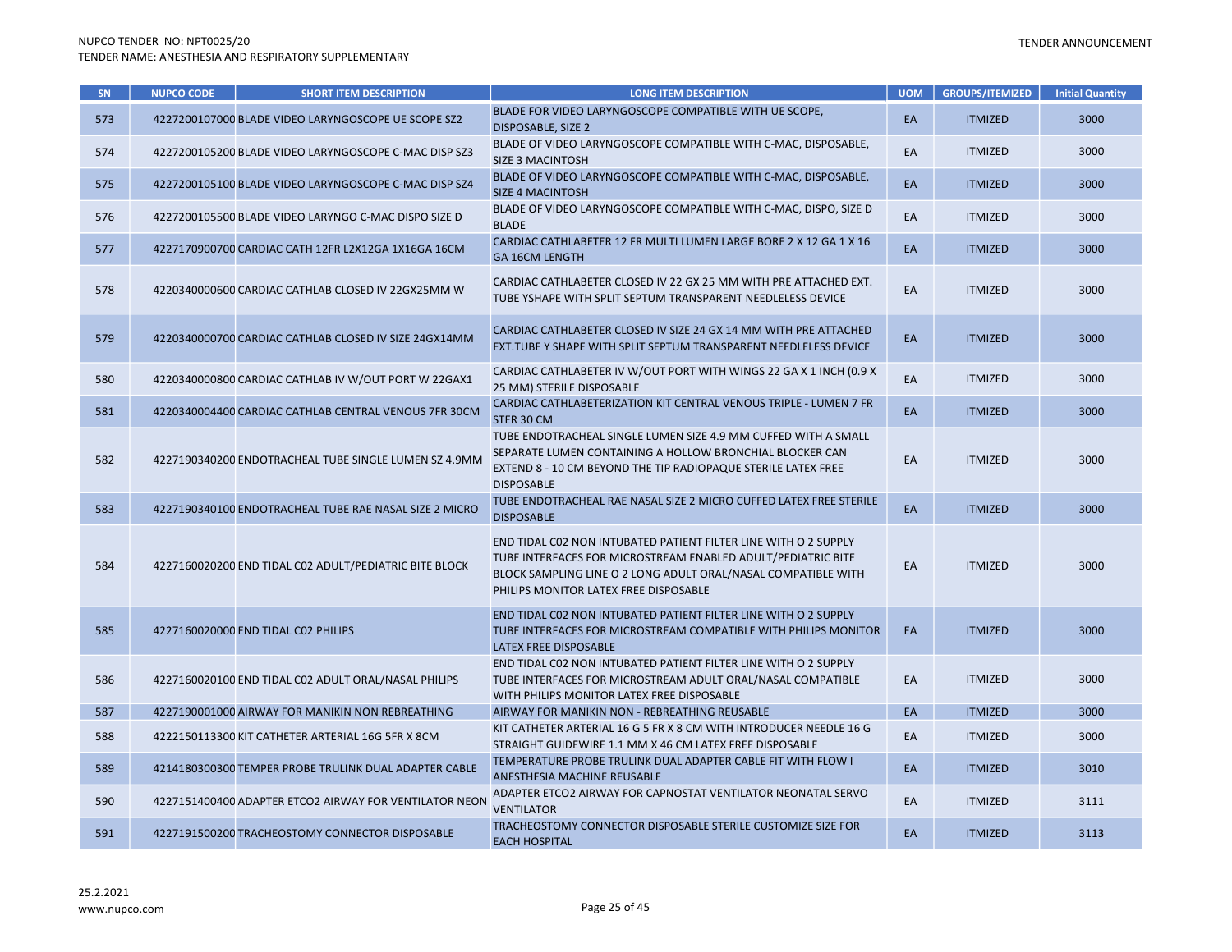| SN  | <b>NUPCO CODE</b> | <b>SHORT ITEM DESCRIPTION</b>                          | <b>LONG ITEM DESCRIPTION</b>                                                                                                                                                                                                              | <b>UOM</b> | <b>GROUPS/ITEMIZED</b> | <b>Initial Quantity</b> |
|-----|-------------------|--------------------------------------------------------|-------------------------------------------------------------------------------------------------------------------------------------------------------------------------------------------------------------------------------------------|------------|------------------------|-------------------------|
| 573 |                   | 4227200107000 BLADE VIDEO LARYNGOSCOPE UE SCOPE SZ2    | BLADE FOR VIDEO LARYNGOSCOPE COMPATIBLE WITH UE SCOPE,<br><b>DISPOSABLE, SIZE 2</b>                                                                                                                                                       | EA         | <b>ITMIZED</b>         | 3000                    |
| 574 |                   | 4227200105200 BLADE VIDEO LARYNGOSCOPE C-MAC DISP SZ3  | BLADE OF VIDEO LARYNGOSCOPE COMPATIBLE WITH C-MAC, DISPOSABLE,<br><b>SIZE 3 MACINTOSH</b>                                                                                                                                                 | EA         | <b>ITMIZED</b>         | 3000                    |
| 575 |                   | 4227200105100 BLADE VIDEO LARYNGOSCOPE C-MAC DISP SZ4  | BLADE OF VIDEO LARYNGOSCOPE COMPATIBLE WITH C-MAC, DISPOSABLE,<br><b>SIZE 4 MACINTOSH</b>                                                                                                                                                 | EA         | <b>ITMIZED</b>         | 3000                    |
| 576 |                   | 4227200105500 BLADE VIDEO LARYNGO C-MAC DISPO SIZE D   | BLADE OF VIDEO LARYNGOSCOPE COMPATIBLE WITH C-MAC, DISPO, SIZE D<br><b>BLADE</b>                                                                                                                                                          | EA         | <b>ITMIZED</b>         | 3000                    |
| 577 |                   | 4227170900700 CARDIAC CATH 12FR L2X12GA 1X16GA 16CM    | CARDIAC CATHLABETER 12 FR MULTI LUMEN LARGE BORE 2 X 12 GA 1 X 16<br><b>GA 16CM LENGTH</b>                                                                                                                                                | EA         | <b>ITMIZED</b>         | 3000                    |
| 578 |                   | 4220340000600 CARDIAC CATHLAB CLOSED IV 22GX25MM W     | CARDIAC CATHLABETER CLOSED IV 22 GX 25 MM WITH PRE ATTACHED EXT.<br>TUBE YSHAPE WITH SPLIT SEPTUM TRANSPARENT NEEDLELESS DEVICE                                                                                                           | EA         | <b>ITMIZED</b>         | 3000                    |
| 579 |                   | 4220340000700 CARDIAC CATHLAB CLOSED IV SIZE 24GX14MM  | CARDIAC CATHLABETER CLOSED IV SIZE 24 GX 14 MM WITH PRE ATTACHED<br>EXT.TUBE Y SHAPE WITH SPLIT SEPTUM TRANSPARENT NEEDLELESS DEVICE                                                                                                      | EA         | <b>ITMIZED</b>         | 3000                    |
| 580 |                   | 4220340000800 CARDIAC CATHLAB IV W/OUT PORT W 22GAX1   | CARDIAC CATHLABETER IV W/OUT PORT WITH WINGS 22 GA X 1 INCH (0.9 X<br>25 MM) STERILE DISPOSABLE                                                                                                                                           | EA         | <b>ITMIZED</b>         | 3000                    |
| 581 |                   | 4220340004400 CARDIAC CATHLAB CENTRAL VENOUS 7FR 30CM  | CARDIAC CATHLABETERIZATION KIT CENTRAL VENOUS TRIPLE - LUMEN 7 FR<br>STER 30 CM                                                                                                                                                           | EA         | <b>ITMIZED</b>         | 3000                    |
| 582 |                   | 4227190340200 ENDOTRACHEAL TUBE SINGLE LUMEN SZ 4.9MM  | TUBE ENDOTRACHEAL SINGLE LUMEN SIZE 4.9 MM CUFFED WITH A SMALL<br>SEPARATE LUMEN CONTAINING A HOLLOW BRONCHIAL BLOCKER CAN<br>EXTEND 8 - 10 CM BEYOND THE TIP RADIOPAQUE STERILE LATEX FREE<br><b>DISPOSABLE</b>                          | EA         | <b>ITMIZED</b>         | 3000                    |
| 583 |                   | 4227190340100 ENDOTRACHEAL TUBE RAE NASAL SIZE 2 MICRO | TUBE ENDOTRACHEAL RAE NASAL SIZE 2 MICRO CUFFED LATEX FREE STERILE<br><b>DISPOSABLE</b>                                                                                                                                                   | EA         | <b>ITMIZED</b>         | 3000                    |
| 584 |                   | 4227160020200 END TIDAL C02 ADULT/PEDIATRIC BITE BLOCK | END TIDAL CO2 NON INTUBATED PATIENT FILTER LINE WITH O 2 SUPPLY<br>TUBE INTERFACES FOR MICROSTREAM ENABLED ADULT/PEDIATRIC BITE<br>BLOCK SAMPLING LINE O 2 LONG ADULT ORAL/NASAL COMPATIBLE WITH<br>PHILIPS MONITOR LATEX FREE DISPOSABLE | EA         | <b>ITMIZED</b>         | 3000                    |
| 585 |                   | 4227160020000 END TIDAL C02 PHILIPS                    | END TIDAL C02 NON INTUBATED PATIENT FILTER LINE WITH O 2 SUPPLY<br>TUBE INTERFACES FOR MICROSTREAM COMPATIBLE WITH PHILIPS MONITOR<br>LATEX FREE DISPOSABLE                                                                               | EA         | <b>ITMIZED</b>         | 3000                    |
| 586 |                   | 4227160020100 END TIDAL C02 ADULT ORAL/NASAL PHILIPS   | END TIDAL CO2 NON INTUBATED PATIENT FILTER LINE WITH O 2 SUPPLY<br>TUBE INTERFACES FOR MICROSTREAM ADULT ORAL/NASAL COMPATIBLE<br>WITH PHILIPS MONITOR LATEX FREE DISPOSABLE                                                              | EA         | <b>ITMIZED</b>         | 3000                    |
| 587 |                   | 4227190001000 AIRWAY FOR MANIKIN NON REBREATHING       | AIRWAY FOR MANIKIN NON - REBREATHING REUSABLE                                                                                                                                                                                             | EA         | <b>ITMIZED</b>         | 3000                    |
| 588 |                   | 4222150113300 KIT CATHETER ARTERIAL 16G 5FR X 8CM      | KIT CATHETER ARTERIAL 16 G 5 FR X 8 CM WITH INTRODUCER NEEDLE 16 G<br>STRAIGHT GUIDEWIRE 1.1 MM X 46 CM LATEX FREE DISPOSABLE                                                                                                             | EA         | <b>ITMIZED</b>         | 3000                    |
| 589 |                   | 4214180300300 TEMPER PROBE TRULINK DUAL ADAPTER CABLE  | TEMPERATURE PROBE TRULINK DUAL ADAPTER CABLE FIT WITH FLOW I<br>ANESTHESIA MACHINE REUSABLE                                                                                                                                               | EA         | <b>ITMIZED</b>         | 3010                    |
| 590 |                   | 4227151400400 ADAPTER ETCO2 AIRWAY FOR VENTILATOR NEON | ADAPTER ETCO2 AIRWAY FOR CAPNOSTAT VENTILATOR NEONATAL SERVO<br><b>VENTILATOR</b>                                                                                                                                                         | EA         | <b>ITMIZED</b>         | 3111                    |
| 591 |                   | 4227191500200 TRACHEOSTOMY CONNECTOR DISPOSABLE        | TRACHEOSTOMY CONNECTOR DISPOSABLE STERILE CUSTOMIZE SIZE FOR<br><b>EACH HOSPITAL</b>                                                                                                                                                      | EA         | <b>ITMIZED</b>         | 3113                    |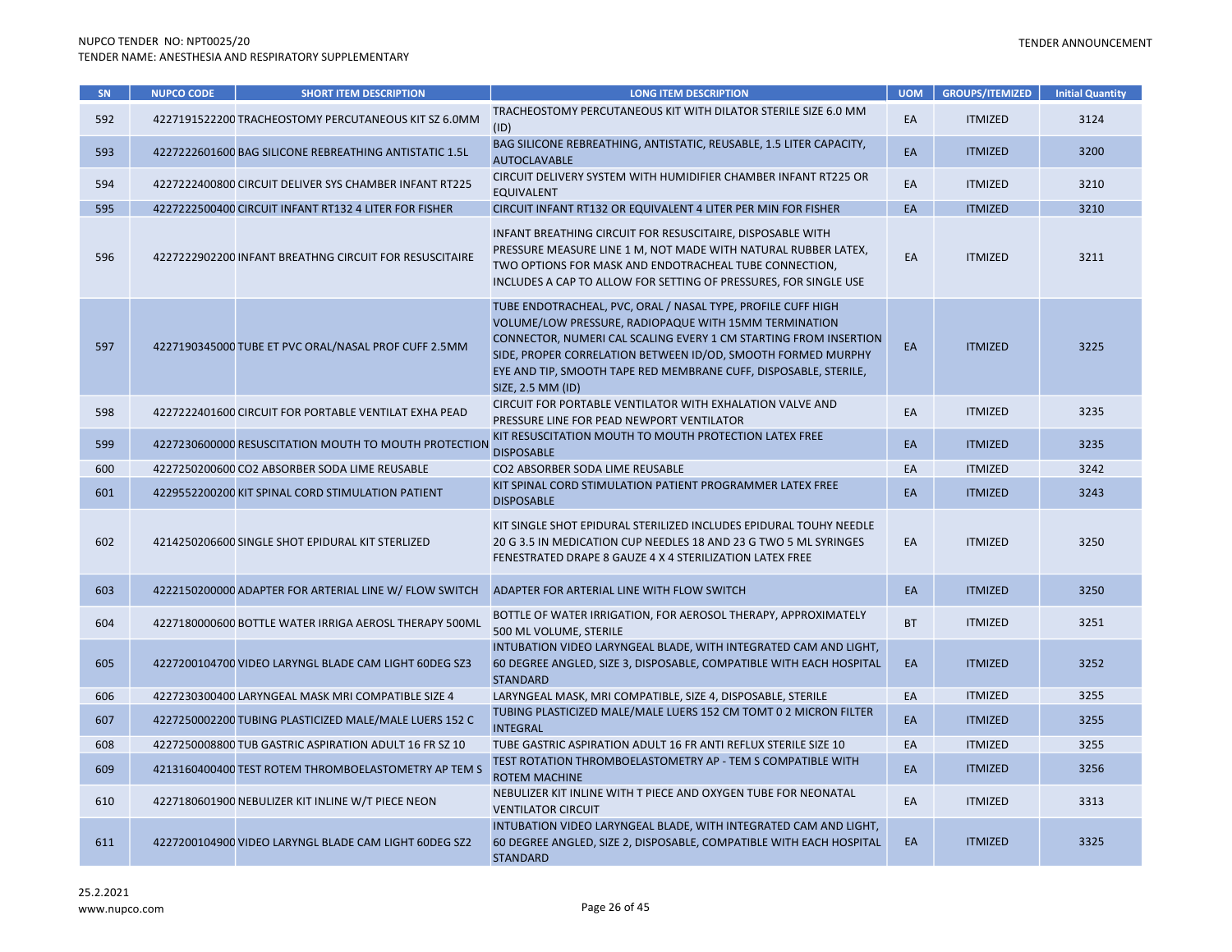| SN  | <b>NUPCO CODE</b> | <b>SHORT ITEM DESCRIPTION</b>                          | <b>LONG ITEM DESCRIPTION</b>                                                                                                                                                                                                                                                                                                                       | <b>UOM</b> | <b>GROUPS/ITEMIZED</b> | <b>Initial Quantity</b> |
|-----|-------------------|--------------------------------------------------------|----------------------------------------------------------------------------------------------------------------------------------------------------------------------------------------------------------------------------------------------------------------------------------------------------------------------------------------------------|------------|------------------------|-------------------------|
| 592 |                   | 4227191522200 TRACHEOSTOMY PERCUTANEOUS KIT SZ 6.0MM   | TRACHEOSTOMY PERCUTANEOUS KIT WITH DILATOR STERILE SIZE 6.0 MM<br>(ID)                                                                                                                                                                                                                                                                             | EA         | <b>ITMIZED</b>         | 3124                    |
| 593 |                   | 4227222601600 BAG SILICONE REBREATHING ANTISTATIC 1.5L | BAG SILICONE REBREATHING, ANTISTATIC, REUSABLE, 1.5 LITER CAPACITY,<br><b>AUTOCLAVABLE</b>                                                                                                                                                                                                                                                         | EA         | <b>ITMIZED</b>         | 3200                    |
| 594 |                   | 4227222400800 CIRCUIT DELIVER SYS CHAMBER INFANT RT225 | CIRCUIT DELIVERY SYSTEM WITH HUMIDIFIER CHAMBER INFANT RT225 OR<br><b>EQUIVALENT</b>                                                                                                                                                                                                                                                               | EA         | <b>ITMIZED</b>         | 3210                    |
| 595 |                   | 4227222500400 CIRCUIT INFANT RT132 4 LITER FOR FISHER  | CIRCUIT INFANT RT132 OR EQUIVALENT 4 LITER PER MIN FOR FISHER                                                                                                                                                                                                                                                                                      | EA         | <b>ITMIZED</b>         | 3210                    |
| 596 |                   | 4227222902200 INFANT BREATHNG CIRCUIT FOR RESUSCITAIRE | INFANT BREATHING CIRCUIT FOR RESUSCITAIRE, DISPOSABLE WITH<br>PRESSURE MEASURE LINE 1 M, NOT MADE WITH NATURAL RUBBER LATEX,<br>TWO OPTIONS FOR MASK AND ENDOTRACHEAL TUBE CONNECTION,<br>INCLUDES A CAP TO ALLOW FOR SETTING OF PRESSURES, FOR SINGLE USE                                                                                         | EA         | <b>ITMIZED</b>         | 3211                    |
| 597 |                   | 4227190345000 TUBE ET PVC ORAL/NASAL PROF CUFF 2.5MM   | TUBE ENDOTRACHEAL, PVC, ORAL / NASAL TYPE, PROFILE CUFF HIGH<br>VOLUME/LOW PRESSURE, RADIOPAQUE WITH 15MM TERMINATION<br>CONNECTOR, NUMERI CAL SCALING EVERY 1 CM STARTING FROM INSERTION<br>SIDE, PROPER CORRELATION BETWEEN ID/OD, SMOOTH FORMED MURPHY<br>EYE AND TIP, SMOOTH TAPE RED MEMBRANE CUFF, DISPOSABLE, STERILE,<br>SIZE, 2.5 MM (ID) | EA         | <b>ITMIZED</b>         | 3225                    |
| 598 |                   | 4227222401600 CIRCUIT FOR PORTABLE VENTILAT EXHA PEAD  | CIRCUIT FOR PORTABLE VENTILATOR WITH EXHALATION VALVE AND<br>PRESSURE LINE FOR PEAD NEWPORT VENTILATOR                                                                                                                                                                                                                                             | EA         | <b>ITMIZED</b>         | 3235                    |
| 599 |                   | 4227230600000 RESUSCITATION MOUTH TO MOUTH PROTECTION  | KIT RESUSCITATION MOUTH TO MOUTH PROTECTION LATEX FREE<br><b>DISPOSABLE</b>                                                                                                                                                                                                                                                                        | EA         | <b>ITMIZED</b>         | 3235                    |
| 600 |                   | 4227250200600 CO2 ABSORBER SODA LIME REUSABLE          | CO2 ABSORBER SODA LIME REUSABLE                                                                                                                                                                                                                                                                                                                    | EA         | <b>ITMIZED</b>         | 3242                    |
| 601 |                   | 4229552200200 KIT SPINAL CORD STIMULATION PATIENT      | KIT SPINAL CORD STIMULATION PATIENT PROGRAMMER LATEX FREE<br><b>DISPOSABLE</b>                                                                                                                                                                                                                                                                     | EA         | <b>ITMIZED</b>         | 3243                    |
| 602 |                   | 4214250206600 SINGLE SHOT EPIDURAL KIT STERLIZED       | KIT SINGLE SHOT EPIDURAL STERILIZED INCLUDES EPIDURAL TOUHY NEEDLE<br>20 G 3.5 IN MEDICATION CUP NEEDLES 18 AND 23 G TWO 5 ML SYRINGES<br>FENESTRATED DRAPE 8 GAUZE 4 X 4 STERILIZATION LATEX FREE                                                                                                                                                 | EA         | <b>ITMIZED</b>         | 3250                    |
| 603 |                   | 4222150200000 ADAPTER FOR ARTERIAL LINE W/ FLOW SWITCH | ADAPTER FOR ARTERIAL LINE WITH FLOW SWITCH                                                                                                                                                                                                                                                                                                         | EA         | <b>ITMIZED</b>         | 3250                    |
| 604 |                   | 4227180000600 BOTTLE WATER IRRIGA AEROSL THERAPY 500ML | BOTTLE OF WATER IRRIGATION, FOR AEROSOL THERAPY, APPROXIMATELY<br>500 ML VOLUME, STERILE                                                                                                                                                                                                                                                           | <b>BT</b>  | <b>ITMIZED</b>         | 3251                    |
| 605 |                   | 4227200104700 VIDEO LARYNGL BLADE CAM LIGHT 60DEG SZ3  | INTUBATION VIDEO LARYNGEAL BLADE, WITH INTEGRATED CAM AND LIGHT,<br>60 DEGREE ANGLED, SIZE 3, DISPOSABLE, COMPATIBLE WITH EACH HOSPITAL<br><b>STANDARD</b>                                                                                                                                                                                         | EA         | <b>ITMIZED</b>         | 3252                    |
| 606 |                   | 4227230300400 LARYNGEAL MASK MRI COMPATIBLE SIZE 4     | LARYNGEAL MASK, MRI COMPATIBLE, SIZE 4, DISPOSABLE, STERILE                                                                                                                                                                                                                                                                                        | EA         | <b>ITMIZED</b>         | 3255                    |
| 607 |                   | 4227250002200 TUBING PLASTICIZED MALE/MALE LUERS 152 C | TUBING PLASTICIZED MALE/MALE LUERS 152 CM TOMT 0 2 MICRON FILTER<br><b>INTEGRAL</b>                                                                                                                                                                                                                                                                | EA         | <b>ITMIZED</b>         | 3255                    |
| 608 |                   | 4227250008800 TUB GASTRIC ASPIRATION ADULT 16 FR SZ 10 | TUBE GASTRIC ASPIRATION ADULT 16 FR ANTI REFLUX STERILE SIZE 10                                                                                                                                                                                                                                                                                    | EA         | <b>ITMIZED</b>         | 3255                    |
| 609 |                   | 4213160400400 TEST ROTEM THROMBOELASTOMETRY AP TEM S   | TEST ROTATION THROMBOELASTOMETRY AP - TEM S COMPATIBLE WITH<br><b>ROTEM MACHINE</b>                                                                                                                                                                                                                                                                | EA         | <b>ITMIZED</b>         | 3256                    |
| 610 |                   | 4227180601900 NEBULIZER KIT INLINE W/T PIECE NEON      | NEBULIZER KIT INLINE WITH T PIECE AND OXYGEN TUBE FOR NEONATAL<br><b>VENTILATOR CIRCUIT</b>                                                                                                                                                                                                                                                        | EA         | <b>ITMIZED</b>         | 3313                    |
| 611 |                   | 4227200104900 VIDEO LARYNGL BLADE CAM LIGHT 60DEG SZ2  | INTUBATION VIDEO LARYNGEAL BLADE, WITH INTEGRATED CAM AND LIGHT,<br>60 DEGREE ANGLED, SIZE 2, DISPOSABLE, COMPATIBLE WITH EACH HOSPITAL<br><b>STANDARD</b>                                                                                                                                                                                         | EA         | <b>ITMIZED</b>         | 3325                    |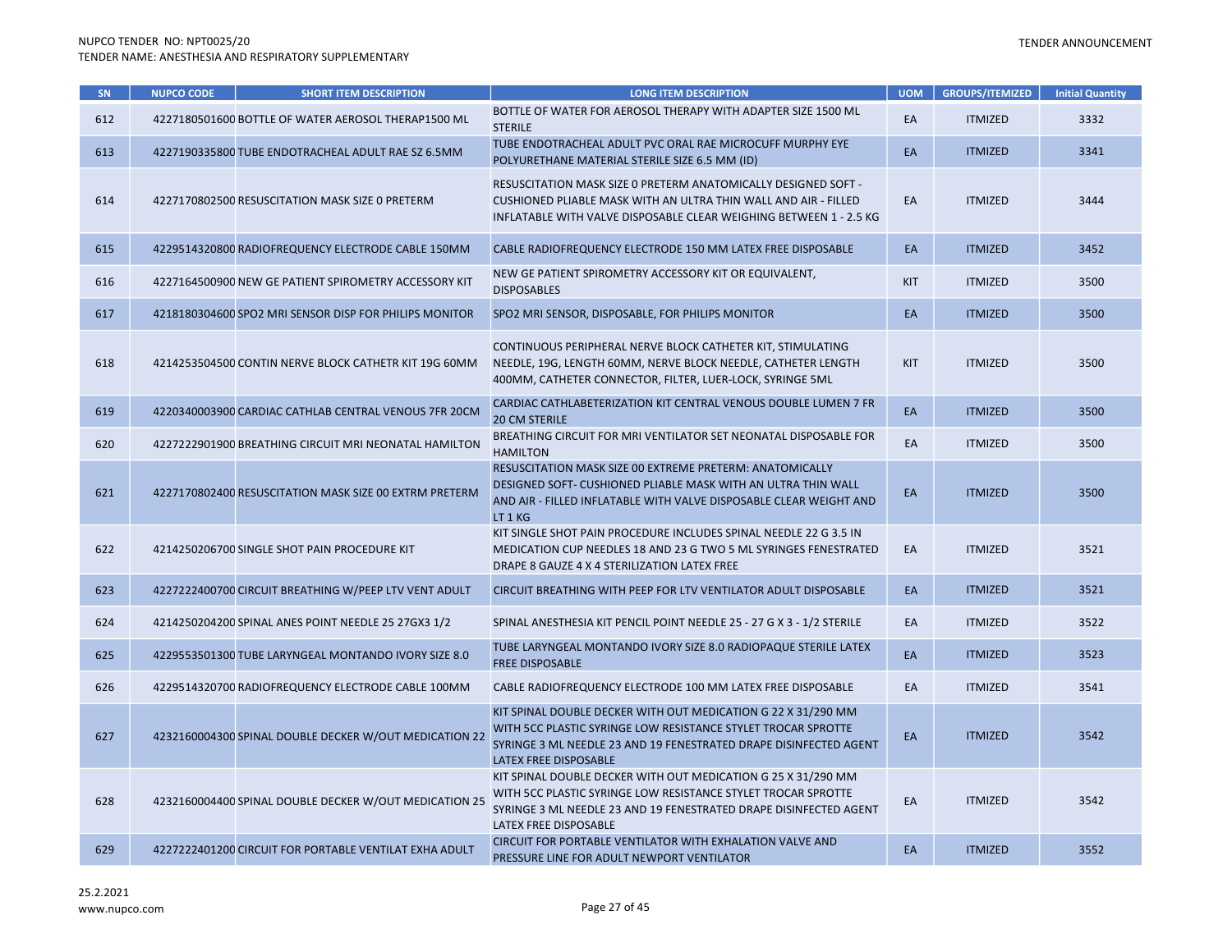| SN <sub>1</sub> | <b>NUPCO CODE</b> | <b>SHORT ITEM DESCRIPTION</b>                          | <b>LONG ITEM DESCRIPTION</b>                                                                                                                                                                                                 | <b>UOM</b> | <b>GROUPS/ITEMIZED</b> | <b>Initial Quantity</b> |
|-----------------|-------------------|--------------------------------------------------------|------------------------------------------------------------------------------------------------------------------------------------------------------------------------------------------------------------------------------|------------|------------------------|-------------------------|
| 612             |                   | 4227180501600 BOTTLE OF WATER AEROSOL THERAP1500 ML    | BOTTLE OF WATER FOR AEROSOL THERAPY WITH ADAPTER SIZE 1500 ML<br><b>STERILE</b>                                                                                                                                              | EA         | <b>ITMIZED</b>         | 3332                    |
| 613             |                   | 4227190335800 TUBE ENDOTRACHEAL ADULT RAE SZ 6.5MM     | TUBE ENDOTRACHEAL ADULT PVC ORAL RAE MICROCUFF MURPHY EYE<br>POLYURETHANE MATERIAL STERILE SIZE 6.5 MM (ID)                                                                                                                  | EA         | <b>ITMIZED</b>         | 3341                    |
| 614             |                   | 4227170802500 RESUSCITATION MASK SIZE 0 PRETERM        | RESUSCITATION MASK SIZE 0 PRETERM ANATOMICALLY DESIGNED SOFT -<br>CUSHIONED PLIABLE MASK WITH AN ULTRA THIN WALL AND AIR - FILLED<br>INFLATABLE WITH VALVE DISPOSABLE CLEAR WEIGHING BETWEEN 1 - 2.5 KG                      | EA         | <b>ITMIZED</b>         | 3444                    |
| 615             |                   | 4229514320800 RADIOFREQUENCY ELECTRODE CABLE 150MM     | CABLE RADIOFREQUENCY ELECTRODE 150 MM LATEX FREE DISPOSABLE                                                                                                                                                                  | EA         | <b>ITMIZED</b>         | 3452                    |
| 616             |                   | 4227164500900 NEW GE PATIENT SPIROMETRY ACCESSORY KIT  | NEW GE PATIENT SPIROMETRY ACCESSORY KIT OR EQUIVALENT,<br><b>DISPOSABLES</b>                                                                                                                                                 | KIT        | <b>ITMIZED</b>         | 3500                    |
| 617             |                   | 4218180304600 SPO2 MRI SENSOR DISP FOR PHILIPS MONITOR | SPO2 MRI SENSOR, DISPOSABLE, FOR PHILIPS MONITOR                                                                                                                                                                             | EA         | <b>ITMIZED</b>         | 3500                    |
| 618             |                   | 4214253504500 CONTIN NERVE BLOCK CATHETR KIT 19G 60MM  | CONTINUOUS PERIPHERAL NERVE BLOCK CATHETER KIT, STIMULATING<br>NEEDLE, 19G, LENGTH 60MM, NERVE BLOCK NEEDLE, CATHETER LENGTH<br>400MM, CATHETER CONNECTOR, FILTER, LUER-LOCK, SYRINGE 5ML                                    | KIT        | <b>ITMIZED</b>         | 3500                    |
| 619             |                   | 4220340003900 CARDIAC CATHLAB CENTRAL VENOUS 7FR 20CM  | CARDIAC CATHLABETERIZATION KIT CENTRAL VENOUS DOUBLE LUMEN 7 FR<br><b>20 CM STERILE</b>                                                                                                                                      | EA         | <b>ITMIZED</b>         | 3500                    |
| 620             |                   | 4227222901900 BREATHING CIRCUIT MRI NEONATAL HAMILTON  | BREATHING CIRCUIT FOR MRI VENTILATOR SET NEONATAL DISPOSABLE FOR<br><b>HAMILTON</b>                                                                                                                                          | EA         | <b>ITMIZED</b>         | 3500                    |
| 621             |                   | 4227170802400 RESUSCITATION MASK SIZE 00 EXTRM PRETERM | RESUSCITATION MASK SIZE 00 EXTREME PRETERM: ANATOMICALLY<br>DESIGNED SOFT- CUSHIONED PLIABLE MASK WITH AN ULTRA THIN WALL<br>AND AIR - FILLED INFLATABLE WITH VALVE DISPOSABLE CLEAR WEIGHT AND<br>LT 1 KG                   | EA         | <b>ITMIZED</b>         | 3500                    |
| 622             |                   | 4214250206700 SINGLE SHOT PAIN PROCEDURE KIT           | KIT SINGLE SHOT PAIN PROCEDURE INCLUDES SPINAL NEEDLE 22 G 3.5 IN<br>MEDICATION CUP NEEDLES 18 AND 23 G TWO 5 ML SYRINGES FENESTRATED<br>DRAPE 8 GAUZE 4 X 4 STERILIZATION LATEX FREE                                        | EA         | <b>ITMIZED</b>         | 3521                    |
| 623             |                   | 4227222400700 CIRCUIT BREATHING W/PEEP LTV VENT ADULT  | CIRCUIT BREATHING WITH PEEP FOR LTV VENTILATOR ADULT DISPOSABLE                                                                                                                                                              | EA         | <b>ITMIZED</b>         | 3521                    |
| 624             |                   | 4214250204200 SPINAL ANES POINT NEEDLE 25 27GX3 1/2    | SPINAL ANESTHESIA KIT PENCIL POINT NEEDLE 25 - 27 G X 3 - 1/2 STERILE                                                                                                                                                        | EA         | <b>ITMIZED</b>         | 3522                    |
| 625             |                   | 4229553501300 TUBE LARYNGEAL MONTANDO IVORY SIZE 8.0   | TUBE LARYNGEAL MONTANDO IVORY SIZE 8.0 RADIOPAQUE STERILE LATEX<br><b>FREE DISPOSABLE</b>                                                                                                                                    | EA         | <b>ITMIZED</b>         | 3523                    |
| 626             |                   | 4229514320700 RADIOFREQUENCY ELECTRODE CABLE 100MM     | CABLE RADIOFREQUENCY ELECTRODE 100 MM LATEX FREE DISPOSABLE                                                                                                                                                                  | EA         | <b>ITMIZED</b>         | 3541                    |
| 627             |                   | 4232160004300 SPINAL DOUBLE DECKER W/OUT MEDICATION 22 | KIT SPINAL DOUBLE DECKER WITH OUT MEDICATION G 22 X 31/290 MM<br>WITH 5CC PLASTIC SYRINGE LOW RESISTANCE STYLET TROCAR SPROTTE<br>SYRINGE 3 ML NEEDLE 23 AND 19 FENESTRATED DRAPE DISINFECTED AGENT<br>LATEX FREE DISPOSABLE | EA         | <b>ITMIZED</b>         | 3542                    |
| 628             |                   | 4232160004400 SPINAL DOUBLE DECKER W/OUT MEDICATION 25 | KIT SPINAL DOUBLE DECKER WITH OUT MEDICATION G 25 X 31/290 MM<br>WITH 5CC PLASTIC SYRINGE LOW RESISTANCE STYLET TROCAR SPROTTE<br>SYRINGE 3 ML NEEDLE 23 AND 19 FENESTRATED DRAPE DISINFECTED AGENT<br>LATEX FREE DISPOSABLE | EA         | <b>ITMIZED</b>         | 3542                    |
| 629             |                   | 4227222401200 CIRCUIT FOR PORTABLE VENTILAT EXHA ADULT | CIRCUIT FOR PORTABLE VENTILATOR WITH EXHALATION VALVE AND<br>PRESSURE LINE FOR ADULT NEWPORT VENTILATOR                                                                                                                      | EA         | <b>ITMIZED</b>         | 3552                    |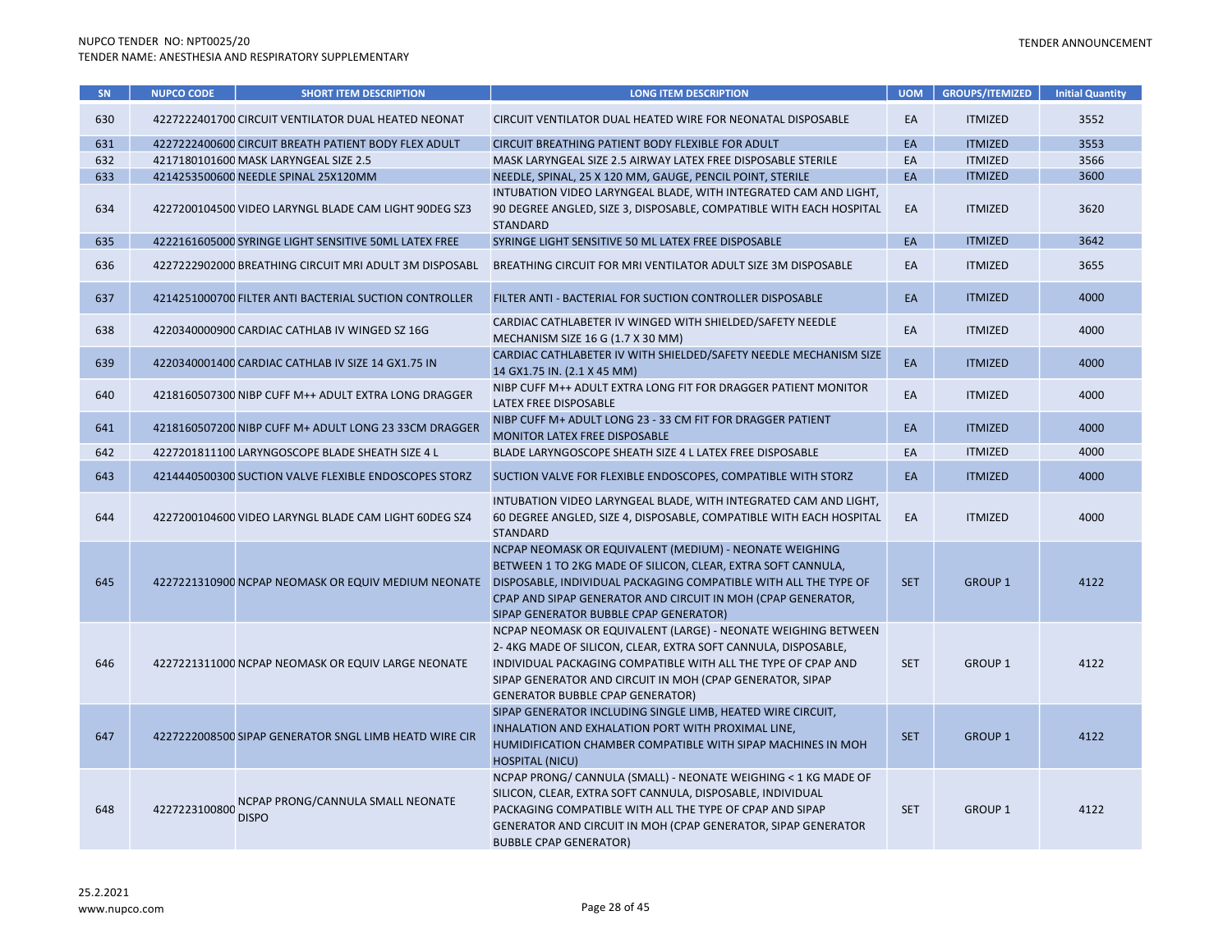| SN  | <b>NUPCO CODE</b> | <b>SHORT ITEM DESCRIPTION</b>                          | <b>LONG ITEM DESCRIPTION</b>                                                                                                                                                                                                                                                                             | <b>UOM</b> | <b>GROUPS/ITEMIZED</b> | <b>Initial Quantity</b> |
|-----|-------------------|--------------------------------------------------------|----------------------------------------------------------------------------------------------------------------------------------------------------------------------------------------------------------------------------------------------------------------------------------------------------------|------------|------------------------|-------------------------|
| 630 |                   | 4227222401700 CIRCUIT VENTILATOR DUAL HEATED NEONAT    | CIRCUIT VENTILATOR DUAL HEATED WIRE FOR NEONATAL DISPOSABLE                                                                                                                                                                                                                                              | EA         | <b>ITMIZED</b>         | 3552                    |
| 631 |                   | 4227222400600 CIRCUIT BREATH PATIENT BODY FLEX ADULT   | CIRCUIT BREATHING PATIENT BODY FLEXIBLE FOR ADULT                                                                                                                                                                                                                                                        | EA         | <b>ITMIZED</b>         | 3553                    |
| 632 |                   | 4217180101600 MASK LARYNGEAL SIZE 2.5                  | MASK LARYNGEAL SIZE 2.5 AIRWAY LATEX FREE DISPOSABLE STERILE                                                                                                                                                                                                                                             | EA         | <b>ITMIZED</b>         | 3566                    |
| 633 |                   | 4214253500600 NEEDLE SPINAL 25X120MM                   | NEEDLE, SPINAL, 25 X 120 MM, GAUGE, PENCIL POINT, STERILE                                                                                                                                                                                                                                                | EA         | <b>ITMIZED</b>         | 3600                    |
| 634 |                   | 4227200104500 VIDEO LARYNGL BLADE CAM LIGHT 90DEG SZ3  | INTUBATION VIDEO LARYNGEAL BLADE, WITH INTEGRATED CAM AND LIGHT,<br>90 DEGREE ANGLED, SIZE 3, DISPOSABLE, COMPATIBLE WITH EACH HOSPITAL<br><b>STANDARD</b>                                                                                                                                               | EA         | <b>ITMIZED</b>         | 3620                    |
| 635 |                   | 4222161605000 SYRINGE LIGHT SENSITIVE 50ML LATEX FREE  | SYRINGE LIGHT SENSITIVE 50 ML LATEX FREE DISPOSABLE                                                                                                                                                                                                                                                      | EA         | <b>ITMIZED</b>         | 3642                    |
| 636 |                   | 4227222902000 BREATHING CIRCUIT MRI ADULT 3M DISPOSABL | BREATHING CIRCUIT FOR MRI VENTILATOR ADULT SIZE 3M DISPOSABLE                                                                                                                                                                                                                                            | EA         | <b>ITMIZED</b>         | 3655                    |
| 637 |                   | 4214251000700 FILTER ANTI BACTERIAL SUCTION CONTROLLER | FILTER ANTI - BACTERIAL FOR SUCTION CONTROLLER DISPOSABLE                                                                                                                                                                                                                                                | EA         | <b>ITMIZED</b>         | 4000                    |
| 638 |                   | 4220340000900 CARDIAC CATHLAB IV WINGED SZ 16G         | CARDIAC CATHLABETER IV WINGED WITH SHIELDED/SAFETY NEEDLE<br>MECHANISM SIZE 16 G (1.7 X 30 MM)                                                                                                                                                                                                           | EA         | <b>ITMIZED</b>         | 4000                    |
| 639 |                   | 4220340001400 CARDIAC CATHLAB IV SIZE 14 GX1.75 IN     | CARDIAC CATHLABETER IV WITH SHIELDED/SAFETY NEEDLE MECHANISM SIZE<br>14 GX1.75 IN. (2.1 X 45 MM)                                                                                                                                                                                                         | EA         | <b>ITMIZED</b>         | 4000                    |
| 640 |                   | 4218160507300 NIBP CUFF M++ ADULT EXTRA LONG DRAGGER   | NIBP CUFF M++ ADULT EXTRA LONG FIT FOR DRAGGER PATIENT MONITOR<br>LATEX FREE DISPOSABLE                                                                                                                                                                                                                  | EA         | <b>ITMIZED</b>         | 4000                    |
| 641 |                   | 4218160507200 NIBP CUFF M+ ADULT LONG 23 33CM DRAGGER  | NIBP CUFF M+ ADULT LONG 23 - 33 CM FIT FOR DRAGGER PATIENT<br>MONITOR LATEX FREE DISPOSABLE                                                                                                                                                                                                              | EA         | <b>ITMIZED</b>         | 4000                    |
| 642 |                   | 4227201811100 LARYNGOSCOPE BLADE SHEATH SIZE 4 L       | BLADE LARYNGOSCOPE SHEATH SIZE 4 L LATEX FREE DISPOSABLE                                                                                                                                                                                                                                                 | EA         | <b>ITMIZED</b>         | 4000                    |
| 643 |                   | 4214440500300 SUCTION VALVE FLEXIBLE ENDOSCOPES STORZ  | SUCTION VALVE FOR FLEXIBLE ENDOSCOPES, COMPATIBLE WITH STORZ                                                                                                                                                                                                                                             | EA         | <b>ITMIZED</b>         | 4000                    |
| 644 |                   | 4227200104600 VIDEO LARYNGL BLADE CAM LIGHT 60DEG SZ4  | INTUBATION VIDEO LARYNGEAL BLADE, WITH INTEGRATED CAM AND LIGHT,<br>60 DEGREE ANGLED, SIZE 4, DISPOSABLE, COMPATIBLE WITH EACH HOSPITAL<br><b>STANDARD</b>                                                                                                                                               | EA         | <b>ITMIZED</b>         | 4000                    |
| 645 |                   | 4227221310900 NCPAP NEOMASK OR EQUIV MEDIUM NEONATE    | NCPAP NEOMASK OR EQUIVALENT (MEDIUM) - NEONATE WEIGHING<br>BETWEEN 1 TO 2KG MADE OF SILICON, CLEAR, EXTRA SOFT CANNULA,<br>DISPOSABLE, INDIVIDUAL PACKAGING COMPATIBLE WITH ALL THE TYPE OF<br>CPAP AND SIPAP GENERATOR AND CIRCUIT IN MOH (CPAP GENERATOR,<br>SIPAP GENERATOR BUBBLE CPAP GENERATOR)    | <b>SET</b> | <b>GROUP 1</b>         | 4122                    |
| 646 |                   | 4227221311000 NCPAP NEOMASK OR EQUIV LARGE NEONATE     | NCPAP NEOMASK OR EQUIVALENT (LARGE) - NEONATE WEIGHING BETWEEN<br>2-4KG MADE OF SILICON, CLEAR, EXTRA SOFT CANNULA, DISPOSABLE,<br>INDIVIDUAL PACKAGING COMPATIBLE WITH ALL THE TYPE OF CPAP AND<br>SIPAP GENERATOR AND CIRCUIT IN MOH (CPAP GENERATOR, SIPAP<br><b>GENERATOR BUBBLE CPAP GENERATOR)</b> | <b>SET</b> | <b>GROUP 1</b>         | 4122                    |
| 647 |                   | 4227222008500 SIPAP GENERATOR SNGL LIMB HEATD WIRE CIR | SIPAP GENERATOR INCLUDING SINGLE LIMB, HEATED WIRE CIRCUIT,<br>INHALATION AND EXHALATION PORT WITH PROXIMAL LINE,<br>HUMIDIFICATION CHAMBER COMPATIBLE WITH SIPAP MACHINES IN MOH<br><b>HOSPITAL (NICU)</b>                                                                                              | <b>SET</b> | <b>GROUP 1</b>         | 4122                    |
| 648 | 4227223100800     | NCPAP PRONG/CANNULA SMALL NEONATE<br><b>DISPO</b>      | NCPAP PRONG/ CANNULA (SMALL) - NEONATE WEIGHING < 1 KG MADE OF<br>SILICON, CLEAR, EXTRA SOFT CANNULA, DISPOSABLE, INDIVIDUAL<br>PACKAGING COMPATIBLE WITH ALL THE TYPE OF CPAP AND SIPAP<br>GENERATOR AND CIRCUIT IN MOH (CPAP GENERATOR, SIPAP GENERATOR<br><b>BUBBLE CPAP GENERATOR)</b>               | <b>SET</b> | <b>GROUP 1</b>         | 4122                    |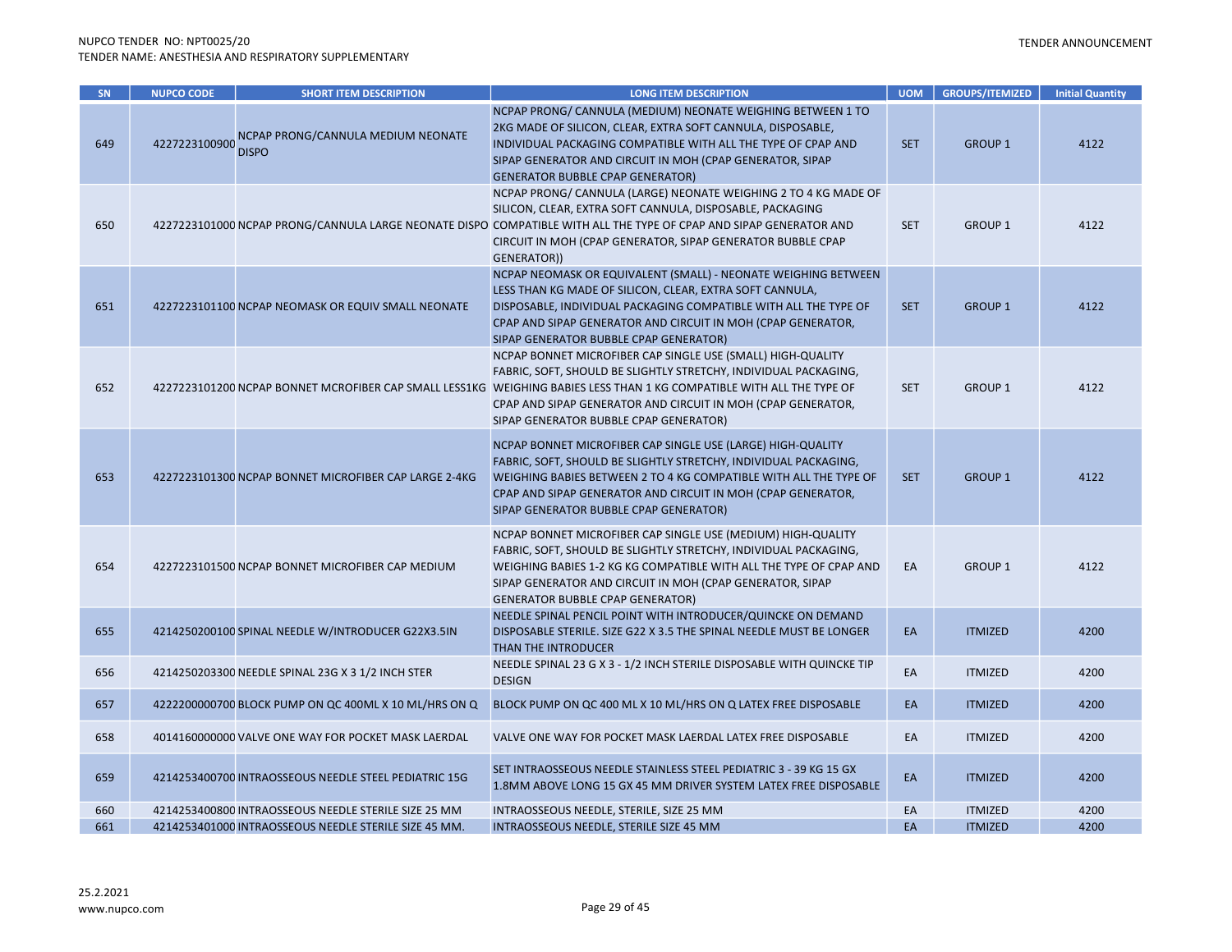| <b>SN</b> | <b>NUPCO CODE</b> | <b>SHORT ITEM DESCRIPTION</b>                         | <b>LONG ITEM DESCRIPTION</b>                                                                                                                                                                                                                                                                                                                                       | <b>UOM</b> | <b>GROUPS/ITEMIZED</b> | <b>Initial Quantity</b> |
|-----------|-------------------|-------------------------------------------------------|--------------------------------------------------------------------------------------------------------------------------------------------------------------------------------------------------------------------------------------------------------------------------------------------------------------------------------------------------------------------|------------|------------------------|-------------------------|
| 649       | 4227223100900     | NCPAP PRONG/CANNULA MEDIUM NEONATE<br><b>DISPO</b>    | NCPAP PRONG/CANNULA (MEDIUM) NEONATE WEIGHING BETWEEN 1 TO<br>2KG MADE OF SILICON, CLEAR, EXTRA SOFT CANNULA, DISPOSABLE,<br>INDIVIDUAL PACKAGING COMPATIBLE WITH ALL THE TYPE OF CPAP AND<br>SIPAP GENERATOR AND CIRCUIT IN MOH (CPAP GENERATOR, SIPAP<br><b>GENERATOR BUBBLE CPAP GENERATOR)</b>                                                                 | <b>SET</b> | <b>GROUP 1</b>         | 4122                    |
| 650       |                   |                                                       | NCPAP PRONG/ CANNULA (LARGE) NEONATE WEIGHING 2 TO 4 KG MADE OF<br>SILICON, CLEAR, EXTRA SOFT CANNULA, DISPOSABLE, PACKAGING<br>4227223101000 NCPAP PRONG/CANNULA LARGE NEONATE DISPO COMPATIBLE WITH ALL THE TYPE OF CPAP AND SIPAP GENERATOR AND<br>CIRCUIT IN MOH (CPAP GENERATOR, SIPAP GENERATOR BUBBLE CPAP<br>GENERATOR))                                   | <b>SET</b> | <b>GROUP 1</b>         | 4122                    |
| 651       |                   | 4227223101100 NCPAP NEOMASK OR EQUIV SMALL NEONATE    | NCPAP NEOMASK OR EQUIVALENT (SMALL) - NEONATE WEIGHING BETWEEN<br>LESS THAN KG MADE OF SILICON, CLEAR, EXTRA SOFT CANNULA,<br>DISPOSABLE, INDIVIDUAL PACKAGING COMPATIBLE WITH ALL THE TYPE OF<br>CPAP AND SIPAP GENERATOR AND CIRCUIT IN MOH (CPAP GENERATOR,<br>SIPAP GENERATOR BUBBLE CPAP GENERATOR)                                                           | <b>SET</b> | <b>GROUP 1</b>         | 4122                    |
| 652       |                   |                                                       | NCPAP BONNET MICROFIBER CAP SINGLE USE (SMALL) HIGH-QUALITY<br>FABRIC, SOFT, SHOULD BE SLIGHTLY STRETCHY, INDIVIDUAL PACKAGING,<br>4227223101200 NCPAP BONNET MCROFIBER CAP SMALL LESS1KG WEIGHING BABIES LESS THAN 1 KG COMPATIBLE WITH ALL THE TYPE OF<br>CPAP AND SIPAP GENERATOR AND CIRCUIT IN MOH (CPAP GENERATOR,<br>SIPAP GENERATOR BUBBLE CPAP GENERATOR) | <b>SET</b> | <b>GROUP 1</b>         | 4122                    |
| 653       |                   | 4227223101300 NCPAP BONNET MICROFIBER CAP LARGE 2-4KG | NCPAP BONNET MICROFIBER CAP SINGLE USE (LARGE) HIGH-QUALITY<br>FABRIC, SOFT, SHOULD BE SLIGHTLY STRETCHY, INDIVIDUAL PACKAGING,<br>WEIGHING BABIES BETWEEN 2 TO 4 KG COMPATIBLE WITH ALL THE TYPE OF<br>CPAP AND SIPAP GENERATOR AND CIRCUIT IN MOH (CPAP GENERATOR,<br>SIPAP GENERATOR BUBBLE CPAP GENERATOR)                                                     | <b>SET</b> | <b>GROUP 1</b>         | 4122                    |
| 654       |                   | 4227223101500 NCPAP BONNET MICROFIBER CAP MEDIUM      | NCPAP BONNET MICROFIBER CAP SINGLE USE (MEDIUM) HIGH-QUALITY<br>FABRIC, SOFT, SHOULD BE SLIGHTLY STRETCHY, INDIVIDUAL PACKAGING,<br>WEIGHING BABIES 1-2 KG KG COMPATIBLE WITH ALL THE TYPE OF CPAP AND<br>SIPAP GENERATOR AND CIRCUIT IN MOH (CPAP GENERATOR, SIPAP<br><b>GENERATOR BUBBLE CPAP GENERATOR)</b>                                                     | EA         | <b>GROUP 1</b>         | 4122                    |
| 655       |                   | 4214250200100 SPINAL NEEDLE W/INTRODUCER G22X3.5IN    | NEEDLE SPINAL PENCIL POINT WITH INTRODUCER/QUINCKE ON DEMAND<br>DISPOSABLE STERILE. SIZE G22 X 3.5 THE SPINAL NEEDLE MUST BE LONGER<br>THAN THE INTRODUCER                                                                                                                                                                                                         | EA         | <b>ITMIZED</b>         | 4200                    |
| 656       |                   | 4214250203300 NEEDLE SPINAL 23G X 3 1/2 INCH STER     | NEEDLE SPINAL 23 G X 3 - 1/2 INCH STERILE DISPOSABLE WITH QUINCKE TIP<br><b>DESIGN</b>                                                                                                                                                                                                                                                                             | EA         | <b>ITMIZED</b>         | 4200                    |
| 657       |                   | 4222200000700 BLOCK PUMP ON QC 400ML X 10 ML/HRS ON Q | BLOCK PUMP ON QC 400 ML X 10 ML/HRS ON Q LATEX FREE DISPOSABLE                                                                                                                                                                                                                                                                                                     | EA         | <b>ITMIZED</b>         | 4200                    |
| 658       |                   | 4014160000000 VALVE ONE WAY FOR POCKET MASK LAERDAL   | VALVE ONE WAY FOR POCKET MASK LAERDAL LATEX FREE DISPOSABLE                                                                                                                                                                                                                                                                                                        | EA         | <b>ITMIZED</b>         | 4200                    |
| 659       |                   | 4214253400700 INTRAOSSEOUS NEEDLE STEEL PEDIATRIC 15G | SET INTRAOSSEOUS NEEDLE STAINLESS STEEL PEDIATRIC 3 - 39 KG 15 GX<br>1.8MM ABOVE LONG 15 GX 45 MM DRIVER SYSTEM LATEX FREE DISPOSABLE                                                                                                                                                                                                                              | EA         | <b>ITMIZED</b>         | 4200                    |
| 660       |                   | 4214253400800 INTRAOSSEOUS NEEDLE STERILE SIZE 25 MM  | INTRAOSSEOUS NEEDLE, STERILE, SIZE 25 MM                                                                                                                                                                                                                                                                                                                           | EA         | <b>ITMIZED</b>         | 4200                    |
| 661       |                   | 4214253401000 INTRAOSSEOUS NEEDLE STERILE SIZE 45 MM. | INTRAOSSEOUS NEEDLE, STERILE SIZE 45 MM                                                                                                                                                                                                                                                                                                                            | EA         | <b>ITMIZED</b>         | 4200                    |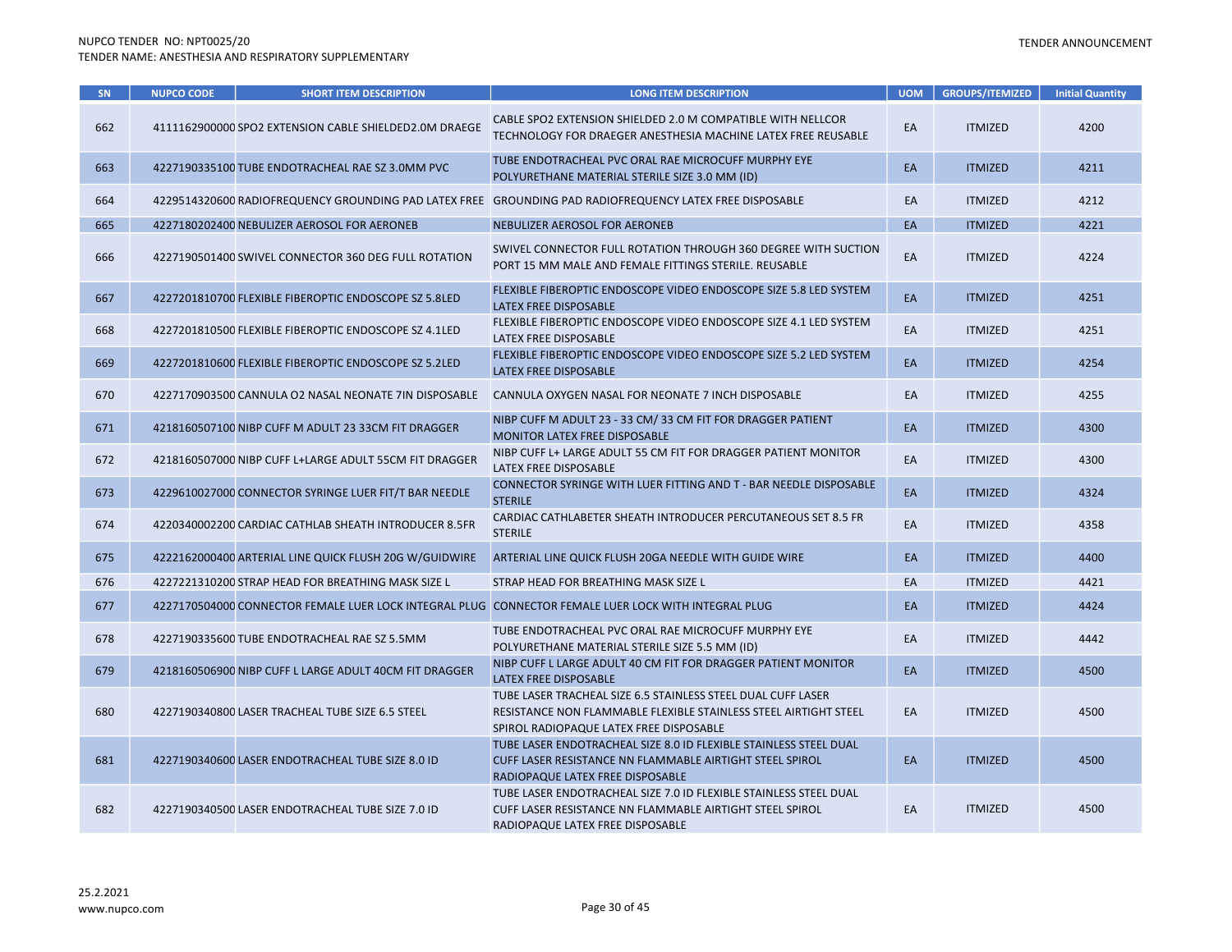| SN  | <b>NUPCO CODE</b> | <b>SHORT ITEM DESCRIPTION</b>                          | <b>LONG ITEM DESCRIPTION</b>                                                                                                                                                | <b>UOM</b> | <b>GROUPS/ITEMIZED</b> | <b>Initial Quantity</b> |
|-----|-------------------|--------------------------------------------------------|-----------------------------------------------------------------------------------------------------------------------------------------------------------------------------|------------|------------------------|-------------------------|
| 662 |                   | 4111162900000 SPO2 EXTENSION CABLE SHIELDED2.0M DRAEGE | CABLE SPO2 EXTENSION SHIELDED 2.0 M COMPATIBLE WITH NELLCOR<br>TECHNOLOGY FOR DRAEGER ANESTHESIA MACHINE LATEX FREE REUSABLE                                                | EA         | <b>ITMIZED</b>         | 4200                    |
| 663 |                   | 4227190335100 TUBE ENDOTRACHEAL RAE SZ 3.0MM PVC       | TUBE ENDOTRACHEAL PVC ORAL RAE MICROCUFF MURPHY EYE<br>POLYURETHANE MATERIAL STERILE SIZE 3.0 MM (ID)                                                                       | EA         | <b>ITMIZED</b>         | 4211                    |
| 664 |                   |                                                        | 4229514320600 RADIOFREQUENCY GROUNDING PAD LATEX FREE GROUNDING PAD RADIOFREQUENCY LATEX FREE DISPOSABLE                                                                    | EA         | <b>ITMIZED</b>         | 4212                    |
| 665 |                   | 4227180202400 NEBULIZER AEROSOL FOR AERONEB            | NEBULIZER AEROSOL FOR AERONEB                                                                                                                                               | EA         | <b>ITMIZED</b>         | 4221                    |
| 666 |                   | 4227190501400 SWIVEL CONNECTOR 360 DEG FULL ROTATION   | SWIVEL CONNECTOR FULL ROTATION THROUGH 360 DEGREE WITH SUCTION<br>PORT 15 MM MALE AND FEMALE FITTINGS STERILE. REUSABLE                                                     | EA         | <b>ITMIZED</b>         | 4224                    |
| 667 |                   | 4227201810700 FLEXIBLE FIBEROPTIC ENDOSCOPE SZ 5.8LED  | FLEXIBLE FIBEROPTIC ENDOSCOPE VIDEO ENDOSCOPE SIZE 5.8 LED SYSTEM<br>LATEX FREE DISPOSABLE                                                                                  | EA         | <b>ITMIZED</b>         | 4251                    |
| 668 |                   | 4227201810500 FLEXIBLE FIBEROPTIC ENDOSCOPE SZ 4.1LED  | FLEXIBLE FIBEROPTIC ENDOSCOPE VIDEO ENDOSCOPE SIZE 4.1 LED SYSTEM<br>LATEX FREE DISPOSABLE                                                                                  | EA         | <b>ITMIZED</b>         | 4251                    |
| 669 |                   | 4227201810600 FLEXIBLE FIBEROPTIC ENDOSCOPE SZ 5.2LED  | FLEXIBLE FIBEROPTIC ENDOSCOPE VIDEO ENDOSCOPE SIZE 5.2 LED SYSTEM<br>LATEX FREE DISPOSABLE                                                                                  | EA         | <b>ITMIZED</b>         | 4254                    |
| 670 |                   | 4227170903500 CANNULA O2 NASAL NEONATE 7IN DISPOSABLE  | CANNULA OXYGEN NASAL FOR NEONATE 7 INCH DISPOSABLE                                                                                                                          | EA         | <b>ITMIZED</b>         | 4255                    |
| 671 |                   | 4218160507100 NIBP CUFF M ADULT 23 33CM FIT DRAGGER    | NIBP CUFF M ADULT 23 - 33 CM/ 33 CM FIT FOR DRAGGER PATIENT<br>MONITOR LATEX FREE DISPOSABLE                                                                                | EA         | <b>ITMIZED</b>         | 4300                    |
| 672 |                   | 4218160507000 NIBP CUFF L+LARGE ADULT 55CM FIT DRAGGER | NIBP CUFF L+ LARGE ADULT 55 CM FIT FOR DRAGGER PATIENT MONITOR<br>LATEX FREE DISPOSABLE                                                                                     | EA         | <b>ITMIZED</b>         | 4300                    |
| 673 |                   | 4229610027000 CONNECTOR SYRINGE LUER FIT/T BAR NEEDLE  | <b>CONNECTOR SYRINGE WITH LUER FITTING AND T - BAR NEEDLE DISPOSABLE</b><br><b>STERILE</b>                                                                                  | EA         | <b>ITMIZED</b>         | 4324                    |
| 674 |                   | 4220340002200 CARDIAC CATHLAB SHEATH INTRODUCER 8.5FR  | CARDIAC CATHLABETER SHEATH INTRODUCER PERCUTANEOUS SET 8.5 FR<br><b>STERILE</b>                                                                                             | EA         | <b>ITMIZED</b>         | 4358                    |
| 675 |                   | 4222162000400 ARTERIAL LINE QUICK FLUSH 20G W/GUIDWIRE | ARTERIAL LINE QUICK FLUSH 20GA NEEDLE WITH GUIDE WIRE                                                                                                                       | EA         | <b>ITMIZED</b>         | 4400                    |
| 676 |                   | 4227221310200 STRAP HEAD FOR BREATHING MASK SIZE L     | STRAP HEAD FOR BREATHING MASK SIZE L                                                                                                                                        | EA         | <b>ITMIZED</b>         | 4421                    |
| 677 |                   |                                                        | 4227170504000 CONNECTOR FEMALE LUER LOCK INTEGRAL PLUG CONNECTOR FEMALE LUER LOCK WITH INTEGRAL PLUG                                                                        | EA         | <b>ITMIZED</b>         | 4424                    |
| 678 |                   | 4227190335600 TUBE ENDOTRACHEAL RAE SZ 5.5MM           | TUBE ENDOTRACHEAL PVC ORAL RAE MICROCUFF MURPHY EYE<br>POLYURETHANE MATERIAL STERILE SIZE 5.5 MM (ID)                                                                       | EA         | <b>ITMIZED</b>         | 4442                    |
| 679 |                   | 4218160506900 NIBP CUFF L LARGE ADULT 40CM FIT DRAGGER | NIBP CUFF L LARGE ADULT 40 CM FIT FOR DRAGGER PATIENT MONITOR<br>LATEX FREE DISPOSABLE                                                                                      | EA         | <b>ITMIZED</b>         | 4500                    |
| 680 |                   | 4227190340800 LASER TRACHEAL TUBE SIZE 6.5 STEEL       | TUBE LASER TRACHEAL SIZE 6.5 STAINLESS STEEL DUAL CUFF LASER<br>RESISTANCE NON FLAMMABLE FLEXIBLE STAINLESS STEEL AIRTIGHT STEEL<br>SPIROL RADIOPAQUE LATEX FREE DISPOSABLE | EA         | <b>ITMIZED</b>         | 4500                    |
| 681 |                   | 4227190340600 LASER ENDOTRACHEAL TUBE SIZE 8.0 ID      | TUBE LASER ENDOTRACHEAL SIZE 8.0 ID FLEXIBLE STAINLESS STEEL DUAL<br>CUFF LASER RESISTANCE NN FLAMMABLE AIRTIGHT STEEL SPIROL<br>RADIOPAQUE LATEX FREE DISPOSABLE           | EA         | <b>ITMIZED</b>         | 4500                    |
| 682 |                   | 4227190340500 LASER ENDOTRACHEAL TUBE SIZE 7.0 ID      | TUBE LASER ENDOTRACHEAL SIZE 7.0 ID FLEXIBLE STAINLESS STEEL DUAL<br>CUFF LASER RESISTANCE NN FLAMMABLE AIRTIGHT STEEL SPIROL<br>RADIOPAQUE LATEX FREE DISPOSABLE           | EA         | <b>ITMIZED</b>         | 4500                    |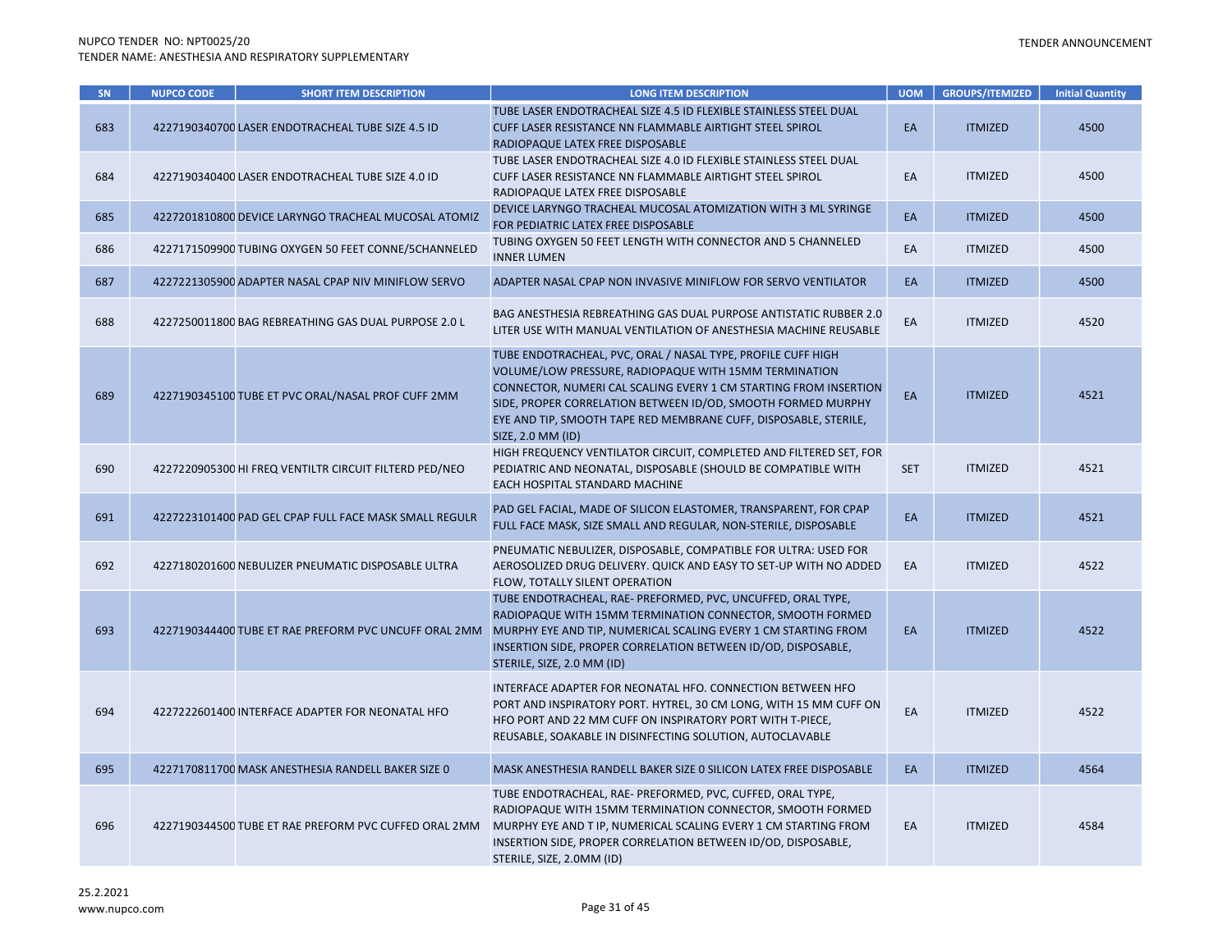| SN  | <b>NUPCO CODE</b> | <b>SHORT ITEM DESCRIPTION</b>                          | <b>LONG ITEM DESCRIPTION</b>                                                                                                                                                                                                                                                                                                                       | <b>UOM</b> | <b>GROUPS/ITEMIZED</b> | <b>Initial Quantity</b> |
|-----|-------------------|--------------------------------------------------------|----------------------------------------------------------------------------------------------------------------------------------------------------------------------------------------------------------------------------------------------------------------------------------------------------------------------------------------------------|------------|------------------------|-------------------------|
| 683 |                   | 4227190340700 LASER ENDOTRACHEAL TUBE SIZE 4.5 ID      | TUBE LASER ENDOTRACHEAL SIZE 4.5 ID FLEXIBLE STAINLESS STEEL DUAL<br>CUFF LASER RESISTANCE NN FLAMMABLE AIRTIGHT STEEL SPIROL<br>RADIOPAQUE LATEX FREE DISPOSABLE                                                                                                                                                                                  | EA         | <b>ITMIZED</b>         | 4500                    |
| 684 |                   | 4227190340400 LASER ENDOTRACHEAL TUBE SIZE 4.0 ID      | TUBE LASER ENDOTRACHEAL SIZE 4.0 ID FLEXIBLE STAINLESS STEEL DUAL<br>CUFF LASER RESISTANCE NN FLAMMABLE AIRTIGHT STEEL SPIROL<br>RADIOPAQUE LATEX FREE DISPOSABLE                                                                                                                                                                                  | EA         | <b>ITMIZED</b>         | 4500                    |
| 685 |                   | 4227201810800 DEVICE LARYNGO TRACHEAL MUCOSAL ATOMIZ   | DEVICE LARYNGO TRACHEAL MUCOSAL ATOMIZATION WITH 3 ML SYRINGE<br>FOR PEDIATRIC LATEX FREE DISPOSABLE                                                                                                                                                                                                                                               | EA         | <b>ITMIZED</b>         | 4500                    |
| 686 |                   | 4227171509900 TUBING OXYGEN 50 FEET CONNE/5CHANNELED   | TUBING OXYGEN 50 FEET LENGTH WITH CONNECTOR AND 5 CHANNELED<br><b>INNER LUMEN</b>                                                                                                                                                                                                                                                                  | EA         | <b>ITMIZED</b>         | 4500                    |
| 687 |                   | 4227221305900 ADAPTER NASAL CPAP NIV MINIFLOW SERVO    | ADAPTER NASAL CPAP NON INVASIVE MINIFLOW FOR SERVO VENTILATOR                                                                                                                                                                                                                                                                                      | EA         | <b>ITMIZED</b>         | 4500                    |
| 688 |                   | 4227250011800 BAG REBREATHING GAS DUAL PURPOSE 2.0 L   | BAG ANESTHESIA REBREATHING GAS DUAL PURPOSE ANTISTATIC RUBBER 2.0<br>LITER USE WITH MANUAL VENTILATION OF ANESTHESIA MACHINE REUSABLE                                                                                                                                                                                                              | EA         | <b>ITMIZED</b>         | 4520                    |
| 689 |                   | 4227190345100 TUBE ET PVC ORAL/NASAL PROF CUFF 2MM     | TUBE ENDOTRACHEAL, PVC, ORAL / NASAL TYPE, PROFILE CUFF HIGH<br>VOLUME/LOW PRESSURE, RADIOPAQUE WITH 15MM TERMINATION<br>CONNECTOR, NUMERI CAL SCALING EVERY 1 CM STARTING FROM INSERTION<br>SIDE, PROPER CORRELATION BETWEEN ID/OD, SMOOTH FORMED MURPHY<br>EYE AND TIP, SMOOTH TAPE RED MEMBRANE CUFF, DISPOSABLE, STERILE,<br>SIZE, 2.0 MM (ID) | EA         | <b>ITMIZED</b>         | 4521                    |
| 690 |                   | 4227220905300 HI FREQ VENTILTR CIRCUIT FILTERD PED/NEO | HIGH FREQUENCY VENTILATOR CIRCUIT, COMPLETED AND FILTERED SET, FOR<br>PEDIATRIC AND NEONATAL, DISPOSABLE (SHOULD BE COMPATIBLE WITH<br>EACH HOSPITAL STANDARD MACHINE                                                                                                                                                                              | <b>SET</b> | <b>ITMIZED</b>         | 4521                    |
| 691 |                   | 4227223101400 PAD GEL CPAP FULL FACE MASK SMALL REGULR | PAD GEL FACIAL, MADE OF SILICON ELASTOMER, TRANSPARENT, FOR CPAP<br>FULL FACE MASK, SIZE SMALL AND REGULAR, NON-STERILE, DISPOSABLE                                                                                                                                                                                                                | EA         | <b>ITMIZED</b>         | 4521                    |
| 692 |                   | 4227180201600 NEBULIZER PNEUMATIC DISPOSABLE ULTRA     | PNEUMATIC NEBULIZER, DISPOSABLE, COMPATIBLE FOR ULTRA: USED FOR<br>AEROSOLIZED DRUG DELIVERY. QUICK AND EASY TO SET-UP WITH NO ADDED<br>FLOW, TOTALLY SILENT OPERATION                                                                                                                                                                             | EA         | <b>ITMIZED</b>         | 4522                    |
| 693 |                   | 4227190344400 TUBE ET RAE PREFORM PVC UNCUFF ORAL 2MM  | TUBE ENDOTRACHEAL, RAE- PREFORMED, PVC, UNCUFFED, ORAL TYPE,<br>RADIOPAQUE WITH 15MM TERMINATION CONNECTOR, SMOOTH FORMED<br>MURPHY EYE AND TIP, NUMERICAL SCALING EVERY 1 CM STARTING FROM<br>INSERTION SIDE, PROPER CORRELATION BETWEEN ID/OD, DISPOSABLE,<br>STERILE, SIZE, 2.0 MM (ID)                                                         | EA         | <b>ITMIZED</b>         | 4522                    |
| 694 |                   | 4227222601400 INTERFACE ADAPTER FOR NEONATAL HFO       | INTERFACE ADAPTER FOR NEONATAL HFO. CONNECTION BETWEEN HFO<br>PORT AND INSPIRATORY PORT. HYTREL, 30 CM LONG, WITH 15 MM CUFF ON<br>HFO PORT AND 22 MM CUFF ON INSPIRATORY PORT WITH T-PIECE,<br>REUSABLE, SOAKABLE IN DISINFECTING SOLUTION, AUTOCLAVABLE                                                                                          | EA         | <b>ITMIZED</b>         | 4522                    |
| 695 |                   | 4227170811700 MASK ANESTHESIA RANDELL BAKER SIZE 0     | MASK ANESTHESIA RANDELL BAKER SIZE O SILICON LATEX FREE DISPOSABLE                                                                                                                                                                                                                                                                                 | EA         | <b>ITMIZED</b>         | 4564                    |
| 696 |                   | 4227190344500 TUBE ET RAE PREFORM PVC CUFFED ORAL 2MM  | TUBE ENDOTRACHEAL, RAE- PREFORMED, PVC, CUFFED, ORAL TYPE,<br>RADIOPAQUE WITH 15MM TERMINATION CONNECTOR, SMOOTH FORMED<br>MURPHY EYE AND T IP, NUMERICAL SCALING EVERY 1 CM STARTING FROM<br>INSERTION SIDE, PROPER CORRELATION BETWEEN ID/OD, DISPOSABLE,<br>STERILE, SIZE, 2.0MM (ID)                                                           | EA         | <b>ITMIZED</b>         | 4584                    |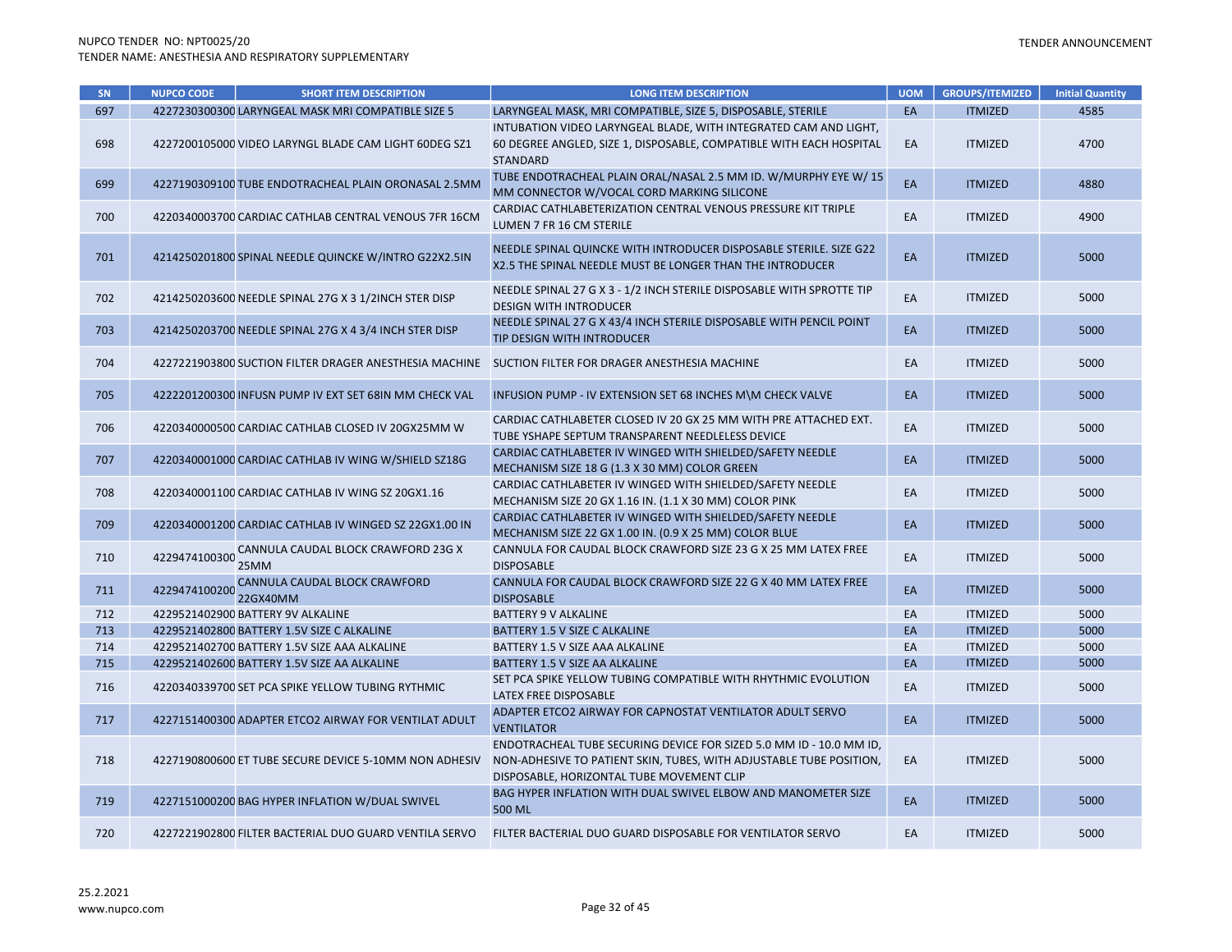| SN  | <b>NUPCO CODE</b> | <b>SHORT ITEM DESCRIPTION</b>                          | <b>LONG ITEM DESCRIPTION</b>                                                                                                                                                            | <b>UOM</b> | <b>GROUPS/ITEMIZED</b> | <b>Initial Quantity</b> |
|-----|-------------------|--------------------------------------------------------|-----------------------------------------------------------------------------------------------------------------------------------------------------------------------------------------|------------|------------------------|-------------------------|
| 697 |                   | 4227230300300 LARYNGEAL MASK MRI COMPATIBLE SIZE 5     | LARYNGEAL MASK, MRI COMPATIBLE, SIZE 5, DISPOSABLE, STERILE                                                                                                                             | EA         | <b>ITMIZED</b>         | 4585                    |
| 698 |                   | 4227200105000 VIDEO LARYNGL BLADE CAM LIGHT 60DEG SZ1  | INTUBATION VIDEO LARYNGEAL BLADE, WITH INTEGRATED CAM AND LIGHT,<br>60 DEGREE ANGLED, SIZE 1, DISPOSABLE, COMPATIBLE WITH EACH HOSPITAL<br><b>STANDARD</b>                              | EA         | <b>ITMIZED</b>         | 4700                    |
| 699 |                   | 4227190309100 TUBE ENDOTRACHEAL PLAIN ORONASAL 2.5MM   | TUBE ENDOTRACHEAL PLAIN ORAL/NASAL 2.5 MM ID. W/MURPHY EYE W/ 15<br>MM CONNECTOR W/VOCAL CORD MARKING SILICONE                                                                          | EA         | <b>ITMIZED</b>         | 4880                    |
| 700 |                   | 4220340003700 CARDIAC CATHLAB CENTRAL VENOUS 7FR 16CM  | CARDIAC CATHLABETERIZATION CENTRAL VENOUS PRESSURE KIT TRIPLE<br>LUMEN 7 FR 16 CM STERILE                                                                                               | EA         | <b>ITMIZED</b>         | 4900                    |
| 701 |                   | 4214250201800 SPINAL NEEDLE QUINCKE W/INTRO G22X2.5IN  | NEEDLE SPINAL QUINCKE WITH INTRODUCER DISPOSABLE STERILE. SIZE G22<br>X2.5 THE SPINAL NEEDLE MUST BE LONGER THAN THE INTRODUCER                                                         | EA         | <b>ITMIZED</b>         | 5000                    |
| 702 |                   | 4214250203600 NEEDLE SPINAL 27G X 3 1/2INCH STER DISP  | NEEDLE SPINAL 27 G X 3 - 1/2 INCH STERILE DISPOSABLE WITH SPROTTE TIP<br><b>DESIGN WITH INTRODUCER</b>                                                                                  | EA         | <b>ITMIZED</b>         | 5000                    |
| 703 |                   | 4214250203700 NEEDLE SPINAL 27G X 4 3/4 INCH STER DISP | NEEDLE SPINAL 27 G X 43/4 INCH STERILE DISPOSABLE WITH PENCIL POINT<br>TIP DESIGN WITH INTRODUCER                                                                                       | EA         | <b>ITMIZED</b>         | 5000                    |
| 704 |                   | 4227221903800 SUCTION FILTER DRAGER ANESTHESIA MACHINE | SUCTION FILTER FOR DRAGER ANESTHESIA MACHINE                                                                                                                                            | EA         | <b>ITMIZED</b>         | 5000                    |
| 705 |                   | 4222201200300 INFUSN PUMP IV EXT SET 68IN MM CHECK VAL | INFUSION PUMP - IV EXTENSION SET 68 INCHES M\M CHECK VALVE                                                                                                                              | EA         | <b>ITMIZED</b>         | 5000                    |
| 706 |                   | 4220340000500 CARDIAC CATHLAB CLOSED IV 20GX25MM W     | CARDIAC CATHLABETER CLOSED IV 20 GX 25 MM WITH PRE ATTACHED EXT.<br>TUBE YSHAPE SEPTUM TRANSPARENT NEEDLELESS DEVICE                                                                    | EA         | <b>ITMIZED</b>         | 5000                    |
| 707 |                   | 4220340001000 CARDIAC CATHLAB IV WING W/SHIELD SZ18G   | CARDIAC CATHLABETER IV WINGED WITH SHIELDED/SAFETY NEEDLE<br>MECHANISM SIZE 18 G (1.3 X 30 MM) COLOR GREEN                                                                              | EA         | <b>ITMIZED</b>         | 5000                    |
| 708 |                   | 4220340001100 CARDIAC CATHLAB IV WING SZ 20GX1.16      | CARDIAC CATHLABETER IV WINGED WITH SHIELDED/SAFETY NEEDLE<br>MECHANISM SIZE 20 GX 1.16 IN. (1.1 X 30 MM) COLOR PINK                                                                     | EA         | <b>ITMIZED</b>         | 5000                    |
| 709 |                   | 4220340001200 CARDIAC CATHLAB IV WINGED SZ 22GX1.00 IN | CARDIAC CATHLABETER IV WINGED WITH SHIELDED/SAFETY NEEDLE<br>MECHANISM SIZE 22 GX 1.00 IN. (0.9 X 25 MM) COLOR BLUE                                                                     | EA         | <b>ITMIZED</b>         | 5000                    |
| 710 | 4229474100300     | CANNULA CAUDAL BLOCK CRAWFORD 23G X<br>25MM            | CANNULA FOR CAUDAL BLOCK CRAWFORD SIZE 23 G X 25 MM LATEX FREE<br><b>DISPOSABLE</b>                                                                                                     | EA         | <b>ITMIZED</b>         | 5000                    |
| 711 | 4229474100200     | CANNULA CAUDAL BLOCK CRAWFORD<br>22GX40MM              | CANNULA FOR CAUDAL BLOCK CRAWFORD SIZE 22 G X 40 MM LATEX FREE<br><b>DISPOSABLE</b>                                                                                                     | EA         | <b>ITMIZED</b>         | 5000                    |
| 712 |                   | 4229521402900 BATTERY 9V ALKALINE                      | <b>BATTERY 9 V ALKALINE</b>                                                                                                                                                             | EA         | <b>ITMIZED</b>         | 5000                    |
| 713 |                   | 4229521402800 BATTERY 1.5V SIZE C ALKALINE             | BATTERY 1.5 V SIZE C ALKALINE                                                                                                                                                           | EA         | <b>ITMIZED</b>         | 5000                    |
| 714 |                   | 4229521402700 BATTERY 1.5V SIZE AAA ALKALINE           | BATTERY 1.5 V SIZE AAA ALKALINE                                                                                                                                                         | EA         | <b>ITMIZED</b>         | 5000                    |
| 715 |                   | 4229521402600 BATTERY 1.5V SIZE AA ALKALINE            | BATTERY 1.5 V SIZE AA ALKALINE                                                                                                                                                          | EA         | <b>ITMIZED</b>         | 5000                    |
| 716 |                   | 4220340339700 SET PCA SPIKE YELLOW TUBING RYTHMIC      | SET PCA SPIKE YELLOW TUBING COMPATIBLE WITH RHYTHMIC EVOLUTION<br>LATEX FREE DISPOSABLE                                                                                                 | EA         | <b>ITMIZED</b>         | 5000                    |
| 717 |                   | 4227151400300 ADAPTER ETCO2 AIRWAY FOR VENTILAT ADULT  | ADAPTER ETCO2 AIRWAY FOR CAPNOSTAT VENTILATOR ADULT SERVO<br><b>VENTILATOR</b>                                                                                                          | EA         | <b>ITMIZED</b>         | 5000                    |
| 718 |                   | 4227190800600 ET TUBE SECURE DEVICE 5-10MM NON ADHESIV | ENDOTRACHEAL TUBE SECURING DEVICE FOR SIZED 5.0 MM ID - 10.0 MM ID,<br>NON-ADHESIVE TO PATIENT SKIN, TUBES, WITH ADJUSTABLE TUBE POSITION,<br>DISPOSABLE, HORIZONTAL TUBE MOVEMENT CLIP | EA         | <b>ITMIZED</b>         | 5000                    |
| 719 |                   | 4227151000200 BAG HYPER INFLATION W/DUAL SWIVEL        | BAG HYPER INFLATION WITH DUAL SWIVEL ELBOW AND MANOMETER SIZE<br>500 ML                                                                                                                 | EA         | <b>ITMIZED</b>         | 5000                    |
| 720 |                   | 4227221902800 FILTER BACTERIAL DUO GUARD VENTILA SERVO | FILTER BACTERIAL DUO GUARD DISPOSABLE FOR VENTILATOR SERVO                                                                                                                              | EA         | <b>ITMIZED</b>         | 5000                    |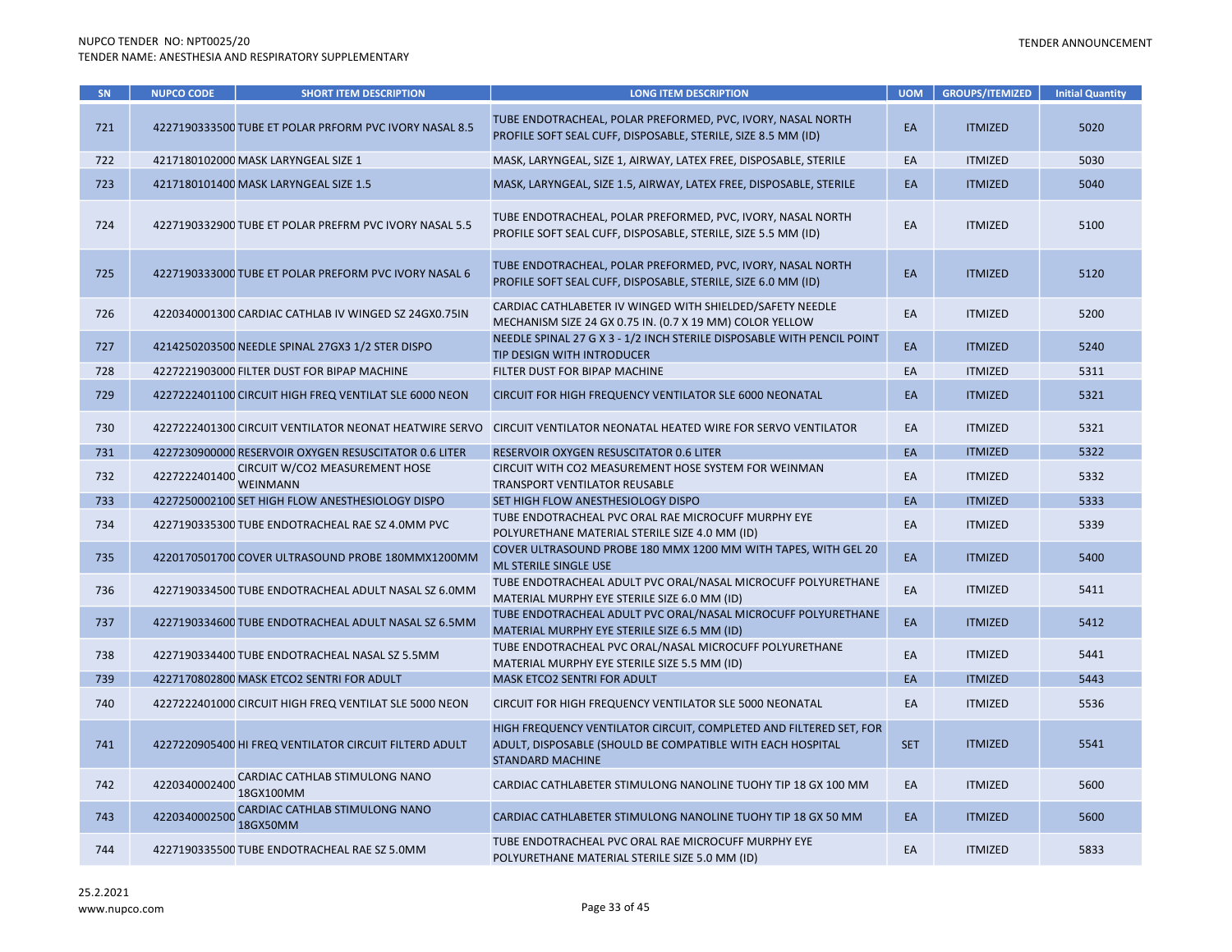| SN  | <b>NUPCO CODE</b> | <b>SHORT ITEM DESCRIPTION</b>                          | <b>LONG ITEM DESCRIPTION</b>                                                                                                                                | <b>UOM</b> | <b>GROUPS/ITEMIZED</b> | <b>Initial Quantity</b> |
|-----|-------------------|--------------------------------------------------------|-------------------------------------------------------------------------------------------------------------------------------------------------------------|------------|------------------------|-------------------------|
| 721 |                   | 4227190333500 TUBE ET POLAR PRFORM PVC IVORY NASAL 8.5 | TUBE ENDOTRACHEAL, POLAR PREFORMED, PVC, IVORY, NASAL NORTH<br>PROFILE SOFT SEAL CUFF, DISPOSABLE, STERILE, SIZE 8.5 MM (ID)                                | EA         | <b>ITMIZED</b>         | 5020                    |
| 722 |                   | 4217180102000 MASK LARYNGEAL SIZE 1                    | MASK, LARYNGEAL, SIZE 1, AIRWAY, LATEX FREE, DISPOSABLE, STERILE                                                                                            | EA         | <b>ITMIZED</b>         | 5030                    |
| 723 |                   | 4217180101400 MASK LARYNGEAL SIZE 1.5                  | MASK, LARYNGEAL, SIZE 1.5, AIRWAY, LATEX FREE, DISPOSABLE, STERILE                                                                                          | EA         | <b>ITMIZED</b>         | 5040                    |
| 724 |                   | 4227190332900 TUBE ET POLAR PREFRM PVC IVORY NASAL 5.5 | TUBE ENDOTRACHEAL, POLAR PREFORMED, PVC, IVORY, NASAL NORTH<br>PROFILE SOFT SEAL CUFF, DISPOSABLE, STERILE, SIZE 5.5 MM (ID)                                | EA         | <b>ITMIZED</b>         | 5100                    |
| 725 |                   | 4227190333000 TUBE ET POLAR PREFORM PVC IVORY NASAL 6  | TUBE ENDOTRACHEAL, POLAR PREFORMED, PVC, IVORY, NASAL NORTH<br>PROFILE SOFT SEAL CUFF, DISPOSABLE, STERILE, SIZE 6.0 MM (ID)                                | EA         | <b>ITMIZED</b>         | 5120                    |
| 726 |                   | 4220340001300 CARDIAC CATHLAB IV WINGED SZ 24GX0.75IN  | CARDIAC CATHLABETER IV WINGED WITH SHIELDED/SAFETY NEEDLE<br>MECHANISM SIZE 24 GX 0.75 IN. (0.7 X 19 MM) COLOR YELLOW                                       | EA         | <b>ITMIZED</b>         | 5200                    |
| 727 |                   | 4214250203500 NEEDLE SPINAL 27GX3 1/2 STER DISPO       | NEEDLE SPINAL 27 G X 3 - 1/2 INCH STERILE DISPOSABLE WITH PENCIL POINT<br>TIP DESIGN WITH INTRODUCER                                                        | EA         | <b>ITMIZED</b>         | 5240                    |
| 728 |                   | 4227221903000 FILTER DUST FOR BIPAP MACHINE            | FILTER DUST FOR BIPAP MACHINE                                                                                                                               | EA         | <b>ITMIZED</b>         | 5311                    |
| 729 |                   | 4227222401100 CIRCUIT HIGH FREQ VENTILAT SLE 6000 NEON | CIRCUIT FOR HIGH FREQUENCY VENTILATOR SLE 6000 NEONATAL                                                                                                     | EA         | <b>ITMIZED</b>         | 5321                    |
| 730 |                   | 4227222401300 CIRCUIT VENTILATOR NEONAT HEATWIRE SERVO | CIRCUIT VENTILATOR NEONATAL HEATED WIRE FOR SERVO VENTILATOR                                                                                                | EA         | <b>ITMIZED</b>         | 5321                    |
| 731 |                   | 4227230900000 RESERVOIR OXYGEN RESUSCITATOR 0.6 LITER  | RESERVOIR OXYGEN RESUSCITATOR 0.6 LITER                                                                                                                     | EA         | <b>ITMIZED</b>         | 5322                    |
| 732 |                   | CIRCUIT W/CO2 MEASUREMENT HOSE<br><b>WEINMANN</b>      | CIRCUIT WITH CO2 MEASUREMENT HOSE SYSTEM FOR WEINMAN<br>TRANSPORT VENTILATOR REUSABLE                                                                       | EA         | <b>ITMIZED</b>         | 5332                    |
| 733 |                   | 4227250002100 SET HIGH FLOW ANESTHESIOLOGY DISPO       | SET HIGH FLOW ANESTHESIOLOGY DISPO                                                                                                                          | EA         | <b>ITMIZED</b>         | 5333                    |
| 734 |                   | 4227190335300 TUBE ENDOTRACHEAL RAE SZ 4.0MM PVC       | TUBE ENDOTRACHEAL PVC ORAL RAE MICROCUFF MURPHY EYE<br>POLYURETHANE MATERIAL STERILE SIZE 4.0 MM (ID)                                                       | EA         | <b>ITMIZED</b>         | 5339                    |
| 735 |                   | 4220170501700 COVER ULTRASOUND PROBE 180MMX1200MM      | COVER ULTRASOUND PROBE 180 MMX 1200 MM WITH TAPES, WITH GEL 20<br><b>ML STERILE SINGLE USE</b>                                                              | EA         | <b>ITMIZED</b>         | 5400                    |
| 736 |                   | 4227190334500 TUBE ENDOTRACHEAL ADULT NASAL SZ 6.0MM   | TUBE ENDOTRACHEAL ADULT PVC ORAL/NASAL MICROCUFF POLYURETHANE<br>MATERIAL MURPHY EYE STERILE SIZE 6.0 MM (ID)                                               | EA         | <b>ITMIZED</b>         | 5411                    |
| 737 |                   | 4227190334600 TUBE ENDOTRACHEAL ADULT NASAL SZ 6.5MM   | TUBE ENDOTRACHEAL ADULT PVC ORAL/NASAL MICROCUFF POLYURETHANE<br>MATERIAL MURPHY EYE STERILE SIZE 6.5 MM (ID)                                               | EA         | <b>ITMIZED</b>         | 5412                    |
| 738 |                   | 4227190334400 TUBE ENDOTRACHEAL NASAL SZ 5.5MM         | TUBE ENDOTRACHEAL PVC ORAL/NASAL MICROCUFF POLYURETHANE<br>MATERIAL MURPHY EYE STERILE SIZE 5.5 MM (ID)                                                     | EA         | <b>ITMIZED</b>         | 5441                    |
| 739 |                   | 4227170802800 MASK ETCO2 SENTRI FOR ADULT              | MASK ETCO2 SENTRI FOR ADULT                                                                                                                                 | EA         | <b>ITMIZED</b>         | 5443                    |
| 740 |                   | 4227222401000 CIRCUIT HIGH FREQ VENTILAT SLE 5000 NEON | CIRCUIT FOR HIGH FREQUENCY VENTILATOR SLE 5000 NEONATAL                                                                                                     | EA         | <b>ITMIZED</b>         | 5536                    |
| 741 |                   | 4227220905400 HI FREQ VENTILATOR CIRCUIT FILTERD ADULT | HIGH FREQUENCY VENTILATOR CIRCUIT, COMPLETED AND FILTERED SET, FOR<br>ADULT, DISPOSABLE (SHOULD BE COMPATIBLE WITH EACH HOSPITAL<br><b>STANDARD MACHINE</b> | <b>SET</b> | <b>ITMIZED</b>         | 5541                    |
| 742 | 4220340002400     | CARDIAC CATHLAB STIMULONG NANO<br>18GX100MM            | CARDIAC CATHLABETER STIMULONG NANOLINE TUOHY TIP 18 GX 100 MM                                                                                               | EA         | <b>ITMIZED</b>         | 5600                    |
| 743 | 4220340002500     | CARDIAC CATHLAB STIMULONG NANO<br>18GX50MM             | CARDIAC CATHLABETER STIMULONG NANOLINE TUOHY TIP 18 GX 50 MM                                                                                                | EA         | <b>ITMIZED</b>         | 5600                    |
| 744 |                   | 4227190335500 TUBE ENDOTRACHEAL RAE SZ 5.0MM           | TUBE ENDOTRACHEAL PVC ORAL RAE MICROCUFF MURPHY EYE<br>POLYURETHANE MATERIAL STERILE SIZE 5.0 MM (ID)                                                       | EA         | <b>ITMIZED</b>         | 5833                    |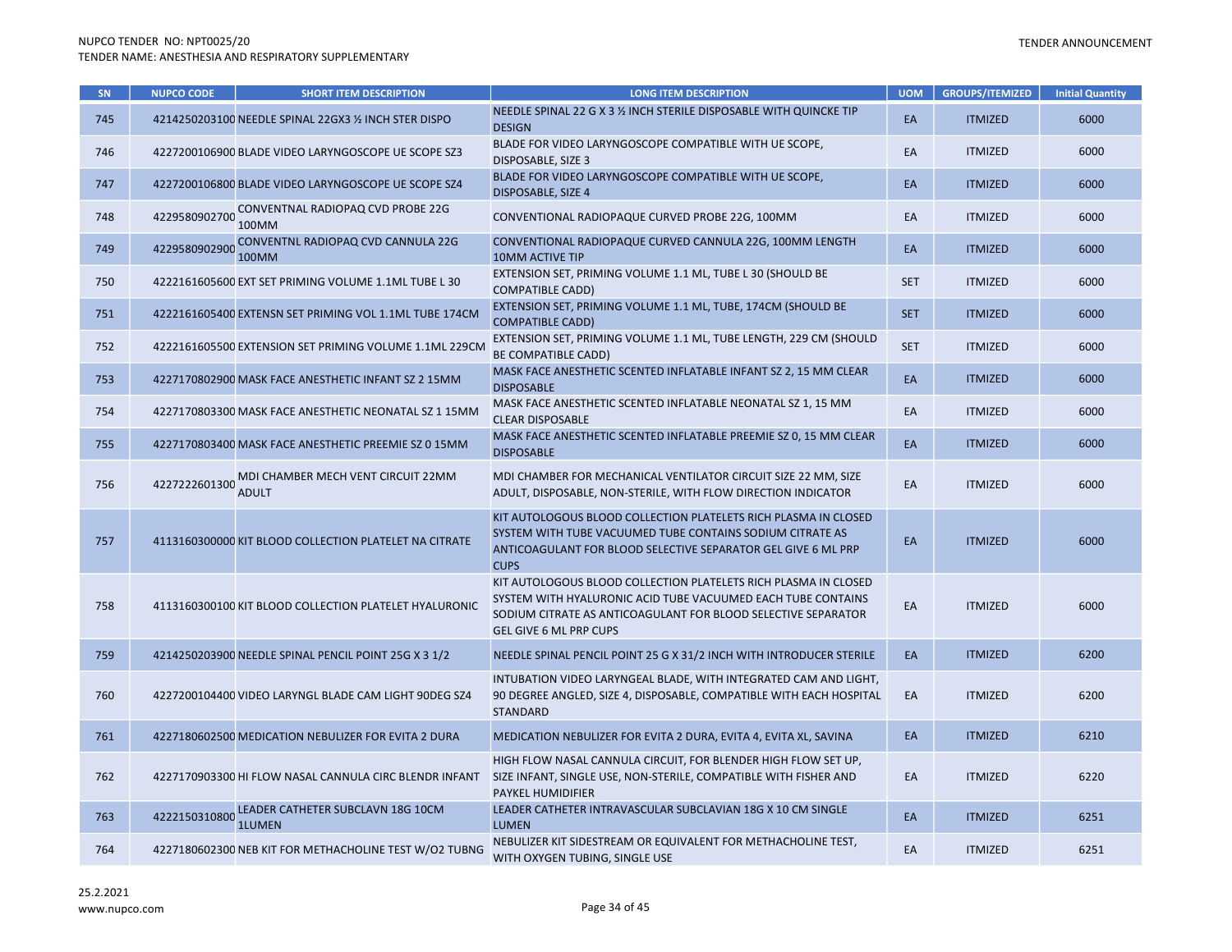| SN  | <b>NUPCO CODE</b> | <b>SHORT ITEM DESCRIPTION</b>                          | <b>LONG ITEM DESCRIPTION</b>                                                                                                                                                                                                      | <b>UOM</b> | <b>GROUPS/ITEMIZED</b> | <b>Initial Quantity</b> |
|-----|-------------------|--------------------------------------------------------|-----------------------------------------------------------------------------------------------------------------------------------------------------------------------------------------------------------------------------------|------------|------------------------|-------------------------|
| 745 |                   | 4214250203100 NEEDLE SPINAL 22GX3 1/2 INCH STER DISPO  | NEEDLE SPINAL 22 G X 3 % INCH STERILE DISPOSABLE WITH QUINCKE TIP<br><b>DESIGN</b>                                                                                                                                                | EA         | <b>ITMIZED</b>         | 6000                    |
| 746 |                   | 4227200106900 BLADE VIDEO LARYNGOSCOPE UE SCOPE SZ3    | BLADE FOR VIDEO LARYNGOSCOPE COMPATIBLE WITH UE SCOPE,<br>DISPOSABLE, SIZE 3                                                                                                                                                      | EA         | <b>ITMIZED</b>         | 6000                    |
| 747 |                   | 4227200106800 BLADE VIDEO LARYNGOSCOPE UE SCOPE SZ4    | BLADE FOR VIDEO LARYNGOSCOPE COMPATIBLE WITH UE SCOPE,<br><b>DISPOSABLE, SIZE 4</b>                                                                                                                                               | EA         | <b>ITMIZED</b>         | 6000                    |
| 748 | 4229580902700     | CONVENTNAL RADIOPAQ CVD PROBE 22G<br>100MM             | CONVENTIONAL RADIOPAQUE CURVED PROBE 22G, 100MM                                                                                                                                                                                   | EA         | <b>ITMIZED</b>         | 6000                    |
| 749 | 4229580902900     | CONVENTNL RADIOPAQ CVD CANNULA 22G<br><b>100MM</b>     | CONVENTIONAL RADIOPAQUE CURVED CANNULA 22G, 100MM LENGTH<br>10MM ACTIVE TIP                                                                                                                                                       | EA         | <b>ITMIZED</b>         | 6000                    |
| 750 |                   | 4222161605600 EXT SET PRIMING VOLUME 1.1ML TUBE L 30   | EXTENSION SET, PRIMING VOLUME 1.1 ML, TUBE L 30 (SHOULD BE<br><b>COMPATIBLE CADD)</b>                                                                                                                                             | <b>SET</b> | <b>ITMIZED</b>         | 6000                    |
| 751 |                   | 4222161605400 EXTENSN SET PRIMING VOL 1.1ML TUBE 174CM | EXTENSION SET, PRIMING VOLUME 1.1 ML, TUBE, 174CM (SHOULD BE<br><b>COMPATIBLE CADD)</b>                                                                                                                                           | <b>SET</b> | <b>ITMIZED</b>         | 6000                    |
| 752 |                   | 4222161605500 EXTENSION SET PRIMING VOLUME 1.1ML 229CM | EXTENSION SET, PRIMING VOLUME 1.1 ML, TUBE LENGTH, 229 CM (SHOULD<br>BE COMPATIBLE CADD)                                                                                                                                          | <b>SET</b> | <b>ITMIZED</b>         | 6000                    |
| 753 |                   | 4227170802900 MASK FACE ANESTHETIC INFANT SZ 2 15MM    | MASK FACE ANESTHETIC SCENTED INFLATABLE INFANT SZ 2, 15 MM CLEAR<br><b>DISPOSABLE</b>                                                                                                                                             | EA         | <b>ITMIZED</b>         | 6000                    |
| 754 |                   | 4227170803300 MASK FACE ANESTHETIC NEONATAL SZ 1 15MM  | MASK FACE ANESTHETIC SCENTED INFLATABLE NEONATAL SZ 1, 15 MM<br><b>CLEAR DISPOSABLE</b>                                                                                                                                           | EA         | <b>ITMIZED</b>         | 6000                    |
| 755 |                   | 4227170803400 MASK FACE ANESTHETIC PREEMIE SZ 0 15MM   | MASK FACE ANESTHETIC SCENTED INFLATABLE PREEMIE SZ 0, 15 MM CLEAR<br><b>DISPOSABLE</b>                                                                                                                                            | EA         | <b>ITMIZED</b>         | 6000                    |
| 756 | 4227222601300     | MDI CHAMBER MECH VENT CIRCUIT 22MM<br><b>ADULT</b>     | MDI CHAMBER FOR MECHANICAL VENTILATOR CIRCUIT SIZE 22 MM, SIZE<br>ADULT, DISPOSABLE, NON-STERILE, WITH FLOW DIRECTION INDICATOR                                                                                                   | EA         | <b>ITMIZED</b>         | 6000                    |
| 757 |                   | 4113160300000 KIT BLOOD COLLECTION PLATELET NA CITRATE | KIT AUTOLOGOUS BLOOD COLLECTION PLATELETS RICH PLASMA IN CLOSED<br>SYSTEM WITH TUBE VACUUMED TUBE CONTAINS SODIUM CITRATE AS<br>ANTICOAGULANT FOR BLOOD SELECTIVE SEPARATOR GEL GIVE 6 ML PRP<br><b>CUPS</b>                      | EA         | <b>ITMIZED</b>         | 6000                    |
| 758 |                   | 4113160300100 KIT BLOOD COLLECTION PLATELET HYALURONIC | KIT AUTOLOGOUS BLOOD COLLECTION PLATELETS RICH PLASMA IN CLOSED<br>SYSTEM WITH HYALURONIC ACID TUBE VACUUMED EACH TUBE CONTAINS<br>SODIUM CITRATE AS ANTICOAGULANT FOR BLOOD SELECTIVE SEPARATOR<br><b>GEL GIVE 6 ML PRP CUPS</b> | EA         | <b>ITMIZED</b>         | 6000                    |
| 759 |                   | 4214250203900 NEEDLE SPINAL PENCIL POINT 25G X 3 1/2   | NEEDLE SPINAL PENCIL POINT 25 G X 31/2 INCH WITH INTRODUCER STERILE                                                                                                                                                               | EA         | <b>ITMIZED</b>         | 6200                    |
| 760 |                   | 4227200104400 VIDEO LARYNGL BLADE CAM LIGHT 90DEG SZ4  | INTUBATION VIDEO LARYNGEAL BLADE, WITH INTEGRATED CAM AND LIGHT,<br>90 DEGREE ANGLED, SIZE 4, DISPOSABLE, COMPATIBLE WITH EACH HOSPITAL<br><b>STANDARD</b>                                                                        | EA         | <b>ITMIZED</b>         | 6200                    |
| 761 |                   | 4227180602500 MEDICATION NEBULIZER FOR EVITA 2 DURA    | MEDICATION NEBULIZER FOR EVITA 2 DURA, EVITA 4, EVITA XL, SAVINA                                                                                                                                                                  | EA         | <b>ITMIZED</b>         | 6210                    |
| 762 |                   | 4227170903300 HI FLOW NASAL CANNULA CIRC BLENDR INFANT | HIGH FLOW NASAL CANNULA CIRCUIT, FOR BLENDER HIGH FLOW SET UP,<br>SIZE INFANT, SINGLE USE, NON-STERILE, COMPATIBLE WITH FISHER AND<br>PAYKEL HUMIDIFIER                                                                           | EA         | <b>ITMIZED</b>         | 6220                    |
| 763 | 4222150310800     | LEADER CATHETER SUBCLAVN 18G 10CM<br><b>1LUMEN</b>     | LEADER CATHETER INTRAVASCULAR SUBCLAVIAN 18G X 10 CM SINGLE<br><b>LUMEN</b>                                                                                                                                                       | EA         | <b>ITMIZED</b>         | 6251                    |
| 764 |                   | 4227180602300 NEB KIT FOR METHACHOLINE TEST W/O2 TUBNG | NEBULIZER KIT SIDESTREAM OR EQUIVALENT FOR METHACHOLINE TEST,<br>WITH OXYGEN TUBING, SINGLE USE                                                                                                                                   | EA         | <b>ITMIZED</b>         | 6251                    |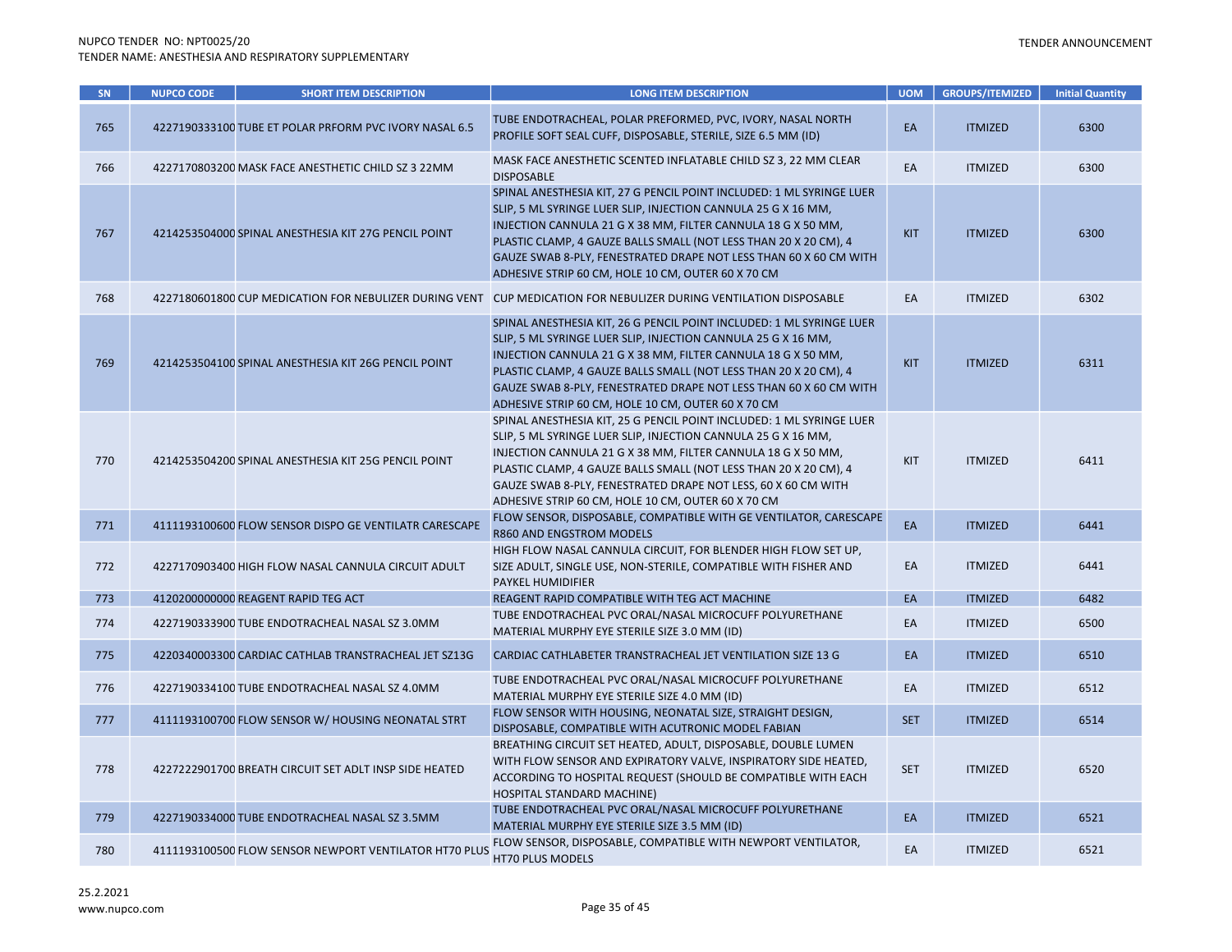| <b>SN</b> | <b>NUPCO CODE</b> | <b>SHORT ITEM DESCRIPTION</b>                          | <b>LONG ITEM DESCRIPTION</b>                                                                                                                                                                                                                                                                                                                                                                         | <b>UOM</b> | <b>GROUPS/ITEMIZED</b> | <b>Initial Quantity</b> |
|-----------|-------------------|--------------------------------------------------------|------------------------------------------------------------------------------------------------------------------------------------------------------------------------------------------------------------------------------------------------------------------------------------------------------------------------------------------------------------------------------------------------------|------------|------------------------|-------------------------|
| 765       |                   | 4227190333100 TUBE ET POLAR PRFORM PVC IVORY NASAL 6.5 | TUBE ENDOTRACHEAL, POLAR PREFORMED, PVC, IVORY, NASAL NORTH<br>PROFILE SOFT SEAL CUFF, DISPOSABLE, STERILE, SIZE 6.5 MM (ID)                                                                                                                                                                                                                                                                         | EA         | <b>ITMIZED</b>         | 6300                    |
| 766       |                   | 4227170803200 MASK FACE ANESTHETIC CHILD SZ 3 22MM     | MASK FACE ANESTHETIC SCENTED INFLATABLE CHILD SZ 3, 22 MM CLEAR<br><b>DISPOSABLE</b>                                                                                                                                                                                                                                                                                                                 | EA         | <b>ITMIZED</b>         | 6300                    |
| 767       |                   | 4214253504000 SPINAL ANESTHESIA KIT 27G PENCIL POINT   | SPINAL ANESTHESIA KIT, 27 G PENCIL POINT INCLUDED: 1 ML SYRINGE LUER<br>SLIP, 5 ML SYRINGE LUER SLIP, INJECTION CANNULA 25 G X 16 MM,<br>INJECTION CANNULA 21 G X 38 MM, FILTER CANNULA 18 G X 50 MM,<br>PLASTIC CLAMP, 4 GAUZE BALLS SMALL (NOT LESS THAN 20 X 20 CM), 4<br>GAUZE SWAB 8-PLY, FENESTRATED DRAPE NOT LESS THAN 60 X 60 CM WITH<br>ADHESIVE STRIP 60 CM, HOLE 10 CM, OUTER 60 X 70 CM | <b>KIT</b> | <b>ITMIZED</b>         | 6300                    |
| 768       |                   | 4227180601800 CUP MEDICATION FOR NEBULIZER DURING VENT | CUP MEDICATION FOR NEBULIZER DURING VENTILATION DISPOSABLE                                                                                                                                                                                                                                                                                                                                           | EA         | <b>ITMIZED</b>         | 6302                    |
| 769       |                   | 4214253504100 SPINAL ANESTHESIA KIT 26G PENCIL POINT   | SPINAL ANESTHESIA KIT, 26 G PENCIL POINT INCLUDED: 1 ML SYRINGE LUER<br>SLIP, 5 ML SYRINGE LUER SLIP, INJECTION CANNULA 25 G X 16 MM,<br>INJECTION CANNULA 21 G X 38 MM, FILTER CANNULA 18 G X 50 MM,<br>PLASTIC CLAMP, 4 GAUZE BALLS SMALL (NOT LESS THAN 20 X 20 CM), 4<br>GAUZE SWAB 8-PLY, FENESTRATED DRAPE NOT LESS THAN 60 X 60 CM WITH<br>ADHESIVE STRIP 60 CM, HOLE 10 CM, OUTER 60 X 70 CM | <b>KIT</b> | <b>ITMIZED</b>         | 6311                    |
| 770       |                   | 4214253504200 SPINAL ANESTHESIA KIT 25G PENCIL POINT   | SPINAL ANESTHESIA KIT, 25 G PENCIL POINT INCLUDED: 1 ML SYRINGE LUER<br>SLIP, 5 ML SYRINGE LUER SLIP, INJECTION CANNULA 25 G X 16 MM,<br>INJECTION CANNULA 21 G X 38 MM, FILTER CANNULA 18 G X 50 MM,<br>PLASTIC CLAMP, 4 GAUZE BALLS SMALL (NOT LESS THAN 20 X 20 CM), 4<br>GAUZE SWAB 8-PLY, FENESTRATED DRAPE NOT LESS, 60 X 60 CM WITH<br>ADHESIVE STRIP 60 CM, HOLE 10 CM, OUTER 60 X 70 CM     | KIT        | <b>ITMIZED</b>         | 6411                    |
| 771       |                   | 4111193100600 FLOW SENSOR DISPO GE VENTILATR CARESCAPE | FLOW SENSOR, DISPOSABLE, COMPATIBLE WITH GE VENTILATOR, CARESCAPE<br>R860 AND ENGSTROM MODELS                                                                                                                                                                                                                                                                                                        | EA         | <b>ITMIZED</b>         | 6441                    |
| 772       |                   | 4227170903400 HIGH FLOW NASAL CANNULA CIRCUIT ADULT    | HIGH FLOW NASAL CANNULA CIRCUIT, FOR BLENDER HIGH FLOW SET UP,<br>SIZE ADULT, SINGLE USE, NON-STERILE, COMPATIBLE WITH FISHER AND<br>PAYKEL HUMIDIFIER                                                                                                                                                                                                                                               | EA         | <b>ITMIZED</b>         | 6441                    |
| 773       |                   | 4120200000000 REAGENT RAPID TEG ACT                    | REAGENT RAPID COMPATIBLE WITH TEG ACT MACHINE                                                                                                                                                                                                                                                                                                                                                        | EA         | <b>ITMIZED</b>         | 6482                    |
| 774       |                   | 4227190333900 TUBE ENDOTRACHEAL NASAL SZ 3.0MM         | TUBE ENDOTRACHEAL PVC ORAL/NASAL MICROCUFF POLYURETHANE<br>MATERIAL MURPHY EYE STERILE SIZE 3.0 MM (ID)                                                                                                                                                                                                                                                                                              | EA         | <b>ITMIZED</b>         | 6500                    |
| 775       |                   | 4220340003300 CARDIAC CATHLAB TRANSTRACHEAL JET SZ13G  | CARDIAC CATHLABETER TRANSTRACHEAL JET VENTILATION SIZE 13 G                                                                                                                                                                                                                                                                                                                                          | EA         | <b>ITMIZED</b>         | 6510                    |
| 776       |                   | 4227190334100 TUBE ENDOTRACHEAL NASAL SZ 4.0MM         | TUBE ENDOTRACHEAL PVC ORAL/NASAL MICROCUFF POLYURETHANE<br>MATERIAL MURPHY EYE STERILE SIZE 4.0 MM (ID)                                                                                                                                                                                                                                                                                              | EA         | <b>ITMIZED</b>         | 6512                    |
| 777       |                   | 4111193100700 FLOW SENSOR W/ HOUSING NEONATAL STRT     | FLOW SENSOR WITH HOUSING, NEONATAL SIZE, STRAIGHT DESIGN,<br>DISPOSABLE, COMPATIBLE WITH ACUTRONIC MODEL FABIAN                                                                                                                                                                                                                                                                                      | <b>SET</b> | <b>ITMIZED</b>         | 6514                    |
| 778       |                   | 4227222901700 BREATH CIRCUIT SET ADLT INSP SIDE HEATED | BREATHING CIRCUIT SET HEATED, ADULT, DISPOSABLE, DOUBLE LUMEN<br>WITH FLOW SENSOR AND EXPIRATORY VALVE, INSPIRATORY SIDE HEATED,<br>ACCORDING TO HOSPITAL REQUEST (SHOULD BE COMPATIBLE WITH EACH<br>HOSPITAL STANDARD MACHINE)                                                                                                                                                                      | <b>SET</b> | <b>ITMIZED</b>         | 6520                    |
| 779       |                   | 4227190334000 TUBE ENDOTRACHEAL NASAL SZ 3.5MM         | TUBE ENDOTRACHEAL PVC ORAL/NASAL MICROCUFF POLYURETHANE<br>MATERIAL MURPHY EYE STERILE SIZE 3.5 MM (ID)                                                                                                                                                                                                                                                                                              | EA         | <b>ITMIZED</b>         | 6521                    |
| 780       |                   | 4111193100500 FLOW SENSOR NEWPORT VENTILATOR HT70 PLUS | FLOW SENSOR, DISPOSABLE, COMPATIBLE WITH NEWPORT VENTILATOR,<br>HT70 PLUS MODELS                                                                                                                                                                                                                                                                                                                     | EA         | <b>ITMIZED</b>         | 6521                    |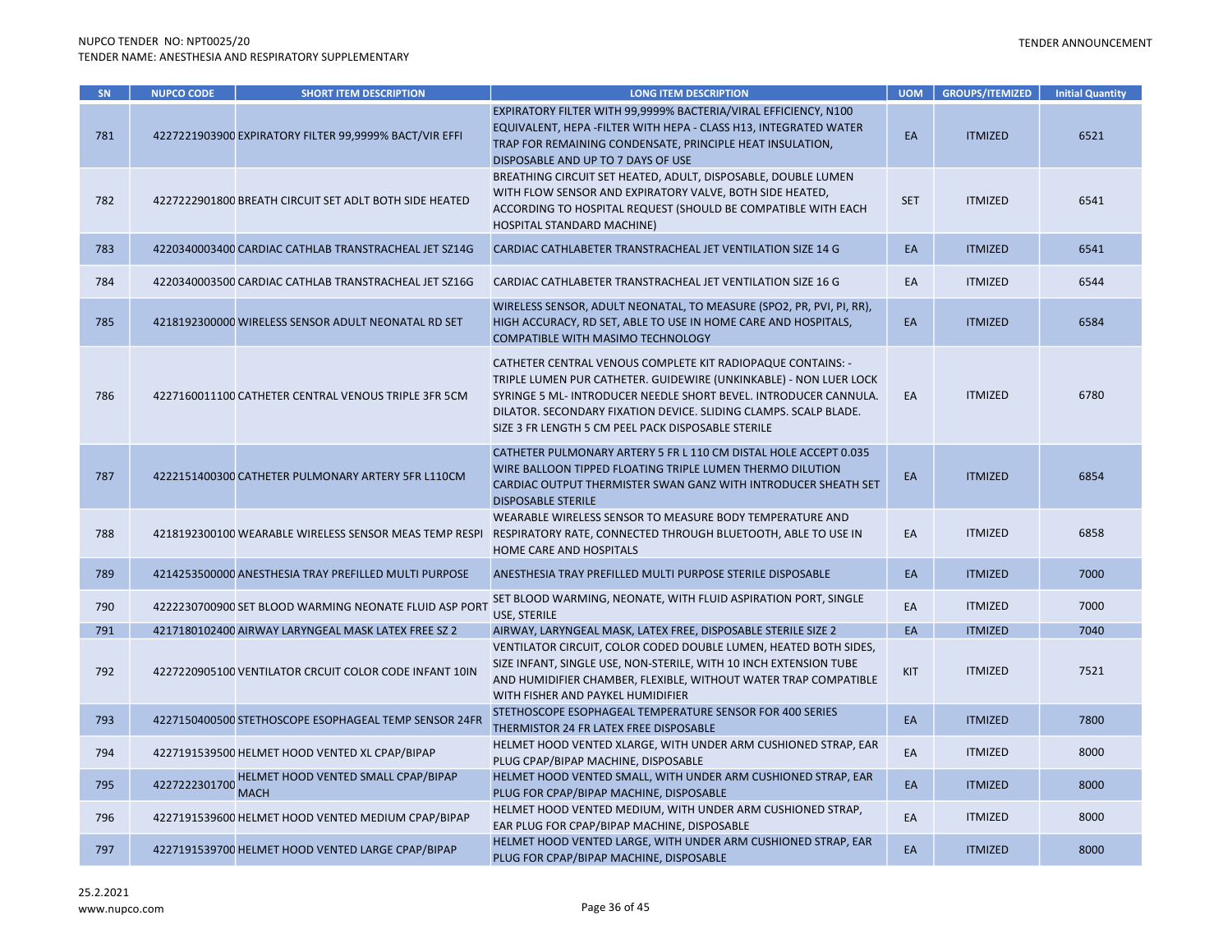| SN  | <b>NUPCO CODE</b> | <b>SHORT ITEM DESCRIPTION</b>                          | <b>LONG ITEM DESCRIPTION</b>                                                                                                                                                                                                                                                                                                   | <b>UOM</b> | <b>GROUPS/ITEMIZED</b> | <b>Initial Quantity</b> |
|-----|-------------------|--------------------------------------------------------|--------------------------------------------------------------------------------------------------------------------------------------------------------------------------------------------------------------------------------------------------------------------------------------------------------------------------------|------------|------------------------|-------------------------|
| 781 |                   | 4227221903900 EXPIRATORY FILTER 99,9999% BACT/VIR EFFI | EXPIRATORY FILTER WITH 99,9999% BACTERIA/VIRAL EFFICIENCY, N100<br>EQUIVALENT, HEPA - FILTER WITH HEPA - CLASS H13, INTEGRATED WATER<br>TRAP FOR REMAINING CONDENSATE, PRINCIPLE HEAT INSULATION,<br>DISPOSABLE AND UP TO 7 DAYS OF USE                                                                                        | EA         | <b>ITMIZED</b>         | 6521                    |
| 782 |                   | 4227222901800 BREATH CIRCUIT SET ADLT BOTH SIDE HEATED | BREATHING CIRCUIT SET HEATED, ADULT, DISPOSABLE, DOUBLE LUMEN<br>WITH FLOW SENSOR AND EXPIRATORY VALVE, BOTH SIDE HEATED,<br>ACCORDING TO HOSPITAL REQUEST (SHOULD BE COMPATIBLE WITH EACH<br>HOSPITAL STANDARD MACHINE)                                                                                                       | <b>SET</b> | <b>ITMIZED</b>         | 6541                    |
| 783 |                   | 4220340003400 CARDIAC CATHLAB TRANSTRACHEAL JET SZ14G  | CARDIAC CATHLABETER TRANSTRACHEAL JET VENTILATION SIZE 14 G                                                                                                                                                                                                                                                                    | EA         | <b>ITMIZED</b>         | 6541                    |
| 784 |                   | 4220340003500 CARDIAC CATHLAB TRANSTRACHEAL JET SZ16G  | CARDIAC CATHLABETER TRANSTRACHEAL JET VENTILATION SIZE 16 G                                                                                                                                                                                                                                                                    | EA         | <b>ITMIZED</b>         | 6544                    |
| 785 |                   | 4218192300000 WIRELESS SENSOR ADULT NEONATAL RD SET    | WIRELESS SENSOR, ADULT NEONATAL, TO MEASURE (SPO2, PR, PVI, PI, RR),<br>HIGH ACCURACY, RD SET, ABLE TO USE IN HOME CARE AND HOSPITALS,<br>COMPATIBLE WITH MASIMO TECHNOLOGY                                                                                                                                                    | EA         | <b>ITMIZED</b>         | 6584                    |
| 786 |                   | 4227160011100 CATHETER CENTRAL VENOUS TRIPLE 3FR 5CM   | CATHETER CENTRAL VENOUS COMPLETE KIT RADIOPAQUE CONTAINS: -<br>TRIPLE LUMEN PUR CATHETER. GUIDEWIRE (UNKINKABLE) - NON LUER LOCK<br>SYRINGE 5 ML- INTRODUCER NEEDLE SHORT BEVEL. INTRODUCER CANNULA.<br>DILATOR. SECONDARY FIXATION DEVICE. SLIDING CLAMPS. SCALP BLADE.<br>SIZE 3 FR LENGTH 5 CM PEEL PACK DISPOSABLE STERILE | EA         | <b>ITMIZED</b>         | 6780                    |
| 787 |                   | 4222151400300 CATHETER PULMONARY ARTERY 5FR L110CM     | CATHETER PULMONARY ARTERY 5 FR L 110 CM DISTAL HOLE ACCEPT 0.035<br>WIRE BALLOON TIPPED FLOATING TRIPLE LUMEN THERMO DILUTION<br>CARDIAC OUTPUT THERMISTER SWAN GANZ WITH INTRODUCER SHEATH SET<br><b>DISPOSABLE STERILE</b>                                                                                                   | EA         | <b>ITMIZED</b>         | 6854                    |
| 788 |                   | 4218192300100 WEARABLE WIRELESS SENSOR MEAS TEMP RESPI | WEARABLE WIRELESS SENSOR TO MEASURE BODY TEMPERATURE AND<br>RESPIRATORY RATE, CONNECTED THROUGH BLUETOOTH, ABLE TO USE IN<br>HOME CARE AND HOSPITALS                                                                                                                                                                           | EA         | <b>ITMIZED</b>         | 6858                    |
| 789 |                   | 4214253500000 ANESTHESIA TRAY PREFILLED MULTI PURPOSE  | ANESTHESIA TRAY PREFILLED MULTI PURPOSE STERILE DISPOSABLE                                                                                                                                                                                                                                                                     | EA         | <b>ITMIZED</b>         | 7000                    |
| 790 |                   | 4222230700900 SET BLOOD WARMING NEONATE FLUID ASP PORT | SET BLOOD WARMING, NEONATE, WITH FLUID ASPIRATION PORT, SINGLE<br>USE, STERILE                                                                                                                                                                                                                                                 | EA         | <b>ITMIZED</b>         | 7000                    |
| 791 |                   | 4217180102400 AIRWAY LARYNGEAL MASK LATEX FREE SZ 2    | AIRWAY, LARYNGEAL MASK, LATEX FREE, DISPOSABLE STERILE SIZE 2                                                                                                                                                                                                                                                                  | EA         | <b>ITMIZED</b>         | 7040                    |
| 792 |                   | 4227220905100 VENTILATOR CRCUIT COLOR CODE INFANT 10IN | VENTILATOR CIRCUIT, COLOR CODED DOUBLE LUMEN, HEATED BOTH SIDES,<br>SIZE INFANT, SINGLE USE, NON-STERILE, WITH 10 INCH EXTENSION TUBE<br>AND HUMIDIFIER CHAMBER, FLEXIBLE, WITHOUT WATER TRAP COMPATIBLE<br>WITH FISHER AND PAYKEL HUMIDIFIER                                                                                  | KIT        | <b>ITMIZED</b>         | 7521                    |
| 793 |                   | 4227150400500 STETHOSCOPE ESOPHAGEAL TEMP SENSOR 24FR  | STETHOSCOPE ESOPHAGEAL TEMPERATURE SENSOR FOR 400 SERIES<br>THERMISTOR 24 FR LATEX FREE DISPOSABLE                                                                                                                                                                                                                             | EA         | <b>ITMIZED</b>         | 7800                    |
| 794 |                   | 4227191539500 HELMET HOOD VENTED XL CPAP/BIPAP         | HELMET HOOD VENTED XLARGE, WITH UNDER ARM CUSHIONED STRAP, EAR<br>PLUG CPAP/BIPAP MACHINE, DISPOSABLE                                                                                                                                                                                                                          | EA         | <b>ITMIZED</b>         | 8000                    |
| 795 | 4227222301700     | HELMET HOOD VENTED SMALL CPAP/BIPAP<br><b>MACH</b>     | HELMET HOOD VENTED SMALL, WITH UNDER ARM CUSHIONED STRAP, EAR<br>PLUG FOR CPAP/BIPAP MACHINE, DISPOSABLE                                                                                                                                                                                                                       | EA         | <b>ITMIZED</b>         | 8000                    |
| 796 |                   | 4227191539600 HELMET HOOD VENTED MEDIUM CPAP/BIPAP     | HELMET HOOD VENTED MEDIUM, WITH UNDER ARM CUSHIONED STRAP,<br>EAR PLUG FOR CPAP/BIPAP MACHINE, DISPOSABLE                                                                                                                                                                                                                      | EA         | <b>ITMIZED</b>         | 8000                    |
| 797 |                   | 4227191539700 HELMET HOOD VENTED LARGE CPAP/BIPAP      | HELMET HOOD VENTED LARGE, WITH UNDER ARM CUSHIONED STRAP, EAR<br>PLUG FOR CPAP/BIPAP MACHINE, DISPOSABLE                                                                                                                                                                                                                       | EA         | <b>ITMIZED</b>         | 8000                    |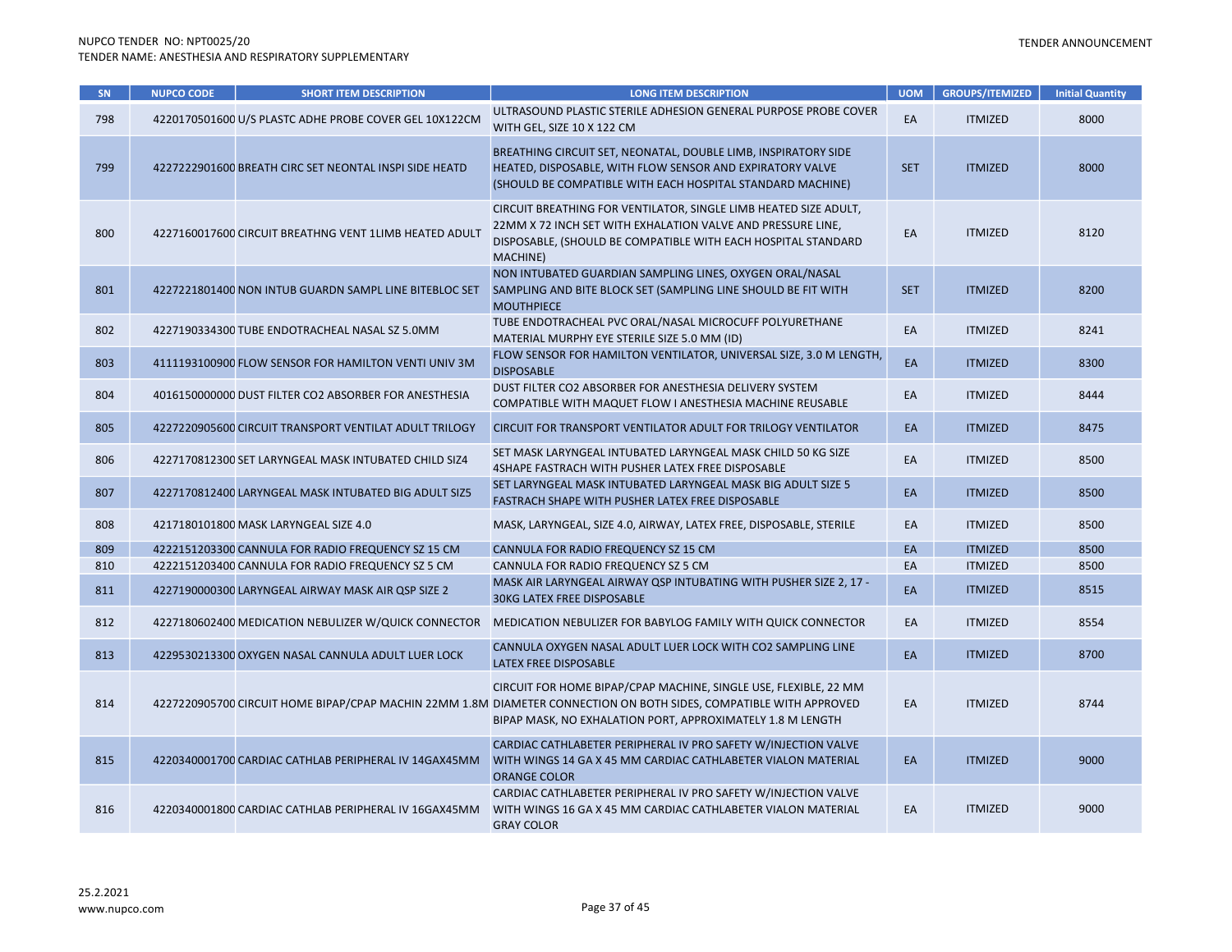| SN  | <b>NUPCO CODE</b> | <b>SHORT ITEM DESCRIPTION</b>                          | <b>LONG ITEM DESCRIPTION</b>                                                                                                                                                                                                                         | <b>UOM</b> | <b>GROUPS/ITEMIZED</b> | <b>Initial Quantity</b> |
|-----|-------------------|--------------------------------------------------------|------------------------------------------------------------------------------------------------------------------------------------------------------------------------------------------------------------------------------------------------------|------------|------------------------|-------------------------|
| 798 |                   | 4220170501600 U/S PLASTC ADHE PROBE COVER GEL 10X122CM | ULTRASOUND PLASTIC STERILE ADHESION GENERAL PURPOSE PROBE COVER<br>WITH GEL, SIZE 10 X 122 CM                                                                                                                                                        | EA         | <b>ITMIZED</b>         | 8000                    |
| 799 |                   | 4227222901600 BREATH CIRC SET NEONTAL INSPI SIDE HEATD | BREATHING CIRCUIT SET, NEONATAL, DOUBLE LIMB, INSPIRATORY SIDE<br>HEATED, DISPOSABLE, WITH FLOW SENSOR AND EXPIRATORY VALVE<br>(SHOULD BE COMPATIBLE WITH EACH HOSPITAL STANDARD MACHINE)                                                            | <b>SET</b> | <b>ITMIZED</b>         | 8000                    |
| 800 |                   | 4227160017600 CIRCUIT BREATHNG VENT 1LIMB HEATED ADULT | CIRCUIT BREATHING FOR VENTILATOR, SINGLE LIMB HEATED SIZE ADULT,<br>22MM X 72 INCH SET WITH EXHALATION VALVE AND PRESSURE LINE,<br>DISPOSABLE, (SHOULD BE COMPATIBLE WITH EACH HOSPITAL STANDARD<br>MACHINE)                                         | EA         | <b>ITMIZED</b>         | 8120                    |
| 801 |                   | 4227221801400 NON INTUB GUARDN SAMPL LINE BITEBLOC SET | NON INTUBATED GUARDIAN SAMPLING LINES, OXYGEN ORAL/NASAL<br>SAMPLING AND BITE BLOCK SET (SAMPLING LINE SHOULD BE FIT WITH<br><b>MOUTHPIECE</b>                                                                                                       | <b>SET</b> | <b>ITMIZED</b>         | 8200                    |
| 802 |                   | 4227190334300 TUBE ENDOTRACHEAL NASAL SZ 5.0MM         | TUBE ENDOTRACHEAL PVC ORAL/NASAL MICROCUFF POLYURETHANE<br>MATERIAL MURPHY EYE STERILE SIZE 5.0 MM (ID)                                                                                                                                              | EA         | <b>ITMIZED</b>         | 8241                    |
| 803 |                   | 4111193100900 FLOW SENSOR FOR HAMILTON VENTI UNIV 3M   | FLOW SENSOR FOR HAMILTON VENTILATOR, UNIVERSAL SIZE, 3.0 M LENGTH,<br><b>DISPOSABLE</b>                                                                                                                                                              | EA         | <b>ITMIZED</b>         | 8300                    |
| 804 |                   | 4016150000000 DUST FILTER CO2 ABSORBER FOR ANESTHESIA  | DUST FILTER CO2 ABSORBER FOR ANESTHESIA DELIVERY SYSTEM<br>COMPATIBLE WITH MAQUET FLOW I ANESTHESIA MACHINE REUSABLE                                                                                                                                 | EA         | <b>ITMIZED</b>         | 8444                    |
| 805 |                   | 4227220905600 CIRCUIT TRANSPORT VENTILAT ADULT TRILOGY | CIRCUIT FOR TRANSPORT VENTILATOR ADULT FOR TRILOGY VENTILATOR                                                                                                                                                                                        | EA         | <b>ITMIZED</b>         | 8475                    |
| 806 |                   | 4227170812300 SET LARYNGEAL MASK INTUBATED CHILD SIZ4  | SET MASK LARYNGEAL INTUBATED LARYNGEAL MASK CHILD 50 KG SIZE<br>4SHAPE FASTRACH WITH PUSHER LATEX FREE DISPOSABLE                                                                                                                                    | EA         | <b>ITMIZED</b>         | 8500                    |
| 807 |                   | 4227170812400 LARYNGEAL MASK INTUBATED BIG ADULT SIZ5  | SET LARYNGEAL MASK INTUBATED LARYNGEAL MASK BIG ADULT SIZE 5<br>FASTRACH SHAPE WITH PUSHER LATEX FREE DISPOSABLE                                                                                                                                     | EA         | <b>ITMIZED</b>         | 8500                    |
| 808 |                   | 4217180101800 MASK LARYNGEAL SIZE 4.0                  | MASK, LARYNGEAL, SIZE 4.0, AIRWAY, LATEX FREE, DISPOSABLE, STERILE                                                                                                                                                                                   | EA         | <b>ITMIZED</b>         | 8500                    |
| 809 |                   | 4222151203300 CANNULA FOR RADIO FREQUENCY SZ 15 CM     | CANNULA FOR RADIO FREQUENCY SZ 15 CM                                                                                                                                                                                                                 | EA         | <b>ITMIZED</b>         | 8500                    |
| 810 |                   | 4222151203400 CANNULA FOR RADIO FREQUENCY SZ 5 CM      | CANNULA FOR RADIO FREQUENCY SZ 5 CM                                                                                                                                                                                                                  | EA         | <b>ITMIZED</b>         | 8500                    |
| 811 |                   | 4227190000300 LARYNGEAL AIRWAY MASK AIR QSP SIZE 2     | MASK AIR LARYNGEAL AIRWAY QSP INTUBATING WITH PUSHER SIZE 2, 17 -<br><b>30KG LATEX FREE DISPOSABLE</b>                                                                                                                                               | EA         | <b>ITMIZED</b>         | 8515                    |
| 812 |                   | 4227180602400 MEDICATION NEBULIZER W/QUICK CONNECTOR   | MEDICATION NEBULIZER FOR BABYLOG FAMILY WITH QUICK CONNECTOR                                                                                                                                                                                         | EA         | <b>ITMIZED</b>         | 8554                    |
| 813 |                   | 4229530213300 OXYGEN NASAL CANNULA ADULT LUER LOCK     | CANNULA OXYGEN NASAL ADULT LUER LOCK WITH CO2 SAMPLING LINE<br>LATEX FREE DISPOSABLE                                                                                                                                                                 | EA         | <b>ITMIZED</b>         | 8700                    |
| 814 |                   |                                                        | CIRCUIT FOR HOME BIPAP/CPAP MACHINE, SINGLE USE, FLEXIBLE, 22 MM<br>4227220905700 CIRCUIT HOME BIPAP/CPAP MACHIN 22MM 1.8M DIAMETER CONNECTION ON BOTH SIDES, COMPATIBLE WITH APPROVED<br>BIPAP MASK, NO EXHALATION PORT, APPROXIMATELY 1.8 M LENGTH | EA         | <b>ITMIZED</b>         | 8744                    |
| 815 |                   | 4220340001700 CARDIAC CATHLAB PERIPHERAL IV 14GAX45MM  | CARDIAC CATHLABETER PERIPHERAL IV PRO SAFETY W/INJECTION VALVE<br>WITH WINGS 14 GA X 45 MM CARDIAC CATHLABETER VIALON MATERIAL<br><b>ORANGE COLOR</b>                                                                                                | EA         | <b>ITMIZED</b>         | 9000                    |
| 816 |                   | 4220340001800 CARDIAC CATHLAB PERIPHERAL IV 16GAX45MM  | CARDIAC CATHLABETER PERIPHERAL IV PRO SAFETY W/INJECTION VALVE<br>WITH WINGS 16 GA X 45 MM CARDIAC CATHLABETER VIALON MATERIAL<br><b>GRAY COLOR</b>                                                                                                  | EA         | <b>ITMIZED</b>         | 9000                    |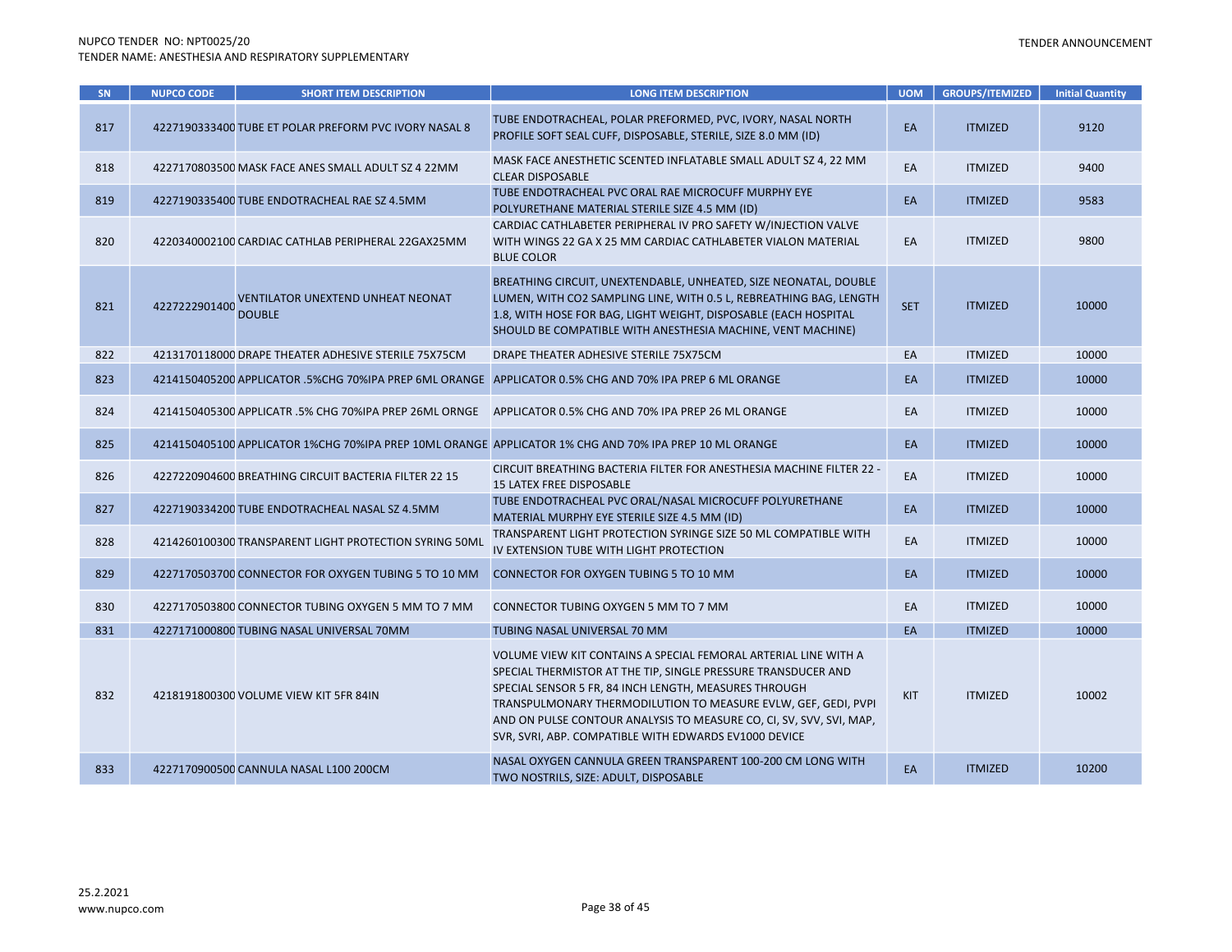| SN  | <b>NUPCO CODE</b> | <b>SHORT ITEM DESCRIPTION</b>                             | <b>LONG ITEM DESCRIPTION</b>                                                                                                                                                                                                                                                                                                                                                                | <b>UOM</b> | <b>GROUPS/ITEMIZED</b> | <b>Initial Quantity</b> |
|-----|-------------------|-----------------------------------------------------------|---------------------------------------------------------------------------------------------------------------------------------------------------------------------------------------------------------------------------------------------------------------------------------------------------------------------------------------------------------------------------------------------|------------|------------------------|-------------------------|
| 817 |                   | 4227190333400 TUBE ET POLAR PREFORM PVC IVORY NASAL 8     | TUBE ENDOTRACHEAL, POLAR PREFORMED, PVC, IVORY, NASAL NORTH<br>PROFILE SOFT SEAL CUFF, DISPOSABLE, STERILE, SIZE 8.0 MM (ID)                                                                                                                                                                                                                                                                | EA         | <b>ITMIZED</b>         | 9120                    |
| 818 |                   | 4227170803500 MASK FACE ANES SMALL ADULT SZ 4 22MM        | MASK FACE ANESTHETIC SCENTED INFLATABLE SMALL ADULT SZ 4, 22 MM<br><b>CLEAR DISPOSABLE</b>                                                                                                                                                                                                                                                                                                  | EA         | <b>ITMIZED</b>         | 9400                    |
| 819 |                   | 4227190335400 TUBE ENDOTRACHEAL RAE SZ 4.5MM              | TUBE ENDOTRACHEAL PVC ORAL RAE MICROCUFF MURPHY EYE<br>POLYURETHANE MATERIAL STERILE SIZE 4.5 MM (ID)                                                                                                                                                                                                                                                                                       | EA         | <b>ITMIZED</b>         | 9583                    |
| 820 |                   | 4220340002100 CARDIAC CATHLAB PERIPHERAL 22GAX25MM        | CARDIAC CATHLABETER PERIPHERAL IV PRO SAFETY W/INJECTION VALVE<br>WITH WINGS 22 GA X 25 MM CARDIAC CATHLABETER VIALON MATERIAL<br><b>BLUE COLOR</b>                                                                                                                                                                                                                                         | EA         | <b>ITMIZED</b>         | 9800                    |
| 821 | 4227222901400     | <b>VENTILATOR UNEXTEND UNHEAT NEONAT</b><br><b>DOUBLE</b> | BREATHING CIRCUIT, UNEXTENDABLE, UNHEATED, SIZE NEONATAL, DOUBLE<br>LUMEN, WITH CO2 SAMPLING LINE, WITH 0.5 L, REBREATHING BAG, LENGTH<br>1.8, WITH HOSE FOR BAG, LIGHT WEIGHT, DISPOSABLE (EACH HOSPITAL<br>SHOULD BE COMPATIBLE WITH ANESTHESIA MACHINE, VENT MACHINE)                                                                                                                    | <b>SET</b> | <b>ITMIZED</b>         | 10000                   |
| 822 |                   | 4213170118000 DRAPE THEATER ADHESIVE STERILE 75X75CM      | DRAPE THEATER ADHESIVE STERILE 75X75CM                                                                                                                                                                                                                                                                                                                                                      | EA         | <b>ITMIZED</b>         | 10000                   |
| 823 |                   |                                                           | 4214150405200 APPLICATOR .5%CHG 70%IPA PREP 6ML ORANGE APPLICATOR 0.5% CHG AND 70% IPA PREP 6 ML ORANGE                                                                                                                                                                                                                                                                                     | EA         | <b>ITMIZED</b>         | 10000                   |
| 824 |                   | 4214150405300 APPLICATR .5% CHG 70%IPA PREP 26ML ORNGE    | APPLICATOR 0.5% CHG AND 70% IPA PREP 26 ML ORANGE                                                                                                                                                                                                                                                                                                                                           | EA         | <b>ITMIZED</b>         | 10000                   |
| 825 |                   |                                                           | 4214150405100 APPLICATOR 1%CHG 70%IPA PREP 10ML ORANGE APPLICATOR 1% CHG AND 70% IPA PREP 10 ML ORANGE                                                                                                                                                                                                                                                                                      | EA         | <b>ITMIZED</b>         | 10000                   |
| 826 |                   | 4227220904600 BREATHING CIRCUIT BACTERIA FILTER 22 15     | CIRCUIT BREATHING BACTERIA FILTER FOR ANESTHESIA MACHINE FILTER 22 -<br><b>15 LATEX FREE DISPOSABLE</b>                                                                                                                                                                                                                                                                                     | EA         | <b>ITMIZED</b>         | 10000                   |
| 827 |                   | 4227190334200 TUBE ENDOTRACHEAL NASAL SZ 4.5MM            | TUBE ENDOTRACHEAL PVC ORAL/NASAL MICROCUFF POLYURETHANE<br>MATERIAL MURPHY EYE STERILE SIZE 4.5 MM (ID)                                                                                                                                                                                                                                                                                     | EA         | <b>ITMIZED</b>         | 10000                   |
| 828 |                   | 4214260100300 TRANSPARENT LIGHT PROTECTION SYRING 50ML    | TRANSPARENT LIGHT PROTECTION SYRINGE SIZE 50 ML COMPATIBLE WITH<br>IV EXTENSION TUBE WITH LIGHT PROTECTION                                                                                                                                                                                                                                                                                  | EA         | <b>ITMIZED</b>         | 10000                   |
| 829 |                   | 4227170503700 CONNECTOR FOR OXYGEN TUBING 5 TO 10 MM      | CONNECTOR FOR OXYGEN TUBING 5 TO 10 MM                                                                                                                                                                                                                                                                                                                                                      | EA         | <b>ITMIZED</b>         | 10000                   |
| 830 |                   | 4227170503800 CONNECTOR TUBING OXYGEN 5 MM TO 7 MM        | CONNECTOR TUBING OXYGEN 5 MM TO 7 MM                                                                                                                                                                                                                                                                                                                                                        | EA         | <b>ITMIZED</b>         | 10000                   |
| 831 |                   | 4227171000800 TUBING NASAL UNIVERSAL 70MM                 | TUBING NASAL UNIVERSAL 70 MM                                                                                                                                                                                                                                                                                                                                                                | EA         | <b>ITMIZED</b>         | 10000                   |
| 832 |                   | 4218191800300 VOLUME VIEW KIT 5FR 84IN                    | VOLUME VIEW KIT CONTAINS A SPECIAL FEMORAL ARTERIAL LINE WITH A<br>SPECIAL THERMISTOR AT THE TIP, SINGLE PRESSURE TRANSDUCER AND<br>SPECIAL SENSOR 5 FR, 84 INCH LENGTH, MEASURES THROUGH<br>TRANSPULMONARY THERMODILUTION TO MEASURE EVLW, GEF, GEDI, PVPI<br>AND ON PULSE CONTOUR ANALYSIS TO MEASURE CO, CI, SV, SVV, SVI, MAP,<br>SVR, SVRI, ABP. COMPATIBLE WITH EDWARDS EV1000 DEVICE | KIT        | <b>ITMIZED</b>         | 10002                   |
| 833 |                   | 4227170900500 CANNULA NASAL L100 200CM                    | NASAL OXYGEN CANNULA GREEN TRANSPARENT 100-200 CM LONG WITH<br>TWO NOSTRILS, SIZE: ADULT, DISPOSABLE                                                                                                                                                                                                                                                                                        | EA         | <b>ITMIZED</b>         | 10200                   |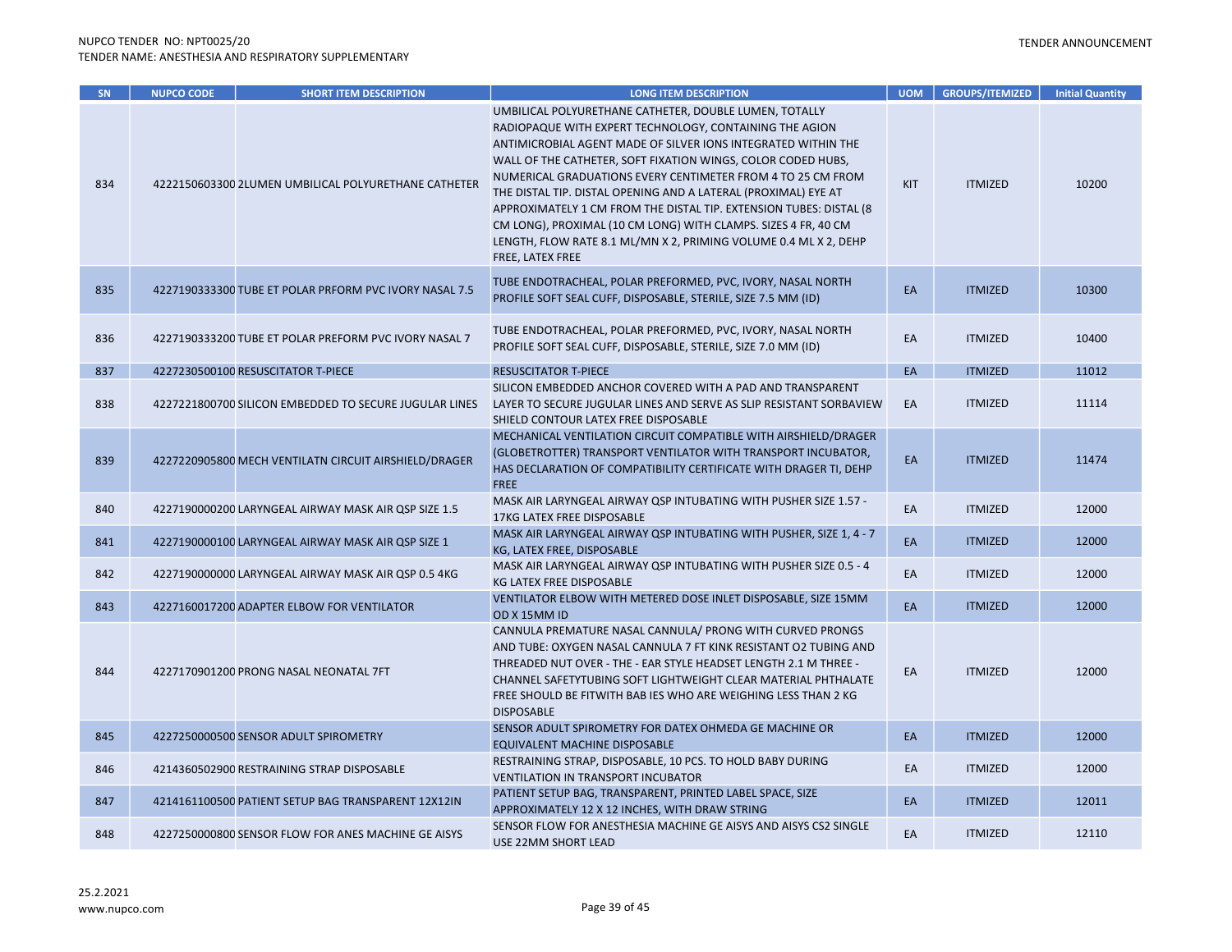| SN  | <b>NUPCO CODE</b> | <b>SHORT ITEM DESCRIPTION</b>                          | <b>LONG ITEM DESCRIPTION</b>                                                                                                                                                                                                                                                                                                                                                                                                                                                                                                                                                                                         | <b>UOM</b> | <b>GROUPS/ITEMIZED</b> | <b>Initial Quantity</b> |
|-----|-------------------|--------------------------------------------------------|----------------------------------------------------------------------------------------------------------------------------------------------------------------------------------------------------------------------------------------------------------------------------------------------------------------------------------------------------------------------------------------------------------------------------------------------------------------------------------------------------------------------------------------------------------------------------------------------------------------------|------------|------------------------|-------------------------|
| 834 |                   | 4222150603300 2LUMEN UMBILICAL POLYURETHANE CATHETER   | UMBILICAL POLYURETHANE CATHETER, DOUBLE LUMEN, TOTALLY<br>RADIOPAQUE WITH EXPERT TECHNOLOGY, CONTAINING THE AGION<br>ANTIMICROBIAL AGENT MADE OF SILVER IONS INTEGRATED WITHIN THE<br>WALL OF THE CATHETER, SOFT FIXATION WINGS, COLOR CODED HUBS,<br>NUMERICAL GRADUATIONS EVERY CENTIMETER FROM 4 TO 25 CM FROM<br>THE DISTAL TIP. DISTAL OPENING AND A LATERAL (PROXIMAL) EYE AT<br>APPROXIMATELY 1 CM FROM THE DISTAL TIP. EXTENSION TUBES: DISTAL (8)<br>CM LONG), PROXIMAL (10 CM LONG) WITH CLAMPS. SIZES 4 FR, 40 CM<br>LENGTH, FLOW RATE 8.1 ML/MN X 2, PRIMING VOLUME 0.4 ML X 2, DEHP<br>FREE, LATEX FREE | <b>KIT</b> | <b>ITMIZED</b>         | 10200                   |
| 835 |                   | 4227190333300 TUBE ET POLAR PRFORM PVC IVORY NASAL 7.5 | TUBE ENDOTRACHEAL, POLAR PREFORMED, PVC, IVORY, NASAL NORTH<br>PROFILE SOFT SEAL CUFF, DISPOSABLE, STERILE, SIZE 7.5 MM (ID)                                                                                                                                                                                                                                                                                                                                                                                                                                                                                         | EA         | <b>ITMIZED</b>         | 10300                   |
| 836 |                   | 4227190333200 TUBE ET POLAR PREFORM PVC IVORY NASAL 7  | TUBE ENDOTRACHEAL, POLAR PREFORMED, PVC, IVORY, NASAL NORTH<br>PROFILE SOFT SEAL CUFF, DISPOSABLE, STERILE, SIZE 7.0 MM (ID)                                                                                                                                                                                                                                                                                                                                                                                                                                                                                         | EA         | <b>ITMIZED</b>         | 10400                   |
| 837 |                   | 4227230500100 RESUSCITATOR T-PIECE                     | <b>RESUSCITATOR T-PIECE</b>                                                                                                                                                                                                                                                                                                                                                                                                                                                                                                                                                                                          | EA         | <b>ITMIZED</b>         | 11012                   |
| 838 |                   | 4227221800700 SILICON EMBEDDED TO SECURE JUGULAR LINES | SILICON EMBEDDED ANCHOR COVERED WITH A PAD AND TRANSPARENT<br>LAYER TO SECURE JUGULAR LINES AND SERVE AS SLIP RESISTANT SORBAVIEW<br>SHIELD CONTOUR LATEX FREE DISPOSABLE                                                                                                                                                                                                                                                                                                                                                                                                                                            | EA         | <b>ITMIZED</b>         | 11114                   |
| 839 |                   | 4227220905800 MECH VENTILATN CIRCUIT AIRSHIELD/DRAGER  | MECHANICAL VENTILATION CIRCUIT COMPATIBLE WITH AIRSHIELD/DRAGER<br>(GLOBETROTTER) TRANSPORT VENTILATOR WITH TRANSPORT INCUBATOR,<br>HAS DECLARATION OF COMPATIBILITY CERTIFICATE WITH DRAGER TI, DEHP<br><b>FREE</b>                                                                                                                                                                                                                                                                                                                                                                                                 | EA         | <b>ITMIZED</b>         | 11474                   |
| 840 |                   | 4227190000200 LARYNGEAL AIRWAY MASK AIR QSP SIZE 1.5   | MASK AIR LARYNGEAL AIRWAY QSP INTUBATING WITH PUSHER SIZE 1.57 -<br>17KG LATEX FREE DISPOSABLE                                                                                                                                                                                                                                                                                                                                                                                                                                                                                                                       | EA         | <b>ITMIZED</b>         | 12000                   |
| 841 |                   | 4227190000100 LARYNGEAL AIRWAY MASK AIR QSP SIZE 1     | MASK AIR LARYNGEAL AIRWAY QSP INTUBATING WITH PUSHER, SIZE 1, 4 - 7<br>KG, LATEX FREE, DISPOSABLE                                                                                                                                                                                                                                                                                                                                                                                                                                                                                                                    | EA         | <b>ITMIZED</b>         | 12000                   |
| 842 |                   | 4227190000000 LARYNGEAL AIRWAY MASK AIR QSP 0.5 4KG    | MASK AIR LARYNGEAL AIRWAY QSP INTUBATING WITH PUSHER SIZE 0.5 - 4<br>KG LATEX FREE DISPOSABLE                                                                                                                                                                                                                                                                                                                                                                                                                                                                                                                        | EA         | <b>ITMIZED</b>         | 12000                   |
| 843 |                   | 4227160017200 ADAPTER ELBOW FOR VENTILATOR             | VENTILATOR ELBOW WITH METERED DOSE INLET DISPOSABLE, SIZE 15MM<br>OD X 15MM ID                                                                                                                                                                                                                                                                                                                                                                                                                                                                                                                                       | EA         | <b>ITMIZED</b>         | 12000                   |
| 844 |                   | 4227170901200 PRONG NASAL NEONATAL 7FT                 | CANNULA PREMATURE NASAL CANNULA/ PRONG WITH CURVED PRONGS<br>AND TUBE: OXYGEN NASAL CANNULA 7 FT KINK RESISTANT O2 TUBING AND<br>THREADED NUT OVER - THE - EAR STYLE HEADSET LENGTH 2.1 M THREE -<br>CHANNEL SAFETYTUBING SOFT LIGHTWEIGHT CLEAR MATERIAL PHTHALATE<br>FREE SHOULD BE FITWITH BAB IES WHO ARE WEIGHING LESS THAN 2 KG<br><b>DISPOSABLE</b>                                                                                                                                                                                                                                                           | EA         | <b>ITMIZED</b>         | 12000                   |
| 845 |                   | 4227250000500 SENSOR ADULT SPIROMETRY                  | SENSOR ADULT SPIROMETRY FOR DATEX OHMEDA GE MACHINE OR<br>EQUIVALENT MACHINE DISPOSABLE                                                                                                                                                                                                                                                                                                                                                                                                                                                                                                                              | EA         | <b>ITMIZED</b>         | 12000                   |
| 846 |                   | 4214360502900 RESTRAINING STRAP DISPOSABLE             | RESTRAINING STRAP, DISPOSABLE, 10 PCS. TO HOLD BABY DURING<br><b>VENTILATION IN TRANSPORT INCUBATOR</b>                                                                                                                                                                                                                                                                                                                                                                                                                                                                                                              | EA         | <b>ITMIZED</b>         | 12000                   |
| 847 |                   | 4214161100500 PATIENT SETUP BAG TRANSPARENT 12X12IN    | PATIENT SETUP BAG, TRANSPARENT, PRINTED LABEL SPACE, SIZE<br>APPROXIMATELY 12 X 12 INCHES, WITH DRAW STRING                                                                                                                                                                                                                                                                                                                                                                                                                                                                                                          | EA         | <b>ITMIZED</b>         | 12011                   |
| 848 |                   | 4227250000800 SENSOR FLOW FOR ANES MACHINE GE AISYS    | SENSOR FLOW FOR ANESTHESIA MACHINE GE AISYS AND AISYS CS2 SINGLE<br>USE 22MM SHORT LEAD                                                                                                                                                                                                                                                                                                                                                                                                                                                                                                                              | EA         | <b>ITMIZED</b>         | 12110                   |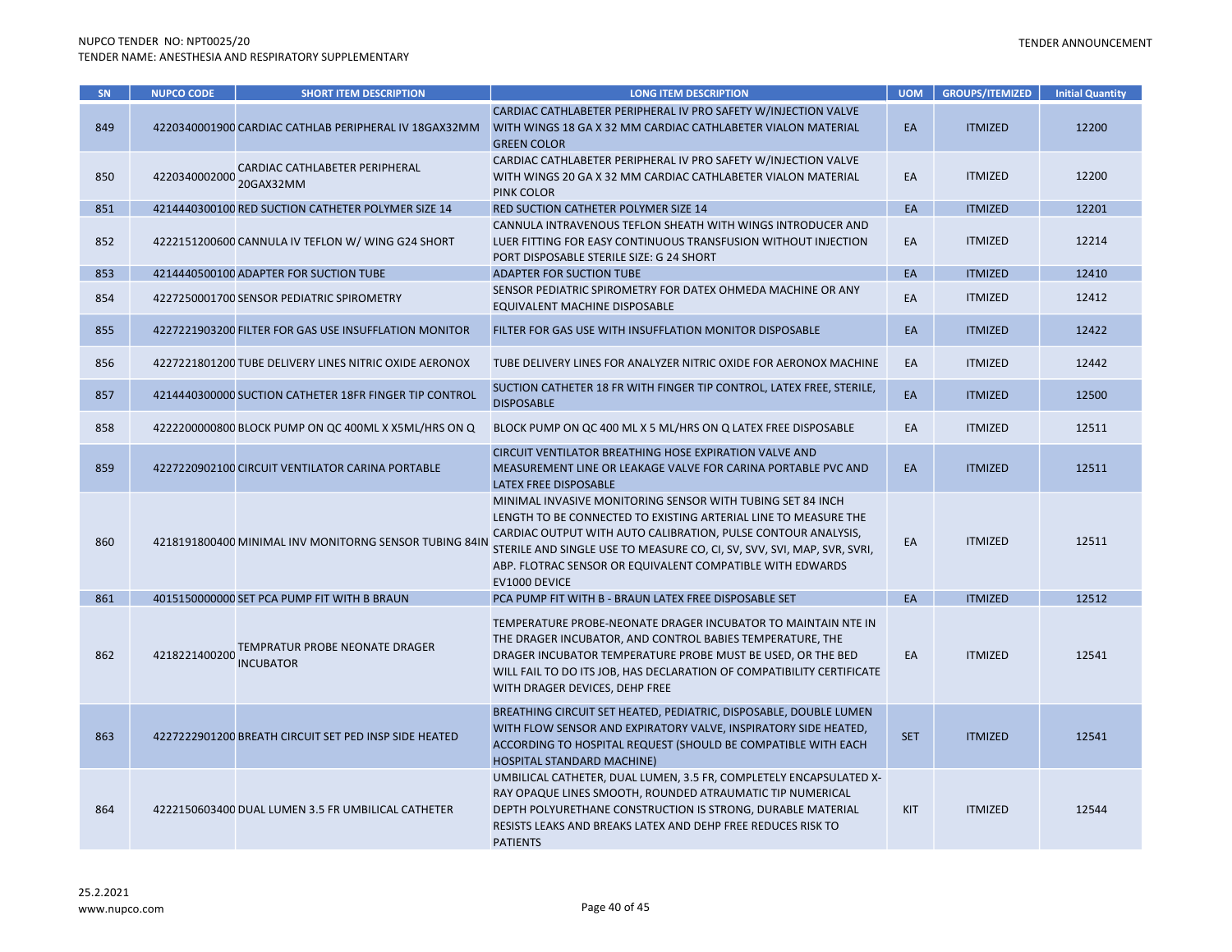| SN  | <b>NUPCO CODE</b> | <b>SHORT ITEM DESCRIPTION</b>                          | <b>LONG ITEM DESCRIPTION</b>                                                                                                                                                                                                                                                                                                                            | <b>UOM</b> | <b>GROUPS/ITEMIZED</b> | <b>Initial Quantity</b> |
|-----|-------------------|--------------------------------------------------------|---------------------------------------------------------------------------------------------------------------------------------------------------------------------------------------------------------------------------------------------------------------------------------------------------------------------------------------------------------|------------|------------------------|-------------------------|
| 849 |                   | 4220340001900 CARDIAC CATHLAB PERIPHERAL IV 18GAX32MM  | CARDIAC CATHLABETER PERIPHERAL IV PRO SAFETY W/INJECTION VALVE<br>WITH WINGS 18 GA X 32 MM CARDIAC CATHLABETER VIALON MATERIAL<br><b>GREEN COLOR</b>                                                                                                                                                                                                    | EA         | <b>ITMIZED</b>         | 12200                   |
| 850 | 4220340002000     | CARDIAC CATHLABETER PERIPHERAL<br>20GAX32MM            | CARDIAC CATHLABETER PERIPHERAL IV PRO SAFETY W/INJECTION VALVE<br>WITH WINGS 20 GA X 32 MM CARDIAC CATHLABETER VIALON MATERIAL<br><b>PINK COLOR</b>                                                                                                                                                                                                     | EA         | <b>ITMIZED</b>         | 12200                   |
| 851 |                   | 4214440300100 RED SUCTION CATHETER POLYMER SIZE 14     | RED SUCTION CATHETER POLYMER SIZE 14                                                                                                                                                                                                                                                                                                                    | EA         | <b>ITMIZED</b>         | 12201                   |
| 852 |                   | 4222151200600 CANNULA IV TEFLON W/ WING G24 SHORT      | CANNULA INTRAVENOUS TEFLON SHEATH WITH WINGS INTRODUCER AND<br>LUER FITTING FOR EASY CONTINUOUS TRANSFUSION WITHOUT INJECTION<br>PORT DISPOSABLE STERILE SIZE: G 24 SHORT                                                                                                                                                                               | EA         | <b>ITMIZED</b>         | 12214                   |
| 853 |                   | 4214440500100 ADAPTER FOR SUCTION TUBE                 | <b>ADAPTER FOR SUCTION TUBE</b>                                                                                                                                                                                                                                                                                                                         | EA         | <b>ITMIZED</b>         | 12410                   |
| 854 |                   | 4227250001700 SENSOR PEDIATRIC SPIROMETRY              | SENSOR PEDIATRIC SPIROMETRY FOR DATEX OHMEDA MACHINE OR ANY<br>EQUIVALENT MACHINE DISPOSABLE                                                                                                                                                                                                                                                            | EA         | <b>ITMIZED</b>         | 12412                   |
| 855 |                   | 4227221903200 FILTER FOR GAS USE INSUFFLATION MONITOR  | FILTER FOR GAS USE WITH INSUFFLATION MONITOR DISPOSABLE                                                                                                                                                                                                                                                                                                 | EA         | <b>ITMIZED</b>         | 12422                   |
| 856 |                   | 4227221801200 TUBE DELIVERY LINES NITRIC OXIDE AERONOX | TUBE DELIVERY LINES FOR ANALYZER NITRIC OXIDE FOR AERONOX MACHINE                                                                                                                                                                                                                                                                                       | EA         | <b>ITMIZED</b>         | 12442                   |
| 857 |                   | 4214440300000 SUCTION CATHETER 18FR FINGER TIP CONTROL | SUCTION CATHETER 18 FR WITH FINGER TIP CONTROL, LATEX FREE, STERILE,<br><b>DISPOSABLE</b>                                                                                                                                                                                                                                                               | EA         | <b>ITMIZED</b>         | 12500                   |
| 858 |                   | 4222200000800 BLOCK PUMP ON QC 400ML X X5ML/HRS ON Q   | BLOCK PUMP ON QC 400 ML X 5 ML/HRS ON Q LATEX FREE DISPOSABLE                                                                                                                                                                                                                                                                                           | EA         | <b>ITMIZED</b>         | 12511                   |
| 859 |                   | 4227220902100 CIRCUIT VENTILATOR CARINA PORTABLE       | CIRCUIT VENTILATOR BREATHING HOSE EXPIRATION VALVE AND<br>MEASUREMENT LINE OR LEAKAGE VALVE FOR CARINA PORTABLE PVC AND<br>LATEX FREE DISPOSABLE                                                                                                                                                                                                        | EA         | <b>ITMIZED</b>         | 12511                   |
| 860 |                   | 4218191800400 MINIMAL INV MONITORNG SENSOR TUBING 84IN | MINIMAL INVASIVE MONITORING SENSOR WITH TUBING SET 84 INCH<br>LENGTH TO BE CONNECTED TO EXISTING ARTERIAL LINE TO MEASURE THE<br>CARDIAC OUTPUT WITH AUTO CALIBRATION, PULSE CONTOUR ANALYSIS,<br>STERILE AND SINGLE USE TO MEASURE CO, CI, SV, SVV, SVI, MAP, SVR, SVRI,<br>ABP. FLOTRAC SENSOR OR EQUIVALENT COMPATIBLE WITH EDWARDS<br>EV1000 DEVICE | EA         | <b>ITMIZED</b>         | 12511                   |
| 861 |                   | 4015150000000 SET PCA PUMP FIT WITH B BRAUN            | PCA PUMP FIT WITH B - BRAUN LATEX FREE DISPOSABLE SET                                                                                                                                                                                                                                                                                                   | EA         | <b>ITMIZED</b>         | 12512                   |
| 862 | 4218221400200     | TEMPRATUR PROBE NEONATE DRAGER<br><b>INCUBATOR</b>     | TEMPERATURE PROBE-NEONATE DRAGER INCUBATOR TO MAINTAIN NTE IN<br>THE DRAGER INCUBATOR, AND CONTROL BABIES TEMPERATURE, THE<br>DRAGER INCUBATOR TEMPERATURE PROBE MUST BE USED, OR THE BED<br>WILL FAIL TO DO ITS JOB, HAS DECLARATION OF COMPATIBILITY CERTIFICATE<br>WITH DRAGER DEVICES, DEHP FREE                                                    | EA         | <b>ITMIZED</b>         | 12541                   |
| 863 |                   | 4227222901200 BREATH CIRCUIT SET PED INSP SIDE HEATED  | BREATHING CIRCUIT SET HEATED, PEDIATRIC, DISPOSABLE, DOUBLE LUMEN<br>WITH FLOW SENSOR AND EXPIRATORY VALVE, INSPIRATORY SIDE HEATED,<br>ACCORDING TO HOSPITAL REQUEST (SHOULD BE COMPATIBLE WITH EACH<br>HOSPITAL STANDARD MACHINE)                                                                                                                     | <b>SET</b> | <b>ITMIZED</b>         | 12541                   |
| 864 |                   | 4222150603400 DUAL LUMEN 3.5 FR UMBILICAL CATHETER     | UMBILICAL CATHETER, DUAL LUMEN, 3.5 FR, COMPLETELY ENCAPSULATED X-<br>RAY OPAQUE LINES SMOOTH, ROUNDED ATRAUMATIC TIP NUMERICAL<br>DEPTH POLYURETHANE CONSTRUCTION IS STRONG, DURABLE MATERIAL<br>RESISTS LEAKS AND BREAKS LATEX AND DEHP FREE REDUCES RISK TO<br><b>PATIENTS</b>                                                                       | KIT        | <b>ITMIZED</b>         | 12544                   |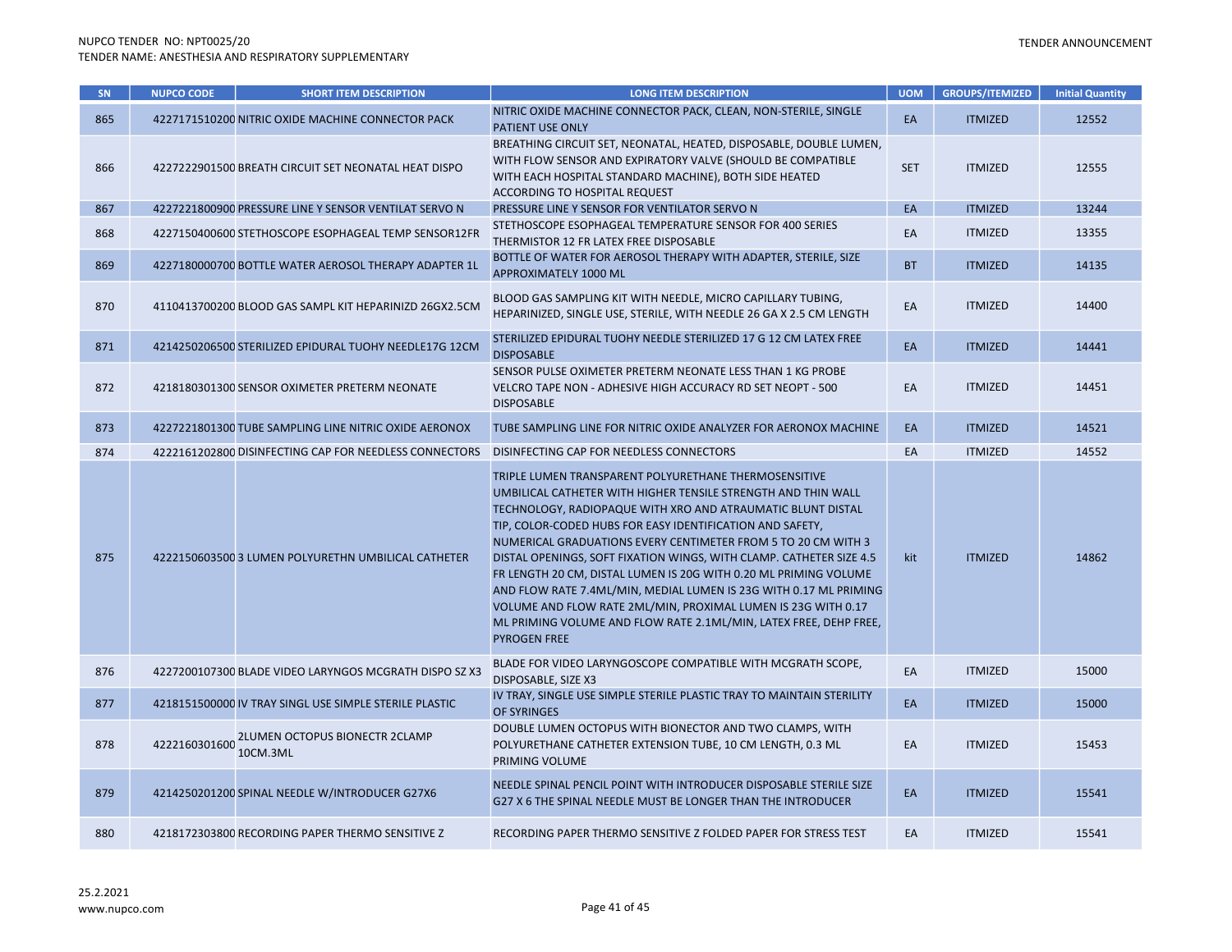| SN  | <b>NUPCO CODE</b> | <b>SHORT ITEM DESCRIPTION</b>                          | <b>LONG ITEM DESCRIPTION</b>                                                                                                                                                                                                                                                                                                                                                                                                                                                                                                                                                                                                                                                                     | <b>UOM</b> | <b>GROUPS/ITEMIZED</b> | <b>Initial Quantity</b> |
|-----|-------------------|--------------------------------------------------------|--------------------------------------------------------------------------------------------------------------------------------------------------------------------------------------------------------------------------------------------------------------------------------------------------------------------------------------------------------------------------------------------------------------------------------------------------------------------------------------------------------------------------------------------------------------------------------------------------------------------------------------------------------------------------------------------------|------------|------------------------|-------------------------|
| 865 |                   | 4227171510200 NITRIC OXIDE MACHINE CONNECTOR PACK      | NITRIC OXIDE MACHINE CONNECTOR PACK, CLEAN, NON-STERILE, SINGLE<br>PATIENT USE ONLY                                                                                                                                                                                                                                                                                                                                                                                                                                                                                                                                                                                                              | EA         | <b>ITMIZED</b>         | 12552                   |
| 866 |                   | 4227222901500 BREATH CIRCUIT SET NEONATAL HEAT DISPO   | BREATHING CIRCUIT SET, NEONATAL, HEATED, DISPOSABLE, DOUBLE LUMEN,<br>WITH FLOW SENSOR AND EXPIRATORY VALVE (SHOULD BE COMPATIBLE<br>WITH EACH HOSPITAL STANDARD MACHINE), BOTH SIDE HEATED<br>ACCORDING TO HOSPITAL REQUEST                                                                                                                                                                                                                                                                                                                                                                                                                                                                     | <b>SET</b> | <b>ITMIZED</b>         | 12555                   |
| 867 |                   | 4227221800900 PRESSURE LINE Y SENSOR VENTILAT SERVO N  | PRESSURE LINE Y SENSOR FOR VENTILATOR SERVO N                                                                                                                                                                                                                                                                                                                                                                                                                                                                                                                                                                                                                                                    | EA         | <b>ITMIZED</b>         | 13244                   |
| 868 |                   | 4227150400600 STETHOSCOPE ESOPHAGEAL TEMP SENSOR12FR   | STETHOSCOPE ESOPHAGEAL TEMPERATURE SENSOR FOR 400 SERIES<br>THERMISTOR 12 FR LATEX FREE DISPOSABLE                                                                                                                                                                                                                                                                                                                                                                                                                                                                                                                                                                                               | EA         | <b>ITMIZED</b>         | 13355                   |
| 869 |                   | 4227180000700 BOTTLE WATER AEROSOL THERAPY ADAPTER 1L  | BOTTLE OF WATER FOR AEROSOL THERAPY WITH ADAPTER, STERILE, SIZE<br>APPROXIMATELY 1000 ML                                                                                                                                                                                                                                                                                                                                                                                                                                                                                                                                                                                                         | <b>BT</b>  | <b>ITMIZED</b>         | 14135                   |
| 870 |                   | 4110413700200 BLOOD GAS SAMPL KIT HEPARINIZD 26GX2.5CM | BLOOD GAS SAMPLING KIT WITH NEEDLE, MICRO CAPILLARY TUBING,<br>HEPARINIZED, SINGLE USE, STERILE, WITH NEEDLE 26 GA X 2.5 CM LENGTH                                                                                                                                                                                                                                                                                                                                                                                                                                                                                                                                                               | EA         | <b>ITMIZED</b>         | 14400                   |
| 871 |                   | 4214250206500 STERILIZED EPIDURAL TUOHY NEEDLE17G 12CM | STERILIZED EPIDURAL TUOHY NEEDLE STERILIZED 17 G 12 CM LATEX FREE<br><b>DISPOSABLE</b>                                                                                                                                                                                                                                                                                                                                                                                                                                                                                                                                                                                                           | EA         | <b>ITMIZED</b>         | 14441                   |
| 872 |                   | 4218180301300 SENSOR OXIMETER PRETERM NEONATE          | SENSOR PULSE OXIMETER PRETERM NEONATE LESS THAN 1 KG PROBE<br>VELCRO TAPE NON - ADHESIVE HIGH ACCURACY RD SET NEOPT - 500<br><b>DISPOSABLE</b>                                                                                                                                                                                                                                                                                                                                                                                                                                                                                                                                                   | EA         | <b>ITMIZED</b>         | 14451                   |
| 873 |                   | 4227221801300 TUBE SAMPLING LINE NITRIC OXIDE AERONOX  | TUBE SAMPLING LINE FOR NITRIC OXIDE ANALYZER FOR AERONOX MACHINE                                                                                                                                                                                                                                                                                                                                                                                                                                                                                                                                                                                                                                 | EA         | <b>ITMIZED</b>         | 14521                   |
| 874 |                   | 4222161202800 DISINFECTING CAP FOR NEEDLESS CONNECTORS | DISINFECTING CAP FOR NEEDLESS CONNECTORS                                                                                                                                                                                                                                                                                                                                                                                                                                                                                                                                                                                                                                                         | EA         | <b>ITMIZED</b>         | 14552                   |
| 875 |                   | 4222150603500 3 LUMEN POLYURETHN UMBILICAL CATHETER    | TRIPLE LUMEN TRANSPARENT POLYURETHANE THERMOSENSITIVE<br>UMBILICAL CATHETER WITH HIGHER TENSILE STRENGTH AND THIN WALL<br>TECHNOLOGY, RADIOPAQUE WITH XRO AND ATRAUMATIC BLUNT DISTAL<br>TIP, COLOR-CODED HUBS FOR EASY IDENTIFICATION AND SAFETY,<br>NUMERICAL GRADUATIONS EVERY CENTIMETER FROM 5 TO 20 CM WITH 3<br>DISTAL OPENINGS, SOFT FIXATION WINGS, WITH CLAMP. CATHETER SIZE 4.5<br>FR LENGTH 20 CM, DISTAL LUMEN IS 20G WITH 0.20 ML PRIMING VOLUME<br>AND FLOW RATE 7.4ML/MIN, MEDIAL LUMEN IS 23G WITH 0.17 ML PRIMING<br>VOLUME AND FLOW RATE 2ML/MIN, PROXIMAL LUMEN IS 23G WITH 0.17<br>ML PRIMING VOLUME AND FLOW RATE 2.1ML/MIN, LATEX FREE, DEHP FREE,<br><b>PYROGEN FREE</b> | kit        | <b>ITMIZED</b>         | 14862                   |
| 876 |                   | 4227200107300 BLADE VIDEO LARYNGOS MCGRATH DISPO SZ X3 | BLADE FOR VIDEO LARYNGOSCOPE COMPATIBLE WITH MCGRATH SCOPE,<br>DISPOSABLE, SIZE X3                                                                                                                                                                                                                                                                                                                                                                                                                                                                                                                                                                                                               | EA         | <b>ITMIZED</b>         | 15000                   |
| 877 |                   | 4218151500000 IV TRAY SINGL USE SIMPLE STERILE PLASTIC | IV TRAY, SINGLE USE SIMPLE STERILE PLASTIC TRAY TO MAINTAIN STERILITY<br>OF SYRINGES                                                                                                                                                                                                                                                                                                                                                                                                                                                                                                                                                                                                             | EA         | <b>ITMIZED</b>         | 15000                   |
| 878 | 4222160301600     | <b>2LUMEN OCTOPUS BIONECTR 2CLAMP</b><br>10CM.3ML      | DOUBLE LUMEN OCTOPUS WITH BIONECTOR AND TWO CLAMPS, WITH<br>POLYURETHANE CATHETER EXTENSION TUBE, 10 CM LENGTH, 0.3 ML<br>PRIMING VOLUME                                                                                                                                                                                                                                                                                                                                                                                                                                                                                                                                                         | EA         | <b>ITMIZED</b>         | 15453                   |
| 879 |                   | 4214250201200 SPINAL NEEDLE W/INTRODUCER G27X6         | NEEDLE SPINAL PENCIL POINT WITH INTRODUCER DISPOSABLE STERILE SIZE<br>G27 X 6 THE SPINAL NEEDLE MUST BE LONGER THAN THE INTRODUCER                                                                                                                                                                                                                                                                                                                                                                                                                                                                                                                                                               | EA         | <b>ITMIZED</b>         | 15541                   |
| 880 |                   | 4218172303800 RECORDING PAPER THERMO SENSITIVE Z       | RECORDING PAPER THERMO SENSITIVE Z FOLDED PAPER FOR STRESS TEST                                                                                                                                                                                                                                                                                                                                                                                                                                                                                                                                                                                                                                  | EA         | <b>ITMIZED</b>         | 15541                   |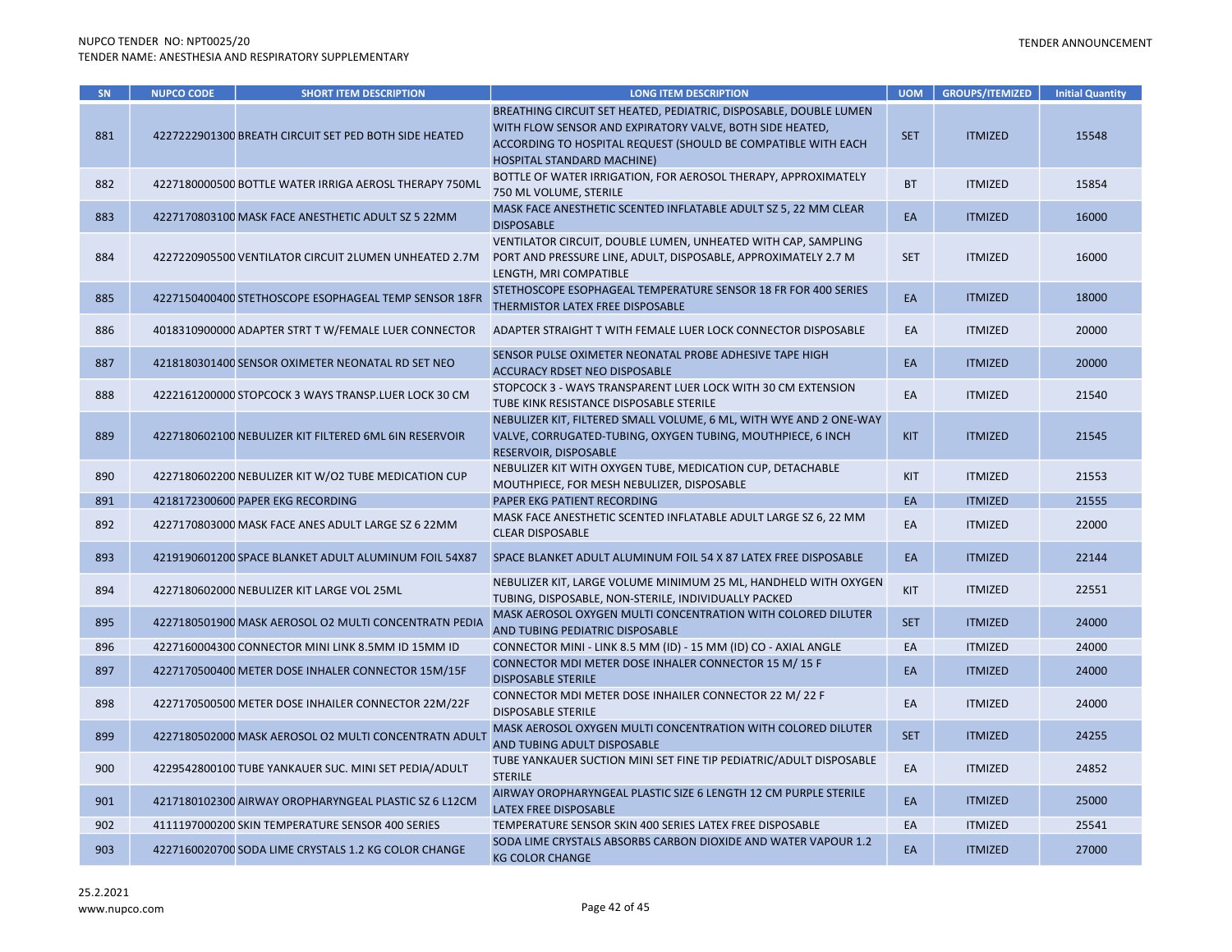| SN  | <b>NUPCO CODE</b> | <b>SHORT ITEM DESCRIPTION</b>                          | <b>LONG ITEM DESCRIPTION</b>                                                                                                                                                                                                 | <b>UOM</b> | <b>GROUPS/ITEMIZED</b> | <b>Initial Quantity</b> |
|-----|-------------------|--------------------------------------------------------|------------------------------------------------------------------------------------------------------------------------------------------------------------------------------------------------------------------------------|------------|------------------------|-------------------------|
| 881 |                   | 4227222901300 BREATH CIRCUIT SET PED BOTH SIDE HEATED  | BREATHING CIRCUIT SET HEATED, PEDIATRIC, DISPOSABLE, DOUBLE LUMEN<br>WITH FLOW SENSOR AND EXPIRATORY VALVE, BOTH SIDE HEATED,<br>ACCORDING TO HOSPITAL REQUEST (SHOULD BE COMPATIBLE WITH EACH<br>HOSPITAL STANDARD MACHINE) | <b>SET</b> | <b>ITMIZED</b>         | 15548                   |
| 882 |                   | 4227180000500 BOTTLE WATER IRRIGA AEROSL THERAPY 750ML | BOTTLE OF WATER IRRIGATION, FOR AEROSOL THERAPY, APPROXIMATELY<br>750 ML VOLUME, STERILE                                                                                                                                     | <b>BT</b>  | <b>ITMIZED</b>         | 15854                   |
| 883 |                   | 4227170803100 MASK FACE ANESTHETIC ADULT SZ 5 22MM     | MASK FACE ANESTHETIC SCENTED INFLATABLE ADULT SZ 5, 22 MM CLEAR<br><b>DISPOSABLE</b>                                                                                                                                         | EA         | <b>ITMIZED</b>         | 16000                   |
| 884 |                   | 4227220905500 VENTILATOR CIRCUIT 2LUMEN UNHEATED 2.7M  | VENTILATOR CIRCUIT, DOUBLE LUMEN, UNHEATED WITH CAP, SAMPLING<br>PORT AND PRESSURE LINE, ADULT, DISPOSABLE, APPROXIMATELY 2.7 M<br>LENGTH, MRI COMPATIBLE                                                                    | <b>SET</b> | <b>ITMIZED</b>         | 16000                   |
| 885 |                   | 4227150400400 STETHOSCOPE ESOPHAGEAL TEMP SENSOR 18FR  | STETHOSCOPE ESOPHAGEAL TEMPERATURE SENSOR 18 FR FOR 400 SERIES<br>THERMISTOR LATEX FREE DISPOSABLE                                                                                                                           | EA         | <b>ITMIZED</b>         | 18000                   |
| 886 |                   | 4018310900000 ADAPTER STRT TW/FEMALE LUER CONNECTOR    | ADAPTER STRAIGHT T WITH FEMALE LUER LOCK CONNECTOR DISPOSABLE                                                                                                                                                                | EA         | <b>ITMIZED</b>         | 20000                   |
| 887 |                   | 4218180301400 SENSOR OXIMETER NEONATAL RD SET NEO      | SENSOR PULSE OXIMETER NEONATAL PROBE ADHESIVE TAPE HIGH<br>ACCURACY RDSET NEO DISPOSABLE                                                                                                                                     | EA         | <b>ITMIZED</b>         | 20000                   |
| 888 |                   | 4222161200000 STOPCOCK 3 WAYS TRANSP.LUER LOCK 30 CM   | STOPCOCK 3 - WAYS TRANSPARENT LUER LOCK WITH 30 CM EXTENSION<br>TUBE KINK RESISTANCE DISPOSABLE STERILE                                                                                                                      | EA         | <b>ITMIZED</b>         | 21540                   |
| 889 |                   | 4227180602100 NEBULIZER KIT FILTERED 6ML 6IN RESERVOIR | NEBULIZER KIT, FILTERED SMALL VOLUME, 6 ML, WITH WYE AND 2 ONE-WAY<br>VALVE, CORRUGATED-TUBING, OXYGEN TUBING, MOUTHPIECE, 6 INCH<br>RESERVOIR, DISPOSABLE                                                                   | <b>KIT</b> | <b>ITMIZED</b>         | 21545                   |
| 890 |                   | 4227180602200 NEBULIZER KIT W/O2 TUBE MEDICATION CUP   | NEBULIZER KIT WITH OXYGEN TUBE, MEDICATION CUP, DETACHABLE<br>MOUTHPIECE, FOR MESH NEBULIZER, DISPOSABLE                                                                                                                     | <b>KIT</b> | <b>ITMIZED</b>         | 21553                   |
| 891 |                   | 4218172300600 PAPER EKG RECORDING                      | PAPER EKG PATIENT RECORDING                                                                                                                                                                                                  | EA         | <b>ITMIZED</b>         | 21555                   |
| 892 |                   | 4227170803000 MASK FACE ANES ADULT LARGE SZ 6 22MM     | MASK FACE ANESTHETIC SCENTED INFLATABLE ADULT LARGE SZ 6, 22 MM<br><b>CLEAR DISPOSABLE</b>                                                                                                                                   | EA         | <b>ITMIZED</b>         | 22000                   |
| 893 |                   | 4219190601200 SPACE BLANKET ADULT ALUMINUM FOIL 54X87  | SPACE BLANKET ADULT ALUMINUM FOIL 54 X 87 LATEX FREE DISPOSABLE                                                                                                                                                              | EA         | <b>ITMIZED</b>         | 22144                   |
| 894 |                   | 4227180602000 NEBULIZER KIT LARGE VOL 25ML             | NEBULIZER KIT, LARGE VOLUME MINIMUM 25 ML, HANDHELD WITH OXYGEN<br>TUBING, DISPOSABLE, NON-STERILE, INDIVIDUALLY PACKED                                                                                                      | KIT        | <b>ITMIZED</b>         | 22551                   |
| 895 |                   | 4227180501900 MASK AEROSOL O2 MULTI CONCENTRATN PEDIA  | MASK AEROSOL OXYGEN MULTI CONCENTRATION WITH COLORED DILUTER<br>AND TUBING PEDIATRIC DISPOSABLE                                                                                                                              | <b>SET</b> | <b>ITMIZED</b>         | 24000                   |
| 896 |                   | 4227160004300 CONNECTOR MINI LINK 8.5MM ID 15MM ID     | CONNECTOR MINI - LINK 8.5 MM (ID) - 15 MM (ID) CO - AXIAL ANGLE                                                                                                                                                              | EA         | <b>ITMIZED</b>         | 24000                   |
| 897 |                   | 4227170500400 METER DOSE INHALER CONNECTOR 15M/15F     | CONNECTOR MDI METER DOSE INHALER CONNECTOR 15 M/ 15 F<br><b>DISPOSABLE STERILE</b>                                                                                                                                           | EA         | <b>ITMIZED</b>         | 24000                   |
| 898 |                   | 4227170500500 METER DOSE INHAILER CONNECTOR 22M/22F    | CONNECTOR MDI METER DOSE INHAILER CONNECTOR 22 M/22 F<br><b>DISPOSABLE STERILE</b>                                                                                                                                           | EA         | <b>ITMIZED</b>         | 24000                   |
| 899 |                   | 4227180502000 MASK AEROSOL O2 MULTI CONCENTRATN ADULT  | MASK AEROSOL OXYGEN MULTI CONCENTRATION WITH COLORED DILUTER<br>AND TUBING ADULT DISPOSABLE                                                                                                                                  | <b>SET</b> | <b>ITMIZED</b>         | 24255                   |
| 900 |                   | 4229542800100 TUBE YANKAUER SUC. MINI SET PEDIA/ADULT  | TUBE YANKAUER SUCTION MINI SET FINE TIP PEDIATRIC/ADULT DISPOSABLE<br><b>STERILE</b>                                                                                                                                         | EA         | <b>ITMIZED</b>         | 24852                   |
| 901 |                   | 4217180102300 AIRWAY OROPHARYNGEAL PLASTIC SZ 6 L12CM  | AIRWAY OROPHARYNGEAL PLASTIC SIZE 6 LENGTH 12 CM PURPLE STERILE<br>LATEX FREE DISPOSABLE                                                                                                                                     | EA         | <b>ITMIZED</b>         | 25000                   |
| 902 |                   | 4111197000200 SKIN TEMPERATURE SENSOR 400 SERIES       | TEMPERATURE SENSOR SKIN 400 SERIES LATEX FREE DISPOSABLE                                                                                                                                                                     | EA         | <b>ITMIZED</b>         | 25541                   |
| 903 |                   | 4227160020700 SODA LIME CRYSTALS 1.2 KG COLOR CHANGE   | SODA LIME CRYSTALS ABSORBS CARBON DIOXIDE AND WATER VAPOUR 1.2<br><b>KG COLOR CHANGE</b>                                                                                                                                     | EA         | <b>ITMIZED</b>         | 27000                   |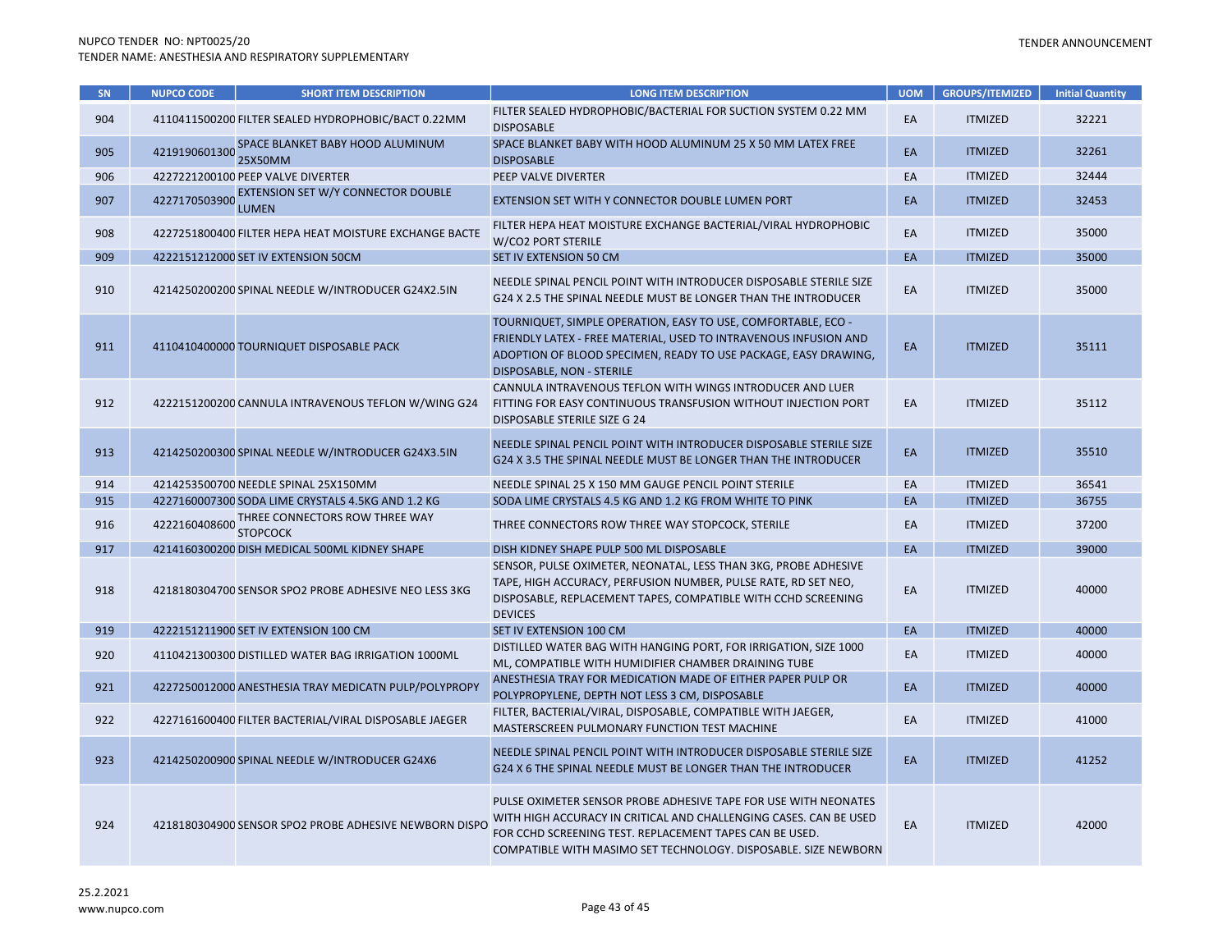| SN  | <b>NUPCO CODE</b> | <b>SHORT ITEM DESCRIPTION</b>                                    | <b>LONG ITEM DESCRIPTION</b>                                                                                                                                                                                                                                       | <b>UOM</b> | <b>GROUPS/ITEMIZED</b> | <b>Initial Quantity</b> |
|-----|-------------------|------------------------------------------------------------------|--------------------------------------------------------------------------------------------------------------------------------------------------------------------------------------------------------------------------------------------------------------------|------------|------------------------|-------------------------|
| 904 |                   | 4110411500200 FILTER SEALED HYDROPHOBIC/BACT 0.22MM              | FILTER SEALED HYDROPHOBIC/BACTERIAL FOR SUCTION SYSTEM 0.22 MM<br><b>DISPOSABLE</b>                                                                                                                                                                                | EA         | <b>ITMIZED</b>         | 32221                   |
| 905 | 4219190601300     | SPACE BLANKET BABY HOOD ALUMINUM<br>25X50MM                      | SPACE BLANKET BABY WITH HOOD ALUMINUM 25 X 50 MM LATEX FREE<br><b>DISPOSABLE</b>                                                                                                                                                                                   | EA         | <b>ITMIZED</b>         | 32261                   |
| 906 |                   | 4227221200100 PEEP VALVE DIVERTER                                | PEEP VALVE DIVERTER                                                                                                                                                                                                                                                | EA         | <b>ITMIZED</b>         | 32444                   |
| 907 |                   | 4227170503900 EXTENSION SET W/Y CONNECTOR DOUBLE<br><b>LUMEN</b> | EXTENSION SET WITH Y CONNECTOR DOUBLE LUMEN PORT                                                                                                                                                                                                                   | EA         | <b>ITMIZED</b>         | 32453                   |
| 908 |                   | 4227251800400 FILTER HEPA HEAT MOISTURE EXCHANGE BACTE           | FILTER HEPA HEAT MOISTURE EXCHANGE BACTERIAL/VIRAL HYDROPHOBIC<br>W/CO2 PORT STERILE                                                                                                                                                                               | EA         | <b>ITMIZED</b>         | 35000                   |
| 909 |                   | 4222151212000 SET IV EXTENSION 50CM                              | SET IV EXTENSION 50 CM                                                                                                                                                                                                                                             | EA         | <b>ITMIZED</b>         | 35000                   |
| 910 |                   | 4214250200200 SPINAL NEEDLE W/INTRODUCER G24X2.5IN               | NEEDLE SPINAL PENCIL POINT WITH INTRODUCER DISPOSABLE STERILE SIZE<br>G24 X 2.5 THE SPINAL NEEDLE MUST BE LONGER THAN THE INTRODUCER                                                                                                                               | EA         | <b>ITMIZED</b>         | 35000                   |
| 911 |                   | 4110410400000 TOURNIQUET DISPOSABLE PACK                         | TOURNIQUET, SIMPLE OPERATION, EASY TO USE, COMFORTABLE, ECO -<br>FRIENDLY LATEX - FREE MATERIAL, USED TO INTRAVENOUS INFUSION AND<br>ADOPTION OF BLOOD SPECIMEN, READY TO USE PACKAGE, EASY DRAWING,<br>DISPOSABLE, NON - STERILE                                  | EA         | <b>ITMIZED</b>         | 35111                   |
| 912 |                   | 4222151200200 CANNULA INTRAVENOUS TEFLON W/WING G24              | CANNULA INTRAVENOUS TEFLON WITH WINGS INTRODUCER AND LUER<br>FITTING FOR EASY CONTINUOUS TRANSFUSION WITHOUT INJECTION PORT<br>DISPOSABLE STERILE SIZE G 24                                                                                                        | EA         | <b>ITMIZED</b>         | 35112                   |
| 913 |                   | 4214250200300 SPINAL NEEDLE W/INTRODUCER G24X3.5IN               | NEEDLE SPINAL PENCIL POINT WITH INTRODUCER DISPOSABLE STERILE SIZE<br>G24 X 3.5 THE SPINAL NEEDLE MUST BE LONGER THAN THE INTRODUCER                                                                                                                               | EA         | <b>ITMIZED</b>         | 35510                   |
| 914 |                   | 4214253500700 NEEDLE SPINAL 25X150MM                             | NEEDLE SPINAL 25 X 150 MM GAUGE PENCIL POINT STERILE                                                                                                                                                                                                               | EA         | <b>ITMIZED</b>         | 36541                   |
| 915 |                   | 4227160007300 SODA LIME CRYSTALS 4.5KG AND 1.2 KG                | SODA LIME CRYSTALS 4.5 KG AND 1.2 KG FROM WHITE TO PINK                                                                                                                                                                                                            | EA         | <b>ITMIZED</b>         | 36755                   |
| 916 | 4222160408600     | THREE CONNECTORS ROW THREE WAY<br><b>STOPCOCK</b>                | THREE CONNECTORS ROW THREE WAY STOPCOCK, STERILE                                                                                                                                                                                                                   | EA         | <b>ITMIZED</b>         | 37200                   |
| 917 |                   | 4214160300200 DISH MEDICAL 500ML KIDNEY SHAPE                    | DISH KIDNEY SHAPE PULP 500 ML DISPOSABLE                                                                                                                                                                                                                           | EA         | <b>ITMIZED</b>         | 39000                   |
| 918 |                   | 4218180304700 SENSOR SPO2 PROBE ADHESIVE NEO LESS 3KG            | SENSOR, PULSE OXIMETER, NEONATAL, LESS THAN 3KG, PROBE ADHESIVE<br>TAPE, HIGH ACCURACY, PERFUSION NUMBER, PULSE RATE, RD SET NEO,<br>DISPOSABLE, REPLACEMENT TAPES, COMPATIBLE WITH CCHD SCREENING<br><b>DEVICES</b>                                               | EA         | <b>ITMIZED</b>         | 40000                   |
| 919 |                   | 4222151211900 SET IV EXTENSION 100 CM                            | SET IV EXTENSION 100 CM                                                                                                                                                                                                                                            | EA         | <b>ITMIZED</b>         | 40000                   |
| 920 |                   | 4110421300300 DISTILLED WATER BAG IRRIGATION 1000ML              | DISTILLED WATER BAG WITH HANGING PORT, FOR IRRIGATION, SIZE 1000<br>ML, COMPATIBLE WITH HUMIDIFIER CHAMBER DRAINING TUBE                                                                                                                                           | EA         | <b>ITMIZED</b>         | 40000                   |
| 921 |                   | 4227250012000 ANESTHESIA TRAY MEDICATN PULP/POLYPROPY            | ANESTHESIA TRAY FOR MEDICATION MADE OF EITHER PAPER PULP OR<br>POLYPROPYLENE, DEPTH NOT LESS 3 CM, DISPOSABLE                                                                                                                                                      | EA         | <b>ITMIZED</b>         | 40000                   |
| 922 |                   | 4227161600400 FILTER BACTERIAL/VIRAL DISPOSABLE JAEGER           | FILTER, BACTERIAL/VIRAL, DISPOSABLE, COMPATIBLE WITH JAEGER,<br>MASTERSCREEN PULMONARY FUNCTION TEST MACHINE                                                                                                                                                       | EA         | <b>ITMIZED</b>         | 41000                   |
| 923 |                   | 4214250200900 SPINAL NEEDLE W/INTRODUCER G24X6                   | NEEDLE SPINAL PENCIL POINT WITH INTRODUCER DISPOSABLE STERILE SIZE<br>G24 X 6 THE SPINAL NEEDLE MUST BE LONGER THAN THE INTRODUCER                                                                                                                                 | EA         | <b>ITMIZED</b>         | 41252                   |
| 924 |                   | 4218180304900 SENSOR SPO2 PROBE ADHESIVE NEWBORN DISPO           | PULSE OXIMETER SENSOR PROBE ADHESIVE TAPE FOR USE WITH NEONATES<br>WITH HIGH ACCURACY IN CRITICAL AND CHALLENGING CASES. CAN BE USED<br>FOR CCHD SCREENING TEST. REPLACEMENT TAPES CAN BE USED.<br>COMPATIBLE WITH MASIMO SET TECHNOLOGY. DISPOSABLE. SIZE NEWBORN | EA         | <b>ITMIZED</b>         | 42000                   |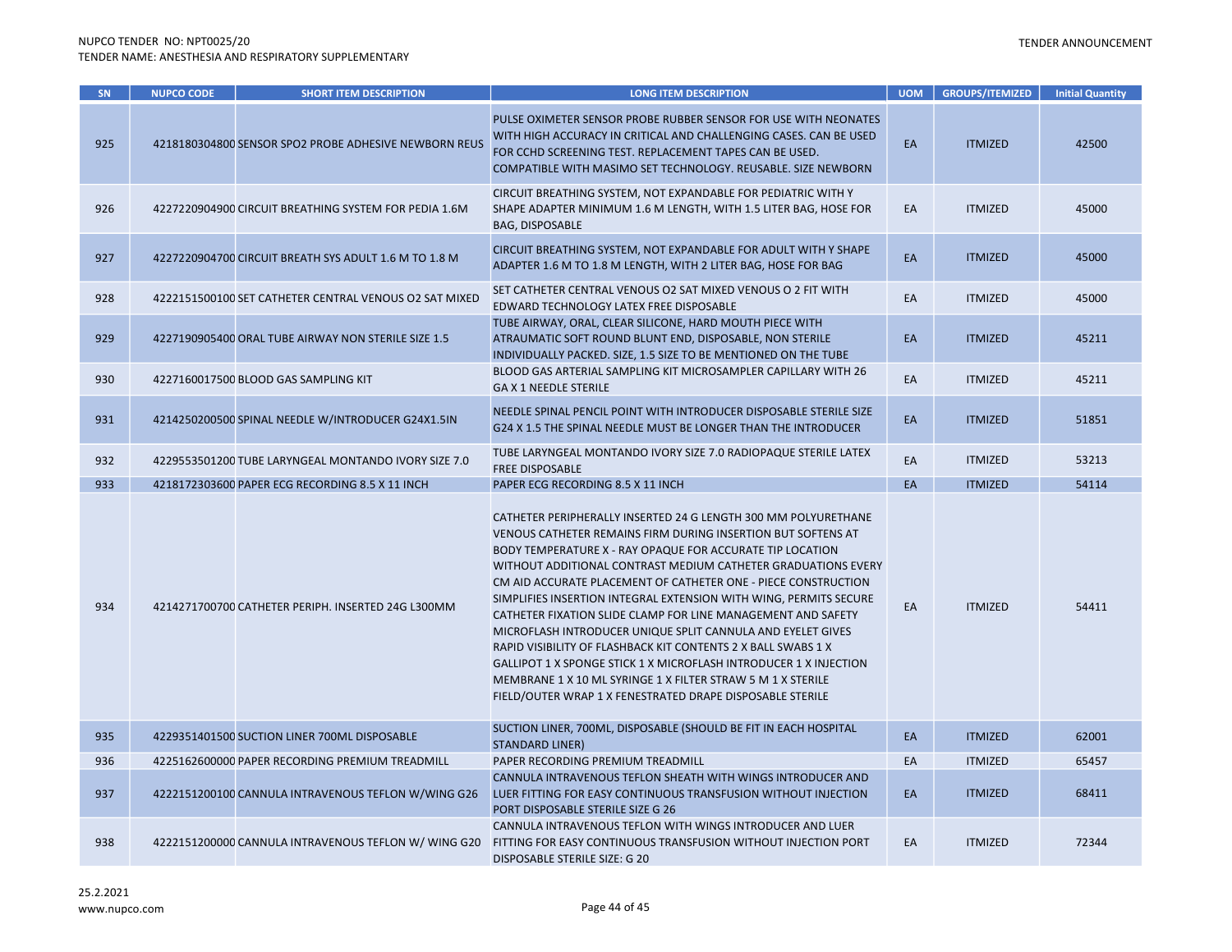| SN  | <b>NUPCO CODE</b> | <b>SHORT ITEM DESCRIPTION</b>                          | <b>LONG ITEM DESCRIPTION</b>                                                                                                                                                                                                                                                                                                                                                                                                                                                                                                                                                                                                                                                                                                                                                                                | <b>UOM</b> | <b>GROUPS/ITEMIZED</b> | <b>Initial Quantity</b> |
|-----|-------------------|--------------------------------------------------------|-------------------------------------------------------------------------------------------------------------------------------------------------------------------------------------------------------------------------------------------------------------------------------------------------------------------------------------------------------------------------------------------------------------------------------------------------------------------------------------------------------------------------------------------------------------------------------------------------------------------------------------------------------------------------------------------------------------------------------------------------------------------------------------------------------------|------------|------------------------|-------------------------|
| 925 |                   | 4218180304800 SENSOR SPO2 PROBE ADHESIVE NEWBORN REUS  | PULSE OXIMETER SENSOR PROBE RUBBER SENSOR FOR USE WITH NEONATES<br>WITH HIGH ACCURACY IN CRITICAL AND CHALLENGING CASES. CAN BE USED<br>FOR CCHD SCREENING TEST. REPLACEMENT TAPES CAN BE USED.<br>COMPATIBLE WITH MASIMO SET TECHNOLOGY. REUSABLE. SIZE NEWBORN                                                                                                                                                                                                                                                                                                                                                                                                                                                                                                                                            | EA         | <b>ITMIZED</b>         | 42500                   |
| 926 |                   | 4227220904900 CIRCUIT BREATHING SYSTEM FOR PEDIA 1.6M  | CIRCUIT BREATHING SYSTEM, NOT EXPANDABLE FOR PEDIATRIC WITH Y<br>SHAPE ADAPTER MINIMUM 1.6 M LENGTH, WITH 1.5 LITER BAG, HOSE FOR<br><b>BAG, DISPOSABLE</b>                                                                                                                                                                                                                                                                                                                                                                                                                                                                                                                                                                                                                                                 | EA         | <b>ITMIZED</b>         | 45000                   |
| 927 |                   | 4227220904700 CIRCUIT BREATH SYS ADULT 1.6 M TO 1.8 M  | CIRCUIT BREATHING SYSTEM, NOT EXPANDABLE FOR ADULT WITH Y SHAPE<br>ADAPTER 1.6 M TO 1.8 M LENGTH, WITH 2 LITER BAG, HOSE FOR BAG                                                                                                                                                                                                                                                                                                                                                                                                                                                                                                                                                                                                                                                                            | EA         | <b>ITMIZED</b>         | 45000                   |
| 928 |                   | 4222151500100 SET CATHETER CENTRAL VENOUS O2 SAT MIXED | SET CATHETER CENTRAL VENOUS O2 SAT MIXED VENOUS O 2 FIT WITH<br>EDWARD TECHNOLOGY LATEX FREE DISPOSABLE                                                                                                                                                                                                                                                                                                                                                                                                                                                                                                                                                                                                                                                                                                     | EA         | <b>ITMIZED</b>         | 45000                   |
| 929 |                   | 4227190905400 ORAL TUBE AIRWAY NON STERILE SIZE 1.5    | TUBE AIRWAY, ORAL, CLEAR SILICONE, HARD MOUTH PIECE WITH<br>ATRAUMATIC SOFT ROUND BLUNT END, DISPOSABLE, NON STERILE<br>INDIVIDUALLY PACKED. SIZE, 1.5 SIZE TO BE MENTIONED ON THE TUBE                                                                                                                                                                                                                                                                                                                                                                                                                                                                                                                                                                                                                     | EA         | <b>ITMIZED</b>         | 45211                   |
| 930 |                   | 4227160017500 BLOOD GAS SAMPLING KIT                   | BLOOD GAS ARTERIAL SAMPLING KIT MICROSAMPLER CAPILLARY WITH 26<br><b>GAX 1 NEEDLE STERILE</b>                                                                                                                                                                                                                                                                                                                                                                                                                                                                                                                                                                                                                                                                                                               | EA         | <b>ITMIZED</b>         | 45211                   |
| 931 |                   | 4214250200500 SPINAL NEEDLE W/INTRODUCER G24X1.5IN     | NEEDLE SPINAL PENCIL POINT WITH INTRODUCER DISPOSABLE STERILE SIZE<br>G24 X 1.5 THE SPINAL NEEDLE MUST BE LONGER THAN THE INTRODUCER                                                                                                                                                                                                                                                                                                                                                                                                                                                                                                                                                                                                                                                                        | EA         | <b>ITMIZED</b>         | 51851                   |
| 932 |                   | 4229553501200 TUBE LARYNGEAL MONTANDO IVORY SIZE 7.0   | TUBE LARYNGEAL MONTANDO IVORY SIZE 7.0 RADIOPAQUE STERILE LATEX<br><b>FREE DISPOSABLE</b>                                                                                                                                                                                                                                                                                                                                                                                                                                                                                                                                                                                                                                                                                                                   | EA         | <b>ITMIZED</b>         | 53213                   |
| 933 |                   | 4218172303600 PAPER ECG RECORDING 8.5 X 11 INCH        | PAPER ECG RECORDING 8.5 X 11 INCH                                                                                                                                                                                                                                                                                                                                                                                                                                                                                                                                                                                                                                                                                                                                                                           | EA         | <b>ITMIZED</b>         | 54114                   |
| 934 |                   | 4214271700700 CATHETER PERIPH. INSERTED 24G L300MM     | CATHETER PERIPHERALLY INSERTED 24 G LENGTH 300 MM POLYURETHANE<br>VENOUS CATHETER REMAINS FIRM DURING INSERTION BUT SOFTENS AT<br>BODY TEMPERATURE X - RAY OPAQUE FOR ACCURATE TIP LOCATION<br>WITHOUT ADDITIONAL CONTRAST MEDIUM CATHETER GRADUATIONS EVERY<br>CM AID ACCURATE PLACEMENT OF CATHETER ONE - PIECE CONSTRUCTION<br>SIMPLIFIES INSERTION INTEGRAL EXTENSION WITH WING, PERMITS SECURE<br>CATHETER FIXATION SLIDE CLAMP FOR LINE MANAGEMENT AND SAFETY<br>MICROFLASH INTRODUCER UNIQUE SPLIT CANNULA AND EYELET GIVES<br>RAPID VISIBILITY OF FLASHBACK KIT CONTENTS 2 X BALL SWABS 1 X<br><b>GALLIPOT 1 X SPONGE STICK 1 X MICROFLASH INTRODUCER 1 X INJECTION</b><br>MEMBRANE 1 X 10 ML SYRINGE 1 X FILTER STRAW 5 M 1 X STERILE<br>FIELD/OUTER WRAP 1 X FENESTRATED DRAPE DISPOSABLE STERILE | EA         | <b>ITMIZED</b>         | 54411                   |
| 935 |                   | 4229351401500 SUCTION LINER 700ML DISPOSABLE           | SUCTION LINER, 700ML, DISPOSABLE (SHOULD BE FIT IN EACH HOSPITAL<br><b>STANDARD LINER)</b>                                                                                                                                                                                                                                                                                                                                                                                                                                                                                                                                                                                                                                                                                                                  | EA         | <b>ITMIZED</b>         | 62001                   |
| 936 |                   | 4225162600000 PAPER RECORDING PREMIUM TREADMILL        | PAPER RECORDING PREMIUM TREADMILL                                                                                                                                                                                                                                                                                                                                                                                                                                                                                                                                                                                                                                                                                                                                                                           | EA         | <b>ITMIZED</b>         | 65457                   |
| 937 |                   | 4222151200100 CANNULA INTRAVENOUS TEFLON W/WING G26    | CANNULA INTRAVENOUS TEFLON SHEATH WITH WINGS INTRODUCER AND<br>LUER FITTING FOR EASY CONTINUOUS TRANSFUSION WITHOUT INJECTION<br>PORT DISPOSABLE STERILE SIZE G 26                                                                                                                                                                                                                                                                                                                                                                                                                                                                                                                                                                                                                                          | EA         | <b>ITMIZED</b>         | 68411                   |
| 938 |                   | 4222151200000 CANNULA INTRAVENOUS TEFLON W/ WING G20   | CANNULA INTRAVENOUS TEFLON WITH WINGS INTRODUCER AND LUER<br>FITTING FOR EASY CONTINUOUS TRANSFUSION WITHOUT INJECTION PORT<br>DISPOSABLE STERILE SIZE: G 20                                                                                                                                                                                                                                                                                                                                                                                                                                                                                                                                                                                                                                                | EA         | <b>ITMIZED</b>         | 72344                   |